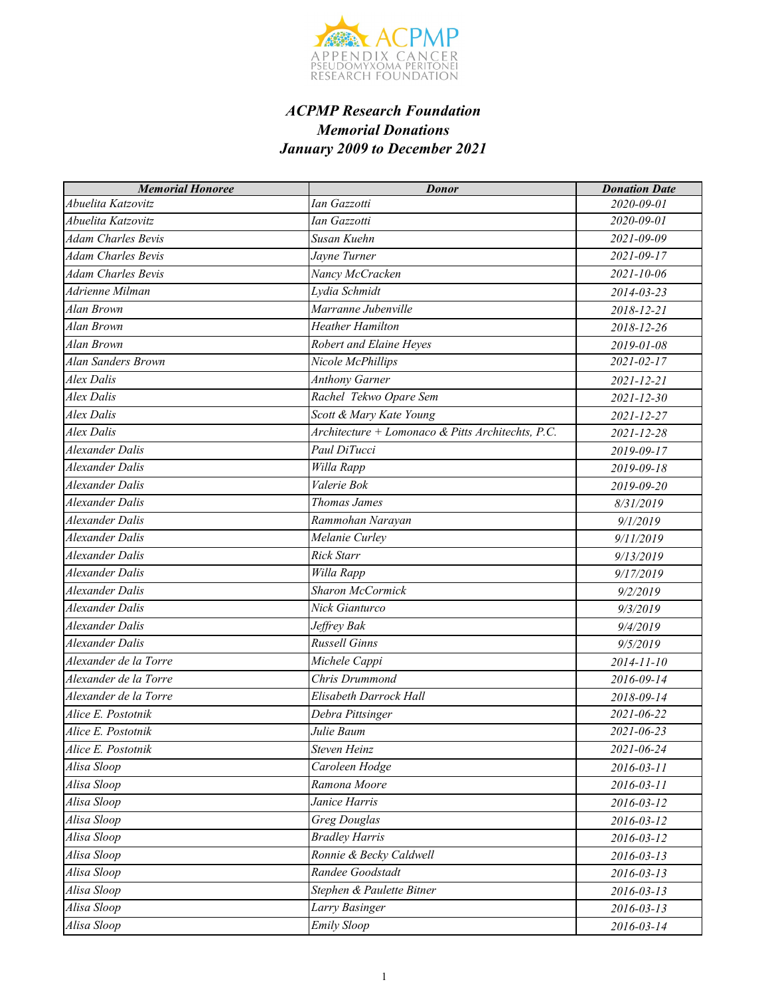

| <b>Memorial Honoree</b>   | <b>Donor</b>                                      | <b>Donation Date</b> |
|---------------------------|---------------------------------------------------|----------------------|
| Abuelita Katzovitz        | Ian Gazzotti                                      | 2020-09-01           |
| Abuelita Katzovitz        | Ian Gazzotti                                      | 2020-09-01           |
| Adam Charles Bevis        | Susan Kuehn                                       | 2021-09-09           |
| <b>Adam Charles Bevis</b> | Jayne Turner                                      | $2021 - 09 - 17$     |
| <b>Adam Charles Bevis</b> | Nancy McCracken                                   | 2021-10-06           |
| Adrienne Milman           | Lydia Schmidt                                     | 2014-03-23           |
| Alan Brown                | Marranne Jubenville                               | 2018-12-21           |
| Alan Brown                | <b>Heather Hamilton</b>                           | 2018-12-26           |
| Alan Brown                | Robert and Elaine Heyes                           | 2019-01-08           |
| Alan Sanders Brown        | Nicole McPhillips                                 | $2021 - 02 - 17$     |
| Alex Dalis                | <b>Anthony Garner</b>                             | 2021-12-21           |
| Alex Dalis                | Rachel Tekwo Opare Sem                            | $2021 - 12 - 30$     |
| Alex Dalis                | Scott & Mary Kate Young                           | 2021-12-27           |
| <b>Alex Dalis</b>         | Architecture + Lomonaco & Pitts Architechts, P.C. | 2021-12-28           |
| Alexander Dalis           | Paul DiTucci                                      | 2019-09-17           |
| Alexander Dalis           | Willa Rapp                                        | 2019-09-18           |
| <b>Alexander Dalis</b>    | Valerie Bok                                       | 2019-09-20           |
| Alexander Dalis           | Thomas James                                      | 8/31/2019            |
| Alexander Dalis           | Rammohan Narayan                                  | 9/1/2019             |
| Alexander Dalis           | Melanie Curley                                    | 9/11/2019            |
| Alexander Dalis           | Rick Starr                                        | 9/13/2019            |
| Alexander Dalis           | Willa Rapp                                        | 9/17/2019            |
| <b>Alexander Dalis</b>    | <b>Sharon McCormick</b>                           | 9/2/2019             |
| Alexander Dalis           | Nick Gianturco                                    | 9/3/2019             |
| Alexander Dalis           | Jeffrey Bak                                       | 9/4/2019             |
| <b>Alexander Dalis</b>    | <b>Russell Ginns</b>                              | 9/5/2019             |
| Alexander de la Torre     | Michele Cappi                                     | 2014-11-10           |
| Alexander de la Torre     | Chris Drummond                                    | 2016-09-14           |
| Alexander de la Torre     | Elisabeth Darrock Hall                            | 2018-09-14           |
| Alice E. Postotnik        | Debra Pittsinger                                  | 2021-06-22           |
| Alice E. Postotnik        | Julie Baum                                        | 2021-06-23           |
| Alice E. Postotnik        | Steven Heinz                                      | 2021-06-24           |
| Alisa Sloop               | Caroleen Hodge                                    | $2016 - 03 - 11$     |
| Alisa Sloop               | Ramona Moore                                      | $2016 - 03 - 11$     |
| Alisa Sloop               | Janice Harris                                     | 2016-03-12           |
| Alisa Sloop               | <b>Greg Douglas</b>                               | 2016-03-12           |
| Alisa Sloop               | <b>Bradley Harris</b>                             | 2016-03-12           |
| Alisa Sloop               | Ronnie & Becky Caldwell                           | $2016 - 03 - 13$     |
| Alisa Sloop               | Randee Goodstadt                                  | $2016 - 03 - 13$     |
| Alisa Sloop               | Stephen & Paulette Bitner                         | $2016 - 03 - 13$     |
| Alisa Sloop               | Larry Basinger                                    | $2016 - 03 - 13$     |
| Alisa Sloop               | <b>Emily Sloop</b>                                | 2016-03-14           |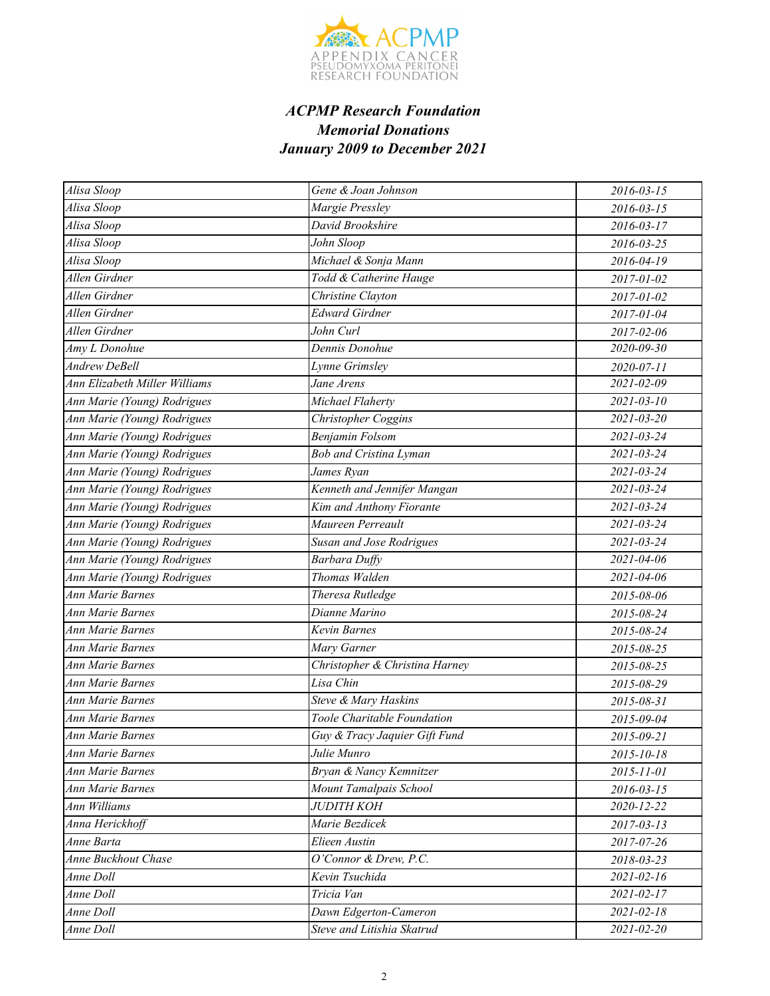

| Alisa Sloop                   | Gene & Joan Johnson            | 2016-03-15       |
|-------------------------------|--------------------------------|------------------|
| Alisa Sloop                   | Margie Pressley                | $2016 - 03 - 15$ |
| Alisa Sloop                   | David Brookshire               | $2016 - 03 - 17$ |
| Alisa Sloop                   | John Sloop                     | 2016-03-25       |
| Alisa Sloop                   | Michael & Sonja Mann           | 2016-04-19       |
| Allen Girdner                 | Todd & Catherine Hauge         | 2017-01-02       |
| Allen Girdner                 | Christine Clayton              | 2017-01-02       |
| Allen Girdner                 | <b>Edward Girdner</b>          | 2017-01-04       |
| Allen Girdner                 | John Curl                      | 2017-02-06       |
| Amy L Donohue                 | Dennis Donohue                 | 2020-09-30       |
| <b>Andrew DeBell</b>          | Lynne Grimsley                 | 2020-07-11       |
| Ann Elizabeth Miller Williams | Jane Arens                     | 2021-02-09       |
| Ann Marie (Young) Rodrigues   | Michael Flaherty               | $2021 - 03 - 10$ |
| Ann Marie (Young) Rodrigues   | Christopher Coggins            | $2021 - 03 - 20$ |
| Ann Marie (Young) Rodrigues   | Benjamin Folsom                | 2021-03-24       |
| Ann Marie (Young) Rodrigues   | <b>Bob and Cristina Lyman</b>  | 2021-03-24       |
| Ann Marie (Young) Rodrigues   | James Ryan                     | $2021 - 03 - 24$ |
| Ann Marie (Young) Rodrigues   | Kenneth and Jennifer Mangan    | 2021-03-24       |
| Ann Marie (Young) Rodrigues   | Kim and Anthony Fiorante       | $2021 - 03 - 24$ |
| Ann Marie (Young) Rodrigues   | Maureen Perreault              | 2021-03-24       |
| Ann Marie (Young) Rodrigues   | Susan and Jose Rodrigues       | $2021 - 03 - 24$ |
| Ann Marie (Young) Rodrigues   | <b>Barbara Duffy</b>           | 2021-04-06       |
| Ann Marie (Young) Rodrigues   | Thomas Walden                  | 2021-04-06       |
| Ann Marie Barnes              | Theresa Rutledge               | 2015-08-06       |
| <b>Ann Marie Barnes</b>       | Dianne Marino                  | 2015-08-24       |
| <b>Ann Marie Barnes</b>       | Kevin Barnes                   | 2015-08-24       |
| Ann Marie Barnes              | Mary Garner                    | 2015-08-25       |
| <b>Ann Marie Barnes</b>       | Christopher & Christina Harney | 2015-08-25       |
| <b>Ann Marie Barnes</b>       | Lisa Chin                      | 2015-08-29       |
| Ann Marie Barnes              | Steve & Mary Haskins           | 2015-08-31       |
| <b>Ann Marie Barnes</b>       | Toole Charitable Foundation    | 2015-09-04       |
| <b>Ann Marie Barnes</b>       | Guy & Tracy Jaquier Gift Fund  | 2015-09-21       |
| <b>Ann Marie Barnes</b>       | Julie Munro                    | 2015-10-18       |
| <b>Ann Marie Barnes</b>       | Bryan & Nancy Kemnitzer        | 2015-11-01       |
| <b>Ann Marie Barnes</b>       | Mount Tamalpais School         | $2016 - 03 - 15$ |
| Ann Williams                  | <b>JUDITH KOH</b>              | 2020-12-22       |
| Anna Herickhoff               | Marie Bezdicek                 | $2017 - 03 - 13$ |
| Anne Barta                    | Elieen Austin                  | 2017-07-26       |
| Anne Buckhout Chase           | O'Connor & Drew, P.C.          | 2018-03-23       |
| Anne Doll                     | Kevin Tsuchida                 | $2021 - 02 - 16$ |
| Anne Doll                     | Tricia Van                     | 2021-02-17       |
| Anne Doll                     | Dawn Edgerton-Cameron          | $2021 - 02 - 18$ |
| Anne Doll                     | Steve and Litishia Skatrud     | $2021 - 02 - 20$ |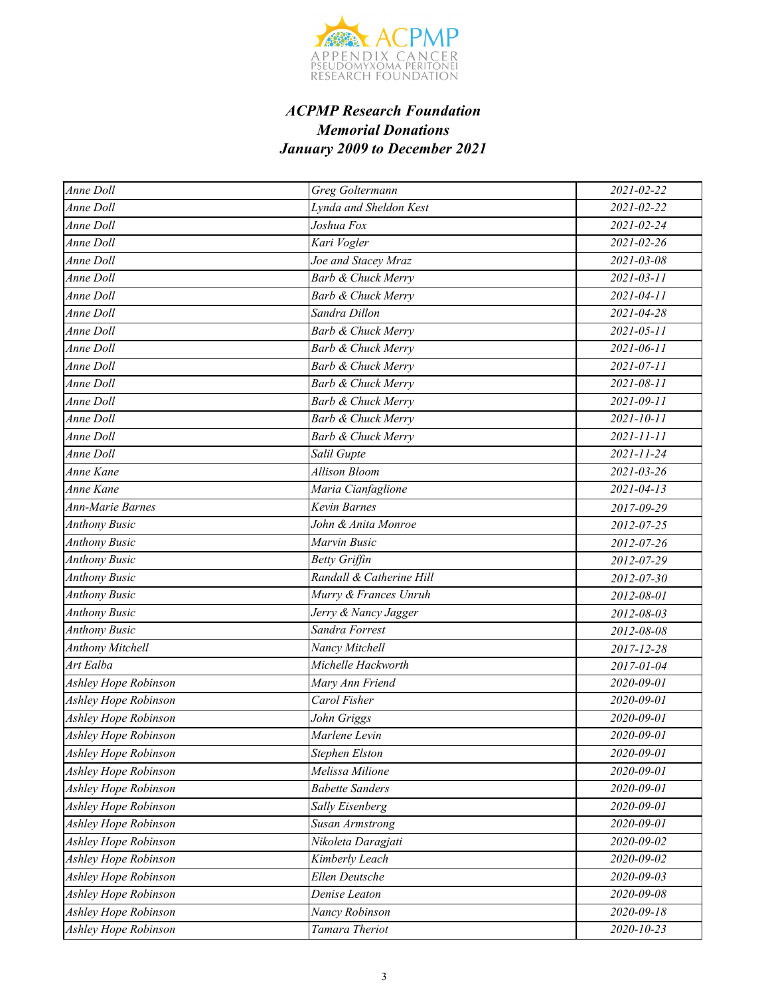

| Anne Doll               | Greg Goltermann               | 2021-02-22       |
|-------------------------|-------------------------------|------------------|
| Anne Doll               | Lynda and Sheldon Kest        | 2021-02-22       |
| Anne Doll               | Joshua Fox                    | 2021-02-24       |
| Anne Doll               | Kari Vogler                   | 2021-02-26       |
| Anne Doll               | Joe and Stacey Mraz           | 2021-03-08       |
| <b>Anne Doll</b>        | <b>Barb &amp; Chuck Merry</b> | $2021 - 03 - 11$ |
| Anne Doll               | Barb & Chuck Merry            | 2021-04-11       |
| Anne Doll               | Sandra Dillon                 | 2021-04-28       |
| Anne Doll               | <b>Barb &amp; Chuck Merry</b> | $2021 - 05 - 11$ |
| Anne Doll               | <b>Barb &amp; Chuck Merry</b> | 2021-06-11       |
| Anne Doll               | Barb & Chuck Merry            | 2021-07-11       |
| Anne Doll               | <b>Barb &amp; Chuck Merry</b> | $2021 - 08 - 11$ |
| Anne Doll               | <b>Barb &amp; Chuck Merry</b> | 2021-09-11       |
| Anne Doll               | Barb & Chuck Merry            | 2021-10-11       |
| Anne Doll               | <b>Barb &amp; Chuck Merry</b> | $2021 - 11 - 11$ |
| Anne Doll               | Salil Gupte                   | 2021-11-24       |
| Anne Kane               | <b>Allison Bloom</b>          | 2021-03-26       |
| Anne Kane               | Maria Cianfaglione            | $2021 - 04 - 13$ |
| <b>Ann-Marie Barnes</b> | Kevin Barnes                  | 2017-09-29       |
| <b>Anthony Busic</b>    | John & Anita Monroe           | 2012-07-25       |
| <b>Anthony Busic</b>    | Marvin Busic                  | 2012-07-26       |
| <b>Anthony Busic</b>    | <b>Betty Griffin</b>          | 2012-07-29       |
| <b>Anthony Busic</b>    | Randall & Catherine Hill      | 2012-07-30       |
| <b>Anthony Busic</b>    | Murry & Frances Unruh         | 2012-08-01       |
| <b>Anthony Busic</b>    | Jerry & Nancy Jagger          | 2012-08-03       |
| <b>Anthony Busic</b>    | Sandra Forrest                | 2012-08-08       |
| <b>Anthony Mitchell</b> | Nancy Mitchell                | 2017-12-28       |
| Art Ealba               | Michelle Hackworth            | 2017-01-04       |
| Ashley Hope Robinson    | Mary Ann Friend               | 2020-09-01       |
| Ashley Hope Robinson    | Carol Fisher                  | 2020-09-01       |
| Ashley Hope Robinson    | John Griggs                   | 2020-09-01       |
| Ashley Hope Robinson    | Marlene Levin                 | 2020-09-01       |
| Ashley Hope Robinson    | Stephen Elston                | $2020 - 09 - 01$ |
| Ashley Hope Robinson    | Melissa Milione               | 2020-09-01       |
| Ashley Hope Robinson    | <b>Babette Sanders</b>        | 2020-09-01       |
| Ashley Hope Robinson    | Sally Eisenberg               | 2020-09-01       |
| Ashley Hope Robinson    | <b>Susan Armstrong</b>        | 2020-09-01       |
| Ashley Hope Robinson    | Nikoleta Daragjati            | 2020-09-02       |
| Ashley Hope Robinson    | Kimberly Leach                | 2020-09-02       |
| Ashley Hope Robinson    | Ellen Deutsche                | 2020-09-03       |
| Ashley Hope Robinson    | Denise Leaton                 | 2020-09-08       |
| Ashley Hope Robinson    | Nancy Robinson                | 2020-09-18       |
| Ashley Hope Robinson    | Tamara Theriot                | $2020 - 10 - 23$ |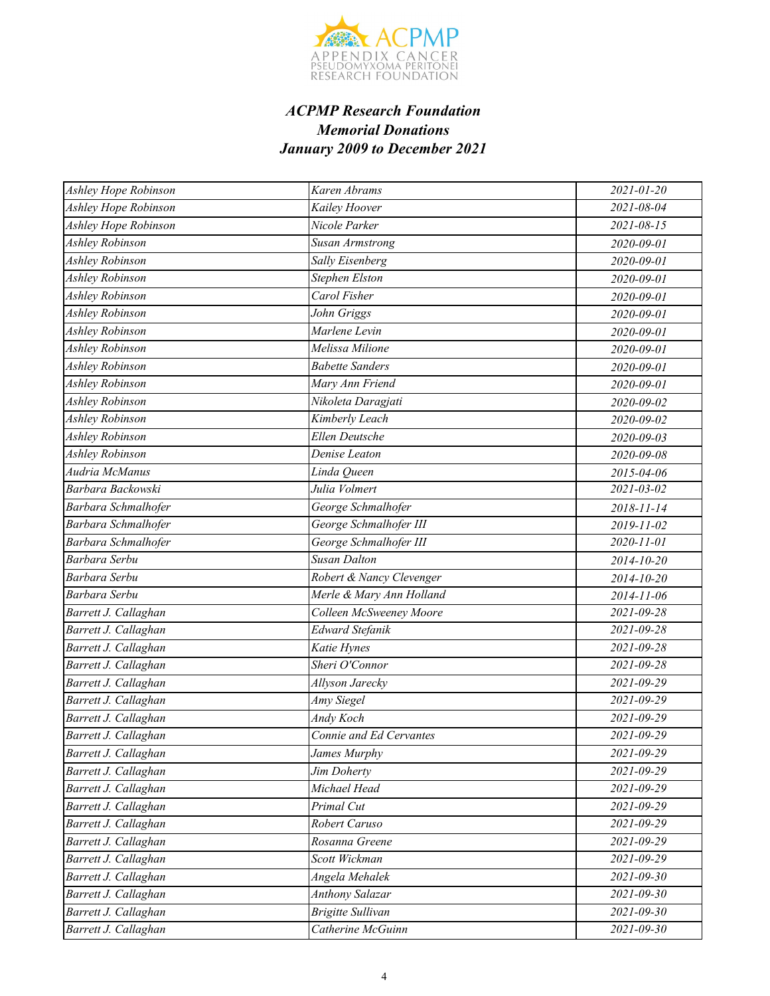

| Ashley Hope Robinson   | Karen Abrams             | 2021-01-20       |
|------------------------|--------------------------|------------------|
| Ashley Hope Robinson   | Kailey Hoover            | 2021-08-04       |
| Ashley Hope Robinson   | Nicole Parker            | 2021-08-15       |
| <b>Ashley Robinson</b> | Susan Armstrong          | 2020-09-01       |
| Ashley Robinson        | Sally Eisenberg          | 2020-09-01       |
| Ashley Robinson        | <b>Stephen Elston</b>    | 2020-09-01       |
| Ashley Robinson        | Carol Fisher             | 2020-09-01       |
| Ashley Robinson        | John Griggs              | 2020-09-01       |
| <b>Ashley Robinson</b> | Marlene Levin            | 2020-09-01       |
| Ashley Robinson        | Melissa Milione          | 2020-09-01       |
| Ashley Robinson        | <b>Babette Sanders</b>   | 2020-09-01       |
| Ashley Robinson        | Mary Ann Friend          | 2020-09-01       |
| Ashley Robinson        | Nikoleta Daragjati       | 2020-09-02       |
| Ashley Robinson        | Kimberly Leach           | 2020-09-02       |
| Ashley Robinson        | <b>Ellen Deutsche</b>    | 2020-09-03       |
| Ashley Robinson        | Denise Leaton            | 2020-09-08       |
| Audria McManus         | Linda Queen              | 2015-04-06       |
| Barbara Backowski      | Julia Volmert            | 2021-03-02       |
| Barbara Schmalhofer    | George Schmalhofer       | 2018-11-14       |
| Barbara Schmalhofer    | George Schmalhofer III   | 2019-11-02       |
| Barbara Schmalhofer    | George Schmalhofer III   | 2020-11-01       |
| Barbara Serbu          | <b>Susan Dalton</b>      | 2014-10-20       |
| Barbara Serbu          | Robert & Nancy Clevenger | 2014-10-20       |
| Barbara Serbu          | Merle & Mary Ann Holland | 2014-11-06       |
| Barrett J. Callaghan   | Colleen McSweeney Moore  | 2021-09-28       |
| Barrett J. Callaghan   | Edward Stefanik          | 2021-09-28       |
| Barrett J. Callaghan   | Katie Hynes              | $2021 - 09 - 28$ |
| Barrett J. Callaghan   | Sheri O'Connor           | 2021-09-28       |
| Barrett J. Callaghan   | Allyson Jarecky          | $2021 - 09 - 29$ |
| Barrett J. Callaghan   | Amy Siegel               | 2021-09-29       |
| Barrett J. Callaghan   | Andy Koch                | 2021-09-29       |
| Barrett J. Callaghan   | Connie and Ed Cervantes  | 2021-09-29       |
| Barrett J. Callaghan   | James Murphy             | 2021-09-29       |
| Barrett J. Callaghan   | Jim Doherty              | 2021-09-29       |
| Barrett J. Callaghan   | Michael Head             | 2021-09-29       |
| Barrett J. Callaghan   | Primal Cut               | 2021-09-29       |
| Barrett J. Callaghan   | Robert Caruso            | 2021-09-29       |
| Barrett J. Callaghan   | Rosanna Greene           | 2021-09-29       |
| Barrett J. Callaghan   | Scott Wickman            | 2021-09-29       |
| Barrett J. Callaghan   | Angela Mehalek           | 2021-09-30       |
| Barrett J. Callaghan   | <b>Anthony Salazar</b>   | 2021-09-30       |
| Barrett J. Callaghan   | <b>Brigitte Sullivan</b> | 2021-09-30       |
| Barrett J. Callaghan   | Catherine McGuinn        | $2021 - 09 - 30$ |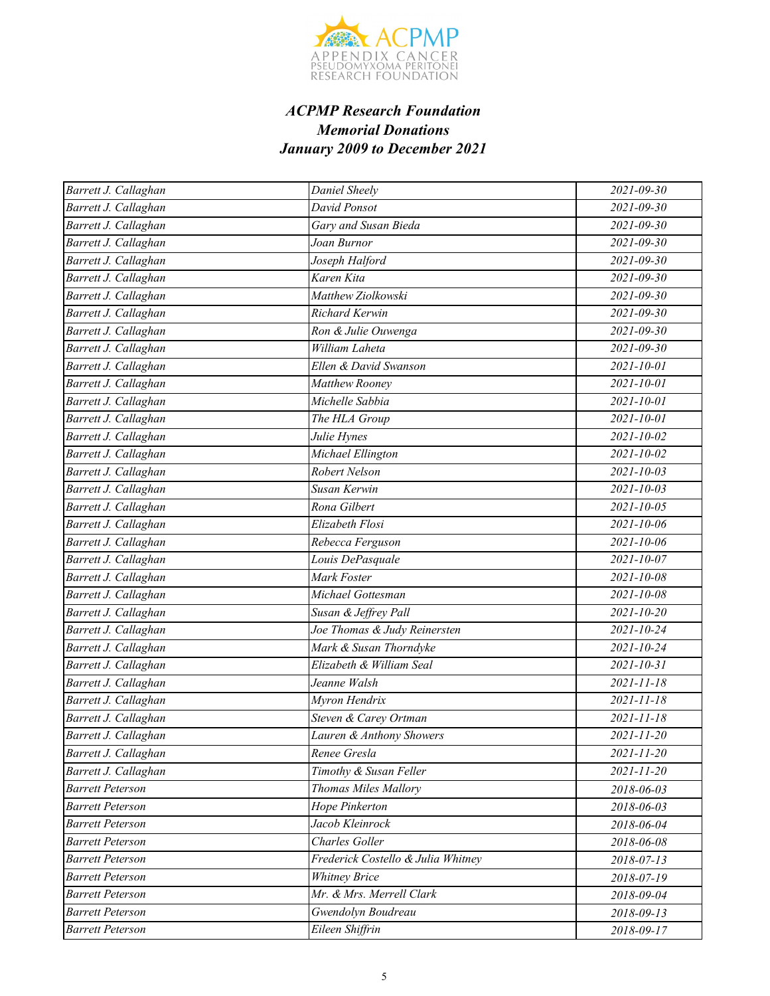

| Barrett J. Callaghan    | Daniel Sheely                      | $2021 - 09 - 30$ |
|-------------------------|------------------------------------|------------------|
| Barrett J. Callaghan    | David Ponsot                       | 2021-09-30       |
| Barrett J. Callaghan    | Gary and Susan Bieda               | $2021 - 09 - 30$ |
| Barrett J. Callaghan    | Joan Burnor                        | $2021 - 09 - 30$ |
| Barrett J. Callaghan    | Joseph Halford                     | $2021 - 09 - 30$ |
| Barrett J. Callaghan    | Karen Kita                         | $2021 - 09 - 30$ |
| Barrett J. Callaghan    | Matthew Ziolkowski                 | $2021 - 09 - 30$ |
| Barrett J. Callaghan    | Richard Kerwin                     | 2021-09-30       |
| Barrett J. Callaghan    | Ron & Julie Ouwenga                | $2021 - 09 - 30$ |
| Barrett J. Callaghan    | William Laheta                     | $2021 - 09 - 30$ |
| Barrett J. Callaghan    | Ellen & David Swanson              | 2021-10-01       |
| Barrett J. Callaghan    | Matthew Rooney                     | $2021 - 10 - 01$ |
| Barrett J. Callaghan    | Michelle Sabbia                    | 2021-10-01       |
| Barrett J. Callaghan    | The HLA Group                      | 2021-10-01       |
| Barrett J. Callaghan    | Julie Hynes                        | $2021 - 10 - 02$ |
| Barrett J. Callaghan    | Michael Ellington                  | 2021-10-02       |
| Barrett J. Callaghan    | Robert Nelson                      | $2021 - 10 - 03$ |
| Barrett J. Callaghan    | Susan Kerwin                       | $2021 - 10 - 03$ |
| Barrett J. Callaghan    | Rona Gilbert                       | $2021 - 10 - 05$ |
| Barrett J. Callaghan    | Elizabeth Flosi                    | 2021-10-06       |
| Barrett J. Callaghan    | Rebecca Ferguson                   | 2021-10-06       |
| Barrett J. Callaghan    | Louis DePasquale                   | 2021-10-07       |
| Barrett J. Callaghan    | Mark Foster                        | 2021-10-08       |
| Barrett J. Callaghan    | Michael Gottesman                  | 2021-10-08       |
| Barrett J. Callaghan    | Susan & Jeffrey Pall               | $2021 - 10 - 20$ |
| Barrett J. Callaghan    | Joe Thomas & Judy Reinersten       | 2021-10-24       |
| Barrett J. Callaghan    | Mark & Susan Thorndyke             | $2021 - 10 - 24$ |
| Barrett J. Callaghan    | Elizabeth & William Seal           | $2021 - 10 - 31$ |
| Barrett J. Callaghan    | Jeanne Walsh                       | $2021 - 11 - 18$ |
| Barrett J. Callaghan    | Myron Hendrix                      | $2021 - 11 - 18$ |
| Barrett J. Callaghan    | Steven & Carey Ortman              | $2021 - 11 - 18$ |
| Barrett J. Callaghan    | Lauren & Anthony Showers           | $2021 - 11 - 20$ |
| Barrett J. Callaghan    | Renee Gresla                       | $2021 - 11 - 20$ |
| Barrett J. Callaghan    | Timothy & Susan Feller             | 2021-11-20       |
| <b>Barrett Peterson</b> | Thomas Miles Mallory               | 2018-06-03       |
| <b>Barrett Peterson</b> | Hope Pinkerton                     | 2018-06-03       |
| <b>Barrett Peterson</b> | Jacob Kleinrock                    | 2018-06-04       |
| <b>Barrett Peterson</b> | <b>Charles Goller</b>              | 2018-06-08       |
| <b>Barrett Peterson</b> | Frederick Costello & Julia Whitney | 2018-07-13       |
| <b>Barrett Peterson</b> | <b>Whitney Brice</b>               | 2018-07-19       |
| <b>Barrett Peterson</b> | Mr. & Mrs. Merrell Clark           | 2018-09-04       |
| <b>Barrett Peterson</b> | Gwendolyn Boudreau                 | 2018-09-13       |
| <b>Barrett Peterson</b> | Eileen Shiffrin                    | 2018-09-17       |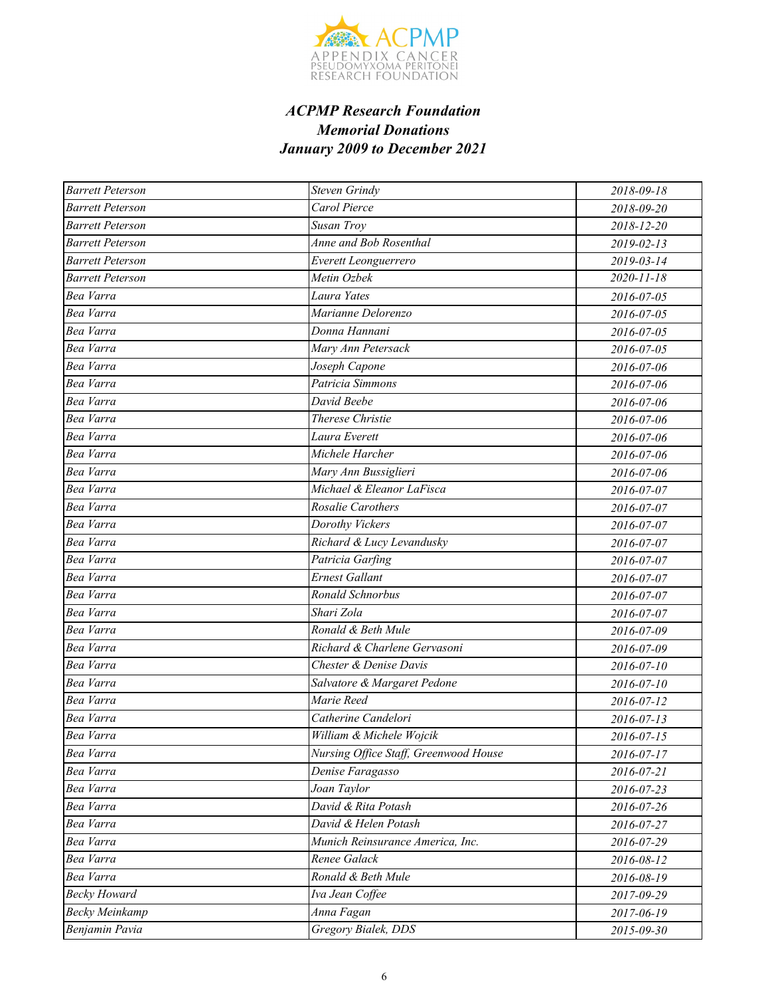

| <b>Barrett Peterson</b> | <b>Steven Grindy</b>                  | 2018-09-18       |
|-------------------------|---------------------------------------|------------------|
| <b>Barrett Peterson</b> | Carol Pierce                          | 2018-09-20       |
| <b>Barrett Peterson</b> | Susan Troy                            | 2018-12-20       |
| <b>Barrett Peterson</b> | Anne and Bob Rosenthal                | 2019-02-13       |
| <b>Barrett Peterson</b> | Everett Leonguerrero                  | 2019-03-14       |
| <b>Barrett Peterson</b> | Metin Ozbek                           | $2020 - 11 - 18$ |
| Bea Varra               | Laura Yates                           | 2016-07-05       |
| Bea Varra               | Marianne Delorenzo                    | 2016-07-05       |
| Bea Varra               | Donna Hannani                         | 2016-07-05       |
| Bea Varra               | Mary Ann Petersack                    | 2016-07-05       |
| Bea Varra               | Joseph Capone                         | 2016-07-06       |
| Bea Varra               | Patricia Simmons                      | 2016-07-06       |
| Bea Varra               | David Beebe                           | 2016-07-06       |
| Bea Varra               | Therese Christie                      | 2016-07-06       |
| Bea Varra               | Laura Everett                         | 2016-07-06       |
| Bea Varra               | Michele Harcher                       | 2016-07-06       |
| Bea Varra               | Mary Ann Bussiglieri                  | 2016-07-06       |
| Bea Varra               | Michael & Eleanor LaFisca             | 2016-07-07       |
| Bea Varra               | Rosalie Carothers                     | 2016-07-07       |
| Bea Varra               | Dorothy Vickers                       | 2016-07-07       |
| Bea Varra               | Richard & Lucy Levandusky             | 2016-07-07       |
| Bea Varra               | Patricia Garfing                      | 2016-07-07       |
| Bea Varra               | <b>Ernest Gallant</b>                 | 2016-07-07       |
| Bea Varra               | Ronald Schnorbus                      | 2016-07-07       |
| Bea Varra               | Shari Zola                            | 2016-07-07       |
| Bea Varra               | Ronald & Beth Mule                    | 2016-07-09       |
| Bea Varra               | Richard & Charlene Gervasoni          | 2016-07-09       |
| Bea Varra               | Chester & Denise Davis                | 2016-07-10       |
| Bea Varra               | Salvatore & Margaret Pedone           | 2016-07-10       |
| Bea Varra               | Marie Reed                            | 2016-07-12       |
| Bea Varra               | Catherine Candelori                   | 2016-07-13       |
| Bea Varra               | William & Michele Wojcik              | 2016-07-15       |
| Bea Varra               | Nursing Office Staff, Greenwood House | 2016-07-17       |
| Bea Varra               | Denise Faragasso                      | 2016-07-21       |
| Bea Varra               | Joan Taylor                           | 2016-07-23       |
| Bea Varra               | David & Rita Potash                   | 2016-07-26       |
| Bea Varra               | David & Helen Potash                  | 2016-07-27       |
| Bea Varra               | Munich Reinsurance America, Inc.      | 2016-07-29       |
| Bea Varra               | Renee Galack                          | 2016-08-12       |
| Bea Varra               | Ronald & Beth Mule                    | 2016-08-19       |
| <b>Becky Howard</b>     | Iva Jean Coffee                       | 2017-09-29       |
| <b>Becky Meinkamp</b>   | Anna Fagan                            | 2017-06-19       |
| Benjamin Pavia          | Gregory Bialek, DDS                   | 2015-09-30       |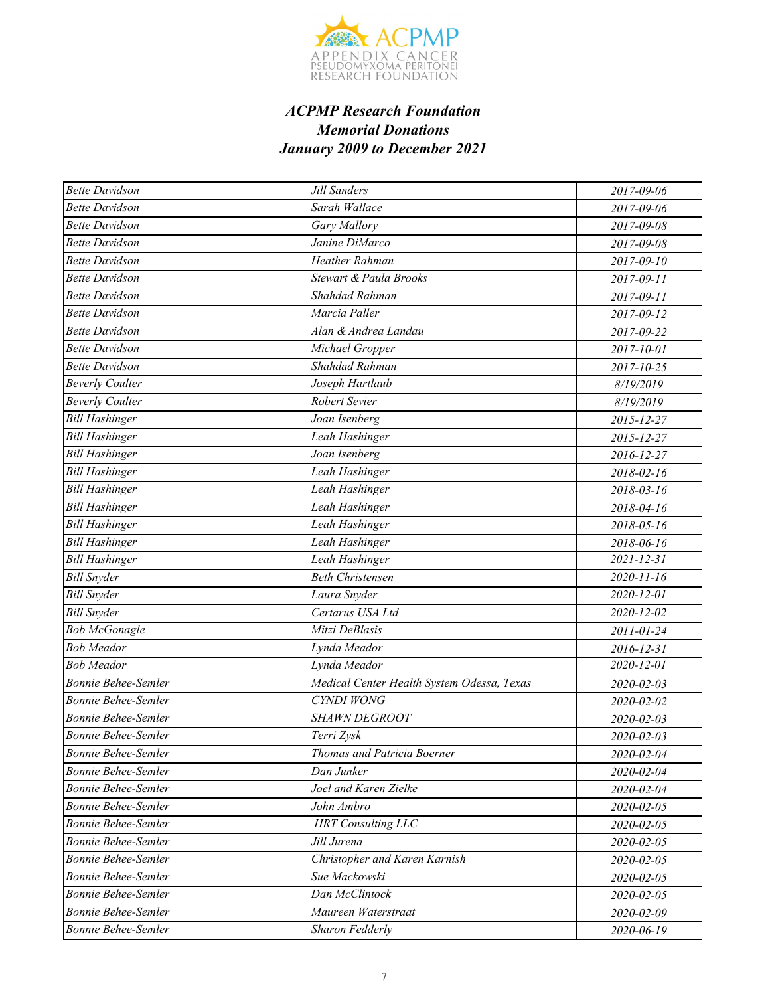

| <b>Bette Davidson</b>      | Jill Sanders                               | 2017-09-06       |
|----------------------------|--------------------------------------------|------------------|
| <b>Bette Davidson</b>      | Sarah Wallace                              | 2017-09-06       |
| <b>Bette Davidson</b>      | Gary Mallory                               | 2017-09-08       |
| <b>Bette Davidson</b>      | Janine DiMarco                             | 2017-09-08       |
| <b>Bette Davidson</b>      | Heather Rahman                             | 2017-09-10       |
| <b>Bette Davidson</b>      | Stewart & Paula Brooks                     | 2017-09-11       |
| <b>Bette Davidson</b>      | Shahdad Rahman                             | 2017-09-11       |
| <b>Bette Davidson</b>      | Marcia Paller                              | 2017-09-12       |
| <b>Bette Davidson</b>      | Alan & Andrea Landau                       | 2017-09-22       |
| <b>Bette Davidson</b>      | Michael Gropper                            | 2017-10-01       |
| <b>Bette Davidson</b>      | Shahdad Rahman                             | 2017-10-25       |
| <b>Beverly Coulter</b>     | Joseph Hartlaub                            | 8/19/2019        |
| <b>Beverly Coulter</b>     | Robert Sevier                              | 8/19/2019        |
| <b>Bill Hashinger</b>      | Joan Isenberg                              | 2015-12-27       |
| <b>Bill Hashinger</b>      | Leah Hashinger                             | 2015-12-27       |
| <b>Bill Hashinger</b>      | Joan Isenberg                              | 2016-12-27       |
| <b>Bill Hashinger</b>      | Leah Hashinger                             | 2018-02-16       |
| <b>Bill Hashinger</b>      | Leah Hashinger                             | 2018-03-16       |
| <b>Bill Hashinger</b>      | Leah Hashinger                             | 2018-04-16       |
| <b>Bill Hashinger</b>      | Leah Hashinger                             | 2018-05-16       |
| <b>Bill Hashinger</b>      | Leah Hashinger                             | 2018-06-16       |
| <b>Bill Hashinger</b>      | Leah Hashinger                             | 2021-12-31       |
| <b>Bill Snyder</b>         | <b>Beth Christensen</b>                    | $2020 - 11 - 16$ |
| <b>Bill Snyder</b>         | Laura Snyder                               | $2020 - 12 - 01$ |
| <b>Bill Snyder</b>         | Certarus USA Ltd                           | 2020-12-02       |
| <b>Bob McGonagle</b>       | Mitzi DeBlasis                             | 2011-01-24       |
| <b>Bob Meador</b>          | Lynda Meador                               | 2016-12-31       |
| <b>Bob Meador</b>          | Lynda Meador                               | 2020-12-01       |
| <b>Bonnie Behee-Semler</b> | Medical Center Health System Odessa, Texas | 2020-02-03       |
| Bonnie Behee-Semler        | <b>CYNDI WONG</b>                          | 2020-02-02       |
| <b>Bonnie Behee-Semler</b> | <b>SHAWN DEGROOT</b>                       | 2020-02-03       |
| <b>Bonnie Behee-Semler</b> | Terri Zysk                                 | 2020-02-03       |
| <b>Bonnie Behee-Semler</b> | Thomas and Patricia Boerner                | 2020-02-04       |
| Bonnie Behee-Semler        | Dan Junker                                 | 2020-02-04       |
| <b>Bonnie Behee-Semler</b> | Joel and Karen Zielke                      | 2020-02-04       |
| <b>Bonnie Behee-Semler</b> | John Ambro                                 | 2020-02-05       |
| Bonnie Behee-Semler        | <b>HRT</b> Consulting LLC                  | 2020-02-05       |
| <b>Bonnie Behee-Semler</b> | Jill Jurena                                | 2020-02-05       |
| <b>Bonnie Behee-Semler</b> | Christopher and Karen Karnish              | 2020-02-05       |
| Bonnie Behee-Semler        | Sue Mackowski                              | 2020-02-05       |
| <b>Bonnie Behee-Semler</b> | Dan McClintock                             | 2020-02-05       |
| <b>Bonnie Behee-Semler</b> | Maureen Waterstraat                        | 2020-02-09       |
| <b>Bonnie Behee-Semler</b> | Sharon Fedderly                            | 2020-06-19       |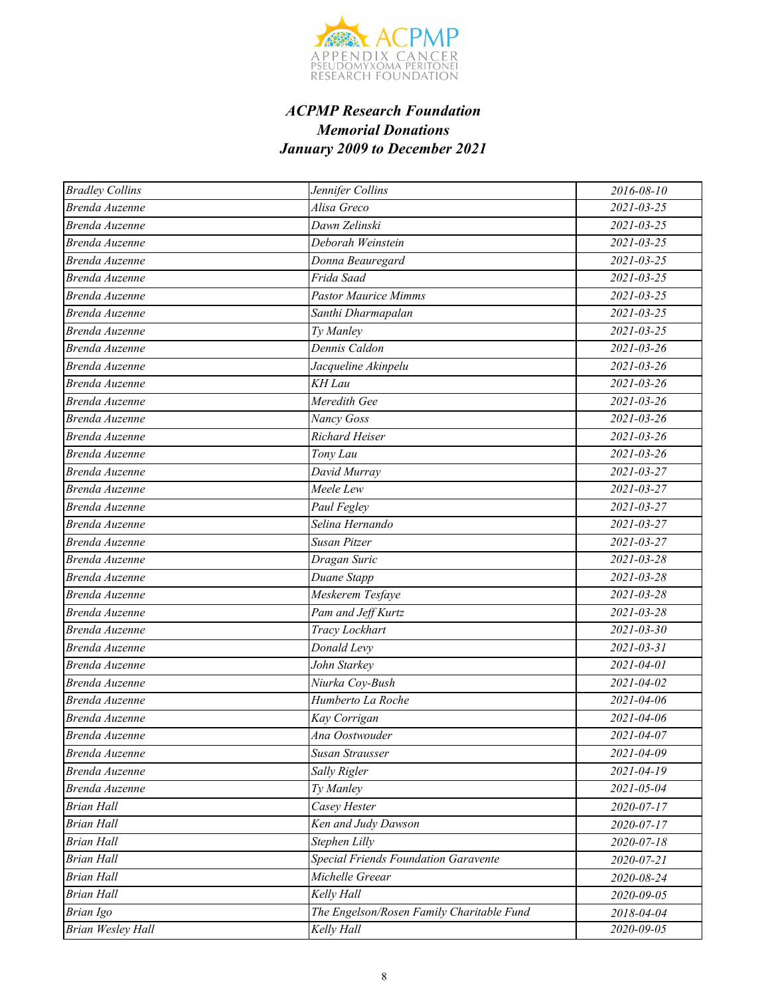

| <b>Bradley Collins</b>   | Jennifer Collins                          | 2016-08-10       |
|--------------------------|-------------------------------------------|------------------|
| Brenda Auzenne           | Alisa Greco                               | $2021 - 03 - 25$ |
| Brenda Auzenne           | Dawn Zelinski                             | $2021 - 03 - 25$ |
| Brenda Auzenne           | Deborah Weinstein                         | 2021-03-25       |
| Brenda Auzenne           | Donna Beauregard                          | $2021 - 03 - 25$ |
| Brenda Auzenne           | Frida Saad                                | $2021 - 03 - 25$ |
| Brenda Auzenne           | <b>Pastor Maurice Mimms</b>               | 2021-03-25       |
| Brenda Auzenne           | Santhi Dharmapalan                        | 2021-03-25       |
| Brenda Auzenne           | Ty Manley                                 | $2021 - 03 - 25$ |
| Brenda Auzenne           | Dennis Caldon                             | $2021 - 03 - 26$ |
| Brenda Auzenne           | Jacqueline Akinpelu                       | $2021 - 03 - 26$ |
| Brenda Auzenne           | KH Lau                                    | $2021 - 03 - 26$ |
| Brenda Auzenne           | Meredith Gee                              | $2021 - 03 - 26$ |
| Brenda Auzenne           | Nancy Goss                                | $2021 - 03 - 26$ |
| Brenda Auzenne           | Richard Heiser                            | $2021 - 03 - 26$ |
| Brenda Auzenne           | Tony Lau                                  | 2021-03-26       |
| Brenda Auzenne           | David Murray                              | 2021-03-27       |
| Brenda Auzenne           | Meele Lew                                 | $2021 - 03 - 27$ |
| Brenda Auzenne           | Paul Fegley                               | $2021 - 03 - 27$ |
| Brenda Auzenne           | Selina Hernando                           | 2021-03-27       |
| Brenda Auzenne           | Susan Pitzer                              | $2021 - 03 - 27$ |
| Brenda Auzenne           | Dragan Suric                              | 2021-03-28       |
| Brenda Auzenne           | Duane Stapp                               | 2021-03-28       |
| Brenda Auzenne           | Meskerem Tesfaye                          | $2021 - 03 - 28$ |
| Brenda Auzenne           | Pam and Jeff Kurtz                        | 2021-03-28       |
| Brenda Auzenne           | Tracy Lockhart                            | $2021 - 03 - 30$ |
| Brenda Auzenne           | Donald Levy                               | $2021 - 03 - 31$ |
| Brenda Auzenne           | John Starkey                              | 2021-04-01       |
| Brenda Auzenne           | Niurka Coy-Bush                           | 2021-04-02       |
| Brenda Auzenne           | Humberto La Roche                         | 2021-04-06       |
| Brenda Auzenne           | Kay Corrigan                              | 2021-04-06       |
| Brenda Auzenne           | Ana Oostwouder                            | 2021-04-07       |
| Brenda Auzenne           | Susan Strausser                           | $2021 - 04 - 09$ |
| Brenda Auzenne           | Sally Rigler                              | 2021-04-19       |
| Brenda Auzenne           | Ty Manley                                 | 2021-05-04       |
| <b>Brian Hall</b>        | Casey Hester                              | 2020-07-17       |
| <b>Brian Hall</b>        | Ken and Judy Dawson                       | 2020-07-17       |
| <b>Brian Hall</b>        | Stephen Lilly                             | 2020-07-18       |
| <b>Brian Hall</b>        | Special Friends Foundation Garavente      | 2020-07-21       |
| <b>Brian Hall</b>        | Michelle Greear                           | 2020-08-24       |
| <b>Brian Hall</b>        | Kelly Hall                                | 2020-09-05       |
| Brian Igo                | The Engelson/Rosen Family Charitable Fund | 2018-04-04       |
| <b>Brian Wesley Hall</b> | Kelly Hall                                | 2020-09-05       |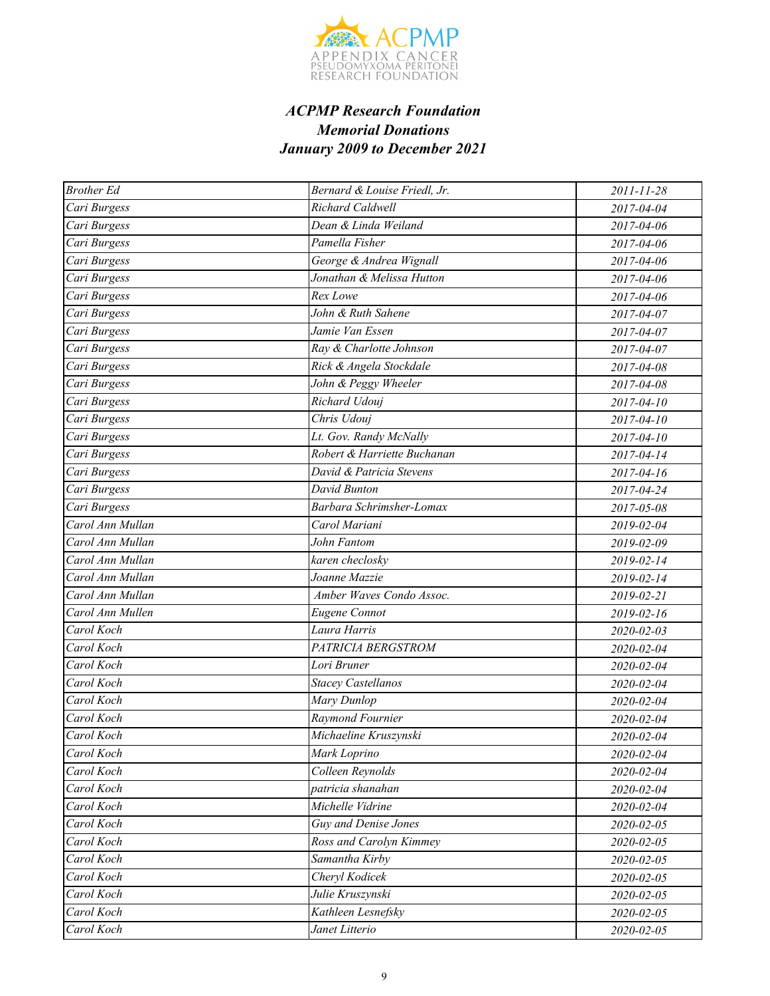

| <b>Brother Ed</b> | Bernard & Louise Friedl, Jr. | 2011-11-28       |
|-------------------|------------------------------|------------------|
| Cari Burgess      | Richard Caldwell             | 2017-04-04       |
| Cari Burgess      | Dean & Linda Weiland         | 2017-04-06       |
| Cari Burgess      | Pamella Fisher               | 2017-04-06       |
| Cari Burgess      | George & Andrea Wignall      | 2017-04-06       |
| Cari Burgess      | Jonathan & Melissa Hutton    | 2017-04-06       |
| Cari Burgess      | Rex Lowe                     | 2017-04-06       |
| Cari Burgess      | John & Ruth Sahene           | 2017-04-07       |
| Cari Burgess      | Jamie Van Essen              | 2017-04-07       |
| Cari Burgess      | Ray & Charlotte Johnson      | 2017-04-07       |
| Cari Burgess      | Rick & Angela Stockdale      | 2017-04-08       |
| Cari Burgess      | John & Peggy Wheeler         | 2017-04-08       |
| Cari Burgess      | Richard Udouj                | 2017-04-10       |
| Cari Burgess      | Chris Udouj                  | $2017 - 04 - 10$ |
| Cari Burgess      | Lt. Gov. Randy McNally       | 2017-04-10       |
| Cari Burgess      | Robert & Harriette Buchanan  | 2017-04-14       |
| Cari Burgess      | David & Patricia Stevens     | 2017-04-16       |
| Cari Burgess      | David Bunton                 | 2017-04-24       |
| Cari Burgess      | Barbara Schrimsher-Lomax     | 2017-05-08       |
| Carol Ann Mullan  | Carol Mariani                | 2019-02-04       |
| Carol Ann Mullan  | John Fantom                  | 2019-02-09       |
| Carol Ann Mullan  | karen checlosky              | 2019-02-14       |
| Carol Ann Mullan  | Joanne Mazzie                | 2019-02-14       |
| Carol Ann Mullan  | Amber Waves Condo Assoc.     | 2019-02-21       |
| Carol Ann Mullen  | Eugene Connot                | 2019-02-16       |
| Carol Koch        | Laura Harris                 | 2020-02-03       |
| Carol Koch        | PATRICIA BERGSTROM           | 2020-02-04       |
| Carol Koch        | Lori Bruner                  | 2020-02-04       |
| Carol Koch        | <b>Stacey Castellanos</b>    | 2020-02-04       |
| Carol Koch        | Mary Dunlop                  | 2020-02-04       |
| Carol Koch        | Raymond Fournier             | 2020-02-04       |
| Carol Koch        | Michaeline Kruszynski        | 2020-02-04       |
| Carol Koch        | Mark Loprino                 | 2020-02-04       |
| Carol Koch        | Colleen Reynolds             | 2020-02-04       |
| Carol Koch        | patricia shanahan            | 2020-02-04       |
| Carol Koch        | Michelle Vidrine             | 2020-02-04       |
| Carol Koch        | Guy and Denise Jones         | 2020-02-05       |
| Carol Koch        | Ross and Carolyn Kimmey      | 2020-02-05       |
| Carol Koch        | Samantha Kirby               | 2020-02-05       |
| Carol Koch        | Cheryl Kodicek               | 2020-02-05       |
| Carol Koch        | Julie Kruszynski             | 2020-02-05       |
| Carol Koch        | Kathleen Lesnefsky           | 2020-02-05       |
| Carol Koch        | Janet Litterio               | 2020-02-05       |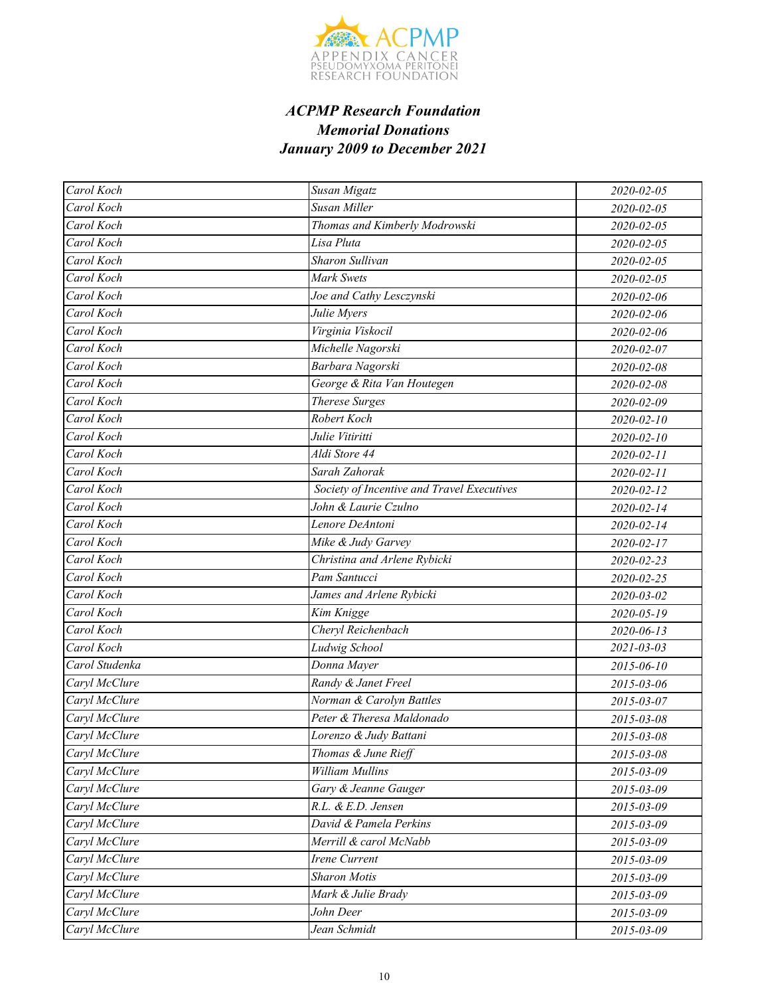

| Carol Koch     | Susan Migatz                               | 2020-02-05 |
|----------------|--------------------------------------------|------------|
| Carol Koch     | Susan Miller                               | 2020-02-05 |
| Carol Koch     | Thomas and Kimberly Modrowski              | 2020-02-05 |
| Carol Koch     | Lisa Pluta                                 | 2020-02-05 |
| Carol Koch     | Sharon Sullivan                            | 2020-02-05 |
| Carol Koch     | <b>Mark Swets</b>                          | 2020-02-05 |
| Carol Koch     | Joe and Cathy Lesczynski                   | 2020-02-06 |
| Carol Koch     | Julie Myers                                | 2020-02-06 |
| Carol Koch     | Virginia Viskocil                          | 2020-02-06 |
| Carol Koch     | Michelle Nagorski                          | 2020-02-07 |
| Carol Koch     | Barbara Nagorski                           | 2020-02-08 |
| Carol Koch     | George & Rita Van Houtegen                 | 2020-02-08 |
| Carol Koch     | <b>Therese Surges</b>                      | 2020-02-09 |
| Carol Koch     | Robert Koch                                | 2020-02-10 |
| Carol Koch     | Julie Vitiritti                            | 2020-02-10 |
| Carol Koch     | Aldi Store 44                              | 2020-02-11 |
| Carol Koch     | Sarah Zahorak                              | 2020-02-11 |
| Carol Koch     | Society of Incentive and Travel Executives | 2020-02-12 |
| Carol Koch     | John & Laurie Czulno                       | 2020-02-14 |
| Carol Koch     | Lenore DeAntoni                            | 2020-02-14 |
| Carol Koch     | Mike & Judy Garvey                         | 2020-02-17 |
| Carol Koch     | Christina and Arlene Rybicki               | 2020-02-23 |
| Carol Koch     | Pam Santucci                               | 2020-02-25 |
| Carol Koch     | James and Arlene Rybicki                   | 2020-03-02 |
| Carol Koch     | Kim Knigge                                 | 2020-05-19 |
| Carol Koch     | Cheryl Reichenbach                         | 2020-06-13 |
| Carol Koch     | Ludwig School                              | 2021-03-03 |
| Carol Studenka | Donna Mayer                                | 2015-06-10 |
| Caryl McClure  | Randy & Janet Freel                        | 2015-03-06 |
| Caryl McClure  | Norman & Carolyn Battles                   | 2015-03-07 |
| Caryl McClure  | Peter & Theresa Maldonado                  | 2015-03-08 |
| Caryl McClure  | Lorenzo & Judy Battani                     | 2015-03-08 |
| Caryl McClure  | Thomas & June Rieff                        | 2015-03-08 |
| Caryl McClure  | William Mullins                            | 2015-03-09 |
| Caryl McClure  | Gary & Jeanne Gauger                       | 2015-03-09 |
| Caryl McClure  | R.L. & E.D. Jensen                         | 2015-03-09 |
| Caryl McClure  | David & Pamela Perkins                     | 2015-03-09 |
| Caryl McClure  | Merrill & carol McNabb                     | 2015-03-09 |
| Caryl McClure  | Irene Current                              | 2015-03-09 |
| Caryl McClure  | <b>Sharon Motis</b>                        | 2015-03-09 |
| Caryl McClure  | Mark & Julie Brady                         | 2015-03-09 |
| Caryl McClure  | John Deer                                  | 2015-03-09 |
| Caryl McClure  | Jean Schmidt                               | 2015-03-09 |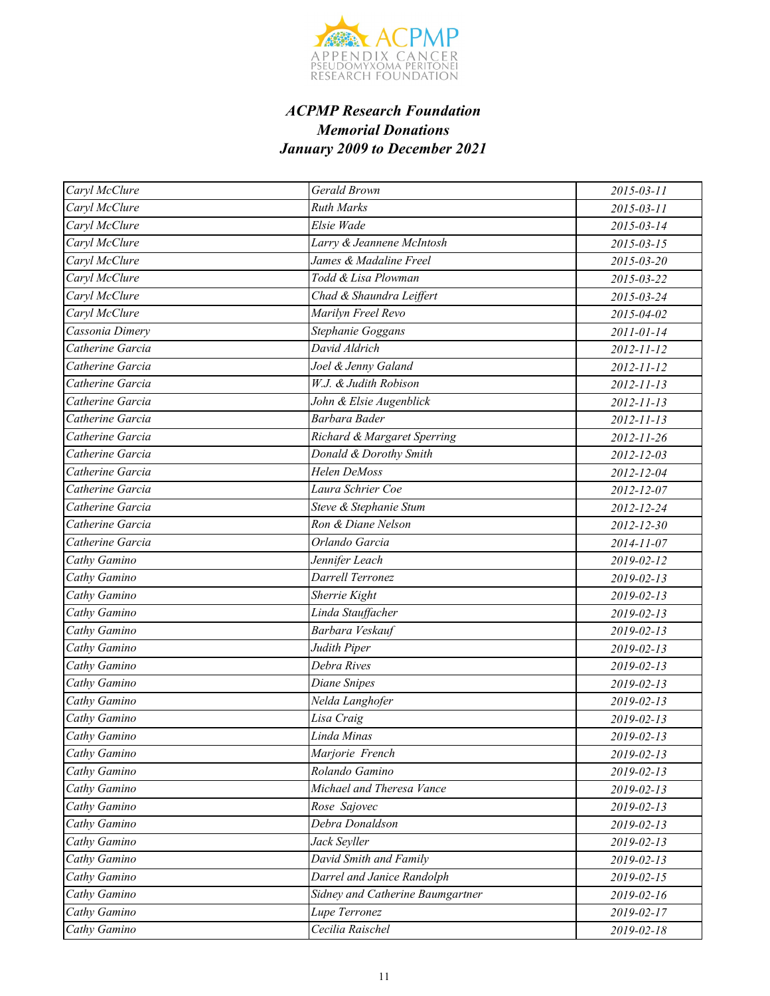

| Caryl McClure    | Gerald Brown                     | 2015-03-11       |
|------------------|----------------------------------|------------------|
| Caryl McClure    | <b>Ruth Marks</b>                | 2015-03-11       |
| Caryl McClure    | Elsie Wade                       | 2015-03-14       |
| Caryl McClure    | Larry & Jeannene McIntosh        | $2015 - 03 - 15$ |
| Caryl McClure    | James & Madaline Freel           | 2015-03-20       |
| Caryl McClure    | Todd & Lisa Plowman              | 2015-03-22       |
| Caryl McClure    | Chad & Shaundra Leiffert         | 2015-03-24       |
| Caryl McClure    | Marilyn Freel Revo               | 2015-04-02       |
| Cassonia Dimery  | Stephanie Goggans                | 2011-01-14       |
| Catherine Garcia | David Aldrich                    | 2012-11-12       |
| Catherine Garcia | Joel & Jenny Galand              | 2012-11-12       |
| Catherine Garcia | W.J. & Judith Robison            | $2012 - 11 - 13$ |
| Catherine Garcia | John & Elsie Augenblick          | $2012 - 11 - 13$ |
| Catherine Garcia | Barbara Bader                    | $2012 - 11 - 13$ |
| Catherine Garcia | Richard & Margaret Sperring      | $2012 - 11 - 26$ |
| Catherine Garcia | Donald & Dorothy Smith           | 2012-12-03       |
| Catherine Garcia | Helen DeMoss                     | 2012-12-04       |
| Catherine Garcia | Laura Schrier Coe                | 2012-12-07       |
| Catherine Garcia | Steve & Stephanie Stum           | 2012-12-24       |
| Catherine Garcia | Ron & Diane Nelson               | 2012-12-30       |
| Catherine Garcia | Orlando Garcia                   | 2014-11-07       |
| Cathy Gamino     | Jennifer Leach                   | 2019-02-12       |
| Cathy Gamino     | Darrell Terronez                 | $2019 - 02 - 13$ |
| Cathy Gamino     | Sherrie Kight                    | $2019 - 02 - 13$ |
| Cathy Gamino     | Linda Stauffacher                | 2019-02-13       |
| Cathy Gamino     | Barbara Veskauf                  | $2019 - 02 - 13$ |
| Cathy Gamino     | Judith Piper                     | $2019 - 02 - 13$ |
| Cathy Gamino     | Debra Rives                      | 2019-02-13       |
| Cathy Gamino     | Diane Snipes                     | 2019-02-13       |
| Cathy Gamino     | Nelda Langhofer                  | 2019-02-13       |
| Cathy Gamino     | Lisa Craig                       | 2019-02-13       |
| Cathy Gamino     | Linda Minas                      | 2019-02-13       |
| Cathy Gamino     | Marjorie French                  | 2019-02-13       |
| Cathy Gamino     | Rolando Gamino                   | 2019-02-13       |
| Cathy Gamino     | Michael and Theresa Vance        | $2019 - 02 - 13$ |
| Cathy Gamino     | Rose Sajovec                     | 2019-02-13       |
| Cathy Gamino     | Debra Donaldson                  | 2019-02-13       |
| Cathy Gamino     | Jack Seyller                     | $2019 - 02 - 13$ |
| Cathy Gamino     | David Smith and Family           | $2019 - 02 - 13$ |
| Cathy Gamino     | Darrel and Janice Randolph       | 2019-02-15       |
| Cathy Gamino     | Sidney and Catherine Baumgartner | 2019-02-16       |
| Cathy Gamino     | Lupe Terronez                    | 2019-02-17       |
| Cathy Gamino     | Cecilia Raischel                 | 2019-02-18       |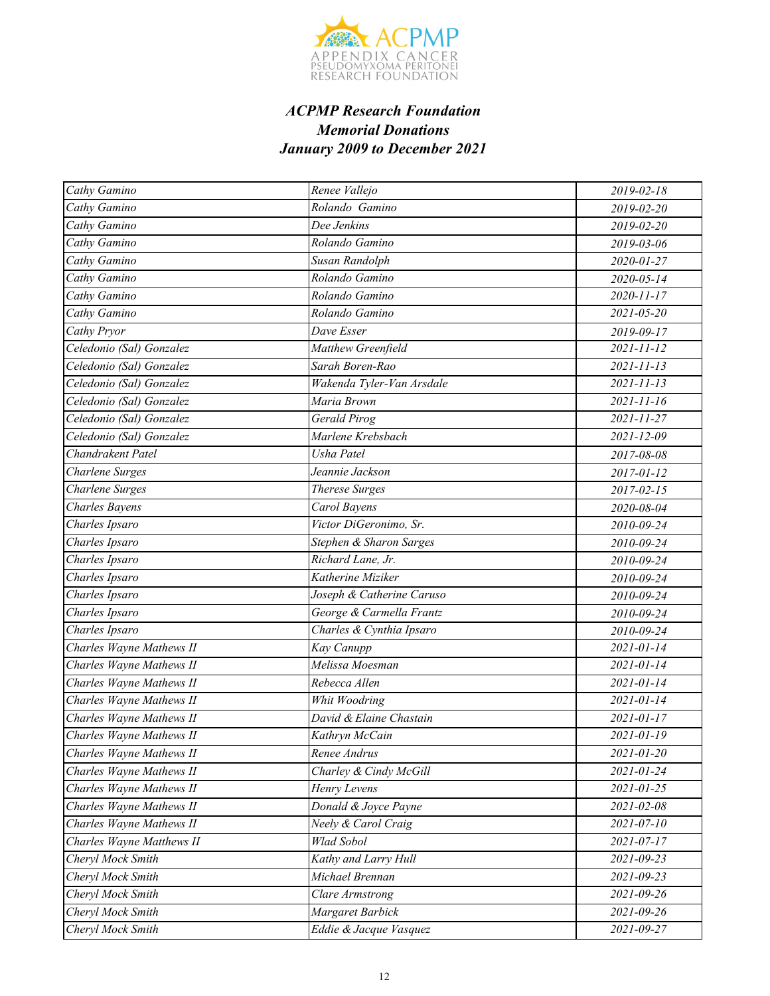

| Cathy Gamino              | Renee Vallejo             | 2019-02-18       |
|---------------------------|---------------------------|------------------|
| Cathy Gamino              | Rolando Gamino            | 2019-02-20       |
| Cathy Gamino              | Dee Jenkins               | 2019-02-20       |
| Cathy Gamino              | Rolando Gamino            | 2019-03-06       |
| Cathy Gamino              | Susan Randolph            | 2020-01-27       |
| Cathy Gamino              | Rolando Gamino            | 2020-05-14       |
| Cathy Gamino              | Rolando Gamino            | 2020-11-17       |
| Cathy Gamino              | Rolando Gamino            | $2021 - 05 - 20$ |
| Cathy Pryor               | Dave Esser                | 2019-09-17       |
| Celedonio (Sal) Gonzalez  | Matthew Greenfield        | 2021-11-12       |
| Celedonio (Sal) Gonzalez  | Sarah Boren-Rao           | $2021 - 11 - 13$ |
| Celedonio (Sal) Gonzalez  | Wakenda Tyler-Van Arsdale | $2021 - 11 - 13$ |
| Celedonio (Sal) Gonzalez  | Maria Brown               | $2021 - 11 - 16$ |
| Celedonio (Sal) Gonzalez  | Gerald Pirog              | $2021 - 11 - 27$ |
| Celedonio (Sal) Gonzalez  | Marlene Krebsbach         | $2021 - 12 - 09$ |
| Chandrakent Patel         | Usha Patel                | 2017-08-08       |
| Charlene Surges           | Jeannie Jackson           | 2017-01-12       |
| Charlene Surges           | <b>Therese Surges</b>     | $2017 - 02 - 15$ |
| Charles Bayens            | Carol Bayens              | 2020-08-04       |
| Charles Ipsaro            | Victor DiGeronimo, Sr.    | 2010-09-24       |
| Charles Ipsaro            | Stephen & Sharon Sarges   | 2010-09-24       |
| Charles Ipsaro            | Richard Lane, Jr.         | 2010-09-24       |
| Charles Ipsaro            | Katherine Miziker         | 2010-09-24       |
| Charles Ipsaro            | Joseph & Catherine Caruso | 2010-09-24       |
| Charles Ipsaro            | George & Carmella Frantz  | 2010-09-24       |
| Charles Ipsaro            | Charles & Cynthia Ipsaro  | 2010-09-24       |
| Charles Wayne Mathews II  | Kay Canupp                | 2021-01-14       |
| Charles Wayne Mathews II  | Melissa Moesman           | 2021-01-14       |
| Charles Wayne Mathews II  | Rebecca Allen             | 2021-01-14       |
| Charles Wayne Mathews II  | Whit Woodring             | $2021 - 01 - 14$ |
| Charles Wayne Mathews II  | David & Elaine Chastain   | 2021-01-17       |
| Charles Wayne Mathews II  | Kathryn McCain            | 2021-01-19       |
| Charles Wayne Mathews II  | Renee Andrus              | 2021-01-20       |
| Charles Wayne Mathews II  | Charley & Cindy McGill    | 2021-01-24       |
| Charles Wayne Mathews II  | Henry Levens              | 2021-01-25       |
| Charles Wayne Mathews II  | Donald & Joyce Payne      | 2021-02-08       |
| Charles Wayne Mathews II  | Neely & Carol Craig       | $2021 - 07 - 10$ |
| Charles Wayne Matthews II | Wlad Sobol                | 2021-07-17       |
| Cheryl Mock Smith         | Kathy and Larry Hull      | 2021-09-23       |
| Cheryl Mock Smith         | Michael Brennan           | 2021-09-23       |
| Cheryl Mock Smith         | Clare Armstrong           | 2021-09-26       |
| Cheryl Mock Smith         | Margaret Barbick          | 2021-09-26       |
| Cheryl Mock Smith         | Eddie & Jacque Vasquez    | 2021-09-27       |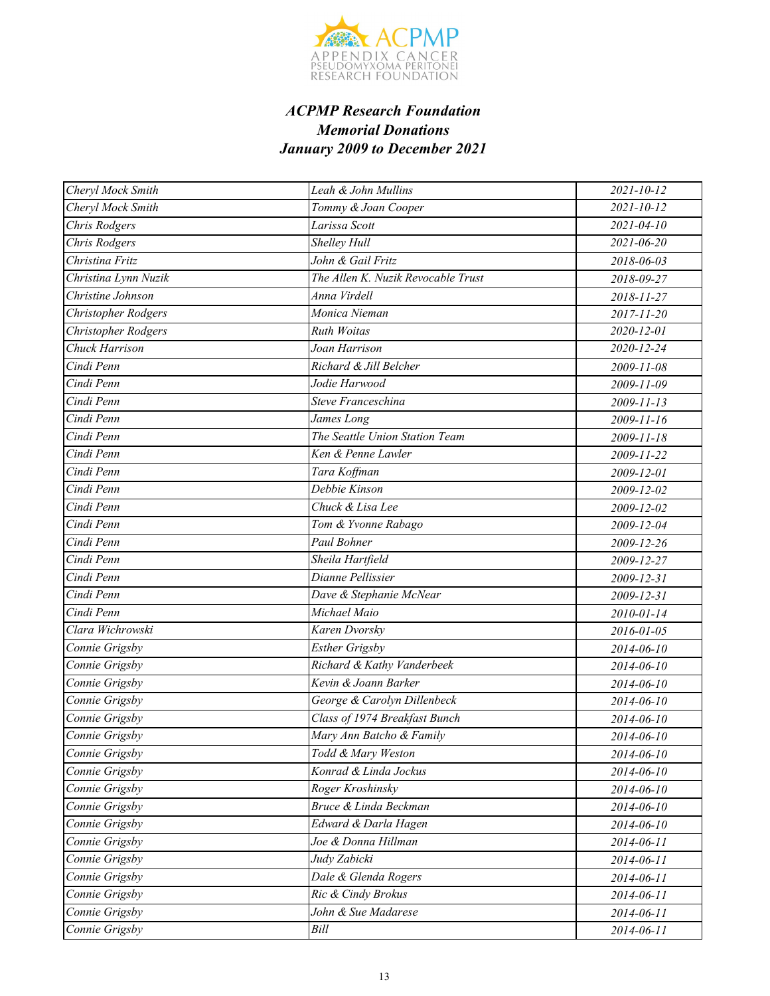

| Cheryl Mock Smith    | Leah & John Mullins                | $2021 - 10 - 12$ |
|----------------------|------------------------------------|------------------|
| Cheryl Mock Smith    | Tommy & Joan Cooper                | $2021 - 10 - 12$ |
| Chris Rodgers        | Larissa Scott                      | $2021 - 04 - 10$ |
| Chris Rodgers        | Shelley Hull                       | 2021-06-20       |
| Christina Fritz      | John & Gail Fritz                  | 2018-06-03       |
| Christina Lynn Nuzik | The Allen K. Nuzik Revocable Trust | 2018-09-27       |
| Christine Johnson    | Anna Virdell                       | 2018-11-27       |
| Christopher Rodgers  | Monica Nieman                      | 2017-11-20       |
| Christopher Rodgers  | <b>Ruth Woitas</b>                 | 2020-12-01       |
| Chuck Harrison       | Joan Harrison                      | 2020-12-24       |
| Cindi Penn           | Richard & Jill Belcher             | 2009-11-08       |
| Cindi Penn           | Jodie Harwood                      | 2009-11-09       |
| Cindi Penn           | Steve Franceschina                 | 2009-11-13       |
| Cindi Penn           | James Long                         | 2009-11-16       |
| Cindi Penn           | The Seattle Union Station Team     | 2009-11-18       |
| Cindi Penn           | Ken & Penne Lawler                 | 2009-11-22       |
| Cindi Penn           | Tara Koffman                       | 2009-12-01       |
| Cindi Penn           | Debbie Kinson                      | 2009-12-02       |
| Cindi Penn           | Chuck & Lisa Lee                   | 2009-12-02       |
| Cindi Penn           | Tom & Yvonne Rabago                | 2009-12-04       |
| Cindi Penn           | Paul Bohner                        | 2009-12-26       |
| Cindi Penn           | Sheila Hartfield                   | 2009-12-27       |
| Cindi Penn           | Dianne Pellissier                  | 2009-12-31       |
| Cindi Penn           | Dave & Stephanie McNear            | 2009-12-31       |
| Cindi Penn           | Michael Maio                       | 2010-01-14       |
| Clara Wichrowski     | Karen Dvorsky                      | 2016-01-05       |
| Connie Grigsby       | <b>Esther Grigsby</b>              | 2014-06-10       |
| Connie Grigsby       | Richard & Kathy Vanderbeek         | 2014-06-10       |
| Connie Grigsby       | Kevin & Joann Barker               | 2014-06-10       |
| Connie Grigsby       | George & Carolyn Dillenbeck        | 2014-06-10       |
| Connie Grigsby       | Class of 1974 Breakfast Bunch      | 2014-06-10       |
| Connie Grigsby       | Mary Ann Batcho & Family           | 2014-06-10       |
| Connie Grigsby       | Todd & Mary Weston                 | 2014-06-10       |
| Connie Grigsby       | Konrad & Linda Jockus              | 2014-06-10       |
| Connie Grigsby       | Roger Kroshinsky                   | 2014-06-10       |
| Connie Grigsby       | Bruce & Linda Beckman              | 2014-06-10       |
| Connie Grigsby       | Edward & Darla Hagen               | 2014-06-10       |
| Connie Grigsby       | Joe & Donna Hillman                | 2014-06-11       |
| Connie Grigsby       | Judy Zabicki                       | 2014-06-11       |
| Connie Grigsby       | Dale & Glenda Rogers               | 2014-06-11       |
| Connie Grigsby       | Ric & Cindy Brokus                 | 2014-06-11       |
| Connie Grigsby       | John & Sue Madarese                | 2014-06-11       |
| Connie Grigsby       | Bill                               | 2014-06-11       |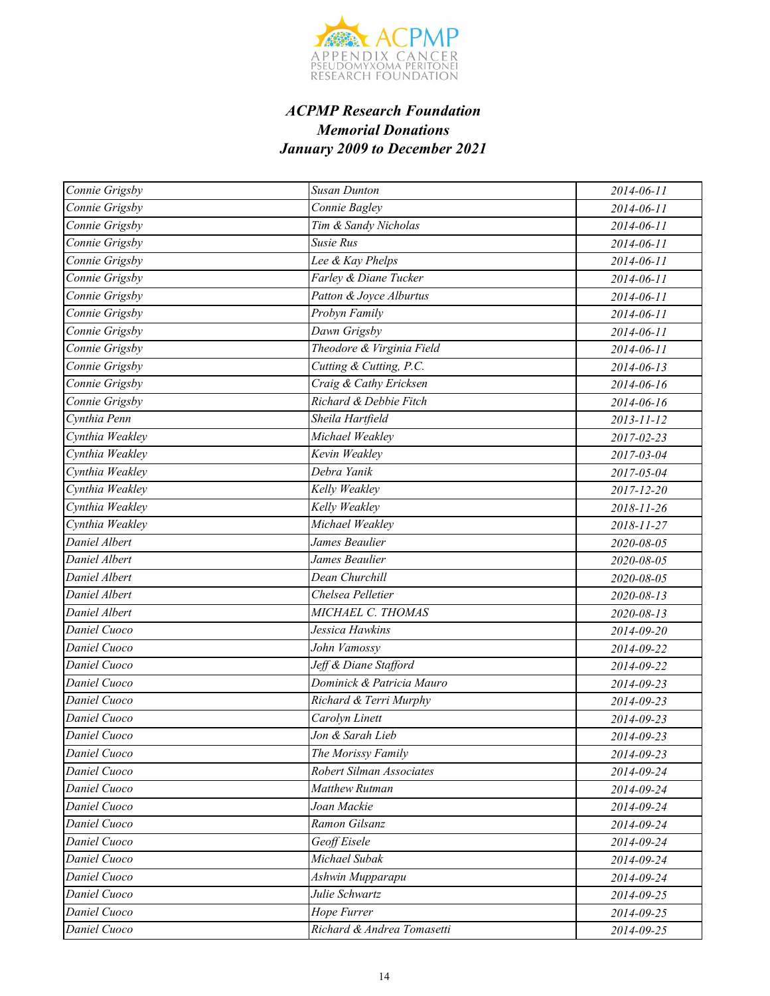

| Connie Grigsby  | <b>Susan Dunton</b>        | 2014-06-11 |
|-----------------|----------------------------|------------|
| Connie Grigsby  | Connie Bagley              | 2014-06-11 |
| Connie Grigsby  | Tim & Sandy Nicholas       | 2014-06-11 |
| Connie Grigsby  | Susie Rus                  | 2014-06-11 |
| Connie Grigsby  | Lee & Kay Phelps           | 2014-06-11 |
| Connie Grigsby  | Farley & Diane Tucker      | 2014-06-11 |
| Connie Grigsby  | Patton & Joyce Alburtus    | 2014-06-11 |
| Connie Grigsby  | Probyn Family              | 2014-06-11 |
| Connie Grigsby  | Dawn Grigsby               | 2014-06-11 |
| Connie Grigsby  | Theodore & Virginia Field  | 2014-06-11 |
| Connie Grigsby  | Cutting & Cutting, P.C.    | 2014-06-13 |
| Connie Grigsby  | Craig & Cathy Ericksen     | 2014-06-16 |
| Connie Grigsby  | Richard & Debbie Fitch     | 2014-06-16 |
| Cynthia Penn    | Sheila Hartfield           | 2013-11-12 |
| Cynthia Weakley | Michael Weakley            | 2017-02-23 |
| Cynthia Weakley | Kevin Weakley              | 2017-03-04 |
| Cynthia Weakley | Debra Yanik                | 2017-05-04 |
| Cynthia Weakley | Kelly Weakley              | 2017-12-20 |
| Cynthia Weakley | Kelly Weakley              | 2018-11-26 |
| Cynthia Weakley | Michael Weakley            | 2018-11-27 |
| Daniel Albert   | James Beaulier             | 2020-08-05 |
| Daniel Albert   | James Beaulier             | 2020-08-05 |
| Daniel Albert   | Dean Churchill             | 2020-08-05 |
| Daniel Albert   | Chelsea Pelletier          | 2020-08-13 |
| Daniel Albert   | MICHAEL C. THOMAS          | 2020-08-13 |
| Daniel Cuoco    | Jessica Hawkins            | 2014-09-20 |
| Daniel Cuoco    | John Vamossy               | 2014-09-22 |
| Daniel Cuoco    | Jeff & Diane Stafford      | 2014-09-22 |
| Daniel Cuoco    | Dominick & Patricia Mauro  | 2014-09-23 |
| Daniel Cuoco    | Richard & Terri Murphy     | 2014-09-23 |
| Daniel Cuoco    | Carolyn Linett             | 2014-09-23 |
| Daniel Cuoco    | Jon & Sarah Lieb           | 2014-09-23 |
| Daniel Cuoco    | The Morissy Family         | 2014-09-23 |
| Daniel Cuoco    | Robert Silman Associates   | 2014-09-24 |
| Daniel Cuoco    | Matthew Rutman             | 2014-09-24 |
| Daniel Cuoco    | Joan Mackie                | 2014-09-24 |
| Daniel Cuoco    | Ramon Gilsanz              | 2014-09-24 |
| Daniel Cuoco    | Geoff Eisele               | 2014-09-24 |
| Daniel Cuoco    | Michael Subak              | 2014-09-24 |
| Daniel Cuoco    | Ashwin Mupparapu           | 2014-09-24 |
| Daniel Cuoco    | Julie Schwartz             | 2014-09-25 |
| Daniel Cuoco    | Hope Furrer                | 2014-09-25 |
| Daniel Cuoco    | Richard & Andrea Tomasetti | 2014-09-25 |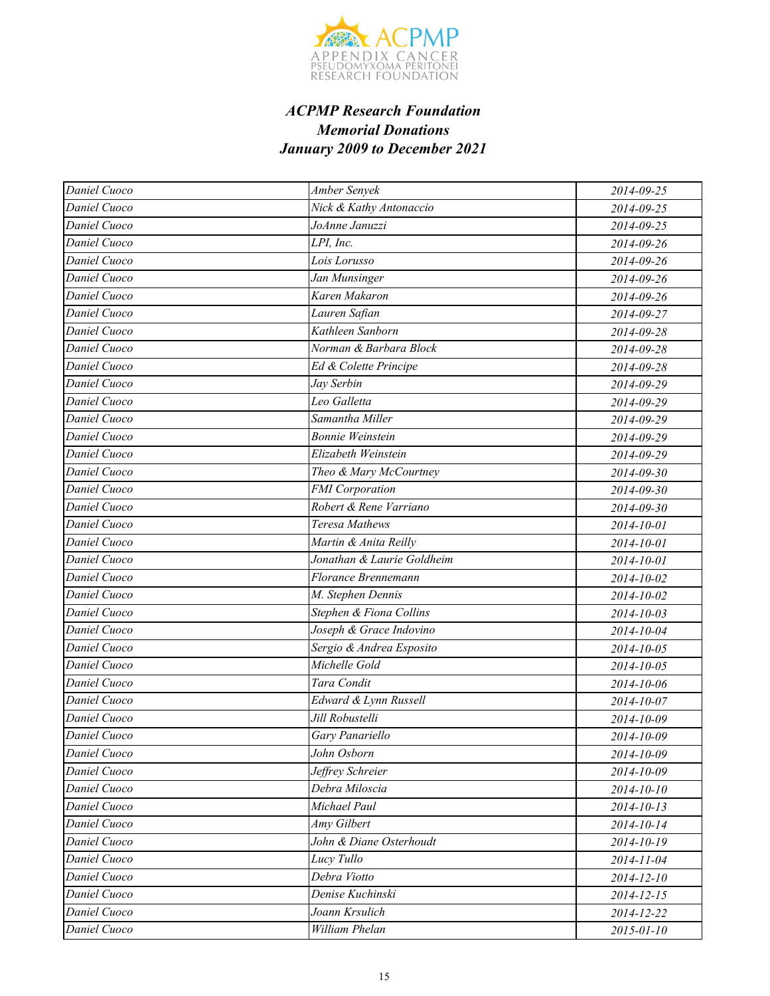

| Daniel Cuoco               | Amber Senyek               | 2014-09-25       |
|----------------------------|----------------------------|------------------|
| Daniel Cuoco               | Nick & Kathy Antonaccio    | 2014-09-25       |
| Daniel Cuoco               | JoAnne Januzzi             | 2014-09-25       |
| Daniel Cuoco               | LPI, Inc.                  | 2014-09-26       |
| $\overline{D}$ aniel Cuoco | Lois Lorusso               | 2014-09-26       |
| Daniel Cuoco               | Jan Munsinger              | 2014-09-26       |
| Daniel Cuoco               | Karen Makaron              | 2014-09-26       |
| Daniel Cuoco               | Lauren Safian              | 2014-09-27       |
| Daniel Cuoco               | Kathleen Sanborn           | 2014-09-28       |
| Daniel Cuoco               | Norman & Barbara Block     | 2014-09-28       |
| Daniel Cuoco               | Ed & Colette Principe      | 2014-09-28       |
| Daniel Cuoco               | Jay Serbin                 | 2014-09-29       |
| Daniel Cuoco               | Leo Galletta               | 2014-09-29       |
| Daniel Cuoco               | Samantha Miller            | 2014-09-29       |
| Daniel Cuoco               | <b>Bonnie Weinstein</b>    | 2014-09-29       |
| Daniel Cuoco               | Elizabeth Weinstein        | 2014-09-29       |
| Daniel Cuoco               | Theo & Mary McCourtney     | 2014-09-30       |
| Daniel Cuoco               | <b>FMI</b> Corporation     | 2014-09-30       |
| Daniel Cuoco               | Robert & Rene Varriano     | 2014-09-30       |
| Daniel Cuoco               | Teresa Mathews             | 2014-10-01       |
| Daniel Cuoco               | Martin & Anita Reilly      | 2014-10-01       |
| Daniel Cuoco               | Jonathan & Laurie Goldheim | 2014-10-01       |
| Daniel Cuoco               | Florance Brennemann        | 2014-10-02       |
| Daniel Cuoco               | M. Stephen Dennis          | 2014-10-02       |
| Daniel Cuoco               | Stephen & Fiona Collins    | 2014-10-03       |
| Daniel Cuoco               | Joseph & Grace Indovino    | 2014-10-04       |
| Daniel Cuoco               | Sergio & Andrea Esposito   | 2014-10-05       |
| Daniel Cuoco               | Michelle Gold              | 2014-10-05       |
| Daniel Cuoco               | Tara Condit                | 2014-10-06       |
| Daniel Cuoco               | Edward & Lynn Russell      | 2014-10-07       |
| Daniel Cuoco               | Jill Robustelli            | 2014-10-09       |
| Daniel Cuoco               | Gary Panariello            | 2014-10-09       |
| Daniel Cuoco               | John Osborn                | 2014-10-09       |
| Daniel Cuoco               | Jeffrey Schreier           | 2014-10-09       |
| Daniel Cuoco               | Debra Miloscia             | 2014-10-10       |
| Daniel Cuoco               | Michael Paul               | $2014 - 10 - 13$ |
| Daniel Cuoco               | Amy Gilbert                | 2014-10-14       |
| Daniel Cuoco               | John & Diane Osterhoudt    | 2014-10-19       |
| Daniel Cuoco               | Lucy Tullo                 | 2014-11-04       |
| Daniel Cuoco               | Debra Viotto               | 2014-12-10       |
| Daniel Cuoco               | Denise Kuchinski           | $2014 - 12 - 15$ |
| Daniel Cuoco               | Joann Krsulich             | 2014-12-22       |
| Daniel Cuoco               | William Phelan             | 2015-01-10       |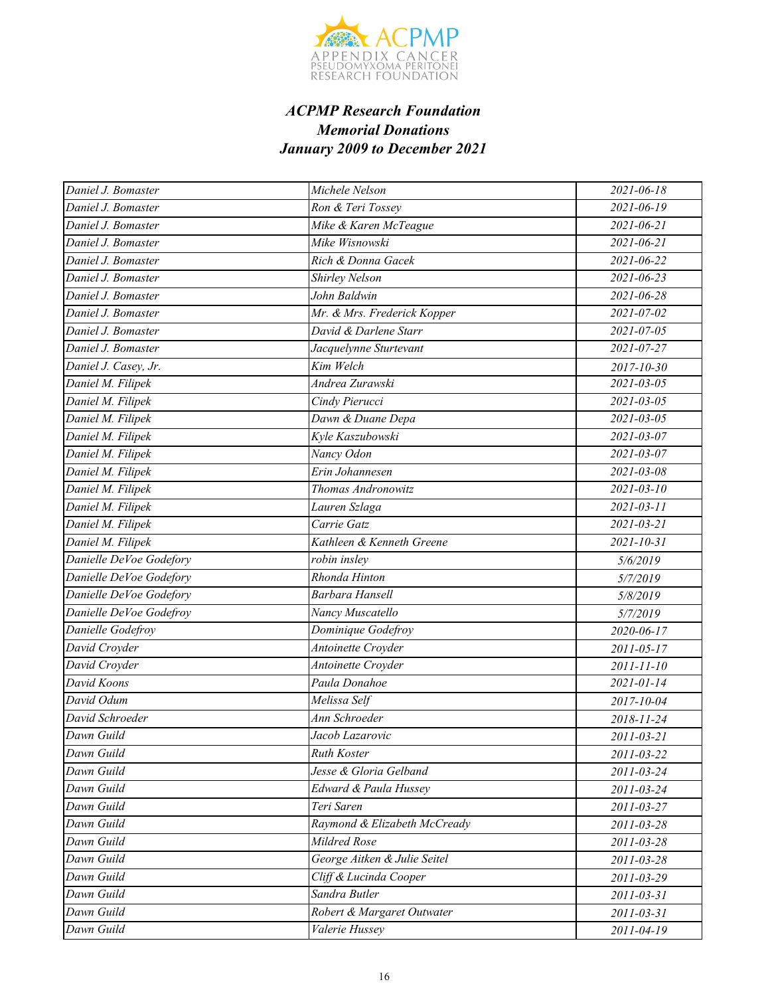

| Daniel J. Bomaster      | Michele Nelson               | 2021-06-18       |
|-------------------------|------------------------------|------------------|
| Daniel J. Bomaster      | Ron & Teri Tossey            | 2021-06-19       |
| Daniel J. Bomaster      | Mike & Karen McTeague        | 2021-06-21       |
| Daniel J. Bomaster      | Mike Wisnowski               | $2021 - 06 - 21$ |
| Daniel J. Bomaster      | Rich & Donna Gacek           | 2021-06-22       |
| Daniel J. Bomaster      | Shirley Nelson               | 2021-06-23       |
| Daniel J. Bomaster      | John Baldwin                 | 2021-06-28       |
| Daniel J. Bomaster      | Mr. & Mrs. Frederick Kopper  | 2021-07-02       |
| Daniel J. Bomaster      | David & Darlene Starr        | 2021-07-05       |
| Daniel J. Bomaster      | Jacquelynne Sturtevant       | 2021-07-27       |
| Daniel J. Casey, Jr.    | Kim Welch                    | $2017 - 10 - 30$ |
| Daniel M. Filipek       | Andrea Zurawski              | 2021-03-05       |
| Daniel M. Filipek       | Cindy Pierucci               | $2021 - 03 - 05$ |
| Daniel M. Filipek       | Dawn & Duane Depa            | 2021-03-05       |
| Daniel M. Filipek       | Kyle Kaszubowski             | 2021-03-07       |
| Daniel M. Filipek       | Nancy Odon                   | 2021-03-07       |
| Daniel M. Filipek       | Erin Johannesen              | $2021 - 03 - 08$ |
| Daniel M. Filipek       | Thomas Andronowitz           | $2021 - 03 - 10$ |
| Daniel M. Filipek       | Lauren Szlaga                | $2021 - 03 - 11$ |
| Daniel M. Filipek       | Carrie Gatz                  | $2021 - 03 - 21$ |
| Daniel M. Filipek       | Kathleen & Kenneth Greene    | $2021 - 10 - 31$ |
| Danielle DeVoe Godefory | robin insley                 | 5/6/2019         |
| Danielle DeVoe Godefory | Rhonda Hinton                | 5/7/2019         |
| Danielle DeVoe Godefory | Barbara Hansell              | 5/8/2019         |
| Danielle DeVoe Godefroy | Nancy Muscatello             | 5/7/2019         |
| Danielle Godefroy       | Dominique Godefroy           | 2020-06-17       |
| David Croyder           | Antoinette Croyder           | 2011-05-17       |
| David Croyder           | Antoinette Croyder           | 2011-11-10       |
| David Koons             | Paula Donahoe                | 2021-01-14       |
| David Odum              | Melissa Self                 | 2017-10-04       |
| David Schroeder         | Ann Schroeder                | 2018-11-24       |
| Dawn Guild              | Jacob Lazarovic              | 2011-03-21       |
| Dawn Guild              | Ruth Koster                  | 2011-03-22       |
| Dawn Guild              | Jesse & Gloria Gelband       | 2011-03-24       |
| Dawn Guild              | Edward & Paula Hussey        | 2011-03-24       |
| Dawn Guild              | Teri Saren                   | 2011-03-27       |
| Dawn Guild              | Raymond & Elizabeth McCready | 2011-03-28       |
| Dawn Guild              | Mildred Rose                 | 2011-03-28       |
| Dawn Guild              | George Aitken & Julie Seitel | 2011-03-28       |
| Dawn Guild              | Cliff & Lucinda Cooper       | 2011-03-29       |
| Dawn Guild              | Sandra Butler                | 2011-03-31       |
| Dawn Guild              | Robert & Margaret Outwater   | 2011-03-31       |
| Dawn Guild              | Valerie Hussey               | 2011-04-19       |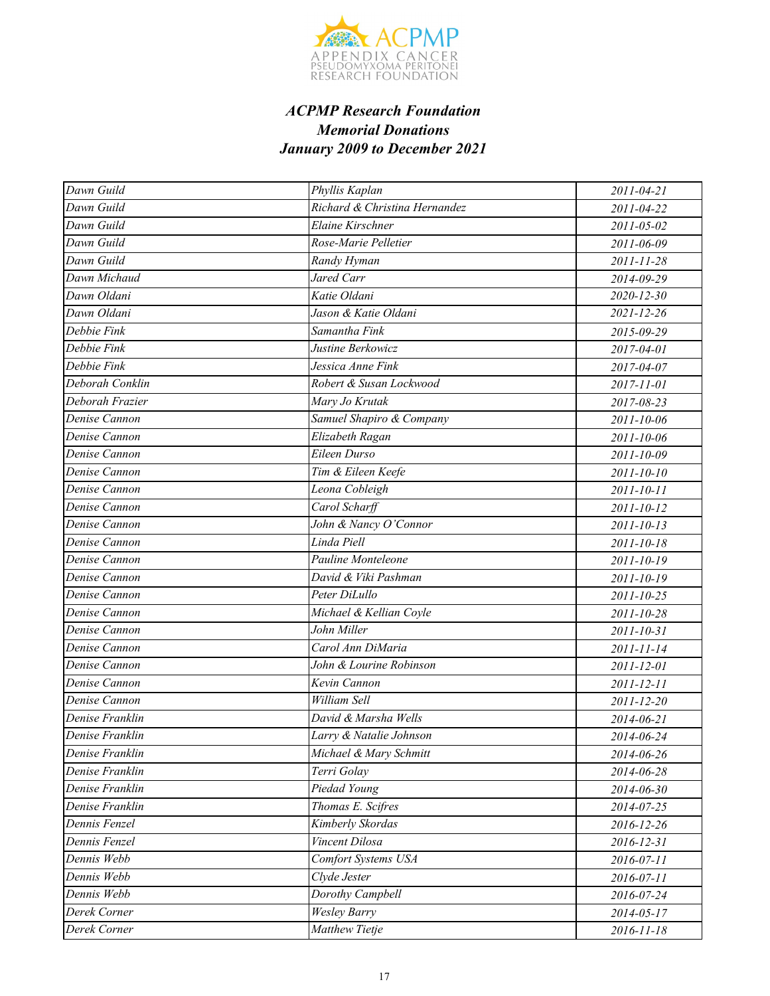

| Dawn Guild      | Phyllis Kaplan                | 2011-04-21       |
|-----------------|-------------------------------|------------------|
| Dawn Guild      | Richard & Christina Hernandez | 2011-04-22       |
| Dawn Guild      | Elaine Kirschner              | 2011-05-02       |
| Dawn Guild      | Rose-Marie Pelletier          | 2011-06-09       |
| Dawn Guild      | Randy Hyman                   | 2011-11-28       |
| Dawn Michaud    | Jared Carr                    | 2014-09-29       |
| Dawn Oldani     | Katie Oldani                  | $2020 - 12 - 30$ |
| Dawn Oldani     | Jason & Katie Oldani          | $2021 - 12 - 26$ |
| Debbie Fink     | Samantha Fink                 | 2015-09-29       |
| Debbie Fink     | Justine Berkowicz             | 2017-04-01       |
| Debbie Fink     | Jessica Anne Fink             | 2017-04-07       |
| Deborah Conklin | Robert & Susan Lockwood       | 2017-11-01       |
| Deborah Frazier | Mary Jo Krutak                | 2017-08-23       |
| Denise Cannon   | Samuel Shapiro & Company      | 2011-10-06       |
| Denise Cannon   | Elizabeth Ragan               | 2011-10-06       |
| Denise Cannon   | Eileen Durso                  | 2011-10-09       |
| Denise Cannon   | Tim & Eileen Keefe            | 2011-10-10       |
| Denise Cannon   | Leona Cobleigh                | 2011-10-11       |
| Denise Cannon   | Carol Scharff                 | 2011-10-12       |
| Denise Cannon   | John & Nancy O'Connor         | $2011 - 10 - 13$ |
| Denise Cannon   | Linda Piell                   | 2011-10-18       |
| Denise Cannon   | Pauline Monteleone            | 2011-10-19       |
| Denise Cannon   | David & Viki Pashman          | 2011-10-19       |
| Denise Cannon   | Peter DiLullo                 | 2011-10-25       |
| Denise Cannon   | Michael & Kellian Coyle       | 2011-10-28       |
| Denise Cannon   | John Miller                   | 2011-10-31       |
| Denise Cannon   | Carol Ann DiMaria             | 2011-11-14       |
| Denise Cannon   | John & Lourine Robinson       | 2011-12-01       |
| Denise Cannon   | Kevin Cannon                  | 2011-12-11       |
| Denise Cannon   | William Sell                  | 2011-12-20       |
| Denise Franklin | David & Marsha Wells          | 2014-06-21       |
| Denise Franklin | Larry & Natalie Johnson       | 2014-06-24       |
| Denise Franklin | Michael & Mary Schmitt        | 2014-06-26       |
| Denise Franklin | Terri Golay                   | 2014-06-28       |
| Denise Franklin | Piedad Young                  | 2014-06-30       |
| Denise Franklin | Thomas E. Scifres             | 2014-07-25       |
| Dennis Fenzel   | Kimberly Skordas              | 2016-12-26       |
| Dennis Fenzel   | Vincent Dilosa                | 2016-12-31       |
| Dennis Webb     | Comfort Systems USA           | 2016-07-11       |
| Dennis Webb     | Clyde Jester                  | 2016-07-11       |
| Dennis Webb     | Dorothy Campbell              | 2016-07-24       |
| Derek Corner    | <b>Wesley Barry</b>           | 2014-05-17       |
| Derek Corner    | Matthew Tietje                | 2016-11-18       |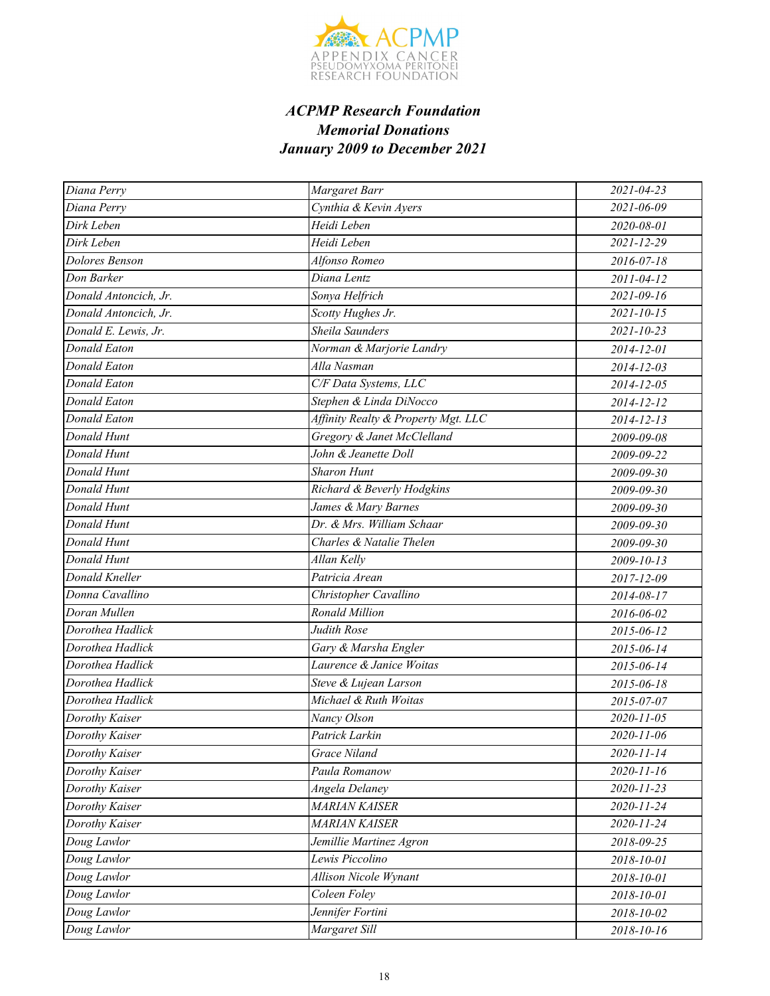

| Diana Perry           | Margaret Barr                       | $2021 - 04 - 23$ |
|-----------------------|-------------------------------------|------------------|
| Diana Perry           | Cynthia & Kevin Ayers               | 2021-06-09       |
| Dirk Leben            | Heidi Leben                         | 2020-08-01       |
| Dirk Leben            | Heidi Leben                         | $2021 - 12 - 29$ |
| Dolores Benson        | Alfonso Romeo                       | 2016-07-18       |
| Don Barker            | Diana Lentz                         | 2011-04-12       |
| Donald Antoncich, Jr. | Sonya Helfrich                      | $2021 - 09 - 16$ |
| Donald Antoncich, Jr. | Scotty Hughes Jr.                   | $2021 - 10 - 15$ |
| Donald E. Lewis, Jr.  | <b>Sheila Saunders</b>              | $2021 - 10 - 23$ |
| Donald Eaton          | Norman & Marjorie Landry            | 2014-12-01       |
| Donald Eaton          | Alla Nasman                         | 2014-12-03       |
| <b>Donald Eaton</b>   | C/F Data Systems, LLC               | 2014-12-05       |
| Donald Eaton          | Stephen & Linda DiNocco             | 2014-12-12       |
| Donald Eaton          | Affinity Realty & Property Mgt. LLC | 2014-12-13       |
| Donald Hunt           | Gregory & Janet McClelland          | 2009-09-08       |
| Donald Hunt           | John & Jeanette Doll                | 2009-09-22       |
| Donald Hunt           | <b>Sharon Hunt</b>                  | 2009-09-30       |
| Donald Hunt           | Richard & Beverly Hodgkins          | 2009-09-30       |
| Donald Hunt           | James & Mary Barnes                 | 2009-09-30       |
| Donald Hunt           | Dr. & Mrs. William Schaar           | 2009-09-30       |
| Donald Hunt           | Charles & Natalie Thelen            | 2009-09-30       |
| Donald Hunt           | Allan Kelly                         | 2009-10-13       |
| Donald Kneller        | Patricia Arean                      | 2017-12-09       |
| Donna Cavallino       | Christopher Cavallino               | 2014-08-17       |
| Doran Mullen          | Ronald Million                      | 2016-06-02       |
| Dorothea Hadlick      | Judith Rose                         | 2015-06-12       |
| Dorothea Hadlick      | Gary & Marsha Engler                | 2015-06-14       |
| Dorothea Hadlick      | Laurence & Janice Woitas            | 2015-06-14       |
| Dorothea Hadlick      | Steve & Lujean Larson               | $2015 - 06 - 18$ |
| Dorothea Hadlick      | Michael & Ruth Woitas               | 2015-07-07       |
| Dorothy Kaiser        | Nancy Olson                         | 2020-11-05       |
| Dorothy Kaiser        | Patrick Larkin                      | 2020-11-06       |
| Dorothy Kaiser        | Grace Niland                        | 2020-11-14       |
| Dorothy Kaiser        | Paula Romanow                       | 2020-11-16       |
| Dorothy Kaiser        | Angela Delaney                      | $2020 - 11 - 23$ |
| Dorothy Kaiser        | <b>MARIAN KAISER</b>                | 2020-11-24       |
| Dorothy Kaiser        | <b>MARIAN KAISER</b>                | 2020-11-24       |
| Doug Lawlor           | Jemillie Martinez Agron             | 2018-09-25       |
| Doug Lawlor           | Lewis Piccolino                     | 2018-10-01       |
| Doug Lawlor           | Allison Nicole Wynant               | 2018-10-01       |
| Doug Lawlor           | Coleen Foley                        | 2018-10-01       |
| Doug Lawlor           | Jennifer Fortini                    | 2018-10-02       |
| Doug Lawlor           | Margaret Sill                       | 2018-10-16       |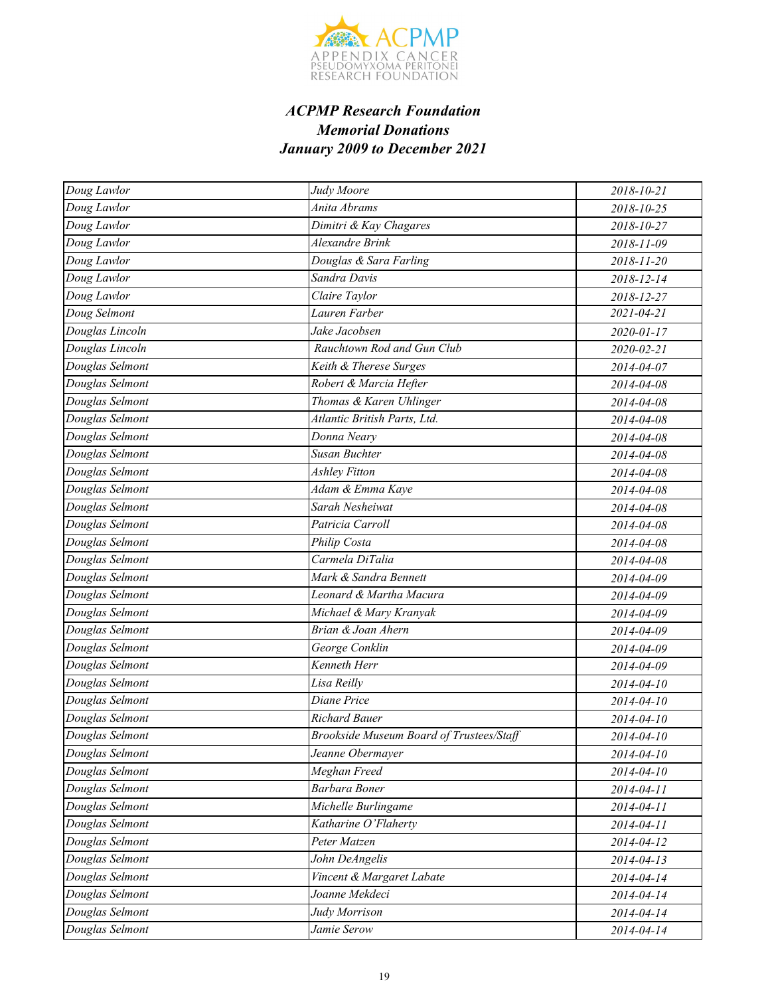

| Doug Lawlor     | Judy Moore                               | 2018-10-21 |
|-----------------|------------------------------------------|------------|
| Doug Lawlor     | Anita Abrams                             | 2018-10-25 |
| Doug Lawlor     | Dimitri & Kay Chagares                   | 2018-10-27 |
| Doug Lawlor     | Alexandre Brink                          | 2018-11-09 |
| Doug Lawlor     | Douglas & Sara Farling                   | 2018-11-20 |
| Doug Lawlor     | Sandra Davis                             | 2018-12-14 |
| Doug Lawlor     | Claire Taylor                            | 2018-12-27 |
| Doug Selmont    | Lauren Farber                            | 2021-04-21 |
| Douglas Lincoln | Jake Jacobsen                            | 2020-01-17 |
| Douglas Lincoln | Rauchtown Rod and Gun Club               | 2020-02-21 |
| Douglas Selmont | Keith & Therese Surges                   | 2014-04-07 |
| Douglas Selmont | Robert & Marcia Hefter                   | 2014-04-08 |
| Douglas Selmont | Thomas & Karen Uhlinger                  | 2014-04-08 |
| Douglas Selmont | Atlantic British Parts, Ltd.             | 2014-04-08 |
| Douglas Selmont | Donna Neary                              | 2014-04-08 |
| Douglas Selmont | Susan Buchter                            | 2014-04-08 |
| Douglas Selmont | <b>Ashley Fitton</b>                     | 2014-04-08 |
| Douglas Selmont | Adam & Emma Kaye                         | 2014-04-08 |
| Douglas Selmont | Sarah Nesheiwat                          | 2014-04-08 |
| Douglas Selmont | Patricia Carroll                         | 2014-04-08 |
| Douglas Selmont | Philip Costa                             | 2014-04-08 |
| Douglas Selmont | Carmela DiTalia                          | 2014-04-08 |
| Douglas Selmont | Mark & Sandra Bennett                    | 2014-04-09 |
| Douglas Selmont | Leonard & Martha Macura                  | 2014-04-09 |
| Douglas Selmont | Michael & Mary Kranyak                   | 2014-04-09 |
| Douglas Selmont | Brian & Joan Ahern                       | 2014-04-09 |
| Douglas Selmont | George Conklin                           | 2014-04-09 |
| Douglas Selmont | Kenneth Herr                             | 2014-04-09 |
| Douglas Selmont | Lisa Reilly                              | 2014-04-10 |
| Douglas Selmont | Diane Price                              | 2014-04-10 |
| Douglas Selmont | <b>Richard Bauer</b>                     | 2014-04-10 |
| Douglas Selmont | Brookside Museum Board of Trustees/Staff | 2014-04-10 |
| Douglas Selmont | Jeanne Obermayer                         | 2014-04-10 |
| Douglas Selmont | Meghan Freed                             | 2014-04-10 |
| Douglas Selmont | <b>Barbara Boner</b>                     | 2014-04-11 |
| Douglas Selmont | Michelle Burlingame                      | 2014-04-11 |
| Douglas Selmont | Katharine O'Flaherty                     | 2014-04-11 |
| Douglas Selmont | Peter Matzen                             | 2014-04-12 |
| Douglas Selmont | John DeAngelis                           | 2014-04-13 |
| Douglas Selmont | Vincent & Margaret Labate                | 2014-04-14 |
| Douglas Selmont | Joanne Mekdeci                           | 2014-04-14 |
| Douglas Selmont | Judy Morrison                            | 2014-04-14 |
| Douglas Selmont | Jamie Serow                              | 2014-04-14 |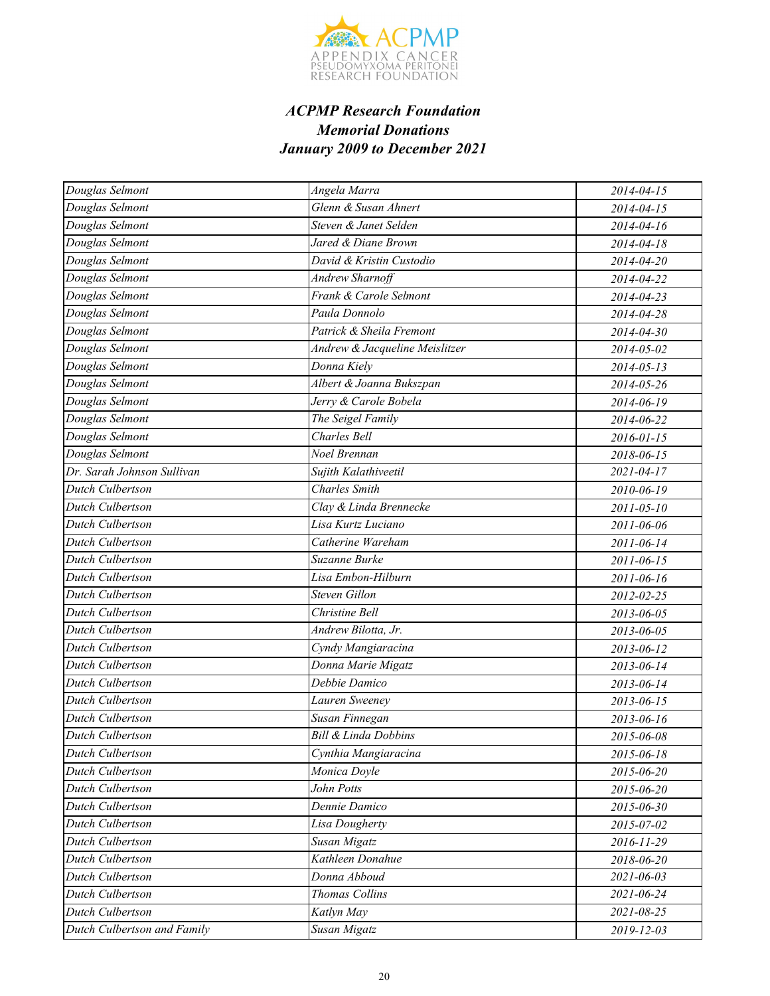

| Douglas Selmont             | Angela Marra                    | 2014-04-15       |
|-----------------------------|---------------------------------|------------------|
| Douglas Selmont             | Glenn & Susan Ahnert            | 2014-04-15       |
| Douglas Selmont             | Steven & Janet Selden           | $2014 - 04 - 16$ |
| Douglas Selmont             | Jared & Diane Brown             | 2014-04-18       |
| Douglas Selmont             | David & Kristin Custodio        | 2014-04-20       |
| Douglas Selmont             | <b>Andrew Sharnoff</b>          | 2014-04-22       |
| Douglas Selmont             | Frank & Carole Selmont          | 2014-04-23       |
| Douglas Selmont             | Paula Donnolo                   | 2014-04-28       |
| Douglas Selmont             | Patrick & Sheila Fremont        | 2014-04-30       |
| Douglas Selmont             | Andrew & Jacqueline Meislitzer  | 2014-05-02       |
| Douglas Selmont             | Donna Kiely                     | $2014 - 05 - 13$ |
| Douglas Selmont             | Albert & Joanna Bukszpan        | 2014-05-26       |
| Douglas Selmont             | Jerry & Carole Bobela           | 2014-06-19       |
| Douglas Selmont             | The Seigel Family               | 2014-06-22       |
| Douglas Selmont             | <b>Charles Bell</b>             | 2016-01-15       |
| Douglas Selmont             | Noel Brennan                    | 2018-06-15       |
| Dr. Sarah Johnson Sullivan  | Sujith Kalathiveetil            | $2021 - 04 - 17$ |
| <b>Dutch Culbertson</b>     | <b>Charles</b> Smith            | 2010-06-19       |
| Dutch Culbertson            | Clay & Linda Brennecke          | 2011-05-10       |
| Dutch Culbertson            | Lisa Kurtz Luciano              | 2011-06-06       |
| <b>Dutch Culbertson</b>     | Catherine Wareham               | 2011-06-14       |
| Dutch Culbertson            | Suzanne Burke                   | 2011-06-15       |
| Dutch Culbertson            | Lisa Embon-Hilburn              | 2011-06-16       |
| <b>Dutch Culbertson</b>     | <b>Steven Gillon</b>            | 2012-02-25       |
| Dutch Culbertson            | Christine Bell                  | 2013-06-05       |
| Dutch Culbertson            | Andrew Bilotta, Jr.             | 2013-06-05       |
| Dutch Culbertson            | Cyndy Mangiaracina              | 2013-06-12       |
| Dutch Culbertson            | Donna Marie Migatz              | 2013-06-14       |
| Dutch Culbertson            | Debbie Damico                   | 2013-06-14       |
| Dutch Culbertson            | Lauren Sweeney                  | 2013-06-15       |
| Dutch Culbertson            | Susan Finnegan                  | 2013-06-16       |
| Dutch Culbertson            | <b>Bill &amp; Linda Dobbins</b> | 2015-06-08       |
| Dutch Culbertson            | Cynthia Mangiaracina            | 2015-06-18       |
| Dutch Culbertson            | Monica Doyle                    | 2015-06-20       |
| Dutch Culbertson            | John Potts                      | 2015-06-20       |
| Dutch Culbertson            | Dennie Damico                   | 2015-06-30       |
| Dutch Culbertson            | Lisa Dougherty                  | 2015-07-02       |
| Dutch Culbertson            | Susan Migatz                    | 2016-11-29       |
| Dutch Culbertson            | Kathleen Donahue                | 2018-06-20       |
| Dutch Culbertson            | Donna Abboud                    | 2021-06-03       |
| Dutch Culbertson            | <b>Thomas Collins</b>           | 2021-06-24       |
| Dutch Culbertson            | Katlyn May                      | 2021-08-25       |
| Dutch Culbertson and Family | Susan Migatz                    | 2019-12-03       |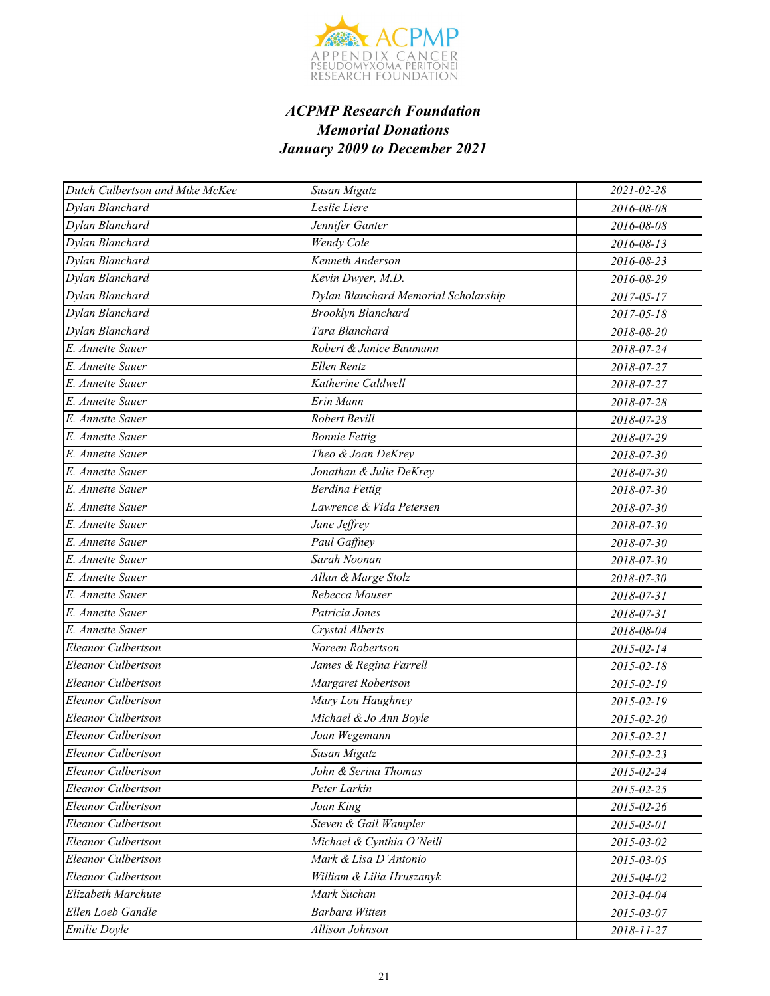

| Dutch Culbertson and Mike McKee | Susan Migatz                         | 2021-02-28       |
|---------------------------------|--------------------------------------|------------------|
| Dylan Blanchard                 | Leslie Liere                         | 2016-08-08       |
| Dylan Blanchard                 | Jennifer Ganter                      | 2016-08-08       |
| Dylan Blanchard                 | Wendy Cole                           | 2016-08-13       |
| Dylan Blanchard                 | Kenneth Anderson                     | 2016-08-23       |
| Dylan Blanchard                 | Kevin Dwyer, M.D.                    | 2016-08-29       |
| Dylan Blanchard                 | Dylan Blanchard Memorial Scholarship | 2017-05-17       |
| Dylan Blanchard                 | <b>Brooklyn Blanchard</b>            | $2017 - 05 - 18$ |
| Dylan Blanchard                 | Tara Blanchard                       | 2018-08-20       |
| E. Annette Sauer                | Robert & Janice Baumann              | 2018-07-24       |
| E. Annette Sauer                | Ellen Rentz                          | 2018-07-27       |
| E. Annette Sauer                | Katherine Caldwell                   | 2018-07-27       |
| E. Annette Sauer                | Erin Mann                            | 2018-07-28       |
| E. Annette Sauer                | Robert Bevill                        | 2018-07-28       |
| E. Annette Sauer                | <b>Bonnie Fettig</b>                 | 2018-07-29       |
| E. Annette Sauer                | Theo & Joan DeKrey                   | 2018-07-30       |
| E. Annette Sauer                | Jonathan & Julie DeKrey              | 2018-07-30       |
| E. Annette Sauer                | <b>Berdina Fettig</b>                | 2018-07-30       |
| E. Annette Sauer                | Lawrence & Vida Petersen             | 2018-07-30       |
| E. Annette Sauer                | Jane Jeffrey                         | 2018-07-30       |
| E. Annette Sauer                | Paul Gaffney                         | 2018-07-30       |
| E. Annette Sauer                | Sarah Noonan                         | 2018-07-30       |
| E. Annette Sauer                | Allan & Marge Stolz                  | 2018-07-30       |
| E. Annette Sauer                | Rebecca Mouser                       | 2018-07-31       |
| E. Annette Sauer                | Patricia Jones                       | 2018-07-31       |
| E. Annette Sauer                | Crystal Alberts                      | 2018-08-04       |
| Eleanor Culbertson              | Noreen Robertson                     | 2015-02-14       |
| Eleanor Culbertson              | James & Regina Farrell               | 2015-02-18       |
| <b>Eleanor Culbertson</b>       | Margaret Robertson                   | 2015-02-19       |
| Eleanor Culbertson              | Mary Lou Haughney                    | 2015-02-19       |
| Eleanor Culbertson              | Michael & Jo Ann Boyle               | 2015-02-20       |
| Eleanor Culbertson              | Joan Wegemann                        | 2015-02-21       |
| Eleanor Culbertson              | Susan Migatz                         | 2015-02-23       |
| Eleanor Culbertson              | John & Serina Thomas                 | 2015-02-24       |
| Eleanor Culbertson              | Peter Larkin                         | 2015-02-25       |
| Eleanor Culbertson              | Joan King                            | 2015-02-26       |
| Eleanor Culbertson              | Steven & Gail Wampler                | 2015-03-01       |
| Eleanor Culbertson              | Michael & Cynthia O'Neill            | 2015-03-02       |
| Eleanor Culbertson              | Mark & Lisa D'Antonio                | 2015-03-05       |
| Eleanor Culbertson              | William & Lilia Hruszanyk            | 2015-04-02       |
| Elizabeth Marchute              | Mark Suchan                          | 2013-04-04       |
| Ellen Loeb Gandle               | Barbara Witten                       | 2015-03-07       |
| Emilie Doyle                    | Allison Johnson                      | 2018-11-27       |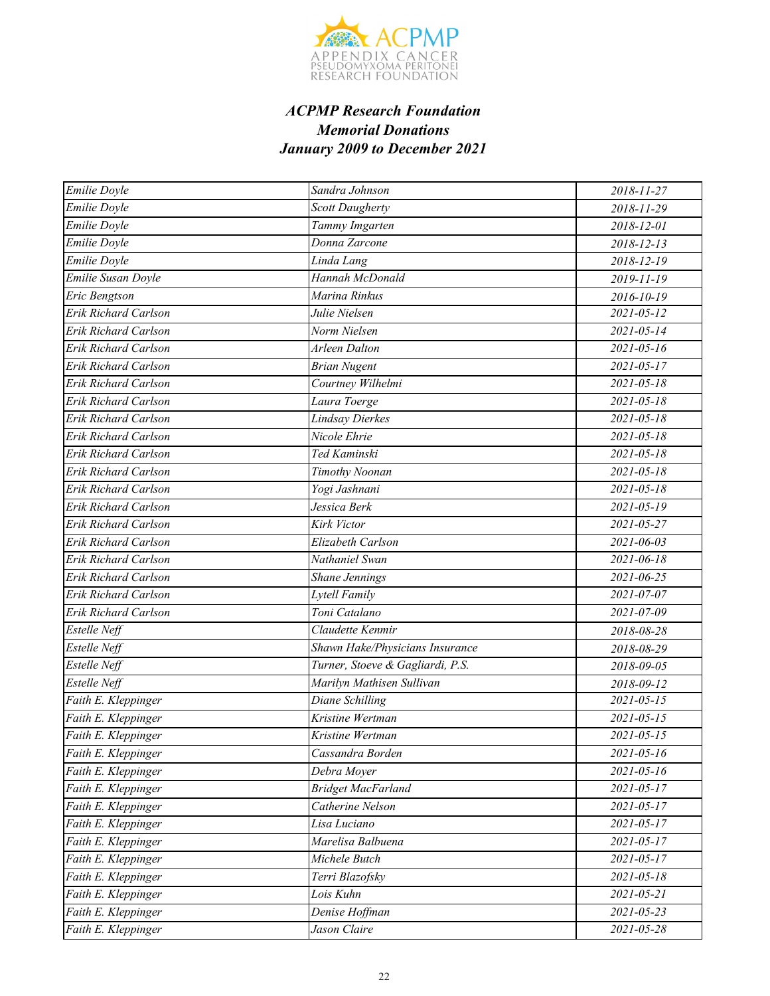

| Emilie Doyle                | Sandra Johnson                   | 2018-11-27       |
|-----------------------------|----------------------------------|------------------|
| Emilie Doyle                | <b>Scott Daugherty</b>           | 2018-11-29       |
| Emilie Doyle                | Tammy Imgarten                   | 2018-12-01       |
| <b>Emilie Doyle</b>         | Donna Zarcone                    | 2018-12-13       |
| Emilie Doyle                | Linda Lang                       | 2018-12-19       |
| Emilie Susan Doyle          | Hannah McDonald                  | $2019 - 11 - 19$ |
| Eric Bengtson               | Marina Rinkus                    | 2016-10-19       |
| Erik Richard Carlson        | Julie Nielsen                    | $2021 - 05 - 12$ |
| <b>Erik Richard Carlson</b> | Norm Nielsen                     | $2021 - 05 - 14$ |
| Erik Richard Carlson        | Arleen Dalton                    | $2021 - 05 - 16$ |
| Erik Richard Carlson        | <b>Brian Nugent</b>              | $2021 - 05 - 17$ |
| Erik Richard Carlson        | Courtney Wilhelmi                | $2021 - 05 - 18$ |
| Erik Richard Carlson        | Laura Toerge                     | $2021 - 05 - 18$ |
| Erik Richard Carlson        | <b>Lindsay Dierkes</b>           | $2021 - 05 - 18$ |
| Erik Richard Carlson        | Nicole Ehrie                     | $2021 - 05 - 18$ |
| Erik Richard Carlson        | Ted Kaminski                     | $2021 - 05 - 18$ |
| Erik Richard Carlson        | Timothy Noonan                   | $2021 - 05 - 18$ |
| Erik Richard Carlson        | Yogi Jashnani                    | $2021 - 05 - 18$ |
| Erik Richard Carlson        | Jessica Berk                     | 2021-05-19       |
| Erik Richard Carlson        | Kirk Victor                      | 2021-05-27       |
| Erik Richard Carlson        | Elizabeth Carlson                | $2021 - 06 - 03$ |
| Erik Richard Carlson        | Nathaniel Swan                   | 2021-06-18       |
| Erik Richard Carlson        | Shane Jennings                   | 2021-06-25       |
| Erik Richard Carlson        | <b>Lytell Family</b>             | $2021 - 07 - 07$ |
| Erik Richard Carlson        | Toni Catalano                    | 2021-07-09       |
| Estelle Neff                | Claudette Kenmir                 | 2018-08-28       |
| <b>Estelle Neff</b>         | Shawn Hake/Physicians Insurance  | 2018-08-29       |
| Estelle Neff                | Turner, Stoeve & Gagliardi, P.S. | 2018-09-05       |
| Estelle Neff                | Marilyn Mathisen Sullivan        | 2018-09-12       |
| Faith E. Kleppinger         | <b>Diane Schilling</b>           | $2021 - 05 - 15$ |
| Faith E. Kleppinger         | Kristine Wertman                 | $2021 - 05 - 15$ |
| Faith E. Kleppinger         | Kristine Wertman                 | $2021 - 05 - 15$ |
| Faith E. Kleppinger         | Cassandra Borden                 | $2021 - 05 - 16$ |
| Faith E. Kleppinger         | Debra Moyer                      | $2021 - 05 - 16$ |
| Faith E. Kleppinger         | <b>Bridget MacFarland</b>        | $2021 - 05 - 17$ |
| Faith E. Kleppinger         | Catherine Nelson                 | $2021 - 05 - 17$ |
| Faith E. Kleppinger         | Lisa Luciano                     | $2021 - 05 - 17$ |
| Faith E. Kleppinger         | Marelisa Balbuena                | $2021 - 05 - 17$ |
| Faith E. Kleppinger         | Michele Butch                    | $2021 - 05 - 17$ |
| Faith E. Kleppinger         | Terri Blazofsky                  | $2021 - 05 - 18$ |
| Faith E. Kleppinger         | Lois Kuhn                        | $2021 - 05 - 21$ |
| Faith E. Kleppinger         | Denise Hoffman                   | $2021 - 05 - 23$ |
| Faith E. Kleppinger         | Jason Claire                     | 2021-05-28       |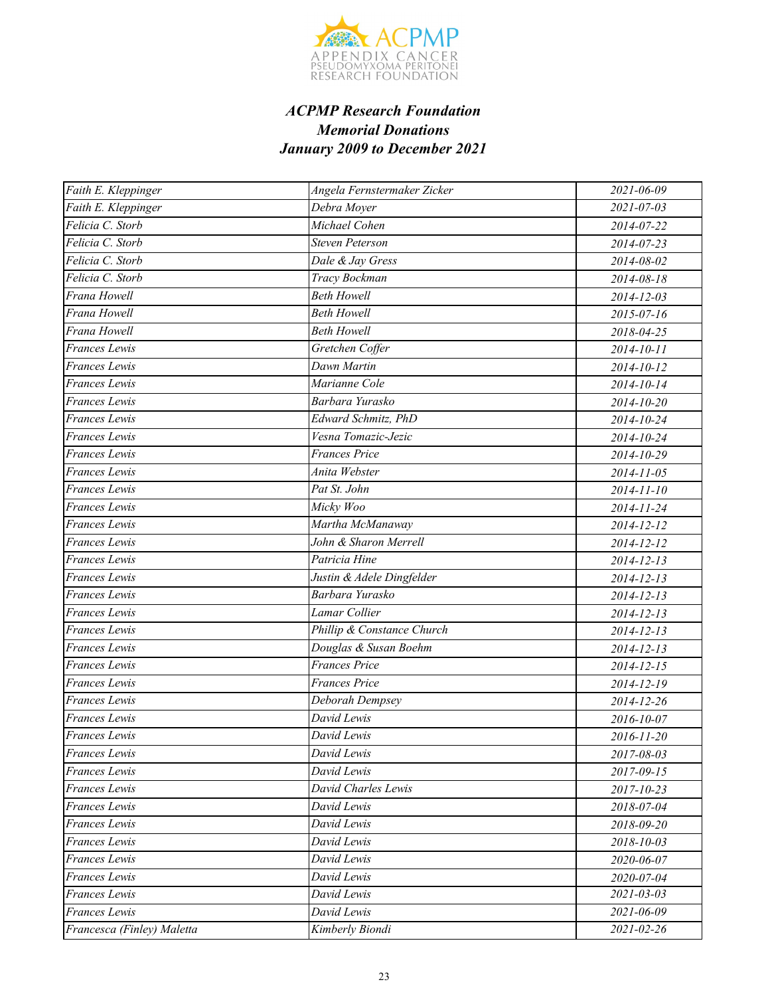

| Faith E. Kleppinger        | Angela Fernstermaker Zicker | 2021-06-09       |
|----------------------------|-----------------------------|------------------|
| Faith E. Kleppinger        | Debra Moyer                 | $2021 - 07 - 03$ |
| Felicia C. Storb           | Michael Cohen               | 2014-07-22       |
| Felicia C. Storb           | Steven Peterson             | 2014-07-23       |
| Felicia C. Storb           | Dale & Jay Gress            | 2014-08-02       |
| Felicia C. Storb           | Tracy Bockman               | 2014-08-18       |
| Frana Howell               | <b>Beth Howell</b>          | 2014-12-03       |
| Frana Howell               | <b>Beth Howell</b>          | 2015-07-16       |
| Frana Howell               | <b>Beth Howell</b>          | 2018-04-25       |
| Frances Lewis              | Gretchen Coffer             | 2014-10-11       |
| Frances Lewis              | Dawn Martin                 | 2014-10-12       |
| Frances Lewis              | Marianne Cole               | 2014-10-14       |
| Frances Lewis              | Barbara Yurasko             | 2014-10-20       |
| Frances Lewis              | Edward Schmitz, PhD         | 2014-10-24       |
| <b>Frances</b> Lewis       | Vesna Tomazic-Jezic         | 2014-10-24       |
| Frances Lewis              | <b>Frances Price</b>        | 2014-10-29       |
| Frances Lewis              | Anita Webster               | 2014-11-05       |
| Frances Lewis              | Pat St. John                | $2014 - 11 - 10$ |
| Frances Lewis              | Micky Woo                   | 2014-11-24       |
| <b>Frances</b> Lewis       | Martha McManaway            | 2014-12-12       |
| <b>Frances</b> Lewis       | John & Sharon Merrell       | $2014 - 12 - 12$ |
| Frances Lewis              | Patricia Hine               | 2014-12-13       |
| Frances Lewis              | Justin & Adele Dingfelder   | $2014 - 12 - 13$ |
| Frances Lewis              | Barbara Yurasko             | $2014 - 12 - 13$ |
| Frances Lewis              | Lamar Collier               | 2014-12-13       |
| Frances Lewis              | Phillip & Constance Church  | $2014 - 12 - 13$ |
| Frances Lewis              | Douglas & Susan Boehm       | $2014 - 12 - 13$ |
| Frances Lewis              | <b>Frances Price</b>        | 2014-12-15       |
| Frances Lewis              | Frances Price               | 2014-12-19       |
| Frances Lewis              | Deborah Dempsey             | 2014-12-26       |
| Frances Lewis              | David Lewis                 | 2016-10-07       |
| Frances Lewis              | David Lewis                 | 2016-11-20       |
| Frances Lewis              | David Lewis                 | 2017-08-03       |
| Frances Lewis              | David Lewis                 | 2017-09-15       |
| Frances Lewis              | David Charles Lewis         | 2017-10-23       |
| Frances Lewis              | David Lewis                 | 2018-07-04       |
| Frances Lewis              | David Lewis                 | 2018-09-20       |
| Frances Lewis              | David Lewis                 | 2018-10-03       |
| Frances Lewis              | David Lewis                 | 2020-06-07       |
| Frances Lewis              | David Lewis                 | 2020-07-04       |
| Frances Lewis              | David Lewis                 | $2021 - 03 - 03$ |
| Frances Lewis              | David Lewis                 | 2021-06-09       |
| Francesca (Finley) Maletta | Kimberly Biondi             | 2021-02-26       |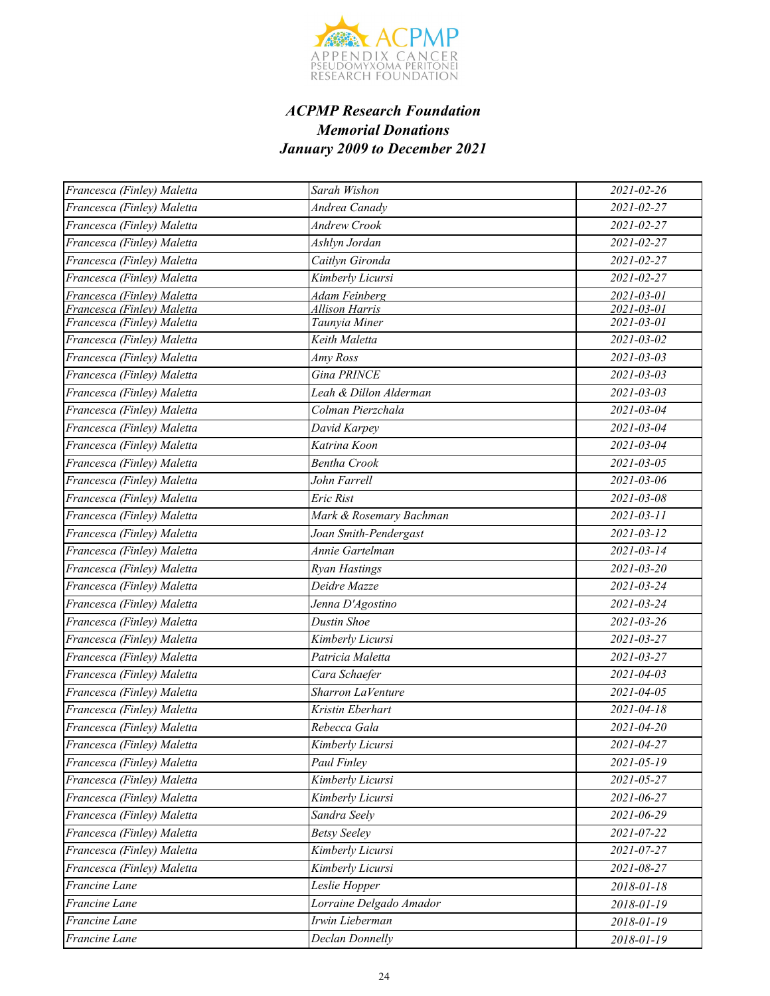

| Francesca (Finley) Maletta | Sarah Wishon            | 2021-02-26       |
|----------------------------|-------------------------|------------------|
| Francesca (Finley) Maletta | Andrea Canady           | 2021-02-27       |
| Francesca (Finley) Maletta | <b>Andrew Crook</b>     | 2021-02-27       |
| Francesca (Finley) Maletta | Ashlyn Jordan           | 2021-02-27       |
| Francesca (Finley) Maletta | Caitlyn Gironda         | 2021-02-27       |
| Francesca (Finley) Maletta | Kimberly Licursi        | 2021-02-27       |
| Francesca (Finley) Maletta | <b>Adam Feinberg</b>    | 2021-03-01       |
| Francesca (Finley) Maletta | <b>Allison Harris</b>   | 2021-03-01       |
| Francesca (Finley) Maletta | Taunyia Miner           | 2021-03-01       |
| Francesca (Finley) Maletta | Keith Maletta           | 2021-03-02       |
| Francesca (Finley) Maletta | Amy Ross                | $2021 - 03 - 03$ |
| Francesca (Finley) Maletta | Gina PRINCE             | $2021 - 03 - 03$ |
| Francesca (Finley) Maletta | Leah & Dillon Alderman  | $2021 - 03 - 03$ |
| Francesca (Finley) Maletta | Colman Pierzchala       | 2021-03-04       |
| Francesca (Finley) Maletta | David Karpey            | $2021 - 03 - 04$ |
| Francesca (Finley) Maletta | Katrina Koon            | $2021 - 03 - 04$ |
| Francesca (Finley) Maletta | <b>Bentha Crook</b>     | $2021 - 03 - 05$ |
| Francesca (Finley) Maletta | John Farrell            | 2021-03-06       |
| Francesca (Finley) Maletta | Eric Rist               | $2021 - 03 - 08$ |
| Francesca (Finley) Maletta | Mark & Rosemary Bachman | $2021 - 03 - 11$ |
| Francesca (Finley) Maletta | Joan Smith-Pendergast   | $2021 - 03 - 12$ |
| Francesca (Finley) Maletta | Annie Gartelman         | $2021 - 03 - 14$ |
| Francesca (Finley) Maletta | <b>Ryan Hastings</b>    | $2021 - 03 - 20$ |
| Francesca (Finley) Maletta | Deidre Mazze            | 2021-03-24       |
| Francesca (Finley) Maletta | Jenna D'Agostino        | 2021-03-24       |
| Francesca (Finley) Maletta | Dustin Shoe             | $2021 - 03 - 26$ |
| Francesca (Finley) Maletta | Kimberly Licursi        | 2021-03-27       |
| Francesca (Finley) Maletta | Patricia Maletta        | 2021-03-27       |
| Francesca (Finley) Maletta | Cara Schaefer           | $2021 - 04 - 03$ |
| Francesca (Finley) Maletta | Sharron LaVenture       | $2021 - 04 - 05$ |
| Francesca (Finley) Maletta | Kristin Eberhart        | 2021-04-18       |
| Francesca (Finley) Maletta | Rebecca Gala            | 2021-04-20       |
| Francesca (Finley) Maletta | Kimberly Licursi        | 2021-04-27       |
| Francesca (Finley) Maletta | Paul Finley             | $2021 - 05 - 19$ |
| Francesca (Finley) Maletta | Kimberly Licursi        | 2021-05-27       |
| Francesca (Finley) Maletta | Kimberly Licursi        | 2021-06-27       |
| Francesca (Finley) Maletta | Sandra Seely            | 2021-06-29       |
| Francesca (Finley) Maletta | <b>Betsy Seeley</b>     | 2021-07-22       |
| Francesca (Finley) Maletta | Kimberly Licursi        | 2021-07-27       |
| Francesca (Finley) Maletta | Kimberly Licursi        | 2021-08-27       |
| Francine Lane              | Leslie Hopper           | 2018-01-18       |
| Francine Lane              | Lorraine Delgado Amador | 2018-01-19       |
| Francine Lane              | Irwin Lieberman         | 2018-01-19       |
| Francine Lane              | Declan Donnelly         | 2018-01-19       |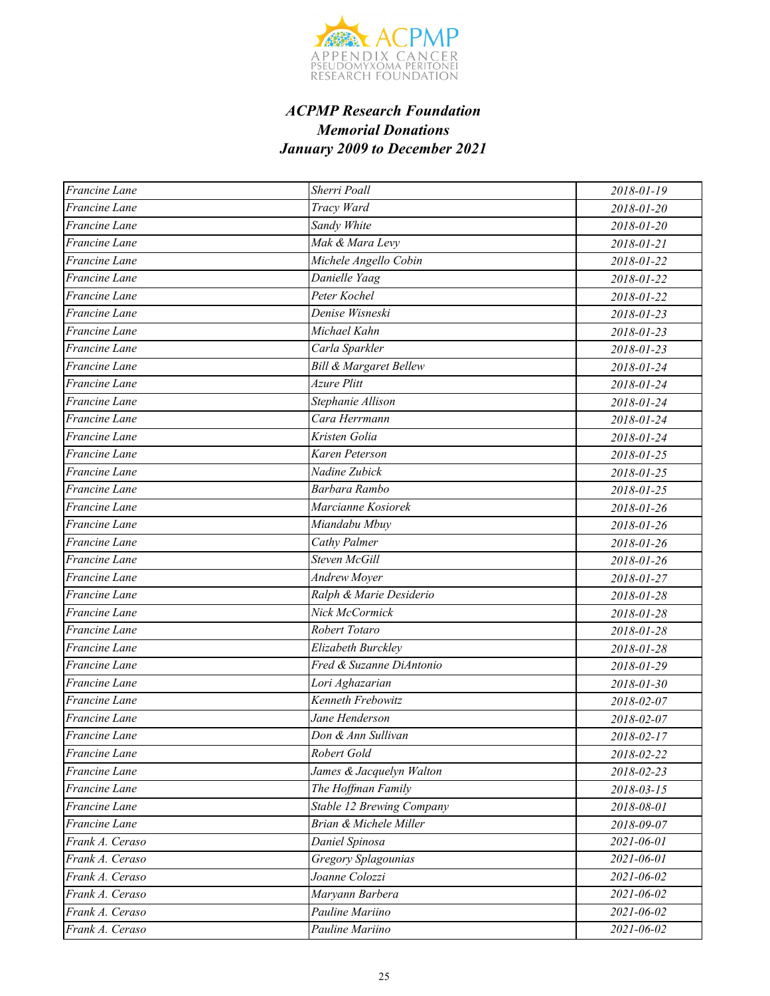

| Francine Lane   | Sherri Poall                     | 2018-01-19 |
|-----------------|----------------------------------|------------|
| Francine Lane   | Tracy Ward                       | 2018-01-20 |
| Francine Lane   | Sandy White                      | 2018-01-20 |
| Francine Lane   | Mak & Mara Levy                  | 2018-01-21 |
| Francine Lane   | Michele Angello Cobin            | 2018-01-22 |
| Francine Lane   | Danielle Yaag                    | 2018-01-22 |
| Francine Lane   | Peter Kochel                     | 2018-01-22 |
| Francine Lane   | Denise Wisneski                  | 2018-01-23 |
| Francine Lane   | Michael Kahn                     | 2018-01-23 |
| Francine Lane   | Carla Sparkler                   | 2018-01-23 |
| Francine Lane   | Bill & Margaret Bellew           | 2018-01-24 |
| Francine Lane   | <b>Azure Plitt</b>               | 2018-01-24 |
| Francine Lane   | Stephanie Allison                | 2018-01-24 |
| Francine Lane   | Cara Herrmann                    | 2018-01-24 |
| Francine Lane   | Kristen Golia                    | 2018-01-24 |
| Francine Lane   | Karen Peterson                   | 2018-01-25 |
| Francine Lane   | Nadine Zubick                    | 2018-01-25 |
| Francine Lane   | Barbara Rambo                    | 2018-01-25 |
| Francine Lane   | Marcianne Kosiorek               | 2018-01-26 |
| Francine Lane   | Miandabu Mbuy                    | 2018-01-26 |
| Francine Lane   | <b>Cathy Palmer</b>              | 2018-01-26 |
| Francine Lane   | Steven McGill                    | 2018-01-26 |
| Francine Lane   | Andrew Moyer                     | 2018-01-27 |
| Francine Lane   | Ralph & Marie Desiderio          | 2018-01-28 |
| Francine Lane   | Nick McCormick                   | 2018-01-28 |
| Francine Lane   | Robert Totaro                    | 2018-01-28 |
| Francine Lane   | Elizabeth Burckley               | 2018-01-28 |
| Francine Lane   | Fred & Suzanne DiAntonio         | 2018-01-29 |
| Francine Lane   | Lori Aghazarian                  | 2018-01-30 |
| Francine Lane   | Kenneth Frebowitz                | 2018-02-07 |
| Francine Lane   | Jane Henderson                   | 2018-02-07 |
| Francine Lane   | Don & Ann Sullivan               | 2018-02-17 |
| Francine Lane   | Robert Gold                      | 2018-02-22 |
| Francine Lane   | James & Jacquelyn Walton         | 2018-02-23 |
| Francine Lane   | The Hoffman Family               | 2018-03-15 |
| Francine Lane   | <b>Stable 12 Brewing Company</b> | 2018-08-01 |
| Francine Lane   | Brian & Michele Miller           | 2018-09-07 |
| Frank A. Ceraso | Daniel Spinosa                   | 2021-06-01 |
| Frank A. Ceraso | Gregory Splagounias              | 2021-06-01 |
| Frank A. Ceraso | Joanne Colozzi                   | 2021-06-02 |
| Frank A. Ceraso | Maryann Barbera                  | 2021-06-02 |
| Frank A. Ceraso | Pauline Mariino                  | 2021-06-02 |
| Frank A. Ceraso | Pauline Mariino                  | 2021-06-02 |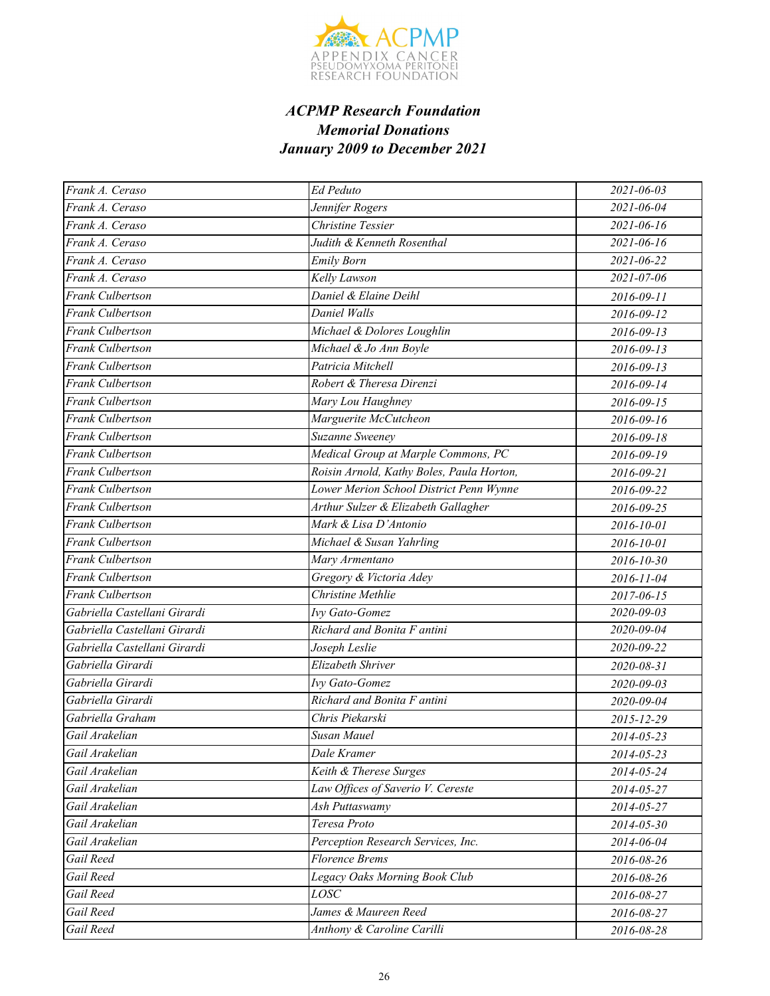

| Frank A. Ceraso              | Ed Peduto                                 | 2021-06-03       |
|------------------------------|-------------------------------------------|------------------|
| Frank A. Ceraso              | Jennifer Rogers                           | 2021-06-04       |
| Frank A. Ceraso              | Christine Tessier                         | $2021 - 06 - 16$ |
| Frank A. Ceraso              | Judith & Kenneth Rosenthal                | $2021 - 06 - 16$ |
| Frank A. Ceraso              | <b>Emily Born</b>                         | 2021-06-22       |
| Frank A. Ceraso              | Kelly Lawson                              | $2021 - 07 - 06$ |
| Frank Culbertson             | Daniel & Elaine Deihl                     | 2016-09-11       |
| <b>Frank Culbertson</b>      | Daniel Walls                              | 2016-09-12       |
| <b>Frank Culbertson</b>      | Michael & Dolores Loughlin                | $2016 - 09 - 13$ |
| Frank Culbertson             | Michael & Jo Ann Boyle                    | 2016-09-13       |
| <b>Frank Culbertson</b>      | Patricia Mitchell                         | 2016-09-13       |
| Frank Culbertson             | Robert & Theresa Direnzi                  | 2016-09-14       |
| <b>Frank Culbertson</b>      | Mary Lou Haughney                         | 2016-09-15       |
| Frank Culbertson             | Marguerite McCutcheon                     | 2016-09-16       |
| <b>Frank Culbertson</b>      | Suzanne Sweeney                           | 2016-09-18       |
| <b>Frank Culbertson</b>      | Medical Group at Marple Commons, PC       | 2016-09-19       |
| Frank Culbertson             | Roisin Arnold, Kathy Boles, Paula Horton, | 2016-09-21       |
| Frank Culbertson             | Lower Merion School District Penn Wynne   | 2016-09-22       |
| <b>Frank Culbertson</b>      | Arthur Sulzer & Elizabeth Gallagher       | 2016-09-25       |
| <b>Frank Culbertson</b>      | Mark & Lisa D'Antonio                     | 2016-10-01       |
| Frank Culbertson             | Michael & Susan Yahrling                  | 2016-10-01       |
| <b>Frank Culbertson</b>      | Mary Armentano                            | 2016-10-30       |
| <b>Frank Culbertson</b>      | Gregory & Victoria Adey                   | 2016-11-04       |
| Frank Culbertson             | Christine Methlie                         | 2017-06-15       |
| Gabriella Castellani Girardi | Ivy Gato-Gomez                            | 2020-09-03       |
| Gabriella Castellani Girardi | Richard and Bonita F antini               | 2020-09-04       |
| Gabriella Castellani Girardi | Joseph Leslie                             | 2020-09-22       |
| Gabriella Girardi            | Elizabeth Shriver                         | 2020-08-31       |
| Gabriella Girardi            | <b>Ivy Gato-Gomez</b>                     | 2020-09-03       |
| Gabriella Girardi            | Richard and Bonita F antini               | 2020-09-04       |
| Gabriella Graham             | Chris Piekarski                           | 2015-12-29       |
| Gail Arakelian               | Susan Mauel                               | 2014-05-23       |
| Gail Arakelian               | Dale Kramer                               | 2014-05-23       |
| Gail Arakelian               | Keith & Therese Surges                    | 2014-05-24       |
| Gail Arakelian               | Law Offices of Saverio V. Cereste         | 2014-05-27       |
| Gail Arakelian               | Ash Puttaswamy                            | 2014-05-27       |
| Gail Arakelian               | Teresa Proto                              | 2014-05-30       |
| Gail Arakelian               | Perception Research Services, Inc.        | 2014-06-04       |
| Gail Reed                    | <b>Florence Brems</b>                     | 2016-08-26       |
| Gail Reed                    | Legacy Oaks Morning Book Club             | 2016-08-26       |
| Gail Reed                    | LOSC                                      | 2016-08-27       |
| Gail Reed                    | James & Maureen Reed                      | 2016-08-27       |
| Gail Reed                    | Anthony & Caroline Carilli                | 2016-08-28       |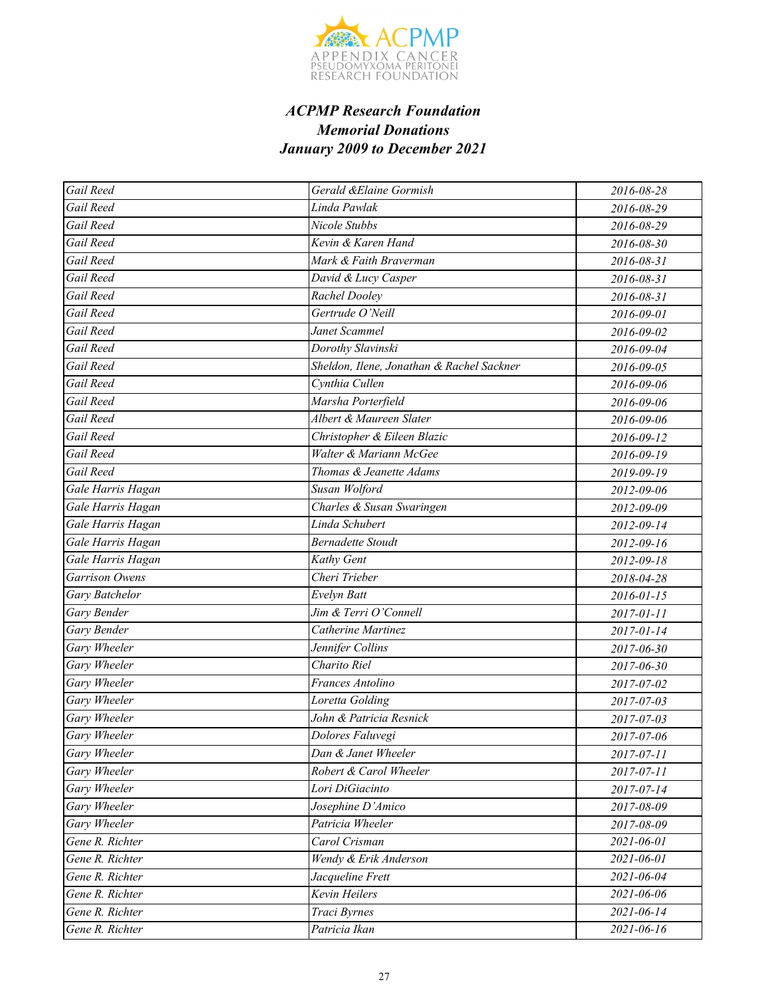

| Gail Reed               | Gerald &Elaine Gormish                    | 2016-08-28       |
|-------------------------|-------------------------------------------|------------------|
| Gail Reed               | Linda Pawlak                              | 2016-08-29       |
| Gail Reed               | Nicole Stubbs                             | 2016-08-29       |
| Gail Reed               | Kevin & Karen Hand                        | 2016-08-30       |
| $\overline{G}$ ail Reed | Mark & Faith Braverman                    | 2016-08-31       |
| Gail Reed               | David & Lucy Casper                       | 2016-08-31       |
| Gail Reed               | Rachel Dooley                             | 2016-08-31       |
| Gail Reed               | Gertrude O'Neill                          | 2016-09-01       |
| Gail Reed               | Janet Scammel                             | 2016-09-02       |
| Gail Reed               | Dorothy Slavinski                         | 2016-09-04       |
| Gail Reed               | Sheldon, Ilene, Jonathan & Rachel Sackner | 2016-09-05       |
| Gail Reed               | Cynthia Cullen                            | 2016-09-06       |
| Gail Reed               | Marsha Porterfield                        | 2016-09-06       |
| Gail Reed               | Albert & Maureen Slater                   | 2016-09-06       |
| Gail Reed               | Christopher & Eileen Blazic               | 2016-09-12       |
| Gail Reed               | Walter & Mariann McGee                    | 2016-09-19       |
| Gail Reed               | Thomas & Jeanette Adams                   | 2019-09-19       |
| Gale Harris Hagan       | Susan Wolford                             | 2012-09-06       |
| Gale Harris Hagan       | Charles & Susan Swaringen                 | 2012-09-09       |
| Gale Harris Hagan       | Linda Schubert                            | 2012-09-14       |
| Gale Harris Hagan       | <b>Bernadette Stoudt</b>                  | 2012-09-16       |
| Gale Harris Hagan       | Kathy Gent                                | 2012-09-18       |
| Garrison Owens          | Cheri Trieber                             | 2018-04-28       |
| Gary Batchelor          | Evelyn Batt                               | $2016 - 01 - 15$ |
| Gary Bender             | Jim & Terri O'Connell                     | 2017-01-11       |
| Gary Bender             | Catherine Martinez                        | 2017-01-14       |
| <b>Gary Wheeler</b>     | Jennifer Collins                          | 2017-06-30       |
| Gary Wheeler            | Charito Riel                              | 2017-06-30       |
| Gary Wheeler            | Frances Antolino                          | 2017-07-02       |
| Gary Wheeler            | Loretta Golding                           | 2017-07-03       |
| Gary Wheeler            | John & Patricia Resnick                   | 2017-07-03       |
| Gary Wheeler            | Dolores Faluvegi                          | 2017-07-06       |
| Gary Wheeler            | Dan & Janet Wheeler                       | 2017-07-11       |
| Gary Wheeler            | Robert & Carol Wheeler                    | 2017-07-11       |
| Gary Wheeler            | Lori DiGiacinto                           | 2017-07-14       |
| Gary Wheeler            | Josephine D'Amico                         | 2017-08-09       |
| Gary Wheeler            | Patricia Wheeler                          | 2017-08-09       |
| Gene R. Richter         | Carol Crisman                             | 2021-06-01       |
| Gene R. Richter         | Wendy & Erik Anderson                     | 2021-06-01       |
| Gene R. Richter         | Jacqueline Frett                          | 2021-06-04       |
| Gene R. Richter         | Kevin Heilers                             | 2021-06-06       |
| Gene R. Richter         | Traci Byrnes                              | 2021-06-14       |
| Gene R. Richter         | Patricia Ikan                             | 2021-06-16       |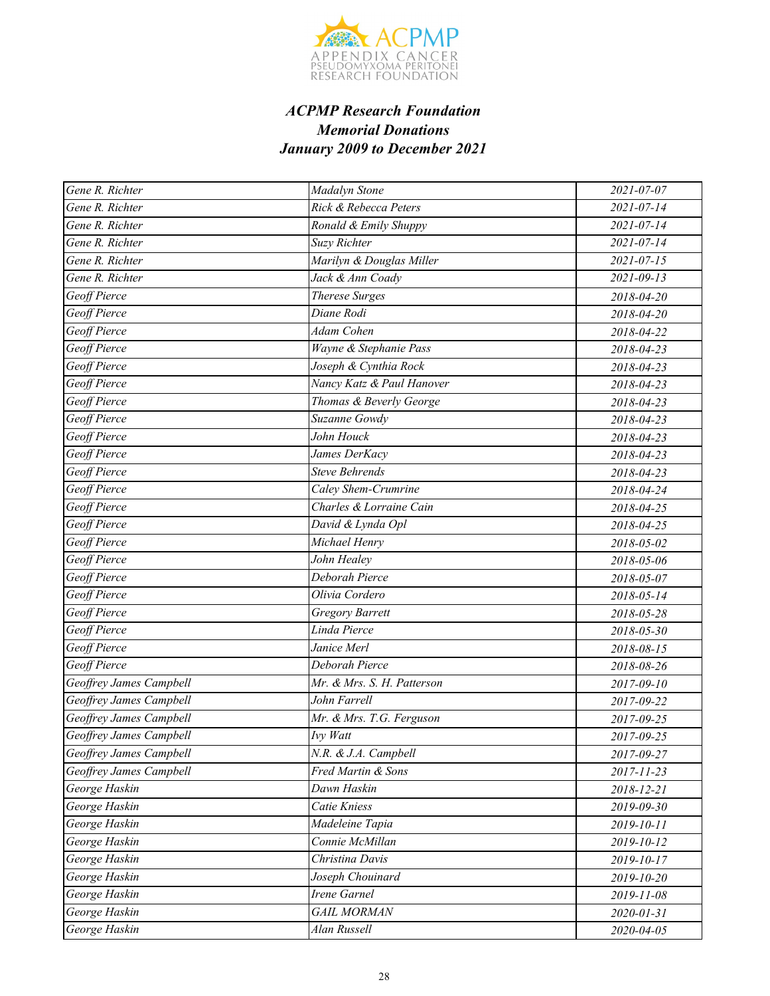

| Gene R. Richter         | Madalyn Stone                       | 2021-07-07       |
|-------------------------|-------------------------------------|------------------|
| Gene R. Richter         | Rick & Rebecca Peters               | 2021-07-14       |
| Gene R. Richter         | Ronald & Emily Shuppy               | $2021 - 07 - 14$ |
| Gene R. Richter         | Suzy Richter                        | $2021 - 07 - 14$ |
| Gene R. Richter         | Marilyn & Douglas Miller            | $2021 - 07 - 15$ |
| Gene R. Richter         | Jack & Ann Coady                    | $2021 - 09 - 13$ |
| Geoff Pierce            | <b>Therese Surges</b>               | 2018-04-20       |
| Geoff Pierce            | Diane Rodi                          | 2018-04-20       |
| Geoff Pierce            | Adam Cohen                          | 2018-04-22       |
| Geoff Pierce            | Wayne & Stephanie Pass              | 2018-04-23       |
| Geoff Pierce            | Joseph & Cynthia Rock               | 2018-04-23       |
| Geoff Pierce            | Nancy Katz & Paul Hanover           | 2018-04-23       |
| Geoff Pierce            | Thomas & Beverly George             | 2018-04-23       |
| Geoff Pierce            | Suzanne Gowdy                       | 2018-04-23       |
| Geoff Pierce            | John Houck                          | 2018-04-23       |
| Geoff Pierce            | James DerKacy                       | 2018-04-23       |
| Geoff Pierce            | <b>Steve Behrends</b>               | 2018-04-23       |
| Geoff Pierce            | Caley Shem-Crumrine                 | 2018-04-24       |
| Geoff Pierce            | Charles & Lorraine Cain             | 2018-04-25       |
| Geoff Pierce            | David & Lynda Opl                   | 2018-04-25       |
| Geoff Pierce            | Michael Henry                       | 2018-05-02       |
| Geoff Pierce            | John Healey                         | 2018-05-06       |
| Geoff Pierce            | Deborah Pierce                      | 2018-05-07       |
| Geoff Pierce            | Olivia Cordero                      | 2018-05-14       |
| Geoff Pierce            | <b>Gregory Barrett</b>              | 2018-05-28       |
| Geoff Pierce            | Linda Pierce                        | 2018-05-30       |
| Geoff Pierce            | Janice Merl                         | 2018-08-15       |
| Geoff Pierce            | Deborah Pierce                      | 2018-08-26       |
| Geoffrey James Campbell | Mr. & Mrs. S. H. Patterson          | 2017-09-10       |
| Geoffrey James Campbell | John Farrell                        | 2017-09-22       |
| Geoffrey James Campbell | Mr. & Mrs. T.G. Ferguson            | 2017-09-25       |
| Geoffrey James Campbell | Ivy Watt                            | 2017-09-25       |
| Geoffrey James Campbell | N.R. & J.A. Campbell                | 2017-09-27       |
| Geoffrey James Campbell | Fred Martin & Sons                  | 2017-11-23       |
| George Haskin           | Dawn Haskin                         | 2018-12-21       |
| George Haskin           | Catie Kniess                        | 2019-09-30       |
| George Haskin           | Madeleine Tapia                     | 2019-10-11       |
| George Haskin           | $\overline{\text{Connie}}$ McMillan | 2019-10-12       |
| George Haskin           | Christina Davis                     | 2019-10-17       |
| George Haskin           | Joseph Chouinard                    | 2019-10-20       |
| George Haskin           | <b>Irene Garnel</b>                 | 2019-11-08       |
| George Haskin           | <b>GAIL MORMAN</b>                  | 2020-01-31       |
| George Haskin           | Alan Russell                        | 2020-04-05       |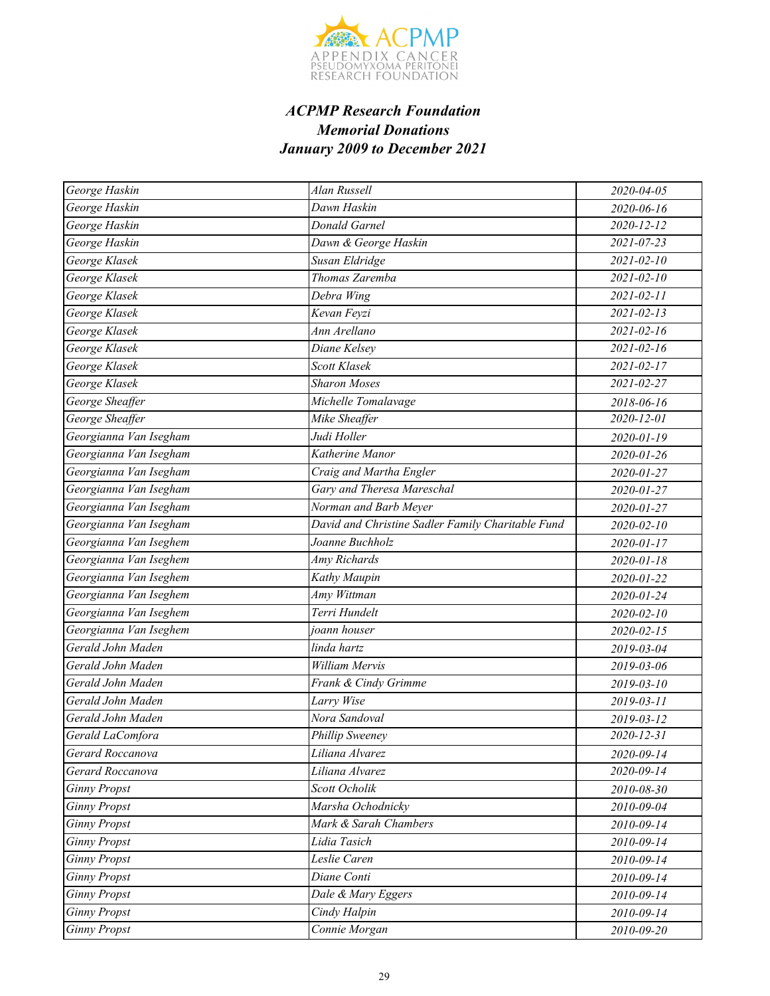

| George Haskin          | Alan Russell                                      | 2020-04-05       |
|------------------------|---------------------------------------------------|------------------|
| George Haskin          | Dawn Haskin                                       | 2020-06-16       |
| George Haskin          | Donald Garnel                                     | 2020-12-12       |
| George Haskin          | Dawn & George Haskin                              | 2021-07-23       |
| George Klasek          | Susan Eldridge                                    | $2021 - 02 - 10$ |
| George Klasek          | Thomas Zaremba                                    | $2021 - 02 - 10$ |
| George Klasek          | Debra Wing                                        | 2021-02-11       |
| George Klasek          | Kevan Feyzi                                       | $2021 - 02 - 13$ |
| George Klasek          | Ann Arellano                                      | $2021 - 02 - 16$ |
| George Klasek          | Diane Kelsey                                      | $2021 - 02 - 16$ |
| George Klasek          | Scott Klasek                                      | $2021 - 02 - 17$ |
| George Klasek          | <b>Sharon Moses</b>                               | 2021-02-27       |
| George Sheaffer        | Michelle Tomalavage                               | 2018-06-16       |
| George Sheaffer        | Mike Sheaffer                                     | 2020-12-01       |
| Georgianna Van Isegham | Judi Holler                                       | 2020-01-19       |
| Georgianna Van Isegham | Katherine Manor                                   | 2020-01-26       |
| Georgianna Van Isegham | Craig and Martha Engler                           | 2020-01-27       |
| Georgianna Van Isegham | Gary and Theresa Mareschal                        | 2020-01-27       |
| Georgianna Van Isegham | Norman and Barb Meyer                             | 2020-01-27       |
| Georgianna Van Isegham | David and Christine Sadler Family Charitable Fund | $2020 - 02 - 10$ |
| Georgianna Van Iseghem | Joanne Buchholz                                   | 2020-01-17       |
| Georgianna Van Iseghem | Amy Richards                                      | 2020-01-18       |
| Georgianna Van Iseghem | Kathy Maupin                                      | 2020-01-22       |
| Georgianna Van Iseghem | Amy Wittman                                       | 2020-01-24       |
| Georgianna Van Iseghem | Terri Hundelt                                     | 2020-02-10       |
| Georgianna Van Iseghem | joann houser                                      | 2020-02-15       |
| Gerald John Maden      | linda hartz                                       | 2019-03-04       |
| Gerald John Maden      | William Mervis                                    | 2019-03-06       |
| Gerald John Maden      | Frank & Cindy Grimme                              | 2019-03-10       |
| Gerald John Maden      | Larry Wise                                        | 2019-03-11       |
| Gerald John Maden      | Nora Sandoval                                     | 2019-03-12       |
| Gerald LaComfora       | Phillip Sweeney                                   | 2020-12-31       |
| Gerard Roccanova       | Liliana Alvarez                                   | 2020-09-14       |
| Gerard Roccanova       | Liliana Alvarez                                   | 2020-09-14       |
| <b>Ginny Propst</b>    | Scott Ocholik                                     | 2010-08-30       |
| <b>Ginny Propst</b>    | Marsha Ochodnicky                                 | 2010-09-04       |
| <b>Ginny Propst</b>    | Mark & Sarah Chambers                             | 2010-09-14       |
| <b>Ginny Propst</b>    | Lidia Tasich                                      | 2010-09-14       |
| <b>Ginny Propst</b>    | Leslie Caren                                      | 2010-09-14       |
| <b>Ginny Propst</b>    | Diane Conti                                       | 2010-09-14       |
| <b>Ginny Propst</b>    | Dale & Mary Eggers                                | 2010-09-14       |
| <b>Ginny Propst</b>    | Cindy Halpin                                      | 2010-09-14       |
| <b>Ginny Propst</b>    | Connie Morgan                                     | 2010-09-20       |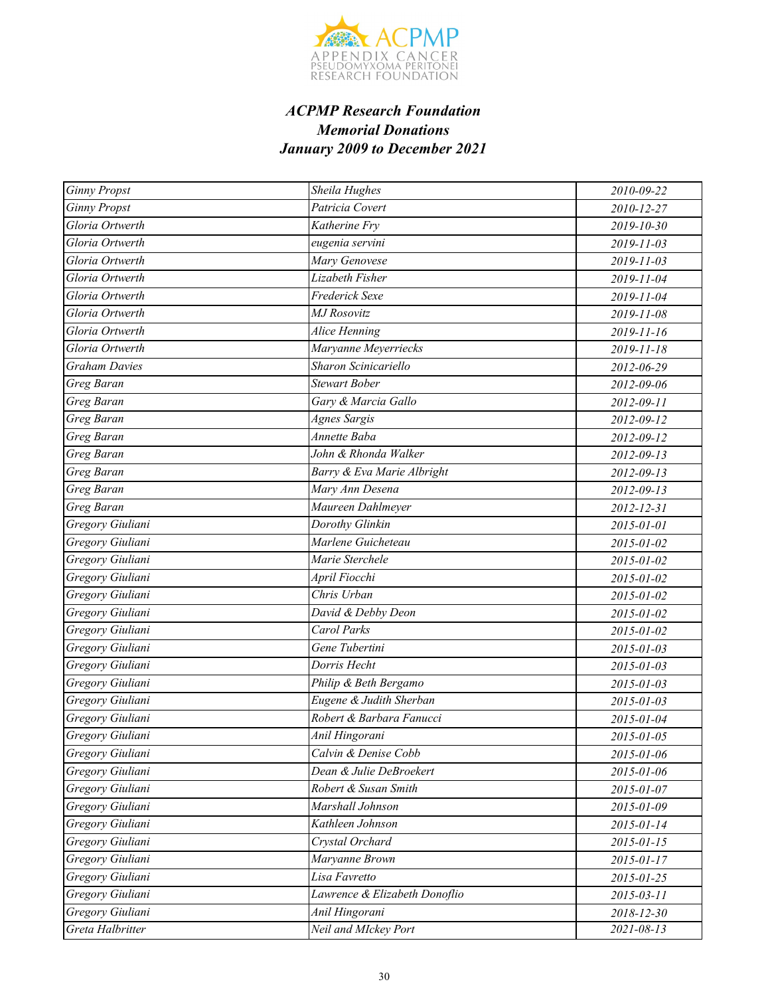

| <b>Ginny Propst</b> | Sheila Hughes                 | 2010-09-22       |
|---------------------|-------------------------------|------------------|
| <b>Ginny Propst</b> | Patricia Covert               | 2010-12-27       |
| Gloria Ortwerth     | Katherine Fry                 | 2019-10-30       |
| Gloria Ortwerth     | eugenia servini               | 2019-11-03       |
| Gloria Ortwerth     | Mary Genovese                 | 2019-11-03       |
| Gloria Ortwerth     | Lizabeth Fisher               | 2019-11-04       |
| Gloria Ortwerth     | <b>Frederick Sexe</b>         | 2019-11-04       |
| Gloria Ortwerth     | <b>MJ</b> Rosovitz            | 2019-11-08       |
| Gloria Ortwerth     | Alice Henning                 | 2019-11-16       |
| Gloria Ortwerth     | Maryanne Meyerriecks          | 2019-11-18       |
| Graham Davies       | Sharon Scinicariello          | 2012-06-29       |
| Greg Baran          | <b>Stewart Bober</b>          | 2012-09-06       |
| Greg Baran          | Gary & Marcia Gallo           | 2012-09-11       |
| Greg Baran          | <b>Agnes Sargis</b>           | 2012-09-12       |
| Greg Baran          | Annette Baba                  | 2012-09-12       |
| Greg Baran          | John & Rhonda Walker          | 2012-09-13       |
| Greg Baran          | Barry & Eva Marie Albright    | 2012-09-13       |
| Greg Baran          | Mary Ann Desena               | 2012-09-13       |
| Greg Baran          | Maureen Dahlmeyer             | 2012-12-31       |
| Gregory Giuliani    | Dorothy Glinkin               | 2015-01-01       |
| Gregory Giuliani    | Marlene Guicheteau            | 2015-01-02       |
| Gregory Giuliani    | Marie Sterchele               | 2015-01-02       |
| Gregory Giuliani    | April Fiocchi                 | 2015-01-02       |
| Gregory Giuliani    | Chris Urban                   | 2015-01-02       |
| Gregory Giuliani    | David & Debby Deon            | 2015-01-02       |
| Gregory Giuliani    | Carol Parks                   | 2015-01-02       |
| Gregory Giuliani    | Gene Tubertini                | 2015-01-03       |
| Gregory Giuliani    | Dorris Hecht                  | 2015-01-03       |
| Gregory Giuliani    | Philip & Beth Bergamo         | 2015-01-03       |
| Gregory Giuliani    | Eugene & Judith Sherban       | 2015-01-03       |
| Gregory Giuliani    | Robert & Barbara Fanucci      | 2015-01-04       |
| Gregory Giuliani    | Anil Hingorani                | 2015-01-05       |
| Gregory Giuliani    | Calvin & Denise Cobb          | 2015-01-06       |
| Gregory Giuliani    | Dean & Julie DeBroekert       | 2015-01-06       |
| Gregory Giuliani    | Robert & Susan Smith          | 2015-01-07       |
| Gregory Giuliani    | Marshall Johnson              | 2015-01-09       |
| Gregory Giuliani    | Kathleen Johnson              | 2015-01-14       |
| Gregory Giuliani    | Crystal Orchard               | 2015-01-15       |
| Gregory Giuliani    | Maryanne Brown                | 2015-01-17       |
| Gregory Giuliani    | Lisa Favretto                 | 2015-01-25       |
| Gregory Giuliani    | Lawrence & Elizabeth Donoflio | $2015 - 03 - 11$ |
| Gregory Giuliani    | Anil Hingorani                | 2018-12-30       |
| Greta Halbritter    | Neil and MIckey Port          | 2021-08-13       |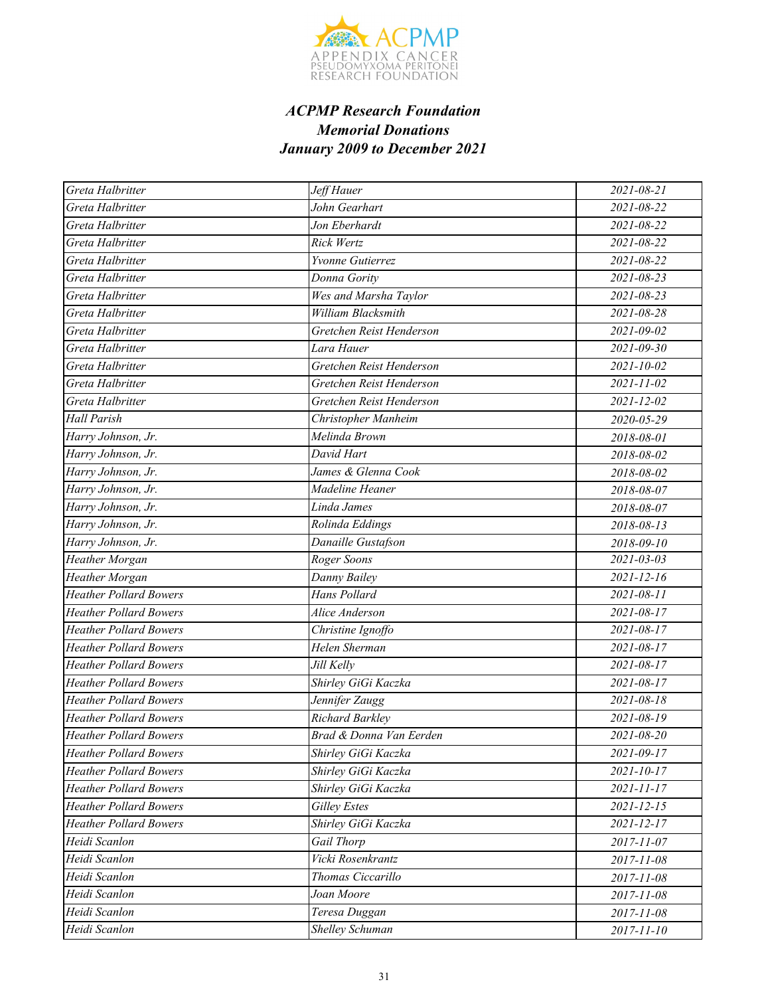

| Greta Halbritter              | Jeff Hauer               | 2021-08-21       |
|-------------------------------|--------------------------|------------------|
| Greta Halbritter              | John Gearhart            | 2021-08-22       |
| Greta Halbritter              | Jon Eberhardt            | 2021-08-22       |
| Greta Halbritter              | Rick Wertz               | 2021-08-22       |
| Greta Halbritter              | Yvonne Gutierrez         | 2021-08-22       |
| Greta Halbritter              | Donna Gority             | $2021 - 08 - 23$ |
| Greta Halbritter              | Wes and Marsha Taylor    | $2021 - 08 - 23$ |
| Greta Halbritter              | William Blacksmith       | 2021-08-28       |
| Greta Halbritter              | Gretchen Reist Henderson | 2021-09-02       |
| Greta Halbritter              | Lara Hauer               | $2021 - 09 - 30$ |
| Greta Halbritter              | Gretchen Reist Henderson | 2021-10-02       |
| Greta Halbritter              | Gretchen Reist Henderson | $2021 - 11 - 02$ |
| Greta Halbritter              | Gretchen Reist Henderson | $2021 - 12 - 02$ |
| <b>Hall Parish</b>            | Christopher Manheim      | 2020-05-29       |
| Harry Johnson, Jr.            | Melinda Brown            | 2018-08-01       |
| Harry Johnson, Jr.            | David Hart               | 2018-08-02       |
| Harry Johnson, Jr.            | James & Glenna Cook      | 2018-08-02       |
| Harry Johnson, Jr.            | Madeline Heaner          | 2018-08-07       |
| Harry Johnson, Jr.            | Linda James              | 2018-08-07       |
| Harry Johnson, Jr.            | Rolinda Eddings          | 2018-08-13       |
| Harry Johnson, Jr.            | Danaille Gustafson       | 2018-09-10       |
| Heather Morgan                | Roger Soons              | $2021 - 03 - 03$ |
| Heather Morgan                | Danny Bailey             | $2021 - 12 - 16$ |
| <b>Heather Pollard Bowers</b> | Hans Pollard             | 2021-08-11       |
| <b>Heather Pollard Bowers</b> | Alice Anderson           | 2021-08-17       |
| <b>Heather Pollard Bowers</b> | Christine Ignoffo        | 2021-08-17       |
| <b>Heather Pollard Bowers</b> | Helen Sherman            | 2021-08-17       |
| <b>Heather Pollard Bowers</b> | Jill Kelly               | $2021 - 08 - 17$ |
| <b>Heather Pollard Bowers</b> | Shirley GiGi Kaczka      | 2021-08-17       |
| <b>Heather Pollard Bowers</b> | Jennifer Zaugg           | 2021-08-18       |
| <b>Heather Pollard Bowers</b> | Richard Barkley          | 2021-08-19       |
| <b>Heather Pollard Bowers</b> | Brad & Donna Van Eerden  | 2021-08-20       |
| <b>Heather Pollard Bowers</b> | Shirley GiGi Kaczka      | 2021-09-17       |
| <b>Heather Pollard Bowers</b> | Shirley GiGi Kaczka      | 2021-10-17       |
| <b>Heather Pollard Bowers</b> | Shirley GiGi Kaczka      | 2021-11-17       |
| <b>Heather Pollard Bowers</b> | <b>Gilley Estes</b>      | $2021 - 12 - 15$ |
| <b>Heather Pollard Bowers</b> | Shirley GiGi Kaczka      | 2021-12-17       |
| Heidi Scanlon                 | Gail Thorp               | 2017-11-07       |
| Heidi Scanlon                 | Vicki Rosenkrantz        | 2017-11-08       |
| Heidi Scanlon                 | Thomas Ciccarillo        | 2017-11-08       |
| Heidi Scanlon                 | Joan Moore               | 2017-11-08       |
| Heidi Scanlon                 | Teresa Duggan            | 2017-11-08       |
| Heidi Scanlon                 | Shelley Schuman          | 2017-11-10       |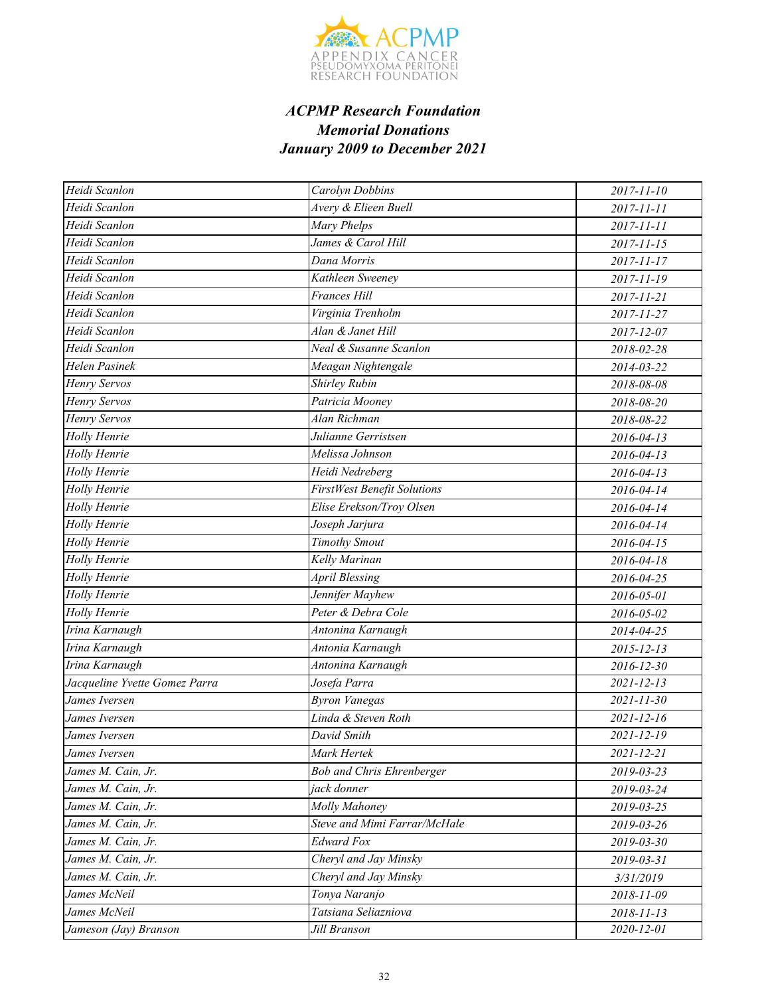

| Heidi Scanlon                 | Carolyn Dobbins                    | 2017-11-10       |
|-------------------------------|------------------------------------|------------------|
| Heidi Scanlon                 | Avery & Elieen Buell               | 2017-11-11       |
| Heidi Scanlon                 | Mary Phelps                        | 2017-11-11       |
| Heidi Scanlon                 | James & Carol Hill                 | 2017-11-15       |
| Heidi Scanlon                 | Dana Morris                        | 2017-11-17       |
| Heidi Scanlon                 | Kathleen Sweeney                   | 2017-11-19       |
| Heidi Scanlon                 | <b>Frances Hill</b>                | 2017-11-21       |
| Heidi Scanlon                 | Virginia Trenholm                  | 2017-11-27       |
| Heidi Scanlon                 | Alan & Janet Hill                  | 2017-12-07       |
| Heidi Scanlon                 | Neal & Susanne Scanlon             | 2018-02-28       |
| Helen Pasinek                 | Meagan Nightengale                 | 2014-03-22       |
| Henry Servos                  | Shirley Rubin                      | 2018-08-08       |
| Henry Servos                  | Patricia Mooney                    | 2018-08-20       |
| Henry Servos                  | Alan Richman                       | 2018-08-22       |
| Holly Henrie                  | Julianne Gerristsen                | $2016 - 04 - 13$ |
| Holly Henrie                  | Melissa Johnson                    | 2016-04-13       |
| Holly Henrie                  | Heidi Nedreberg                    | 2016-04-13       |
| Holly Henrie                  | <b>FirstWest Benefit Solutions</b> | 2016-04-14       |
| Holly Henrie                  | Elise Erekson/Troy Olsen           | 2016-04-14       |
| Holly Henrie                  | $\overline{Joseph}$ Jarjura        | 2016-04-14       |
| Holly Henrie                  | <b>Timothy Smout</b>               | 2016-04-15       |
| Holly Henrie                  | Kelly Marinan                      | 2016-04-18       |
| Holly Henrie                  | <b>April Blessing</b>              | 2016-04-25       |
| Holly Henrie                  | Jennifer Mayhew                    | 2016-05-01       |
| Holly Henrie                  | Peter & Debra Cole                 | 2016-05-02       |
| Irina Karnaugh                | Antonina Karnaugh                  | 2014-04-25       |
| Irina Karnaugh                | Antonia Karnaugh                   | $2015 - 12 - 13$ |
| Irina Karnaugh                | Antonina Karnaugh                  | 2016-12-30       |
| Jacqueline Yvette Gomez Parra | Josefa Parra                       | $2021 - 12 - 13$ |
| James Iversen                 | <b>Byron Vanegas</b>               | $2021 - 11 - 30$ |
| James Iversen                 | Linda & Steven Roth                | $2021 - 12 - 16$ |
| James Iversen                 | David Smith                        | 2021-12-19       |
| James Iversen                 | Mark Hertek                        | 2021-12-21       |
| James M. Cain, Jr.            | <b>Bob and Chris Ehrenberger</b>   | 2019-03-23       |
| James M. Cain, Jr.            | jack donner                        | 2019-03-24       |
| James M. Cain, Jr.            | Molly Mahoney                      | 2019-03-25       |
| James M. Cain, Jr.            | Steve and Mimi Farrar/McHale       | 2019-03-26       |
| James M. Cain, Jr.            | <b>Edward Fox</b>                  | 2019-03-30       |
| James M. Cain, Jr.            | Cheryl and Jay Minsky              | 2019-03-31       |
| James M. Cain, Jr.            | Cheryl and Jay Minsky              | 3/31/2019        |
| James McNeil                  | Tonya Naranjo                      | 2018-11-09       |
| James McNeil                  | Tatsiana Seliazniova               | $2018 - 11 - 13$ |
| Jameson (Jay) Branson         | Jill Branson                       | 2020-12-01       |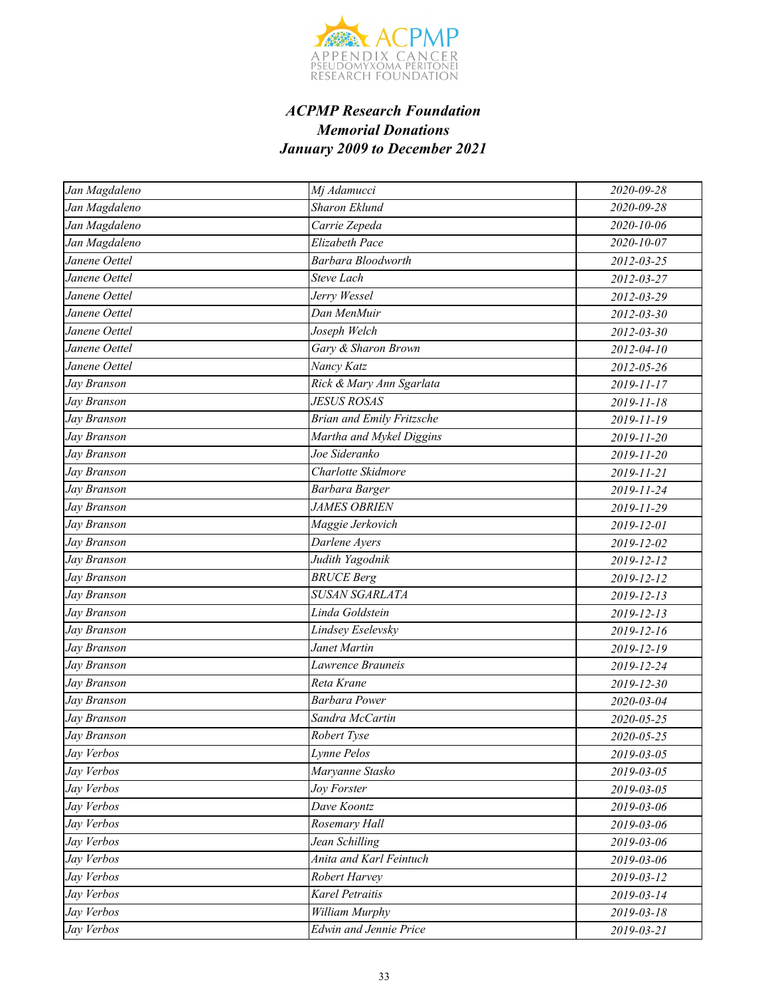

| Jan Magdaleno             | Mj Adamucci                      | 2020-09-28       |
|---------------------------|----------------------------------|------------------|
| Jan Magdaleno             | <b>Sharon Eklund</b>             | 2020-09-28       |
| Jan Magdaleno             | Carrie Zepeda                    | 2020-10-06       |
| Jan Magdaleno             | Elizabeth Pace                   | $2020 - 10 - 07$ |
| Janene Oettel             | Barbara Bloodworth               | 2012-03-25       |
| Janene Oettel             | <b>Steve Lach</b>                | 2012-03-27       |
| Janene Oettel             | Jerry Wessel                     | 2012-03-29       |
| Janene Oettel             | Dan MenMuir                      | 2012-03-30       |
| Janene Oettel             | Joseph Welch                     | 2012-03-30       |
| Janene Oettel             | Gary & Sharon Brown              | 2012-04-10       |
| Janene Oettel             | Nancy Katz                       | 2012-05-26       |
| Jay Branson               | Rick & Mary Ann Sgarlata         | 2019-11-17       |
| Jay Branson               | <b>JESUS ROSAS</b>               | 2019-11-18       |
| Jay Branson               | <b>Brian and Emily Fritzsche</b> | 2019-11-19       |
| Jay Branson               | Martha and Mykel Diggins         | 2019-11-20       |
| Jay Branson               | Joe Sideranko                    | 2019-11-20       |
| Jay Branson               | Charlotte Skidmore               | 2019-11-21       |
| Jay Branson               | Barbara Barger                   | 2019-11-24       |
| Jay Branson               | <b>JAMES OBRIEN</b>              | 2019-11-29       |
| Jay Branson               | Maggie Jerkovich                 | 2019-12-01       |
| Jay Branson               | Darlene Ayers                    | 2019-12-02       |
| Jay Branson               | Judith Yagodnik                  | 2019-12-12       |
| $\overline{J}$ ay Branson | <b>BRUCE Berg</b>                | 2019-12-12       |
| Jay Branson               | <b>SUSAN SGARLATA</b>            | $2019 - 12 - 13$ |
| Jay Branson               | Linda Goldstein                  | 2019-12-13       |
| Jay Branson               | Lindsey Eselevsky                | 2019-12-16       |
| Jay Branson               | Janet Martin                     | 2019-12-19       |
| Jay Branson               | <b>Lawrence Brauneis</b>         | 2019-12-24       |
| Jay Branson               | Reta Krane                       | 2019-12-30       |
| Jay Branson               | <b>Barbara Power</b>             | 2020-03-04       |
| Jay Branson               | Sandra McCartin                  | 2020-05-25       |
| Jay Branson               | Robert Tyse                      | 2020-05-25       |
| Jay Verbos                | Lynne Pelos                      | 2019-03-05       |
| Jay Verbos                | Maryanne Stasko                  | 2019-03-05       |
| Jay Verbos                | Joy Forster                      | 2019-03-05       |
| Jay Verbos                | Dave Koontz                      | 2019-03-06       |
| Jay Verbos                | Rosemary Hall                    | 2019-03-06       |
| Jay Verbos                | Jean Schilling                   | 2019-03-06       |
| Jay Verbos                | Anita and Karl Feintuch          | 2019-03-06       |
| Jay Verbos                | Robert Harvey                    | 2019-03-12       |
| Jay Verbos                | <b>Karel Petraitis</b>           | 2019-03-14       |
| Jay Verbos                | William Murphy                   | 2019-03-18       |
| Jay Verbos                | <b>Edwin and Jennie Price</b>    | 2019-03-21       |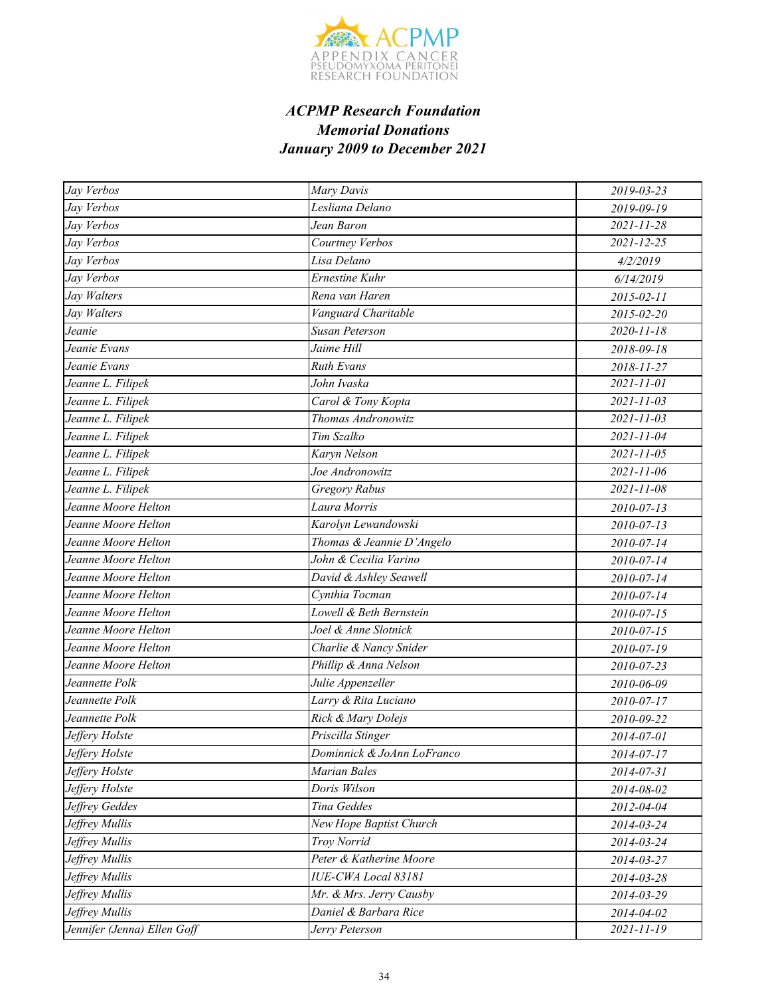

| Jay Verbos                  | Mary Davis                 | 2019-03-23       |
|-----------------------------|----------------------------|------------------|
| Jay Verbos                  | Lesliana Delano            | 2019-09-19       |
| Jay Verbos                  | Jean Baron                 | $2021 - 11 - 28$ |
| Jay Verbos                  | Courtney Verbos            | $2021 - 12 - 25$ |
| Jay Verbos                  | Lisa Delano                | 4/2/2019         |
| Jay Verbos                  | Ernestine Kuhr             | 6/14/2019        |
| Jay Walters                 | Rena van Haren             | 2015-02-11       |
| Jay Walters                 | Vanguard Charitable        | 2015-02-20       |
| Jeanie                      | <b>Susan Peterson</b>      | 2020-11-18       |
| Jeanie Evans                | Jaime Hill                 | 2018-09-18       |
| Jeanie Evans                | <b>Ruth Evans</b>          | 2018-11-27       |
| Jeanne L. Filipek           | John Ivaska                | 2021-11-01       |
| Jeanne L. Filipek           | Carol & Tony Kopta         | 2021-11-03       |
| Jeanne L. Filipek           | Thomas Andronowitz         | $2021 - 11 - 03$ |
| Jeanne L. Filipek           | Tim Szalko                 | $2021 - 11 - 04$ |
| Jeanne L. Filipek           | Karyn Nelson               | $2021 - 11 - 05$ |
| Jeanne L. Filipek           | Joe Andronowitz            | 2021-11-06       |
| Jeanne L. Filipek           | <b>Gregory Rabus</b>       | $2021 - 11 - 08$ |
| Jeanne Moore Helton         | Laura Morris               | 2010-07-13       |
| Jeanne Moore Helton         | Karolyn Lewandowski        | 2010-07-13       |
| Jeanne Moore Helton         | Thomas & Jeannie D'Angelo  | 2010-07-14       |
| Jeanne Moore Helton         | John & Cecilia Varino      | 2010-07-14       |
| Jeanne Moore Helton         | David & Ashley Seawell     | 2010-07-14       |
| Jeanne Moore Helton         | Cynthia Tocman             | 2010-07-14       |
| Jeanne Moore Helton         | Lowell & Beth Bernstein    | 2010-07-15       |
| Jeanne Moore Helton         | Joel & Anne Slotnick       | 2010-07-15       |
| Jeanne Moore Helton         | Charlie & Nancy Snider     | 2010-07-19       |
| Jeanne Moore Helton         | Phillip & Anna Nelson      | 2010-07-23       |
| Jeannette Polk              | Julie Appenzeller          | 2010-06-09       |
| Jeannette Polk              | Larry & Rita Luciano       | 2010-07-17       |
| Jeannette Polk              | Rick & Mary Dolejs         | 2010-09-22       |
| Jeffery Holste              | Priscilla Stinger          | 2014-07-01       |
| Jeffery Holste              | Dominnick & JoAnn LoFranco | 2014-07-17       |
| Jeffery Holste              | Marian Bales               | 2014-07-31       |
| Jeffery Holste              | Doris Wilson               | 2014-08-02       |
| Jeffrey Geddes              | Tina Geddes                | 2012-04-04       |
| Jeffrey Mullis              | New Hope Baptist Church    | 2014-03-24       |
| Jeffrey Mullis              | Troy Norrid                | 2014-03-24       |
| Jeffrey Mullis              | Peter & Katherine Moore    | 2014-03-27       |
| Jeffrey Mullis              | IUE-CWA Local 83181        | 2014-03-28       |
| Jeffrey Mullis              | Mr. & Mrs. Jerry Causby    | 2014-03-29       |
| Jeffrey Mullis              | Daniel & Barbara Rice      | 2014-04-02       |
| Jennifer (Jenna) Ellen Goff | Jerry Peterson             | 2021-11-19       |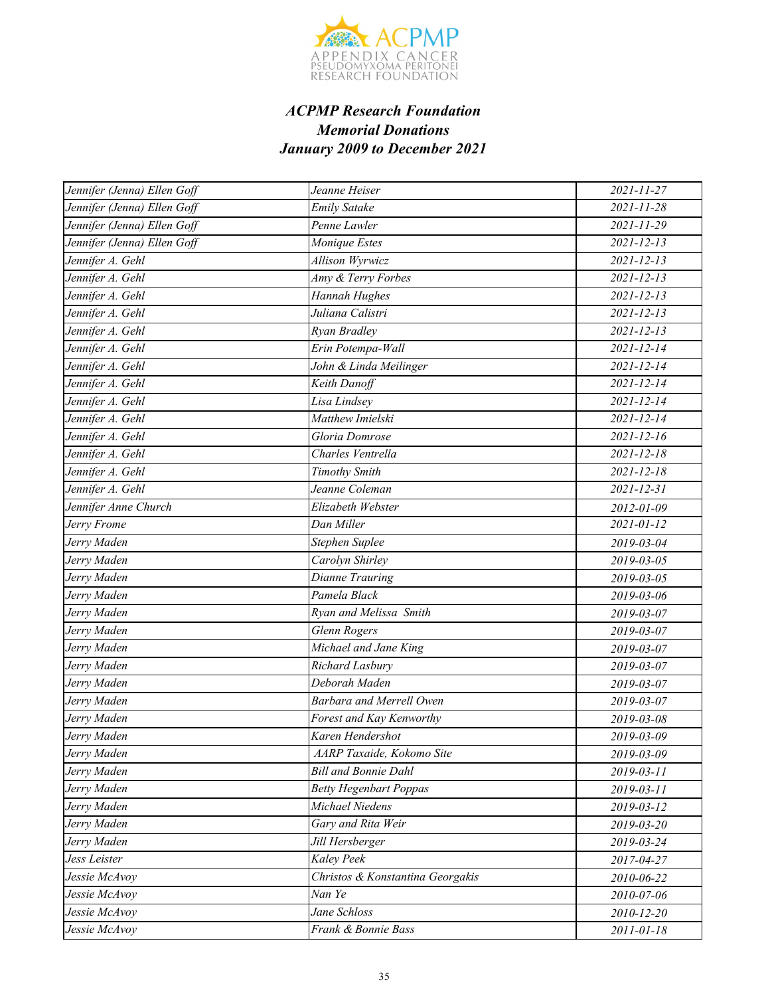

| Jennifer (Jenna) Ellen Goff | Jeanne Heiser                    | 2021-11-27       |
|-----------------------------|----------------------------------|------------------|
| Jennifer (Jenna) Ellen Goff | Emily Satake                     | 2021-11-28       |
| Jennifer (Jenna) Ellen Goff | Penne Lawler                     | $2021 - 11 - 29$ |
| Jennifer (Jenna) Ellen Goff | Monique Estes                    | $2021 - 12 - 13$ |
| Jennifer A. Gehl            | Allison Wyrwicz                  | $2021 - 12 - 13$ |
| Jennifer A. Gehl            | Amy & Terry Forbes               | $2021 - 12 - 13$ |
| Jennifer A. Gehl            | Hannah Hughes                    | $2021 - 12 - 13$ |
| Jennifer A. Gehl            | Juliana Calistri                 | $2021 - 12 - 13$ |
| Jennifer A. Gehl            | Ryan Bradley                     | $2021 - 12 - 13$ |
| Jennifer A. Gehl            | Erin Potempa-Wall                | 2021-12-14       |
| Jennifer A. Gehl            | John & Linda Meilinger           | $2021 - 12 - 14$ |
| Jennifer A. Gehl            | Keith Danoff                     | $2021 - 12 - 14$ |
| Jennifer A. Gehl            | Lisa Lindsey                     | 2021-12-14       |
| Jennifer A. Gehl            | Matthew Imielski                 | 2021-12-14       |
| Jennifer A. Gehl            | Gloria Domrose                   | $2021 - 12 - 16$ |
| Jennifer A. Gehl            | Charles Ventrella                | $2021 - 12 - 18$ |
| Jennifer A. Gehl            | <b>Timothy Smith</b>             | $2021 - 12 - 18$ |
| Jennifer A. Gehl            | Jeanne Coleman                   | $2021 - 12 - 31$ |
| Jennifer Anne Church        | Elizabeth Webster                | 2012-01-09       |
| Jerry Frome                 | Dan Miller                       | $2021 - 01 - 12$ |
| Jerry Maden                 | Stephen Suplee                   | 2019-03-04       |
| Jerry Maden                 | Carolyn Shirley                  | 2019-03-05       |
| Jerry Maden                 | Dianne Trauring                  | 2019-03-05       |
| Jerry Maden                 | Pamela Black                     | 2019-03-06       |
| Jerry Maden                 | Ryan and Melissa Smith           | 2019-03-07       |
| Jerry Maden                 | <b>Glenn Rogers</b>              | 2019-03-07       |
| Jerry Maden                 | Michael and Jane King            | 2019-03-07       |
| Jerry Maden                 | Richard Lasbury                  | 2019-03-07       |
| Jerry Maden                 | Deborah Maden                    | 2019-03-07       |
| Jerry Maden                 | Barbara and Merrell Owen         | 2019-03-07       |
| Jerry Maden                 | Forest and Kay Kenworthy         | 2019-03-08       |
| Jerry Maden                 | Karen Hendershot                 | 2019-03-09       |
| Jerry Maden                 | AARP Taxaide, Kokomo Site        | 2019-03-09       |
| Jerry Maden                 | <b>Bill and Bonnie Dahl</b>      | 2019-03-11       |
| Jerry Maden                 | <b>Betty Hegenbart Poppas</b>    | $2019 - 03 - 11$ |
| Jerry Maden                 | Michael Niedens                  | 2019-03-12       |
| Jerry Maden                 | Gary and Rita Weir               | 2019-03-20       |
| Jerry Maden                 | Jill Hersberger                  | 2019-03-24       |
| Jess Leister                | Kaley Peek                       | 2017-04-27       |
| Jessie McAvoy               | Christos & Konstantina Georgakis | 2010-06-22       |
| Jessie McAvoy               | Nan Ye                           | 2010-07-06       |
| Jessie McAvoy               | Jane Schloss                     | 2010-12-20       |
| Jessie McAvoy               | Frank & Bonnie Bass              | 2011-01-18       |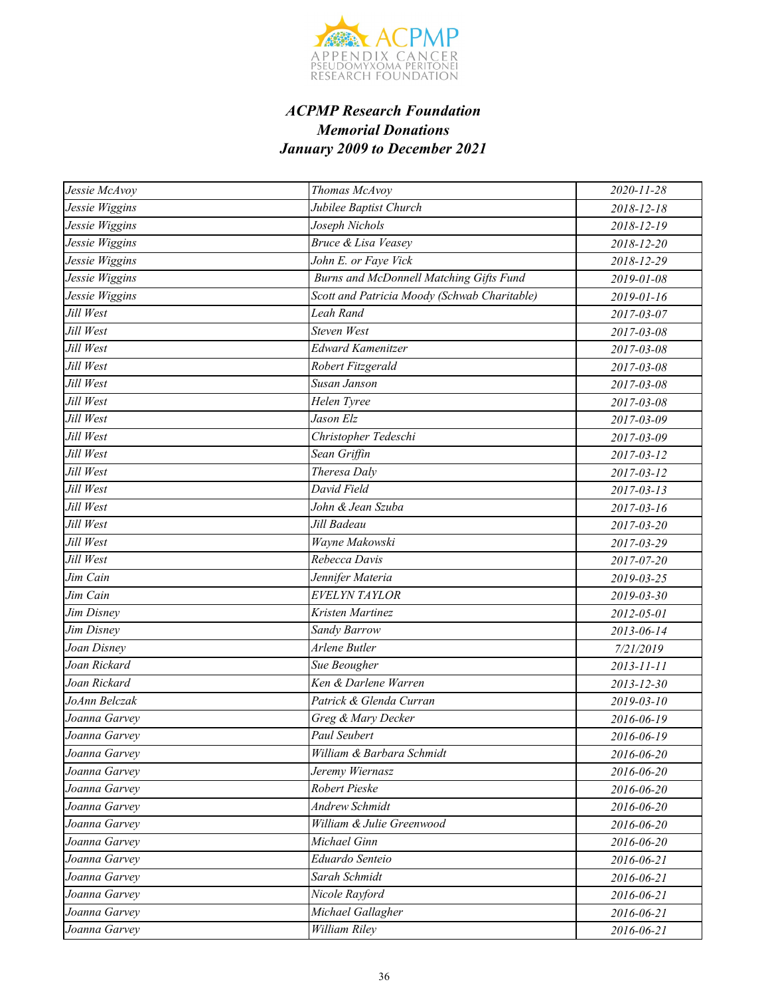

| Jessie McAvoy  | Thomas McAvoy                                | 2020-11-28       |
|----------------|----------------------------------------------|------------------|
| Jessie Wiggins | Jubilee Baptist Church                       | 2018-12-18       |
| Jessie Wiggins | Joseph Nichols                               | 2018-12-19       |
| Jessie Wiggins | <b>Bruce &amp; Lisa Veasey</b>               | 2018-12-20       |
| Jessie Wiggins | John E. or Faye Vick                         | 2018-12-29       |
| Jessie Wiggins | Burns and McDonnell Matching Gifts Fund      | 2019-01-08       |
| Jessie Wiggins | Scott and Patricia Moody (Schwab Charitable) | 2019-01-16       |
| Jill West      | Leah Rand                                    | 2017-03-07       |
| Jill West      | Steven West                                  | 2017-03-08       |
| Jill West      | <b>Edward Kamenitzer</b>                     | 2017-03-08       |
| Jill West      | Robert Fitzgerald                            | 2017-03-08       |
| Jill West      | Susan Janson                                 | 2017-03-08       |
| Jill West      | Helen Tyree                                  | 2017-03-08       |
| Jill West      | Jason Elz                                    | 2017-03-09       |
| Jill West      | Christopher Tedeschi                         | 2017-03-09       |
| Jill West      | Sean Griffin                                 | 2017-03-12       |
| Jill West      | Theresa Daly                                 | 2017-03-12       |
| Jill West      | David Field                                  | $2017 - 03 - 13$ |
| Jill West      | John & Jean Szuba                            | 2017-03-16       |
| Jill West      | Jill Badeau                                  | $2017 - 03 - 20$ |
| Jill West      | Wayne Makowski                               | 2017-03-29       |
| Jill West      | Rebecca Davis                                | 2017-07-20       |
| Jim Cain       | Jennifer Materia                             | 2019-03-25       |
| Jim Cain       | EVELYN TAYLOR                                | 2019-03-30       |
| Jim Disney     | Kristen Martinez                             | 2012-05-01       |
| Jim Disney     | Sandy Barrow                                 | 2013-06-14       |
| Joan Disney    | Arlene Butler                                | 7/21/2019        |
| Joan Rickard   | Sue Beougher                                 | 2013-11-11       |
| Joan Rickard   | Ken & Darlene Warren                         | $2013 - 12 - 30$ |
| JoAnn Belczak  | Patrick & Glenda Curran                      | $2019 - 03 - 10$ |
| Joanna Garvey  | Greg & Mary Decker                           | 2016-06-19       |
| Joanna Garvey  | <b>Paul Seubert</b>                          | 2016-06-19       |
| Joanna Garvey  | William & Barbara Schmidt                    | 2016-06-20       |
| Joanna Garvey  | Jeremy Wiernasz                              | 2016-06-20       |
| Joanna Garvey  | Robert Pieske                                | 2016-06-20       |
| Joanna Garvey  | <b>Andrew Schmidt</b>                        | 2016-06-20       |
| Joanna Garvey  | William & Julie Greenwood                    | 2016-06-20       |
| Joanna Garvey  | Michael Ginn                                 | 2016-06-20       |
| Joanna Garvey  | Eduardo Senteio                              | 2016-06-21       |
| Joanna Garvey  | Sarah Schmidt                                | 2016-06-21       |
| Joanna Garvey  | Nicole Rayford                               | 2016-06-21       |
| Joanna Garvey  | Michael Gallagher                            | 2016-06-21       |
| Joanna Garvey  | William Riley                                | 2016-06-21       |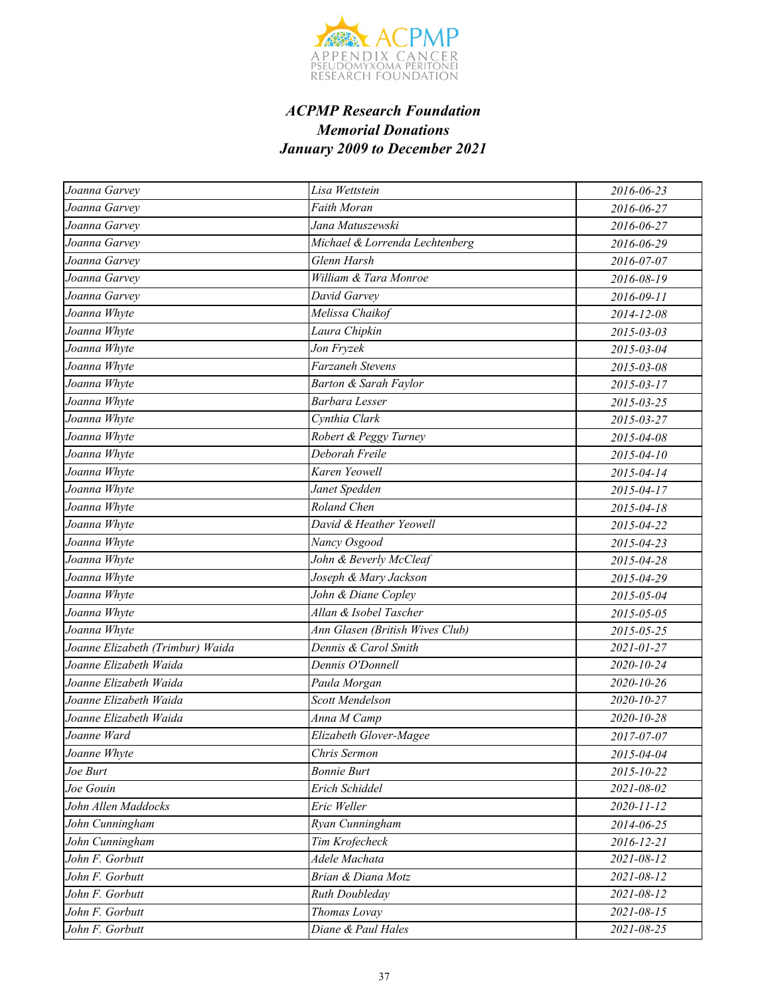

| Joanna Garvey                    | Lisa Wettstein                   | 2016-06-23       |
|----------------------------------|----------------------------------|------------------|
| Joanna Garvey                    | <b>Faith Moran</b>               | 2016-06-27       |
| Joanna Garvey                    | Jana Matuszewski                 | 2016-06-27       |
| Joanna Garvey                    | Michael & Lorrenda Lechtenberg   | 2016-06-29       |
| Joanna Garvey                    | Glenn Harsh                      | 2016-07-07       |
| Joanna Garvey                    | William & Tara Monroe            | 2016-08-19       |
| Joanna Garvey                    | David Garvey                     | 2016-09-11       |
| Joanna Whyte                     | Melissa Chaikof                  | 2014-12-08       |
| Joanna Whyte                     | Laura Chipkin                    | 2015-03-03       |
| Joanna Whyte                     | Jon Fryzek                       | 2015-03-04       |
| Joanna Whyte                     | Farzaneh Stevens                 | 2015-03-08       |
| Joanna Whyte                     | <b>Barton &amp; Sarah Faylor</b> | 2015-03-17       |
| Joanna Whyte                     | Barbara Lesser                   | 2015-03-25       |
| Joanna Whyte                     | Cynthia Clark                    | 2015-03-27       |
| Joanna Whyte                     | Robert & Peggy Turney            | 2015-04-08       |
| Joanna Whyte                     | Deborah Freile                   | 2015-04-10       |
| Joanna Whyte                     | Karen Yeowell                    | 2015-04-14       |
| Joanna Whyte                     | Janet Spedden                    | $2015 - 04 - 17$ |
| Joanna Whyte                     | <b>Roland Chen</b>               | 2015-04-18       |
| Joanna Whyte                     | David & Heather Yeowell          | 2015-04-22       |
| Joanna Whyte                     | Nancy Osgood                     | 2015-04-23       |
| Joanna Whyte                     | John & Beverly McCleaf           | 2015-04-28       |
| Joanna Whyte                     | Joseph & Mary Jackson            | 2015-04-29       |
| Joanna Whyte                     | John & Diane Copley              | 2015-05-04       |
| Joanna Whyte                     | Allan & Isobel Tascher           | 2015-05-05       |
| Joanna Whyte                     | Ann Glasen (British Wives Club)  | 2015-05-25       |
| Joanne Elizabeth (Trimbur) Waida | Dennis & Carol Smith             | $2021 - 01 - 27$ |
| Joanne Elizabeth Waida           | Dennis O'Donnell                 | 2020-10-24       |
| Joanne Elizabeth Waida           | Paula Morgan                     | 2020-10-26       |
| Joanne Elizabeth Waida           | <b>Scott Mendelson</b>           | 2020-10-27       |
| Joanne Elizabeth Waida           | Anna M Camp                      | 2020-10-28       |
| Joanne Ward                      | Elizabeth Glover-Magee           | 2017-07-07       |
| Joanne Whyte                     | Chris Sermon                     | 2015-04-04       |
| Joe Burt                         | <b>Bonnie Burt</b>               | 2015-10-22       |
| Joe Gouin                        | Erich Schiddel                   | 2021-08-02       |
| John Allen Maddocks              | Eric Weller                      | 2020-11-12       |
| John Cunningham                  | Ryan Cunningham                  | 2014-06-25       |
| John Cunningham                  | Tim Krofecheck                   | 2016-12-21       |
| John F. Gorbutt                  | Adele Machata                    | 2021-08-12       |
| John F. Gorbutt                  | Brian & Diana Motz               | 2021-08-12       |
| John F. Gorbutt                  | Ruth Doubleday                   | 2021-08-12       |
| John F. Gorbutt                  | Thomas Lovay                     | $2021 - 08 - 15$ |
| John F. Gorbutt                  | Diane & Paul Hales               | 2021-08-25       |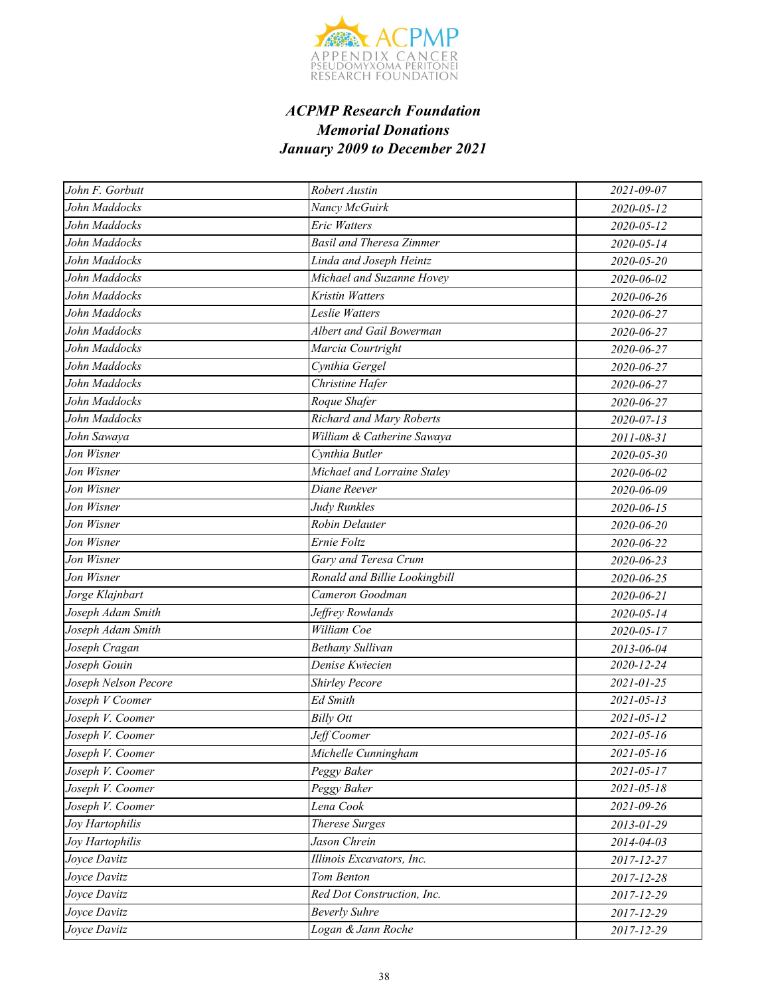

| John F. Gorbutt      | <b>Robert Austin</b>            | 2021-09-07       |
|----------------------|---------------------------------|------------------|
| John Maddocks        | Nancy McGuirk                   | 2020-05-12       |
| John Maddocks        | Eric Watters                    | $2020 - 05 - 12$ |
| John Maddocks        | <b>Basil and Theresa Zimmer</b> | 2020-05-14       |
| John Maddocks        | Linda and Joseph Heintz         | 2020-05-20       |
| John Maddocks        | Michael and Suzanne Hovey       | 2020-06-02       |
| John Maddocks        | Kristin Watters                 | 2020-06-26       |
| John Maddocks        | Leslie Watters                  | 2020-06-27       |
| John Maddocks        | Albert and Gail Bowerman        | 2020-06-27       |
| John Maddocks        | Marcia Courtright               | 2020-06-27       |
| John Maddocks        | Cynthia Gergel                  | 2020-06-27       |
| John Maddocks        | Christine Hafer                 | 2020-06-27       |
| John Maddocks        | Roque Shafer                    | 2020-06-27       |
| John Maddocks        | Richard and Mary Roberts        | $2020 - 07 - 13$ |
| John Sawaya          | William & Catherine Sawaya      | 2011-08-31       |
| Jon Wisner           | Cynthia Butler                  | 2020-05-30       |
| Jon Wisner           | Michael and Lorraine Staley     | 2020-06-02       |
| Jon Wisner           | Diane Reever                    | 2020-06-09       |
| Jon Wisner           | Judy Runkles                    | 2020-06-15       |
| Jon Wisner           | Robin Delauter                  | 2020-06-20       |
| Jon Wisner           | Ernie Foltz                     | 2020-06-22       |
| Jon Wisner           | Gary and Teresa Crum            | 2020-06-23       |
| Jon Wisner           | Ronald and Billie Lookingbill   | 2020-06-25       |
| Jorge Klajnbart      | Cameron Goodman                 | 2020-06-21       |
| Joseph Adam Smith    | Jeffrey Rowlands                | 2020-05-14       |
| Joseph Adam Smith    | William Coe                     | 2020-05-17       |
| Joseph Cragan        | <b>Bethany Sullivan</b>         | 2013-06-04       |
| Joseph Gouin         | Denise Kwiecien                 | 2020-12-24       |
| Joseph Nelson Pecore | <b>Shirley Pecore</b>           | 2021-01-25       |
| Joseph V Coomer      | <b>Ed Smith</b>                 | $2021 - 05 - 13$ |
| Joseph V. Coomer     | <b>Billy Ott</b>                | 2021-05-12       |
| Joseph V. Coomer     | Jeff Coomer                     | $2021 - 05 - 16$ |
| Joseph V. Coomer     | Michelle Cunningham             | $2021 - 05 - 16$ |
| Joseph V. Coomer     | Peggy Baker                     | $2021 - 05 - 17$ |
| Joseph V. Coomer     | Peggy Baker                     | $2021 - 05 - 18$ |
| Joseph V. Coomer     | Lena Cook                       | 2021-09-26       |
| Joy Hartophilis      | Therese Surges                  | 2013-01-29       |
| Joy Hartophilis      | Jason Chrein                    | 2014-04-03       |
| Joyce Davitz         | Illinois Excavators, Inc.       | 2017-12-27       |
| Joyce Davitz         | Tom Benton                      | 2017-12-28       |
| Joyce Davitz         | Red Dot Construction, Inc.      | 2017-12-29       |
| Joyce Davitz         | <b>Beverly Suhre</b>            | 2017-12-29       |
| Joyce Davitz         | Logan & Jann Roche              | 2017-12-29       |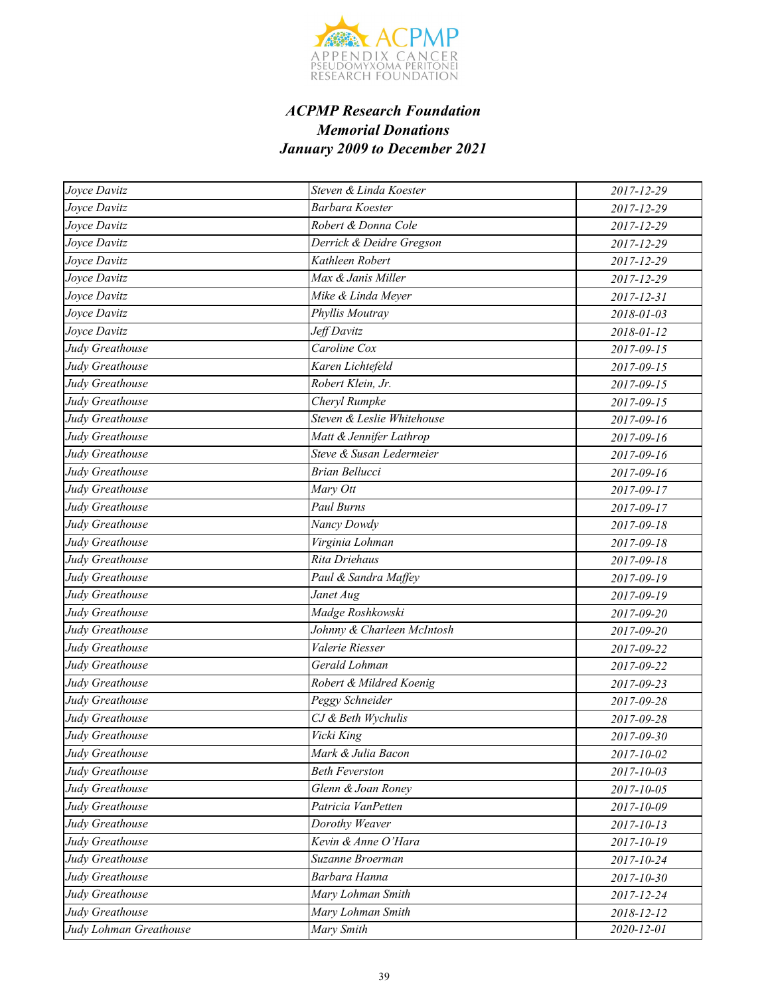

| Joyce Davitz           | Steven & Linda Koester     | 2017-12-29       |
|------------------------|----------------------------|------------------|
| Joyce Davitz           | Barbara Koester            | 2017-12-29       |
| Joyce Davitz           | Robert & Donna Cole        | 2017-12-29       |
| Joyce Davitz           | Derrick & Deidre Gregson   | 2017-12-29       |
| Joyce Davitz           | Kathleen Robert            | 2017-12-29       |
| Joyce Davitz           | Max & Janis Miller         | 2017-12-29       |
| Joyce Davitz           | Mike & Linda Meyer         | 2017-12-31       |
| Joyce Davitz           | Phyllis Moutray            | 2018-01-03       |
| Joyce Davitz           | Jeff Davitz                | 2018-01-12       |
| Judy Greathouse        | Caroline Cox               | 2017-09-15       |
| Judy Greathouse        | Karen Lichtefeld           | 2017-09-15       |
| Judy Greathouse        | Robert Klein, Jr.          | $2017 - 09 - 15$ |
| Judy Greathouse        | Cheryl Rumpke              | 2017-09-15       |
| Judy Greathouse        | Steven & Leslie Whitehouse | 2017-09-16       |
| Judy Greathouse        | Matt & Jennifer Lathrop    | 2017-09-16       |
| Judy Greathouse        | Steve & Susan Ledermeier   | 2017-09-16       |
| Judy Greathouse        | <b>Brian Bellucci</b>      | 2017-09-16       |
| Judy Greathouse        | Mary Ott                   | 2017-09-17       |
| Judy Greathouse        | Paul Burns                 | 2017-09-17       |
| Judy Greathouse        | Nancy Dowdy                | 2017-09-18       |
| Judy Greathouse        | Virginia Lohman            | 2017-09-18       |
| Judy Greathouse        | Rita Driehaus              | 2017-09-18       |
| Judy Greathouse        | Paul & Sandra Maffey       | 2017-09-19       |
| Judy Greathouse        | Janet Aug                  | 2017-09-19       |
| Judy Greathouse        | Madge Roshkowski           | 2017-09-20       |
| Judy Greathouse        | Johnny & Charleen McIntosh | 2017-09-20       |
| Judy Greathouse        | Valerie Riesser            | 2017-09-22       |
| Judy Greathouse        | Gerald Lohman              | 2017-09-22       |
| Judy Greathouse        | Robert & Mildred Koenig    | 2017-09-23       |
| Judy Greathouse        | Peggy Schneider            | 2017-09-28       |
| Judy Greathouse        | CJ & Beth Wychulis         | 2017-09-28       |
| Judy Greathouse        | Vicki King                 | 2017-09-30       |
| Judy Greathouse        | Mark & Julia Bacon         | 2017-10-02       |
| Judy Greathouse        | <b>Beth Feverston</b>      | 2017-10-03       |
| Judy Greathouse        | Glenn & Joan Roney         | 2017-10-05       |
| Judy Greathouse        | Patricia VanPetten         | 2017-10-09       |
| Judy Greathouse        | Dorothy Weaver             | $2017 - 10 - 13$ |
| Judy Greathouse        | Kevin & Anne O'Hara        | 2017-10-19       |
| Judy Greathouse        | Suzanne Broerman           | 2017-10-24       |
| Judy Greathouse        | Barbara Hanna              | 2017-10-30       |
| Judy Greathouse        | Mary Lohman Smith          | 2017-12-24       |
| Judy Greathouse        | Mary Lohman Smith          | 2018-12-12       |
| Judy Lohman Greathouse | Mary Smith                 | 2020-12-01       |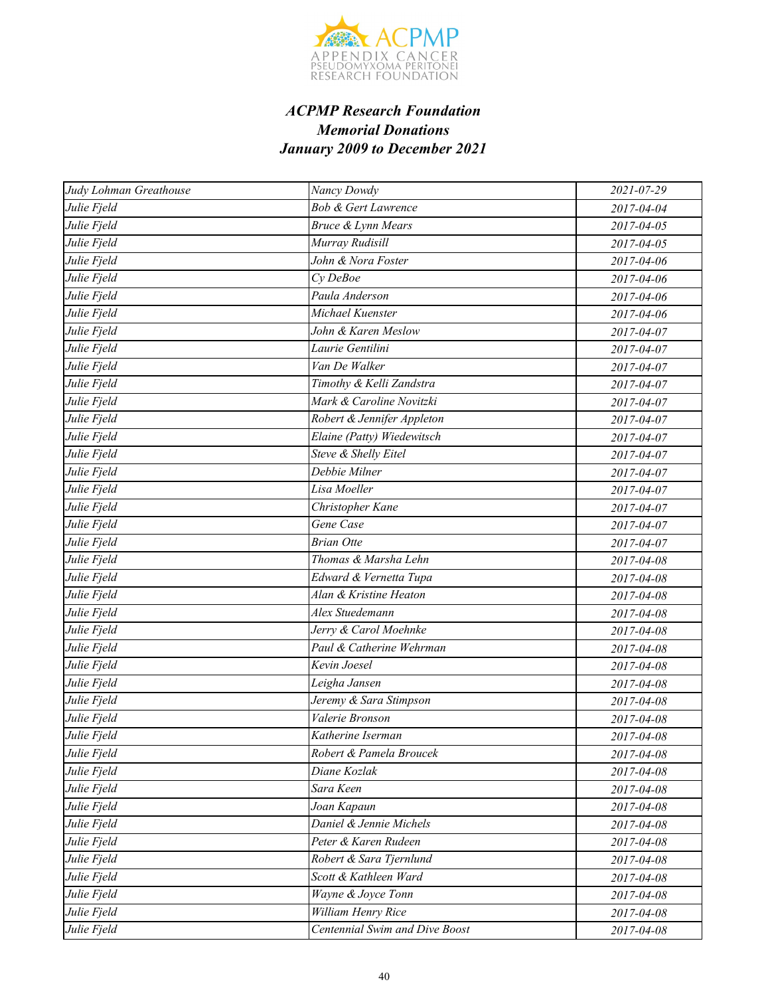

| Judy Lohman Greathouse | Nancy Dowdy                    | 2021-07-29 |
|------------------------|--------------------------------|------------|
| Julie Fjeld            | <b>Bob &amp; Gert Lawrence</b> | 2017-04-04 |
| Julie Fjeld            | <b>Bruce &amp; Lynn Mears</b>  | 2017-04-05 |
| Julie Fjeld            | Murray Rudisill                | 2017-04-05 |
| Julie Fjeld            | John & Nora Foster             | 2017-04-06 |
| Julie Fjeld            | Cy DeBoe                       | 2017-04-06 |
| Julie Fjeld            | Paula Anderson                 | 2017-04-06 |
| Julie Fjeld            | Michael Kuenster               | 2017-04-06 |
| Julie Fjeld            | John & Karen Meslow            | 2017-04-07 |
| Julie Fjeld            | Laurie Gentilini               | 2017-04-07 |
| Julie Fjeld            | Van De Walker                  | 2017-04-07 |
| Julie Fjeld            | Timothy & Kelli Zandstra       | 2017-04-07 |
| Julie Fjeld            | Mark & Caroline Novitzki       | 2017-04-07 |
| Julie Fjeld            | Robert & Jennifer Appleton     | 2017-04-07 |
| Julie Fjeld            | Elaine (Patty) Wiedewitsch     | 2017-04-07 |
| Julie Fjeld            | Steve & Shelly Eitel           | 2017-04-07 |
| Julie Fjeld            | Debbie Milner                  | 2017-04-07 |
| Julie Fjeld            | Lisa Moeller                   | 2017-04-07 |
| Julie Fjeld            | Christopher Kane               | 2017-04-07 |
| Julie Fjeld            | Gene Case                      | 2017-04-07 |
| Julie Fjeld            | <b>Brian Otte</b>              | 2017-04-07 |
| Julie Fjeld            | Thomas & Marsha Lehn           | 2017-04-08 |
| Julie Fjeld            | Edward & Vernetta Tupa         | 2017-04-08 |
| Julie Fjeld            | Alan & Kristine Heaton         | 2017-04-08 |
| Julie Fjeld            | Alex Stuedemann                | 2017-04-08 |
| Julie Fjeld            | Jerry & Carol Moehnke          | 2017-04-08 |
| Julie Fjeld            | Paul & Catherine Wehrman       | 2017-04-08 |
| Julie Fjeld            | Kevin Joesel                   | 2017-04-08 |
| Julie Fjeld            | Leigha Jansen                  | 2017-04-08 |
| Julie Fjeld            | Jeremy & Sara Stimpson         | 2017-04-08 |
| Julie Fjeld            | Valerie Bronson                | 2017-04-08 |
| Julie Fjeld            | Katherine Iserman              | 2017-04-08 |
| Julie Fjeld            | Robert & Pamela Broucek        | 2017-04-08 |
| Julie Fjeld            | Diane Kozlak                   | 2017-04-08 |
| Julie Fjeld            | Sara Keen                      | 2017-04-08 |
| Julie Fjeld            | Joan Kapaun                    | 2017-04-08 |
| Julie Fjeld            | Daniel & Jennie Michels        | 2017-04-08 |
| Julie Fjeld            | Peter & Karen Rudeen           | 2017-04-08 |
| Julie Fjeld            | Robert & Sara Tjernlund        | 2017-04-08 |
| Julie Fjeld            | Scott & Kathleen Ward          | 2017-04-08 |
| Julie Fjeld            | Wayne & Joyce Tonn             | 2017-04-08 |
| Julie Fjeld            | William Henry Rice             | 2017-04-08 |
| Julie Fjeld            | Centennial Swim and Dive Boost | 2017-04-08 |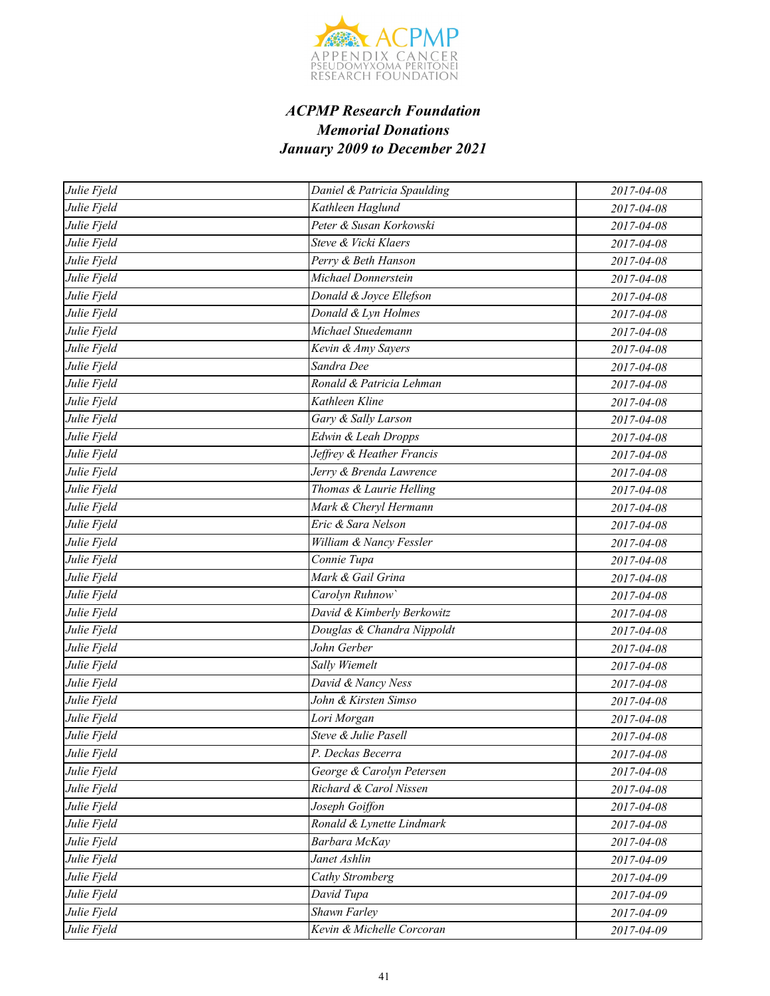

| Julie Fjeld | Daniel & Patricia Spaulding | 2017-04-08 |
|-------------|-----------------------------|------------|
| Julie Fjeld | Kathleen Haglund            | 2017-04-08 |
| Julie Fjeld | Peter & Susan Korkowski     | 2017-04-08 |
| Julie Fjeld | Steve & Vicki Klaers        | 2017-04-08 |
| Julie Fjeld | Perry & Beth Hanson         | 2017-04-08 |
| Julie Fjeld | Michael Donnerstein         | 2017-04-08 |
| Julie Fjeld | Donald & Joyce Ellefson     | 2017-04-08 |
| Julie Fjeld | Donald & Lyn Holmes         | 2017-04-08 |
| Julie Fjeld | Michael Stuedemann          | 2017-04-08 |
| Julie Fjeld | Kevin & Amy Sayers          | 2017-04-08 |
| Julie Fjeld | Sandra Dee                  | 2017-04-08 |
| Julie Fjeld | Ronald & Patricia Lehman    | 2017-04-08 |
| Julie Fjeld | Kathleen Kline              | 2017-04-08 |
| Julie Fjeld | Gary & Sally Larson         | 2017-04-08 |
| Julie Fjeld | Edwin & Leah Dropps         | 2017-04-08 |
| Julie Fjeld | Jeffrey & Heather Francis   | 2017-04-08 |
| Julie Fjeld | Jerry & Brenda Lawrence     | 2017-04-08 |
| Julie Fjeld | Thomas & Laurie Helling     | 2017-04-08 |
| Julie Fjeld | Mark & Cheryl Hermann       | 2017-04-08 |
| Julie Fjeld | Eric & Sara Nelson          | 2017-04-08 |
| Julie Fjeld | William & Nancy Fessler     | 2017-04-08 |
| Julie Fjeld | Connie Tupa                 | 2017-04-08 |
| Julie Fjeld | Mark & Gail Grina           | 2017-04-08 |
| Julie Fjeld | Carolyn Ruhnow              | 2017-04-08 |
| Julie Fjeld | David & Kimberly Berkowitz  | 2017-04-08 |
| Julie Fjeld | Douglas & Chandra Nippoldt  | 2017-04-08 |
| Julie Fjeld | John Gerber                 | 2017-04-08 |
| Julie Fjeld | Sally Wiemelt               | 2017-04-08 |
| Julie Fjeld | David & Nancy Ness          | 2017-04-08 |
| Julie Fjeld | John & Kirsten Simso        | 2017-04-08 |
| Julie Fjeld | Lori Morgan                 | 2017-04-08 |
| Julie Fjeld | Steve & Julie Pasell        | 2017-04-08 |
| Julie Fjeld | P. Deckas Becerra           | 2017-04-08 |
| Julie Fjeld | George & Carolyn Petersen   | 2017-04-08 |
| Julie Fjeld | Richard & Carol Nissen      | 2017-04-08 |
| Julie Fjeld | Joseph Goiffon              | 2017-04-08 |
| Julie Fjeld | Ronald & Lynette Lindmark   | 2017-04-08 |
| Julie Fjeld | Barbara McKay               | 2017-04-08 |
| Julie Fjeld | Janet Ashlin                | 2017-04-09 |
| Julie Fjeld | Cathy Stromberg             | 2017-04-09 |
| Julie Fjeld | David Tupa                  | 2017-04-09 |
| Julie Fjeld | Shawn Farley                | 2017-04-09 |
| Julie Fjeld | Kevin & Michelle Corcoran   | 2017-04-09 |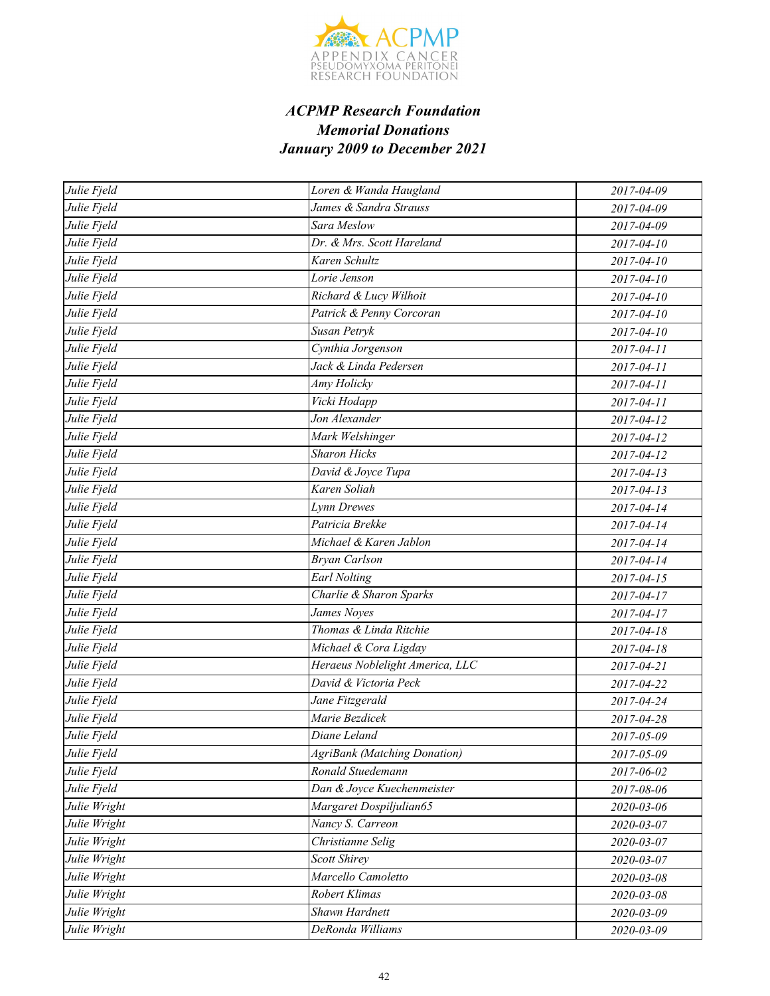

| Julie Fjeld  | Loren & Wanda Haugland              | 2017-04-09       |
|--------------|-------------------------------------|------------------|
| Julie Fjeld  | James & Sandra Strauss              | 2017-04-09       |
| Julie Fjeld  | Sara Meslow                         | 2017-04-09       |
| Julie Fjeld  | Dr. & Mrs. Scott Hareland           | 2017-04-10       |
| Julie Fjeld  | Karen Schultz                       | 2017-04-10       |
| Julie Fjeld  | Lorie Jenson                        | 2017-04-10       |
| Julie Fjeld  | Richard & Lucy Wilhoit              | 2017-04-10       |
| Julie Fjeld  | Patrick & Penny Corcoran            | 2017-04-10       |
| Julie Fjeld  | Susan Petryk                        | 2017-04-10       |
| Julie Fjeld  | Cynthia Jorgenson                   | 2017-04-11       |
| Julie Fjeld  | Jack & Linda Pedersen               | 2017-04-11       |
| Julie Fjeld  | Amy Holicky                         | 2017-04-11       |
| Julie Fjeld  | Vicki Hodapp                        | 2017-04-11       |
| Julie Fjeld  | Jon Alexander                       | 2017-04-12       |
| Julie Fjeld  | Mark Welshinger                     | 2017-04-12       |
| Julie Fjeld  | <b>Sharon Hicks</b>                 | 2017-04-12       |
| Julie Fjeld  | David & Joyce Tupa                  | $2017 - 04 - 13$ |
| Julie Fjeld  | Karen Soliah                        | $2017 - 04 - 13$ |
| Julie Fjeld  | Lynn Drewes                         | 2017-04-14       |
| Julie Fjeld  | Patricia Brekke                     | 2017-04-14       |
| Julie Fjeld  | Michael & Karen Jablon              | 2017-04-14       |
| Julie Fjeld  | <b>Bryan Carlson</b>                | 2017-04-14       |
| Julie Fjeld  | <b>Earl Nolting</b>                 | $2017 - 04 - 15$ |
| Julie Fjeld  | Charlie & Sharon Sparks             | 2017-04-17       |
| Julie Fjeld  | James Noyes                         | 2017-04-17       |
| Julie Fjeld  | Thomas & Linda Ritchie              | 2017-04-18       |
| Julie Fjeld  | Michael & Cora Ligday               | 2017-04-18       |
| Julie Fjeld  | Heraeus Noblelight America, LLC     | 2017-04-21       |
| Julie Fjeld  | David & Victoria Peck               | 2017-04-22       |
| Julie Fjeld  | Jane Fitzgerald                     | 2017-04-24       |
| Julie Fjeld  | Marie Bezdicek                      | 2017-04-28       |
| Julie Fjeld  | Diane Leland                        | 2017-05-09       |
| Julie Fjeld  | <b>AgriBank</b> (Matching Donation) | 2017-05-09       |
| Julie Fjeld  | Ronald Stuedemann                   | 2017-06-02       |
| Julie Fjeld  | Dan & Joyce Kuechenmeister          | 2017-08-06       |
| Julie Wright | Margaret Dospiljulian65             | 2020-03-06       |
| Julie Wright | Nancy S. Carreon                    | 2020-03-07       |
| Julie Wright | Christianne Selig                   | 2020-03-07       |
| Julie Wright | <b>Scott Shirey</b>                 | 2020-03-07       |
| Julie Wright | Marcello Camoletto                  | 2020-03-08       |
| Julie Wright | Robert Klimas                       | 2020-03-08       |
| Julie Wright | Shawn Hardnett                      | 2020-03-09       |
| Julie Wright | DeRonda Williams                    | 2020-03-09       |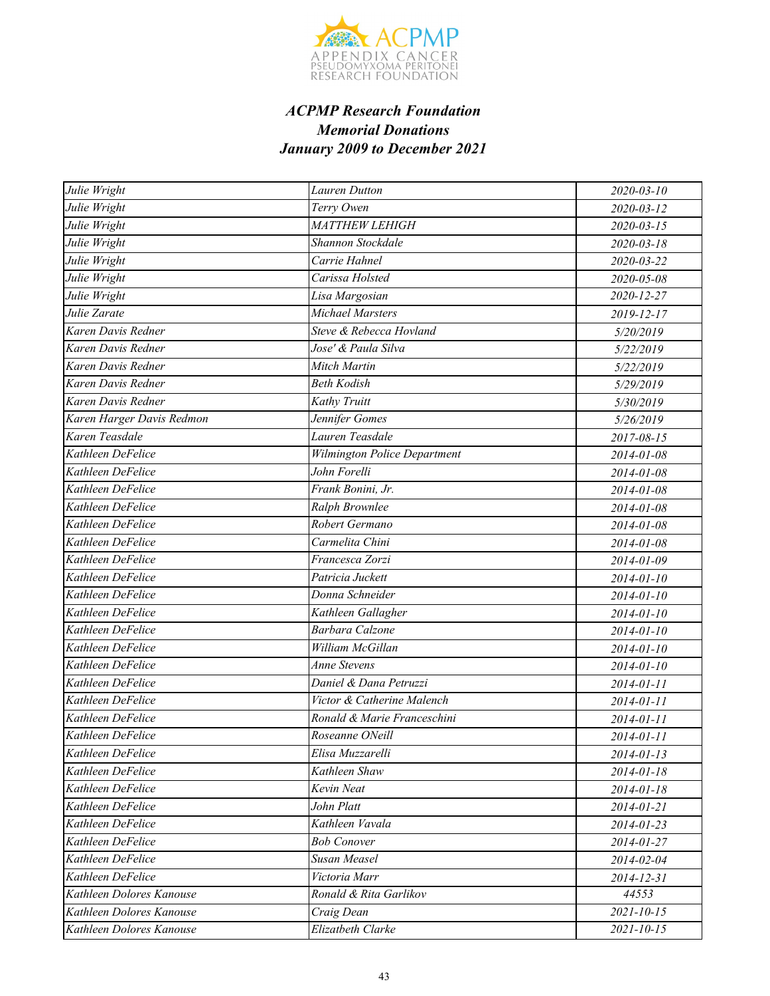

| Julie Wright              | <b>Lauren Dutton</b>                | 2020-03-10       |
|---------------------------|-------------------------------------|------------------|
| Julie Wright              | Terry Owen                          | 2020-03-12       |
| Julie Wright              | MATTHEW LEHIGH                      | $2020 - 03 - 15$ |
| Julie Wright              | Shannon Stockdale                   | 2020-03-18       |
| Julie Wright              | Carrie Hahnel                       | 2020-03-22       |
| Julie Wright              | Carissa Holsted                     | 2020-05-08       |
| Julie Wright              | Lisa Margosian                      | 2020-12-27       |
| Julie Zarate              | Michael Marsters                    | 2019-12-17       |
| Karen Davis Redner        | Steve & Rebecca Hovland             | 5/20/2019        |
| Karen Davis Redner        | Jose' & Paula Silva                 | 5/22/2019        |
| Karen Davis Redner        | Mitch Martin                        | 5/22/2019        |
| Karen Davis Redner        | <b>Beth Kodish</b>                  | 5/29/2019        |
| Karen Davis Redner        | Kathy Truitt                        | 5/30/2019        |
| Karen Harger Davis Redmon | Jennifer Gomes                      | 5/26/2019        |
| Karen Teasdale            | Lauren Teasdale                     | 2017-08-15       |
| Kathleen DeFelice         | <b>Wilmington Police Department</b> | 2014-01-08       |
| Kathleen DeFelice         | John Forelli                        | 2014-01-08       |
| Kathleen DeFelice         | Frank Bonini, Jr.                   | 2014-01-08       |
| Kathleen DeFelice         | Ralph Brownlee                      | 2014-01-08       |
| Kathleen DeFelice         | Robert Germano                      | 2014-01-08       |
| Kathleen DeFelice         | Carmelita Chini                     | 2014-01-08       |
| Kathleen DeFelice         | Francesca Zorzi                     | 2014-01-09       |
| Kathleen DeFelice         | Patricia Juckett                    | 2014-01-10       |
| Kathleen DeFelice         | Donna Schneider                     | 2014-01-10       |
| Kathleen DeFelice         | Kathleen Gallagher                  | 2014-01-10       |
| Kathleen DeFelice         | <b>Barbara Calzone</b>              | 2014-01-10       |
| Kathleen DeFelice         | William McGillan                    | 2014-01-10       |
| Kathleen DeFelice         | Anne Stevens                        | 2014-01-10       |
| Kathleen DeFelice         | Daniel & Dana Petruzzi              | 2014-01-11       |
| Kathleen DeFelice         | Victor & Catherine Malench          | 2014-01-11       |
| Kathleen DeFelice         | Ronald & Marie Franceschini         | 2014-01-11       |
| Kathleen DeFelice         | Roseanne ONeill                     | 2014-01-11       |
| Kathleen DeFelice         | Elisa Muzzarelli                    | $2014 - 01 - 13$ |
| Kathleen DeFelice         | Kathleen Shaw                       | 2014-01-18       |
| Kathleen DeFelice         | Kevin Neat                          | 2014-01-18       |
| Kathleen DeFelice         | John Platt                          | 2014-01-21       |
| Kathleen DeFelice         | Kathleen Vavala                     | 2014-01-23       |
| Kathleen DeFelice         | <b>Bob Conover</b>                  | 2014-01-27       |
| Kathleen DeFelice         | Susan Measel                        | 2014-02-04       |
| Kathleen DeFelice         | Victoria Marr                       | 2014-12-31       |
| Kathleen Dolores Kanouse  | Ronald & Rita Garlikov              | 44553            |
| Kathleen Dolores Kanouse  | Craig Dean                          | $2021 - 10 - 15$ |
| Kathleen Dolores Kanouse  | Elizatbeth Clarke                   | $2021 - 10 - 15$ |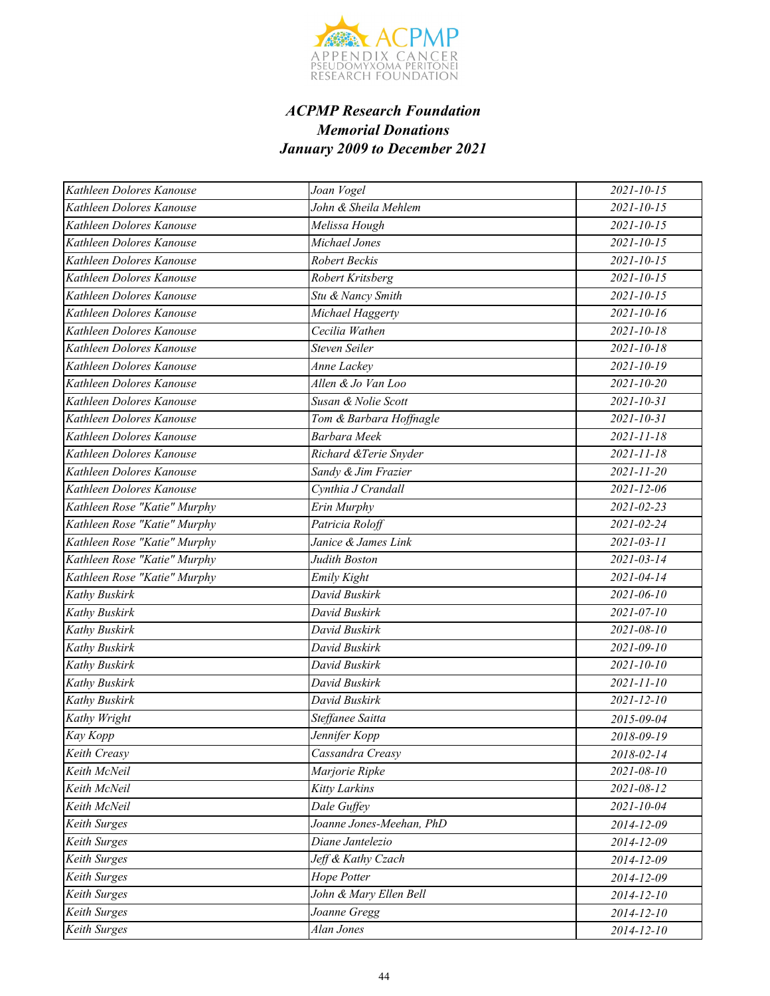

| Kathleen Dolores Kanouse     | Joan Vogel               | $2021 - 10 - 15$ |
|------------------------------|--------------------------|------------------|
| Kathleen Dolores Kanouse     | John & Sheila Mehlem     | $2021 - 10 - 15$ |
| Kathleen Dolores Kanouse     | Melissa Hough            | $2021 - 10 - 15$ |
| Kathleen Dolores Kanouse     | Michael Jones            | $2021 - 10 - 15$ |
| Kathleen Dolores Kanouse     | Robert Beckis            | $2021 - 10 - 15$ |
| Kathleen Dolores Kanouse     | Robert Kritsberg         | $2021 - 10 - 15$ |
| Kathleen Dolores Kanouse     | Stu & Nancy Smith        | $2021 - 10 - 15$ |
| Kathleen Dolores Kanouse     | Michael Haggerty         | $2021 - 10 - 16$ |
| Kathleen Dolores Kanouse     | Cecilia Wathen           | 2021-10-18       |
| Kathleen Dolores Kanouse     | Steven Seiler            | $2021 - 10 - 18$ |
| Kathleen Dolores Kanouse     | Anne Lackey              | $2021 - 10 - 19$ |
| Kathleen Dolores Kanouse     | Allen & Jo Van Loo       | $2021 - 10 - 20$ |
| Kathleen Dolores Kanouse     | Susan & Nolie Scott      | $2021 - 10 - 31$ |
| Kathleen Dolores Kanouse     | Tom & Barbara Hoffnagle  | $2021 - 10 - 31$ |
| Kathleen Dolores Kanouse     | Barbara Meek             | $2021 - 11 - 18$ |
| Kathleen Dolores Kanouse     | Richard &Terie Snyder    | $2021 - 11 - 18$ |
| Kathleen Dolores Kanouse     | Sandy & Jim Frazier      | $2021 - 11 - 20$ |
| Kathleen Dolores Kanouse     | Cynthia J Crandall       | 2021-12-06       |
| Kathleen Rose "Katie" Murphy | Erin Murphy              | 2021-02-23       |
| Kathleen Rose "Katie" Murphy | Patricia Roloff          | $2021 - 02 - 24$ |
| Kathleen Rose "Katie" Murphy | Janice & James Link      | $2021 - 03 - 11$ |
| Kathleen Rose "Katie" Murphy | Judith Boston            | $2021 - 03 - 14$ |
| Kathleen Rose "Katie" Murphy | Emily Kight              | 2021-04-14       |
| Kathy Buskirk                | David Buskirk            | $2021 - 06 - 10$ |
| Kathy Buskirk                | David Buskirk            | $2021 - 07 - 10$ |
| Kathy Buskirk                | David Buskirk            | $2021 - 08 - 10$ |
| Kathy Buskirk                | David Buskirk            | $2021 - 09 - 10$ |
| Kathy Buskirk                | David Buskirk            | $2021 - 10 - 10$ |
| Kathy Buskirk                | David Buskirk            | $2021 - 11 - 10$ |
| Kathy Buskirk                | David Buskirk            | $2021 - 12 - 10$ |
| Kathy Wright                 | Steffanee Saitta         | 2015-09-04       |
| Kay Kopp                     | Jennifer Kopp            | 2018-09-19       |
| Keith Creasy                 | Cassandra Creasy         | 2018-02-14       |
| Keith McNeil                 | Marjorie Ripke           | 2021-08-10       |
| Keith McNeil                 | <b>Kitty Larkins</b>     | 2021-08-12       |
| Keith McNeil                 | Dale Guffey              | 2021-10-04       |
| Keith Surges                 | Joanne Jones-Meehan, PhD | 2014-12-09       |
| Keith Surges                 | Diane Jantelezio         | 2014-12-09       |
| Keith Surges                 | Jeff & Kathy Czach       | 2014-12-09       |
| Keith Surges                 | Hope Potter              | 2014-12-09       |
| Keith Surges                 | John & Mary Ellen Bell   | 2014-12-10       |
| <b>Keith Surges</b>          | Joanne Gregg             | 2014-12-10       |
| Keith Surges                 | Alan Jones               | 2014-12-10       |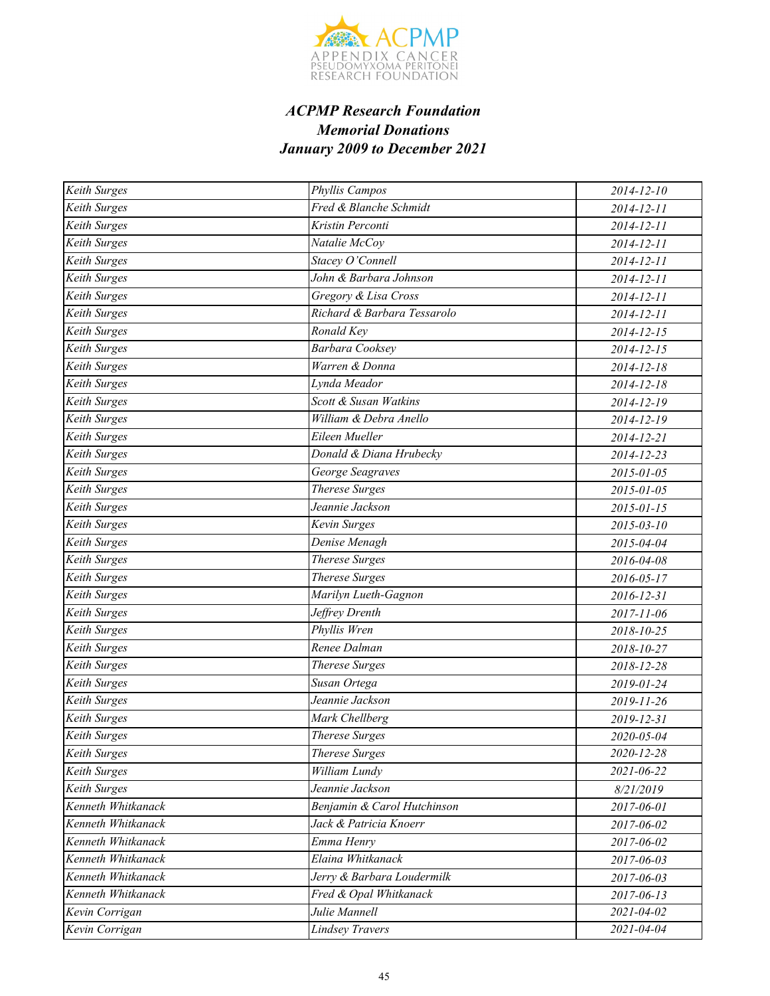

| Keith Surges        | Phyllis Campos              | 2014-12-10       |
|---------------------|-----------------------------|------------------|
| Keith Surges        | Fred & Blanche Schmidt      | 2014-12-11       |
| Keith Surges        | Kristin Perconti            | 2014-12-11       |
| <b>Keith Surges</b> | Natalie McCoy               | 2014-12-11       |
| Keith Surges        | Stacey O'Connell            | 2014-12-11       |
| Keith Surges        | John & Barbara Johnson      | 2014-12-11       |
| Keith Surges        | Gregory & Lisa Cross        | 2014-12-11       |
| Keith Surges        | Richard & Barbara Tessarolo | 2014-12-11       |
| <b>Keith Surges</b> | Ronald Key                  | $2014 - 12 - 15$ |
| Keith Surges        | <b>Barbara Cooksey</b>      | 2014-12-15       |
| Keith Surges        | Warren & Donna              | 2014-12-18       |
| Keith Surges        | Lynda Meador                | 2014-12-18       |
| Keith Surges        | Scott & Susan Watkins       | 2014-12-19       |
| Keith Surges        | William & Debra Anello      | 2014-12-19       |
| <b>Keith Surges</b> | Eileen Mueller              | 2014-12-21       |
| Keith Surges        | Donald & Diana Hrubecky     | 2014-12-23       |
| Keith Surges        | George Seagraves            | 2015-01-05       |
| Keith Surges        | <b>Therese Surges</b>       | 2015-01-05       |
| Keith Surges        | Jeannie Jackson             | 2015-01-15       |
| Keith Surges        | Kevin Surges                | $2015 - 03 - 10$ |
| <b>Keith Surges</b> | Denise Menagh               | 2015-04-04       |
| Keith Surges        | <b>Therese Surges</b>       | 2016-04-08       |
| Keith Surges        | <b>Therese Surges</b>       | 2016-05-17       |
| Keith Surges        | Marilyn Lueth-Gagnon        | 2016-12-31       |
| Keith Surges        | Jeffrey Drenth              | 2017-11-06       |
| Keith Surges        | Phyllis Wren                | 2018-10-25       |
| Keith Surges        | Renee Dalman                | 2018-10-27       |
| Keith Surges        | <b>Therese Surges</b>       | 2018-12-28       |
| Keith Surges        | Susan Ortega                | 2019-01-24       |
| Keith Surges        | Jeannie Jackson             | 2019-11-26       |
| Keith Surges        | Mark Chellberg              | 2019-12-31       |
| <b>Keith Surges</b> | <b>Therese Surges</b>       | 2020-05-04       |
| Keith Surges        | <b>Therese Surges</b>       | 2020-12-28       |
| Keith Surges        | William Lundy               | 2021-06-22       |
| Keith Surges        | Jeannie Jackson             | 8/21/2019        |
| Kenneth Whitkanack  | Benjamin & Carol Hutchinson | 2017-06-01       |
| Kenneth Whitkanack  | Jack & Patricia Knoerr      | 2017-06-02       |
| Kenneth Whitkanack  | Emma Henry                  | 2017-06-02       |
| Kenneth Whitkanack  | Elaina Whitkanack           | 2017-06-03       |
| Kenneth Whitkanack  | Jerry & Barbara Loudermilk  | 2017-06-03       |
| Kenneth Whitkanack  | Fred & Opal Whitkanack      | 2017-06-13       |
| Kevin Corrigan      | Julie Mannell               | 2021-04-02       |
| Kevin Corrigan      | <b>Lindsey Travers</b>      | 2021-04-04       |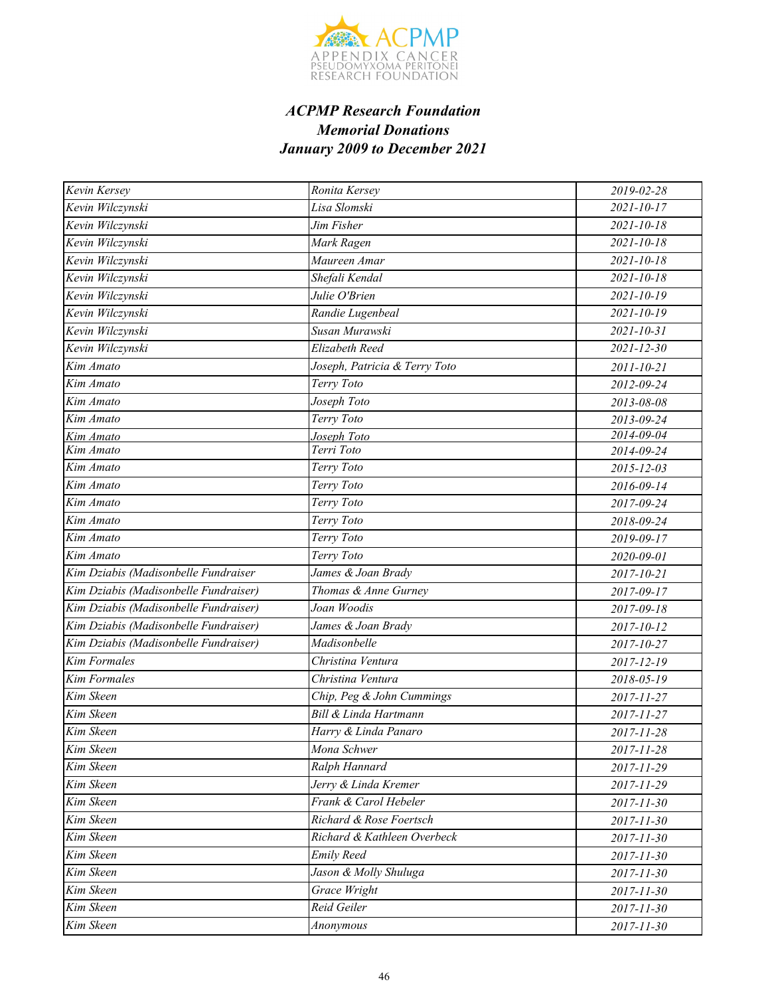

| Kevin Kersey                          | Ronita Kersey                 | 2019-02-28       |
|---------------------------------------|-------------------------------|------------------|
| Kevin Wilczynski                      | Lisa Slomski                  | $2021 - 10 - 17$ |
| Kevin Wilczynski                      | Jim Fisher                    | $2021 - 10 - 18$ |
| Kevin Wilczynski                      | Mark Ragen                    | $2021 - 10 - 18$ |
| Kevin Wilczynski                      | Maureen Amar                  | $2021 - 10 - 18$ |
| Kevin Wilczynski                      | Shefali Kendal                | $2021 - 10 - 18$ |
| Kevin Wilczynski                      | Julie O'Brien                 | $2021 - 10 - 19$ |
| Kevin Wilczynski                      | Randie Lugenbeal              | $2021 - 10 - 19$ |
| Kevin Wilczynski                      | Susan Murawski                | $2021 - 10 - 31$ |
| Kevin Wilczynski                      | Elizabeth Reed                | $2021 - 12 - 30$ |
| Kim Amato                             | Joseph, Patricia & Terry Toto | 2011-10-21       |
| Kim Amato                             | Terry Toto                    | 2012-09-24       |
| Kim Amato                             | Joseph Toto                   | 2013-08-08       |
| Kim Amato                             | Terry Toto                    | 2013-09-24       |
| Kim Amato                             | Joseph Toto                   | 2014-09-04       |
| Kim Amato                             | Terri Toto                    | 2014-09-24       |
| Kim Amato                             | Terry Toto                    | 2015-12-03       |
| Kim Amato                             | Terry Toto                    | 2016-09-14       |
| Kim Amato                             | Terry Toto                    | 2017-09-24       |
| Kim Amato                             | Terry Toto                    | 2018-09-24       |
| Kim Amato                             | Terry Toto                    | 2019-09-17       |
| Kim Amato                             | Terry Toto                    | 2020-09-01       |
| Kim Dziabis (Madisonbelle Fundraiser  | James & Joan Brady            | 2017-10-21       |
| Kim Dziabis (Madisonbelle Fundraiser) | Thomas & Anne Gurney          | 2017-09-17       |
| Kim Dziabis (Madisonbelle Fundraiser) | Joan Woodis                   | 2017-09-18       |
| Kim Dziabis (Madisonbelle Fundraiser) | James & Joan Brady            | 2017-10-12       |
| Kim Dziabis (Madisonbelle Fundraiser) | Madisonbelle                  | 2017-10-27       |
| <b>Kim Formales</b>                   | Christina Ventura             | 2017-12-19       |
| <b>Kim Formales</b>                   | Christina Ventura             | 2018-05-19       |
| Kim Skeen                             | Chip, Peg & John Cummings     | 2017-11-27       |
| Kim Skeen                             | Bill & Linda Hartmann         | 2017-11-27       |
| Kim Skeen                             | Harry & Linda Panaro          | 2017-11-28       |
| Kim Skeen                             | Mona Schwer                   | 2017-11-28       |
| Kim Skeen                             | Ralph Hannard                 | 2017-11-29       |
| Kim Skeen                             | Jerry & Linda Kremer          | 2017-11-29       |
| Kim Skeen                             | Frank & Carol Hebeler         | 2017-11-30       |
| Kim Skeen                             | Richard & Rose Foertsch       | 2017-11-30       |
| Kim Skeen                             | Richard & Kathleen Overbeck   | 2017-11-30       |
| Kim Skeen                             | <b>Emily Reed</b>             | 2017-11-30       |
| Kim Skeen                             | Jason & Molly Shuluga         | 2017-11-30       |
| Kim Skeen                             | <b>Grace Wright</b>           | 2017-11-30       |
| Kim Skeen                             | Reid Geiler                   | 2017-11-30       |
| Kim Skeen                             | Anonymous                     | 2017-11-30       |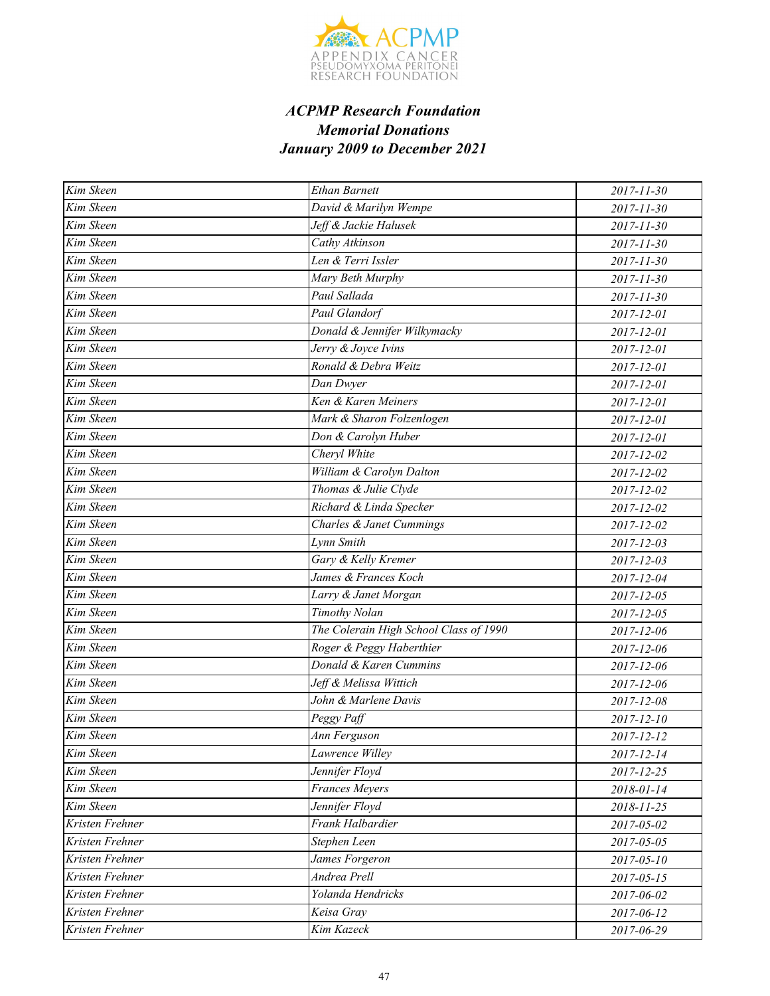

| Kim Skeen              | <b>Ethan Barnett</b>                   | 2017-11-30       |
|------------------------|----------------------------------------|------------------|
| Kim Skeen              | David & Marilyn Wempe                  | 2017-11-30       |
| Kim Skeen              | Jeff & Jackie Halusek                  | 2017-11-30       |
| Kim Skeen              | Cathy Atkinson                         | 2017-11-30       |
| Kim Skeen              | Len & Terri Issler                     | 2017-11-30       |
| Kim Skeen              | Mary Beth Murphy                       | $2017 - 11 - 30$ |
| Kim Skeen              | Paul Sallada                           | 2017-11-30       |
| Kim Skeen              | Paul Glandorf                          | 2017-12-01       |
| Kim Skeen              | Donald & Jennifer Wilkymacky           | 2017-12-01       |
| $\overline{Kim}$ Skeen | Jerry & Joyce Ivins                    | 2017-12-01       |
| Kim Skeen              | Ronald & Debra Weitz                   | 2017-12-01       |
| Kim Skeen              | Dan Dwyer                              | 2017-12-01       |
| Kim Skeen              | Ken & Karen Meiners                    | 2017-12-01       |
| Kim Skeen              | Mark & Sharon Folzenlogen              | 2017-12-01       |
| Kim Skeen              | Don & Carolyn Huber                    | 2017-12-01       |
| Kim Skeen              | Cheryl White                           | 2017-12-02       |
| Kim Skeen              | William & Carolyn Dalton               | 2017-12-02       |
| Kim Skeen              | Thomas & Julie Clyde                   | 2017-12-02       |
| Kim Skeen              | Richard & Linda Specker                | 2017-12-02       |
| Kim Skeen              | Charles & Janet Cummings               | 2017-12-02       |
| Kim Skeen              | Lynn Smith                             | 2017-12-03       |
| Kim Skeen              | Gary & Kelly Kremer                    | 2017-12-03       |
| Kim Skeen              | James & Frances Koch                   | 2017-12-04       |
| Kim Skeen              | Larry & Janet Morgan                   | 2017-12-05       |
| Kim Skeen              | Timothy Nolan                          | 2017-12-05       |
| Kim Skeen              | The Colerain High School Class of 1990 | 2017-12-06       |
| Kim Skeen              | Roger & Peggy Haberthier               | 2017-12-06       |
| $\overline{Kim}$ Skeen | Donald & Karen Cummins                 | 2017-12-06       |
| Kim Skeen              | Jeff & Melissa Wittich                 | 2017-12-06       |
| Kim Skeen              | John & Marlene Davis                   | 2017-12-08       |
| Kim Skeen              | Peggy Paff                             | 2017-12-10       |
| Kim Skeen              | Ann Ferguson                           | 2017-12-12       |
| Kim Skeen              | Lawrence Willey                        | 2017-12-14       |
| Kim Skeen              | Jennifer Floyd                         | 2017-12-25       |
| Kim Skeen              | <b>Frances Meyers</b>                  | 2018-01-14       |
| Kim Skeen              | Jennifer Floyd                         | 2018-11-25       |
| Kristen Frehner        | Frank Halbardier                       | 2017-05-02       |
| Kristen Frehner        | Stephen Leen                           | 2017-05-05       |
| Kristen Frehner        | James Forgeron                         | $2017 - 05 - 10$ |
| Kristen Frehner        | Andrea Prell                           | $2017 - 05 - 15$ |
| Kristen Frehner        | Yolanda Hendricks                      | 2017-06-02       |
| Kristen Frehner        | Keisa Gray                             | 2017-06-12       |
| Kristen Frehner        | Kim Kazeck                             | 2017-06-29       |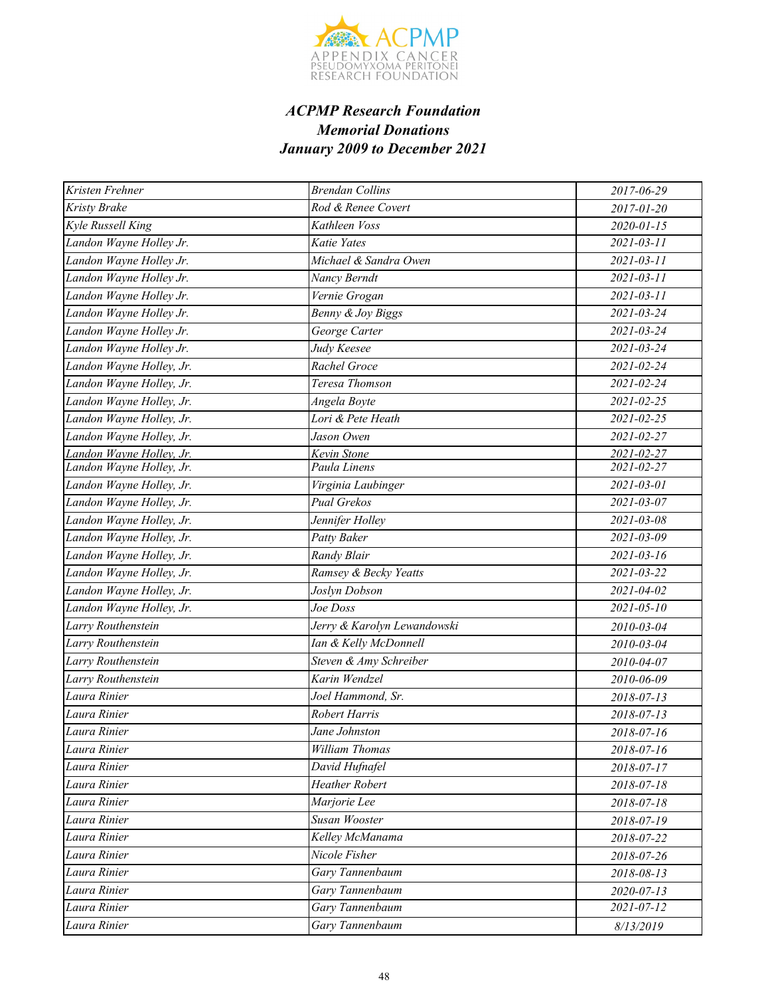

| Kristen Frehner          | <b>Brendan Collins</b>      | 2017-06-29       |
|--------------------------|-----------------------------|------------------|
| Kristy Brake             | Rod & Renee Covert          | 2017-01-20       |
| Kyle Russell King        | Kathleen Voss               | $2020 - 01 - 15$ |
| Landon Wayne Holley Jr.  | Katie Yates                 | $2021 - 03 - 11$ |
| Landon Wayne Holley Jr.  | Michael & Sandra Owen       | $2021 - 03 - 11$ |
| Landon Wayne Holley Jr.  | Nancy Berndt                | $2021 - 03 - 11$ |
| Landon Wayne Holley Jr.  | Vernie Grogan               | $2021 - 03 - 11$ |
| Landon Wayne Holley Jr.  | Benny & Joy Biggs           | 2021-03-24       |
| Landon Wayne Holley Jr.  | George Carter               | $2021 - 03 - 24$ |
| Landon Wayne Holley Jr.  | Judy Keesee                 | $2021 - 03 - 24$ |
| Landon Wayne Holley, Jr. | Rachel Groce                | 2021-02-24       |
| Landon Wayne Holley, Jr. | Teresa Thomson              | 2021-02-24       |
| Landon Wayne Holley, Jr. | Angela Boyte                | 2021-02-25       |
| Landon Wayne Holley, Jr. | Lori & Pete Heath           | $2021 - 02 - 25$ |
| Landon Wayne Holley, Jr. | Jason Owen                  | 2021-02-27       |
| Landon Wayne Holley, Jr. | Kevin Stone                 | 2021-02-27       |
| Landon Wayne Holley, Jr. | Paula Linens                | 2021-02-27       |
| Landon Wayne Holley, Jr. | Virginia Laubinger          | 2021-03-01       |
| Landon Wayne Holley, Jr. | Pual Grekos                 | 2021-03-07       |
| Landon Wayne Holley, Jr. | Jennifer Holley             | $2021 - 03 - 08$ |
| Landon Wayne Holley, Jr. | Patty Baker                 | $2021 - 03 - 09$ |
| Landon Wayne Holley, Jr. | Randy Blair                 | $2021 - 03 - 16$ |
| Landon Wayne Holley, Jr. | Ramsey & Becky Yeatts       | 2021-03-22       |
| Landon Wayne Holley, Jr. | Joslyn Dobson               | 2021-04-02       |
| Landon Wayne Holley, Jr. | Joe Doss                    | $2021 - 05 - 10$ |
| Larry Routhenstein       | Jerry & Karolyn Lewandowski | 2010-03-04       |
| Larry Routhenstein       | Ian & Kelly McDonnell       | 2010-03-04       |
| Larry Routhenstein       | Steven & Amy Schreiber      | 2010-04-07       |
| Larry Routhenstein       | Karin Wendzel               | 2010-06-09       |
| Laura Rinier             | Joel Hammond, Sr.           | 2018-07-13       |
| Laura Rinier             | <b>Robert Harris</b>        | 2018-07-13       |
| Laura Rinier             | Jane Johnston               | 2018-07-16       |
| Laura Rinier             | <b>William Thomas</b>       | 2018-07-16       |
| Laura Rinier             | David Hufnafel              | 2018-07-17       |
| Laura Rinier             | <b>Heather Robert</b>       | 2018-07-18       |
| Laura Rinier             | Marjorie Lee                | 2018-07-18       |
| Laura Rinier             | Susan Wooster               | 2018-07-19       |
| Laura Rinier             | Kelley McManama             | 2018-07-22       |
| Laura Rinier             | Nicole Fisher               | 2018-07-26       |
| Laura Rinier             | Gary Tannenbaum             | 2018-08-13       |
| Laura Rinier             | Gary Tannenbaum             | 2020-07-13       |
| Laura Rinier             | Gary Tannenbaum             | 2021-07-12       |
| Laura Rinier             | Gary Tannenbaum             | 8/13/2019        |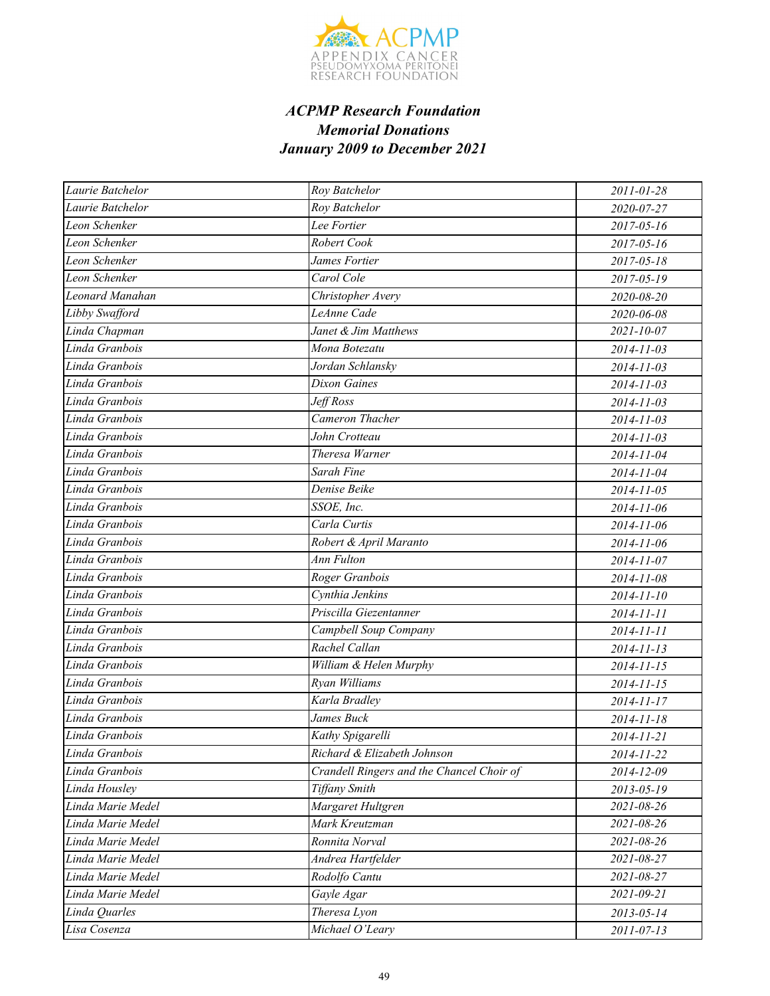

| Laurie Batchelor  | Roy Batchelor                             | 2011-01-28       |
|-------------------|-------------------------------------------|------------------|
| Laurie Batchelor  | Roy Batchelor                             | 2020-07-27       |
| Leon Schenker     | Lee Fortier                               | $2017 - 05 - 16$ |
| Leon Schenker     | Robert Cook                               | 2017-05-16       |
| Leon Schenker     | James Fortier                             | 2017-05-18       |
| Leon Schenker     | Carol Cole                                | 2017-05-19       |
| Leonard Manahan   | Christopher Avery                         | 2020-08-20       |
| Libby Swafford    | LeAnne Cade                               | 2020-06-08       |
| Linda Chapman     | Janet & Jim Matthews                      | $2021 - 10 - 07$ |
| Linda Granbois    | Mona Botezatu                             | 2014-11-03       |
| Linda Granbois    | Jordan Schlansky                          | $2014 - 11 - 03$ |
| Linda Granbois    | <b>Dixon Gaines</b>                       | 2014-11-03       |
| Linda Granbois    | Jeff Ross                                 | 2014-11-03       |
| Linda Granbois    | Cameron Thacher                           | 2014-11-03       |
| Linda Granbois    | John Crotteau                             | 2014-11-03       |
| Linda Granbois    | Theresa Warner                            | 2014-11-04       |
| Linda Granbois    | Sarah Fine                                | 2014-11-04       |
| Linda Granbois    | Denise Beike                              | 2014-11-05       |
| Linda Granbois    | SSOE, Inc.                                | 2014-11-06       |
| Linda Granbois    | Carla Curtis                              | 2014-11-06       |
| Linda Granbois    | Robert & April Maranto                    | 2014-11-06       |
| Linda Granbois    | Ann Fulton                                | 2014-11-07       |
| Linda Granbois    | Roger Granbois                            | 2014-11-08       |
| Linda Granbois    | Cynthia Jenkins                           | 2014-11-10       |
| Linda Granbois    | Priscilla Giezentanner                    | 2014-11-11       |
| Linda Granbois    | Campbell Soup Company                     | 2014-11-11       |
| Linda Granbois    | Rachel Callan                             | $2014 - 11 - 13$ |
| Linda Granbois    | William & Helen Murphy                    | $2014 - 11 - 15$ |
| Linda Granbois    | Ryan Williams                             | $2014 - 11 - 15$ |
| Linda Granbois    | Karla Bradley                             | 2014-11-17       |
| Linda Granbois    | James Buck                                | 2014-11-18       |
| Linda Granbois    | Kathy Spigarelli                          | 2014-11-21       |
| Linda Granbois    | Richard & Elizabeth Johnson               | 2014-11-22       |
| Linda Granbois    | Crandell Ringers and the Chancel Choir of | 2014-12-09       |
| Linda Housley     | <b>Tiffany Smith</b>                      | 2013-05-19       |
| Linda Marie Medel | Margaret Hultgren                         | 2021-08-26       |
| Linda Marie Medel | Mark Kreutzman                            | 2021-08-26       |
| Linda Marie Medel | Ronnita Norval                            | 2021-08-26       |
| Linda Marie Medel | Andrea Hartfelder                         | 2021-08-27       |
| Linda Marie Medel | Rodolfo Cantu                             | 2021-08-27       |
| Linda Marie Medel | Gayle Agar                                | 2021-09-21       |
| Linda Quarles     | Theresa Lyon                              | $2013 - 05 - 14$ |
| Lisa Cosenza      | Michael O'Leary                           | $2011 - 07 - 13$ |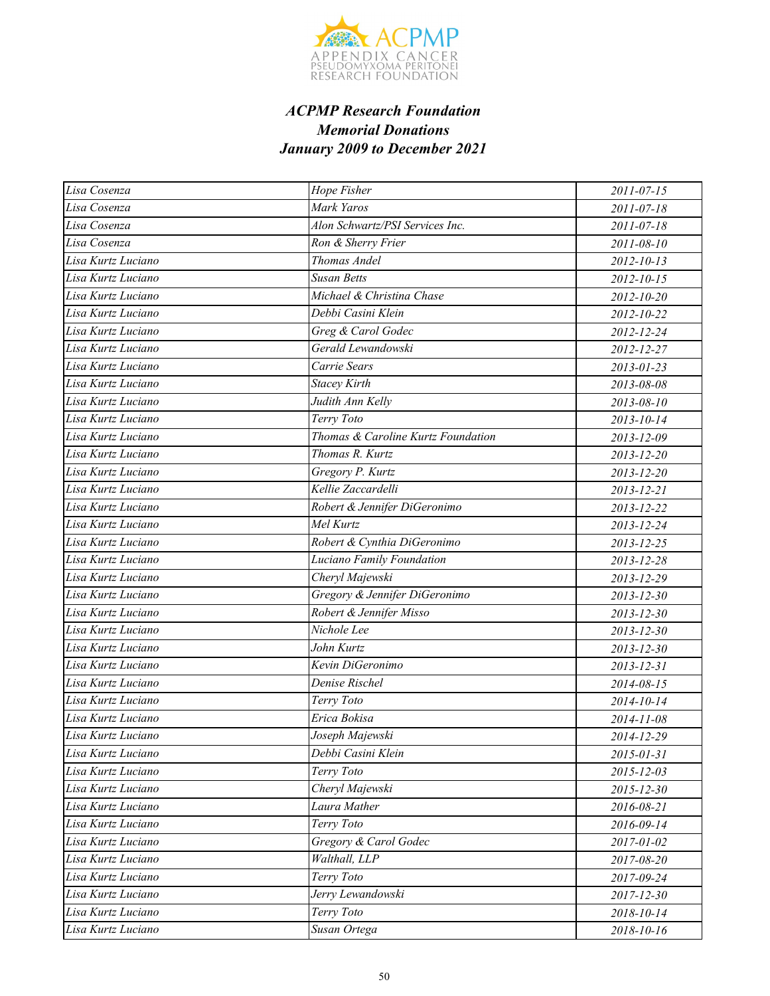

| Lisa Cosenza       | Hope Fisher                        | 2011-07-15       |
|--------------------|------------------------------------|------------------|
| Lisa Cosenza       | Mark Yaros                         | 2011-07-18       |
| Lisa Cosenza       | Alon Schwartz/PSI Services Inc.    | 2011-07-18       |
| Lisa Cosenza       | Ron & Sherry Frier                 | 2011-08-10       |
| Lisa Kurtz Luciano | Thomas Andel                       | $2012 - 10 - 13$ |
| Lisa Kurtz Luciano | <b>Susan Betts</b>                 | $2012 - 10 - 15$ |
| Lisa Kurtz Luciano | Michael & Christina Chase          | 2012-10-20       |
| Lisa Kurtz Luciano | Debbi Casini Klein                 | 2012-10-22       |
| Lisa Kurtz Luciano | Greg & Carol Godec                 | 2012-12-24       |
| Lisa Kurtz Luciano | Gerald Lewandowski                 | 2012-12-27       |
| Lisa Kurtz Luciano | Carrie Sears                       | $2013 - 01 - 23$ |
| Lisa Kurtz Luciano | <b>Stacey Kirth</b>                | 2013-08-08       |
| Lisa Kurtz Luciano | Judith Ann Kelly                   | 2013-08-10       |
| Lisa Kurtz Luciano | Terry Toto                         | 2013-10-14       |
| Lisa Kurtz Luciano | Thomas & Caroline Kurtz Foundation | 2013-12-09       |
| Lisa Kurtz Luciano | Thomas R. Kurtz                    | 2013-12-20       |
| Lisa Kurtz Luciano | Gregory P. Kurtz                   | 2013-12-20       |
| Lisa Kurtz Luciano | Kellie Zaccardelli                 | 2013-12-21       |
| Lisa Kurtz Luciano | Robert & Jennifer DiGeronimo       | 2013-12-22       |
| Lisa Kurtz Luciano | Mel Kurtz                          | 2013-12-24       |
| Lisa Kurtz Luciano | Robert & Cynthia DiGeronimo        | 2013-12-25       |
| Lisa Kurtz Luciano | Luciano Family Foundation          | 2013-12-28       |
| Lisa Kurtz Luciano | Cheryl Majewski                    | 2013-12-29       |
| Lisa Kurtz Luciano | Gregory & Jennifer DiGeronimo      | 2013-12-30       |
| Lisa Kurtz Luciano | Robert & Jennifer Misso            | 2013-12-30       |
| Lisa Kurtz Luciano | Nichole Lee                        | 2013-12-30       |
| Lisa Kurtz Luciano | John Kurtz                         | 2013-12-30       |
| Lisa Kurtz Luciano | Kevin DiGeronimo                   | 2013-12-31       |
| Lisa Kurtz Luciano | Denise Rischel                     | 2014-08-15       |
| Lisa Kurtz Luciano | Terry Toto                         | 2014-10-14       |
| Lisa Kurtz Luciano | Erica Bokisa                       | 2014-11-08       |
| Lisa Kurtz Luciano | Joseph Majewski                    | 2014-12-29       |
| Lisa Kurtz Luciano | Debbi Casini Klein                 | 2015-01-31       |
| Lisa Kurtz Luciano | Terry Toto                         | 2015-12-03       |
| Lisa Kurtz Luciano | Cheryl Majewski                    | 2015-12-30       |
| Lisa Kurtz Luciano | Laura Mather                       | 2016-08-21       |
| Lisa Kurtz Luciano | Terry Toto                         | 2016-09-14       |
| Lisa Kurtz Luciano | Gregory & Carol Godec              | 2017-01-02       |
| Lisa Kurtz Luciano | Walthall, LLP                      | 2017-08-20       |
| Lisa Kurtz Luciano | Terry Toto                         | 2017-09-24       |
| Lisa Kurtz Luciano | Jerry Lewandowski                  | 2017-12-30       |
| Lisa Kurtz Luciano | Terry Toto                         | 2018-10-14       |
| Lisa Kurtz Luciano | Susan Ortega                       | 2018-10-16       |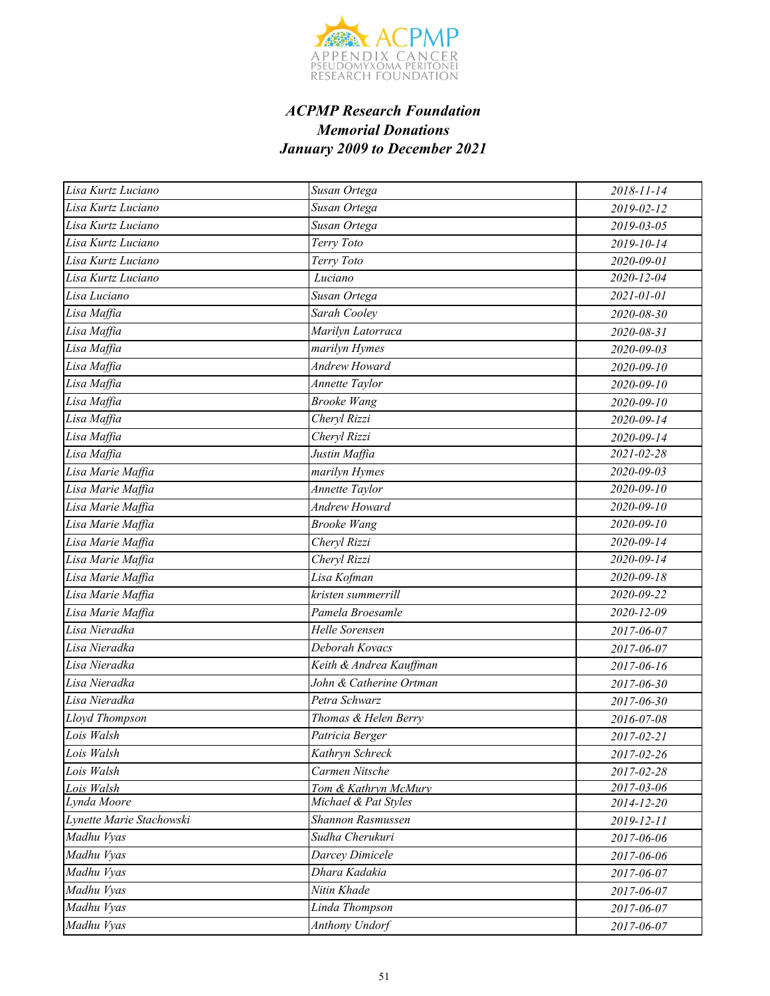

| Lisa Kurtz Luciano       | Susan Ortega            | 2018-11-14       |
|--------------------------|-------------------------|------------------|
| Lisa Kurtz Luciano       | Susan Ortega            | 2019-02-12       |
| Lisa Kurtz Luciano       | Susan Ortega            | 2019-03-05       |
| Lisa Kurtz Luciano       | Terry Toto              | 2019-10-14       |
| Lisa Kurtz Luciano       | Terry Toto              | 2020-09-01       |
| Lisa Kurtz Luciano       | Luciano                 | 2020-12-04       |
| Lisa Luciano             | Susan Ortega            | 2021-01-01       |
| Lisa Maffia              | Sarah Cooley            | 2020-08-30       |
| Lisa Maffia              | Marilyn Latorraca       | 2020-08-31       |
| Lisa Maffia              | marilyn Hymes           | 2020-09-03       |
| Lisa Maffia              | Andrew Howard           | $2020 - 09 - 10$ |
| Lisa Maffia              | <b>Annette Taylor</b>   | $2020 - 09 - 10$ |
| Lisa Maffia              | <b>Brooke Wang</b>      | 2020-09-10       |
| Lisa Maffia              | Cheryl Rizzi            | 2020-09-14       |
| Lisa Maffia              | Cheryl Rizzi            | 2020-09-14       |
| Lisa Maffia              | Justin Maffia           | 2021-02-28       |
| Lisa Marie Maffia        | marilyn Hymes           | 2020-09-03       |
| Lisa Marie Maffia        | Annette Taylor          | $2020 - 09 - 10$ |
| Lisa Marie Maffia        | <b>Andrew Howard</b>    | 2020-09-10       |
| Lisa Marie Maffia        | <b>Brooke Wang</b>      | $2020 - 09 - 10$ |
| Lisa Marie Maffia        | Cheryl Rizzi            | 2020-09-14       |
| Lisa Marie Maffia        | Cheryl Rizzi            | 2020-09-14       |
| Lisa Marie Maffia        | Lisa Kofman             | 2020-09-18       |
| Lisa Marie Maffia        | kristen summerrill      | 2020-09-22       |
| Lisa Marie Maffia        | Pamela Broesamle        | 2020-12-09       |
| Lisa Nieradka            | Helle Sorensen          | 2017-06-07       |
| Lisa Nieradka            | Deborah Kovacs          | 2017-06-07       |
| Lisa Nieradka            | Keith & Andrea Kauffman | 2017-06-16       |
| Lisa Nieradka            | John & Catherine Ortman | 2017-06-30       |
| Lisa Nieradka            | Petra Schwarz           | 2017-06-30       |
| Lloyd Thompson           | Thomas & Helen Berry    | 2016-07-08       |
| Lois Walsh               | Patricia Berger         | 2017-02-21       |
| Lois Walsh               | Kathryn Schreck         | 2017-02-26       |
| Lois Walsh               | Carmen Nitsche          | 2017-02-28       |
| Lois Walsh               | Tom & Kathryn McMury    | $2017 - 03 - 06$ |
| Lynda Moore              | Michael & Pat Styles    | 2014-12-20       |
| Lynette Marie Stachowski | Shannon Rasmussen       | 2019-12-11       |
| Madhu Vyas               | Sudha Cherukuri         | 2017-06-06       |
| Madhu Vyas               | Darcey Dimicele         | 2017-06-06       |
| Madhu Vyas               | Dhara Kadakia           | 2017-06-07       |
| Madhu Vyas               | Nitin Khade             | 2017-06-07       |
| Madhu Vyas               | Linda Thompson          | 2017-06-07       |
| Madhu Vyas               | <b>Anthony Undorf</b>   | 2017-06-07       |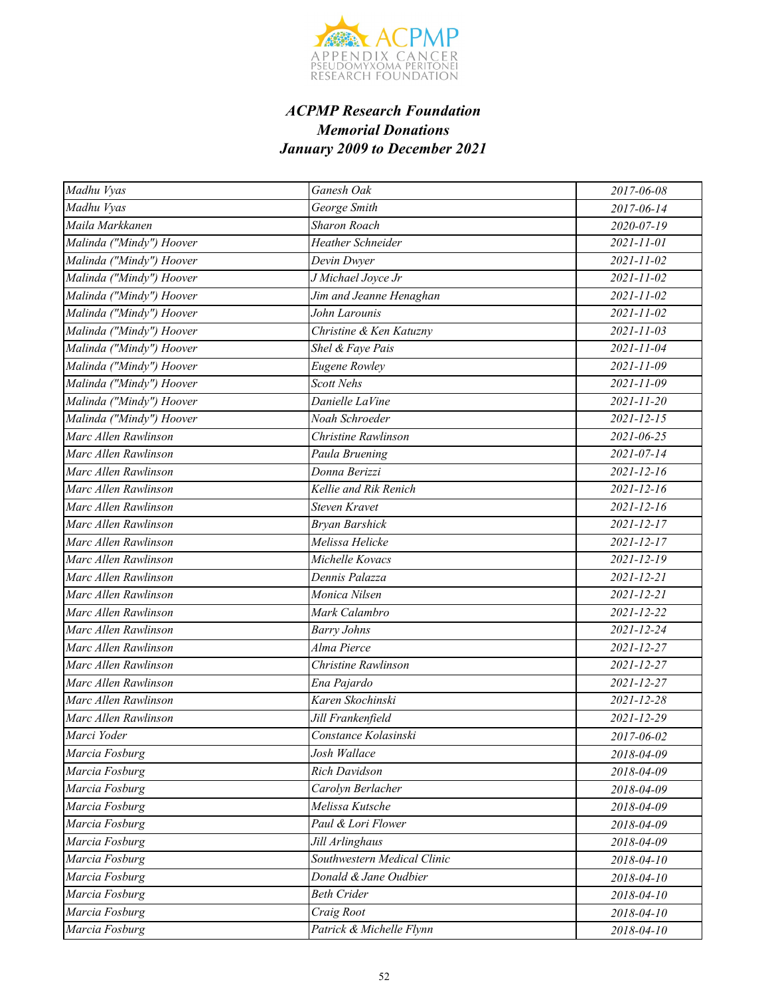

| Madhu Vyas               | Ganesh Oak                  | 2017-06-08       |
|--------------------------|-----------------------------|------------------|
| Madhu Vyas               | George Smith                | 2017-06-14       |
| Maila Markkanen          | Sharon Roach                | 2020-07-19       |
| Malinda ("Mindy") Hoover | <b>Heather Schneider</b>    | $2021 - 11 - 01$ |
| Malinda ("Mindy") Hoover | Devin Dwyer                 | $2021 - 11 - 02$ |
| Malinda ("Mindy") Hoover | J Michael Joyce Jr          | $2021 - 11 - 02$ |
| Malinda ("Mindy") Hoover | Jim and Jeanne Henaghan     | 2021-11-02       |
| Malinda ("Mindy") Hoover | John Larounis               | 2021-11-02       |
| Malinda ("Mindy") Hoover | Christine & Ken Katuzny     | $2021 - 11 - 03$ |
| Malinda ("Mindy") Hoover | Shel & Faye Pais            | 2021-11-04       |
| Malinda ("Mindy") Hoover | <b>Eugene Rowley</b>        | 2021-11-09       |
| Malinda ("Mindy") Hoover | <b>Scott Nehs</b>           | $2021 - 11 - 09$ |
| Malinda ("Mindy") Hoover | Danielle LaVine             | $2021 - 11 - 20$ |
| Malinda ("Mindy") Hoover | Noah Schroeder              | $2021 - 12 - 15$ |
| Marc Allen Rawlinson     | Christine Rawlinson         | $2021 - 06 - 25$ |
| Marc Allen Rawlinson     | Paula Bruening              | 2021-07-14       |
| Marc Allen Rawlinson     | Donna Berizzi               | $2021 - 12 - 16$ |
| Marc Allen Rawlinson     | Kellie and Rik Renich       | $2021 - 12 - 16$ |
| Marc Allen Rawlinson     | Steven Kravet               | $2021 - 12 - 16$ |
| Marc Allen Rawlinson     | <b>Bryan Barshick</b>       | $2021 - 12 - 17$ |
| Marc Allen Rawlinson     | Melissa Helicke             | $2021 - 12 - 17$ |
| Marc Allen Rawlinson     | Michelle Kovacs             | $2021 - 12 - 19$ |
| Marc Allen Rawlinson     | Dennis Palazza              | $2021 - 12 - 21$ |
| Marc Allen Rawlinson     | Monica Nilsen               | $2021 - 12 - 21$ |
| Marc Allen Rawlinson     | Mark Calambro               | 2021-12-22       |
| Marc Allen Rawlinson     | <b>Barry Johns</b>          | 2021-12-24       |
| Marc Allen Rawlinson     | Alma Pierce                 | $2021 - 12 - 27$ |
| Marc Allen Rawlinson     | Christine Rawlinson         | 2021-12-27       |
| Marc Allen Rawlinson     | Ena Pajardo                 | 2021-12-27       |
| Marc Allen Rawlinson     | Karen Skochinski            | 2021-12-28       |
| Marc Allen Rawlinson     | Jill Frankenfield           | 2021-12-29       |
| Marci Yoder              | Constance Kolasinski        | 2017-06-02       |
| Marcia Fosburg           | Josh Wallace                | 2018-04-09       |
| Marcia Fosburg           | Rich Davidson               | 2018-04-09       |
| Marcia Fosburg           | Carolyn Berlacher           | 2018-04-09       |
| Marcia Fosburg           | Melissa Kutsche             | 2018-04-09       |
| Marcia Fosburg           | Paul & Lori Flower          | 2018-04-09       |
| Marcia Fosburg           | Jill Arlinghaus             | 2018-04-09       |
| Marcia Fosburg           | Southwestern Medical Clinic | 2018-04-10       |
| Marcia Fosburg           | Donald & Jane Oudbier       | 2018-04-10       |
| Marcia Fosburg           | <b>Beth Crider</b>          | 2018-04-10       |
| Marcia Fosburg           | Craig Root                  | 2018-04-10       |
| Marcia Fosburg           | Patrick & Michelle Flynn    | 2018-04-10       |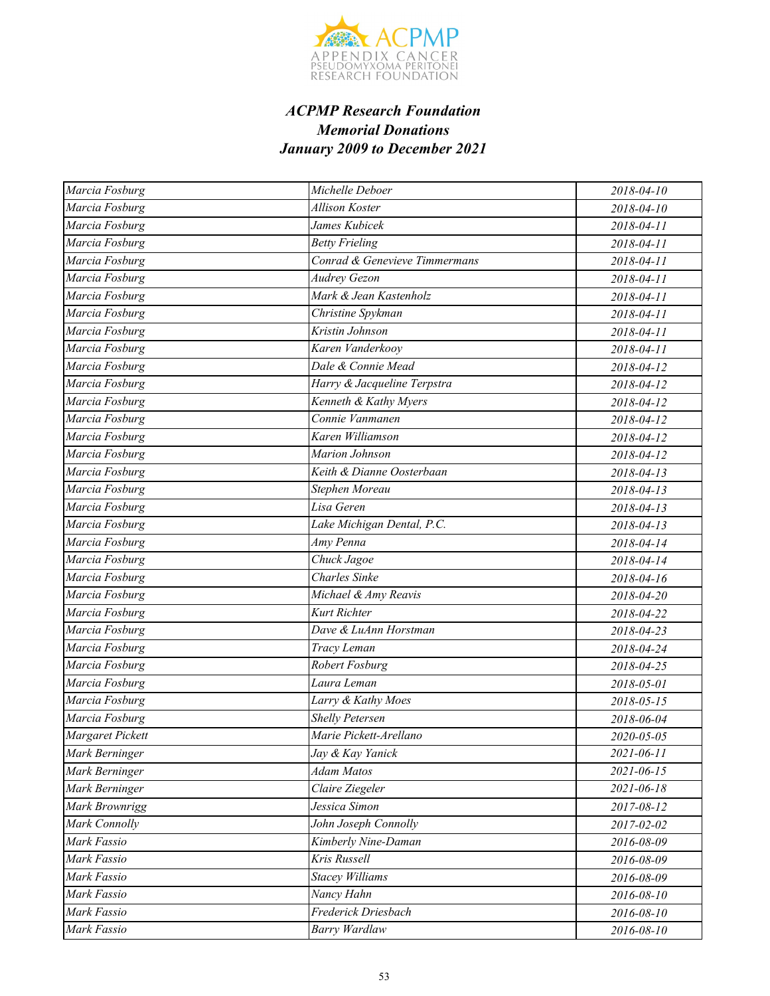

| Marcia Fosburg          | Michelle Deboer               | 2018-04-10       |
|-------------------------|-------------------------------|------------------|
| Marcia Fosburg          | <b>Allison Koster</b>         | 2018-04-10       |
| Marcia Fosburg          | James Kubicek                 | 2018-04-11       |
| Marcia Fosburg          | <b>Betty Frieling</b>         | 2018-04-11       |
| Marcia Fosburg          | Conrad & Genevieve Timmermans | 2018-04-11       |
| Marcia Fosburg          | <b>Audrey Gezon</b>           | 2018-04-11       |
| Marcia Fosburg          | Mark & Jean Kastenholz        | 2018-04-11       |
| Marcia Fosburg          | Christine Spykman             | 2018-04-11       |
| Marcia Fosburg          | Kristin Johnson               | 2018-04-11       |
| Marcia Fosburg          | Karen Vanderkooy              | 2018-04-11       |
| Marcia Fosburg          | Dale & Connie Mead            | 2018-04-12       |
| Marcia Fosburg          | Harry & Jacqueline Terpstra   | 2018-04-12       |
| Marcia Fosburg          | Kenneth & Kathy Myers         | 2018-04-12       |
| Marcia Fosburg          | Connie Vanmanen               | 2018-04-12       |
| Marcia Fosburg          | Karen Williamson              | 2018-04-12       |
| Marcia Fosburg          | Marion Johnson                | 2018-04-12       |
| Marcia Fosburg          | Keith & Dianne Oosterbaan     | 2018-04-13       |
| Marcia Fosburg          | Stephen Moreau                | 2018-04-13       |
| Marcia Fosburg          | Lisa Geren                    | 2018-04-13       |
| Marcia Fosburg          | Lake Michigan Dental, P.C.    | 2018-04-13       |
| Marcia Fosburg          | Amy Penna                     | 2018-04-14       |
| Marcia Fosburg          | Chuck Jagoe                   | 2018-04-14       |
| Marcia Fosburg          | <b>Charles</b> Sinke          | 2018-04-16       |
| Marcia Fosburg          | Michael & Amy Reavis          | 2018-04-20       |
| Marcia Fosburg          | Kurt Richter                  | 2018-04-22       |
| Marcia Fosburg          | Dave & LuAnn Horstman         | 2018-04-23       |
| Marcia Fosburg          | Tracy Leman                   | 2018-04-24       |
| Marcia Fosburg          | Robert Fosburg                | 2018-04-25       |
| Marcia Fosburg          | Laura Leman                   | 2018-05-01       |
| Marcia Fosburg          | Larry & Kathy Moes            | 2018-05-15       |
| Marcia Fosburg          | <b>Shelly Petersen</b>        | 2018-06-04       |
| <b>Margaret Pickett</b> | Marie Pickett-Arellano        | 2020-05-05       |
| Mark Berninger          | Jay & Kay Yanick              | 2021-06-11       |
| Mark Berninger          | Adam Matos                    | $2021 - 06 - 15$ |
| Mark Berninger          | Claire Ziegeler               | 2021-06-18       |
| Mark Brownrigg          | Jessica Simon                 | 2017-08-12       |
| Mark Connolly           | John Joseph Connolly          | 2017-02-02       |
| Mark Fassio             | Kimberly Nine-Daman           | 2016-08-09       |
| Mark Fassio             | Kris Russell                  | 2016-08-09       |
| Mark Fassio             | <b>Stacey Williams</b>        | 2016-08-09       |
| Mark Fassio             | Nancy Hahn                    | 2016-08-10       |
| Mark Fassio             | Frederick Driesbach           | 2016-08-10       |
| Mark Fassio             | Barry Wardlaw                 | 2016-08-10       |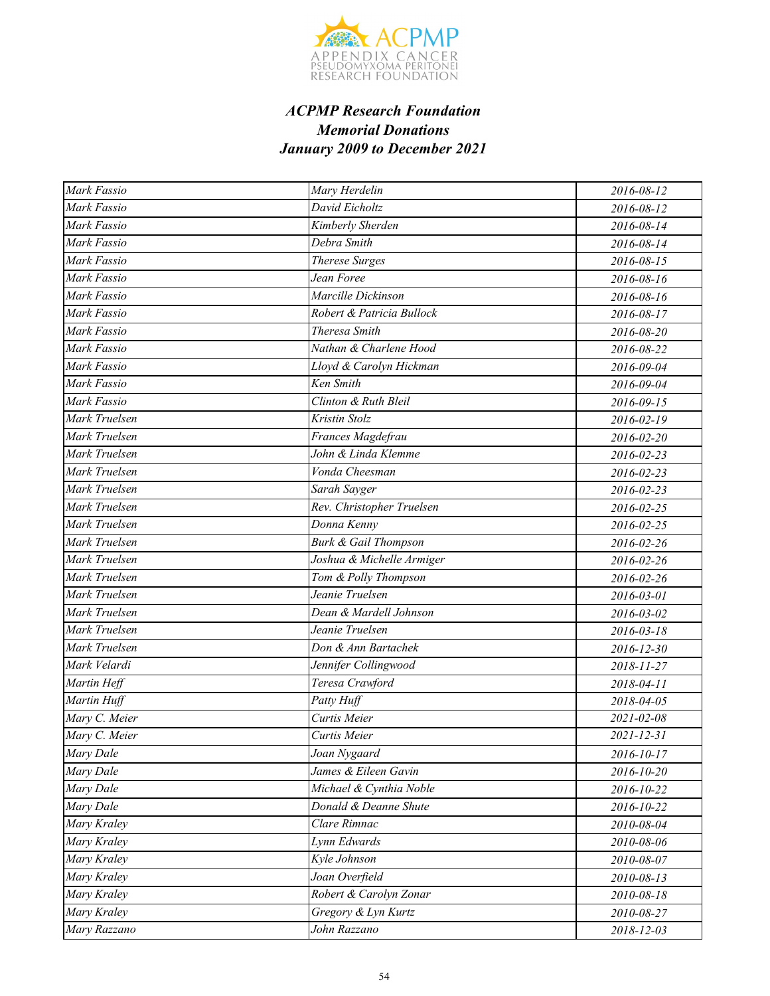

| Mark Fassio   | Mary Herdelin                   | 2016-08-12 |
|---------------|---------------------------------|------------|
| Mark Fassio   | David Eicholtz                  | 2016-08-12 |
| Mark Fassio   | Kimberly Sherden                | 2016-08-14 |
| Mark Fassio   | Debra Smith                     | 2016-08-14 |
| Mark Fassio   | <b>Therese Surges</b>           | 2016-08-15 |
| Mark Fassio   | Jean Foree                      | 2016-08-16 |
| Mark Fassio   | Marcille Dickinson              | 2016-08-16 |
| Mark Fassio   | Robert & Patricia Bullock       | 2016-08-17 |
| Mark Fassio   | Theresa Smith                   | 2016-08-20 |
| Mark Fassio   | Nathan & Charlene Hood          | 2016-08-22 |
| Mark Fassio   | Lloyd & Carolyn Hickman         | 2016-09-04 |
| Mark Fassio   | Ken Smith                       | 2016-09-04 |
| Mark Fassio   | Clinton & Ruth Bleil            | 2016-09-15 |
| Mark Truelsen | Kristin Stolz                   | 2016-02-19 |
| Mark Truelsen | Frances Magdefrau               | 2016-02-20 |
| Mark Truelsen | John & Linda Klemme             | 2016-02-23 |
| Mark Truelsen | Vonda Cheesman                  | 2016-02-23 |
| Mark Truelsen | Sarah Sayger                    | 2016-02-23 |
| Mark Truelsen | Rev. Christopher Truelsen       | 2016-02-25 |
| Mark Truelsen | Donna Kenny                     | 2016-02-25 |
| Mark Truelsen | <b>Burk &amp; Gail Thompson</b> | 2016-02-26 |
| Mark Truelsen | Joshua & Michelle Armiger       | 2016-02-26 |
| Mark Truelsen | Tom & Polly Thompson            | 2016-02-26 |
| Mark Truelsen | Jeanie Truelsen                 | 2016-03-01 |
| Mark Truelsen | Dean & Mardell Johnson          | 2016-03-02 |
| Mark Truelsen | Jeanie Truelsen                 | 2016-03-18 |
| Mark Truelsen | Don & Ann Bartachek             | 2016-12-30 |
| Mark Velardi  | Jennifer Collingwood            | 2018-11-27 |
| Martin Heff   | Teresa Crawford                 | 2018-04-11 |
| Martin Huff   | Patty Huff                      | 2018-04-05 |
| Mary C. Meier | Curtis Meier                    | 2021-02-08 |
| Mary C. Meier | Curtis Meier                    | 2021-12-31 |
| Mary Dale     | Joan Nygaard                    | 2016-10-17 |
| Mary Dale     | James & Eileen Gavin            | 2016-10-20 |
| Mary Dale     | Michael & Cynthia Noble         | 2016-10-22 |
| Mary Dale     | Donald & Deanne Shute           | 2016-10-22 |
| Mary Kraley   | Clare Rimnac                    | 2010-08-04 |
| Mary Kraley   | Lynn Edwards                    | 2010-08-06 |
| Mary Kraley   | Kyle Johnson                    | 2010-08-07 |
| Mary Kraley   | Joan Overfield                  | 2010-08-13 |
| Mary Kraley   | Robert & Carolyn Zonar          | 2010-08-18 |
| Mary Kraley   | Gregory & Lyn Kurtz             | 2010-08-27 |
| Mary Razzano  | John Razzano                    | 2018-12-03 |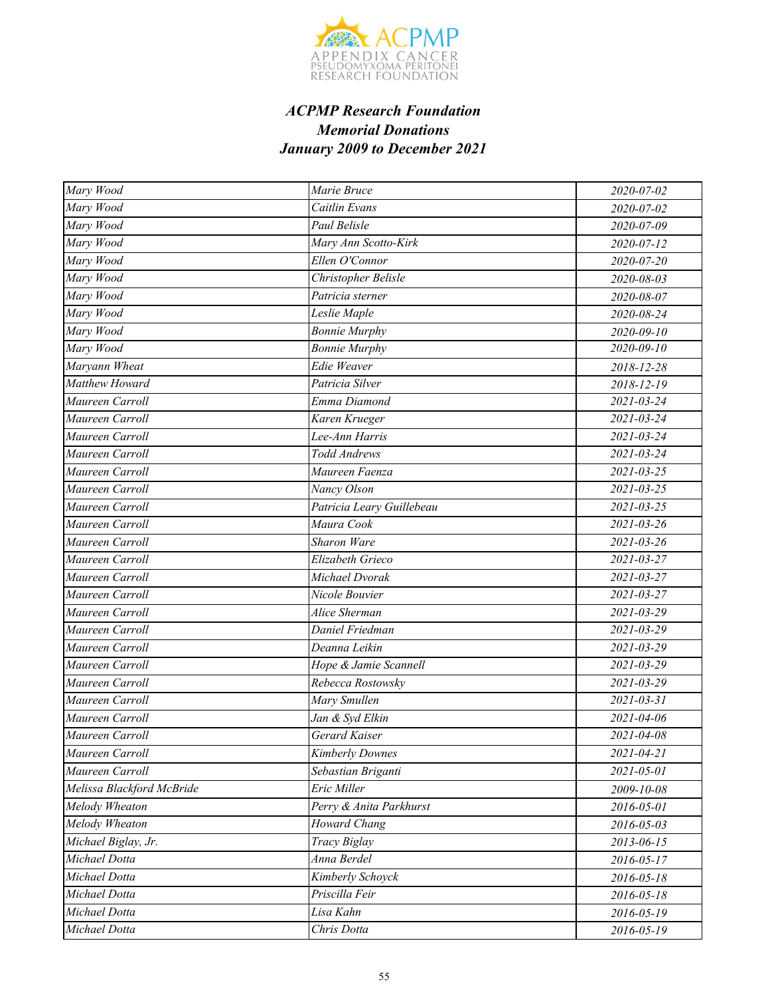

| Mary Wood                 | Marie Bruce               | 2020-07-02       |
|---------------------------|---------------------------|------------------|
| Mary Wood                 | Caitlin Evans             | 2020-07-02       |
| Mary Wood                 | Paul Belisle              | 2020-07-09       |
| Mary Wood                 | Mary Ann Scotto-Kirk      | 2020-07-12       |
| Mary Wood                 | Ellen O'Connor            | 2020-07-20       |
| Mary Wood                 | Christopher Belisle       | 2020-08-03       |
| Mary Wood                 | Patricia sterner          | 2020-08-07       |
| Mary Wood                 | Leslie Maple              | 2020-08-24       |
| Mary Wood                 | <b>Bonnie Murphy</b>      | $2020 - 09 - 10$ |
| Mary Wood                 | <b>Bonnie Murphy</b>      | 2020-09-10       |
| Maryann Wheat             | Edie Weaver               | 2018-12-28       |
| <b>Matthew Howard</b>     | Patricia Silver           | 2018-12-19       |
| Maureen Carroll           | Emma Diamond              | 2021-03-24       |
| Maureen Carroll           | Karen Krueger             | 2021-03-24       |
| Maureen Carroll           | Lee-Ann Harris            | $2021 - 03 - 24$ |
| Maureen Carroll           | Todd Andrews              | 2021-03-24       |
| Maureen Carroll           | Maureen Faenza            | 2021-03-25       |
| Maureen Carroll           | Nancy Olson               | $2021 - 03 - 25$ |
| Maureen Carroll           | Patricia Leary Guillebeau | $2021 - 03 - 25$ |
| Maureen Carroll           | Maura Cook                | 2021-03-26       |
| Maureen Carroll           | <b>Sharon Ware</b>        | $2021 - 03 - 26$ |
| Maureen Carroll           | Elizabeth Grieco          | 2021-03-27       |
| Maureen Carroll           | Michael Dvorak            | 2021-03-27       |
| Maureen Carroll           | Nicole Bouvier            | $2021 - 03 - 27$ |
| Maureen Carroll           | Alice Sherman             | 2021-03-29       |
| Maureen Carroll           | Daniel Friedman           | 2021-03-29       |
| Maureen Carroll           | Deanna Leikin             | $2021 - 03 - 29$ |
| Maureen Carroll           | Hope & Jamie Scannell     | 2021-03-29       |
| Maureen Carroll           | Rebecca Rostowsky         | 2021-03-29       |
| Maureen Carroll           | Mary Smullen              | $2021 - 03 - 31$ |
| Maureen Carroll           | Jan & Syd Elkin           | 2021-04-06       |
| Maureen Carroll           | Gerard Kaiser             | 2021-04-08       |
| Maureen Carroll           | <b>Kimberly Downes</b>    | 2021-04-21       |
| Maureen Carroll           | Sebastian Briganti        | 2021-05-01       |
| Melissa Blackford McBride | Eric Miller               | 2009-10-08       |
| Melody Wheaton            | Perry & Anita Parkhurst   | 2016-05-01       |
| Melody Wheaton            | Howard Chang              | 2016-05-03       |
| Michael Biglay, Jr.       | Tracy Biglay              | 2013-06-15       |
| Michael Dotta             | Anna Berdel               | 2016-05-17       |
| Michael Dotta             | Kimberly Schoyck          | 2016-05-18       |
| Michael Dotta             | Priscilla Feir            | 2016-05-18       |
| Michael Dotta             | Lisa Kahn                 | 2016-05-19       |
| Michael Dotta             | Chris Dotta               | 2016-05-19       |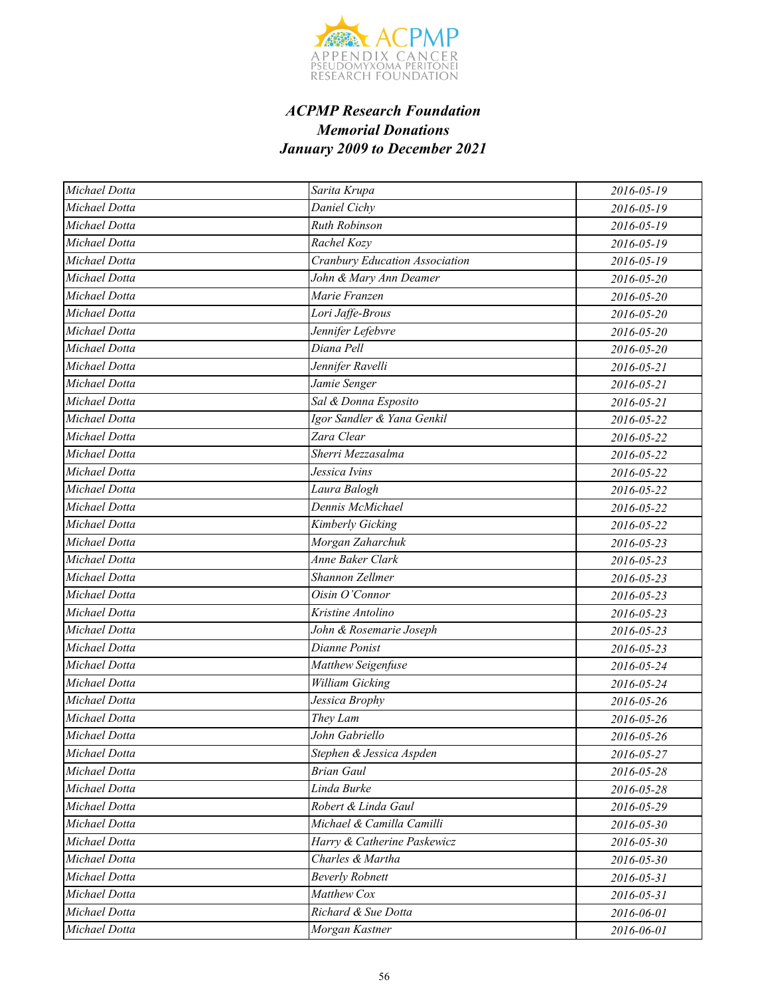

| Michael Dotta | Sarita Krupa                   | 2016-05-19 |
|---------------|--------------------------------|------------|
| Michael Dotta | Daniel Cichy                   | 2016-05-19 |
| Michael Dotta | <b>Ruth Robinson</b>           | 2016-05-19 |
| Michael Dotta | Rachel Kozy                    | 2016-05-19 |
| Michael Dotta | Cranbury Education Association | 2016-05-19 |
| Michael Dotta | John & Mary Ann Deamer         | 2016-05-20 |
| Michael Dotta | Marie Franzen                  | 2016-05-20 |
| Michael Dotta | Lori Jaffe-Brous               | 2016-05-20 |
| Michael Dotta | Jennifer Lefebvre              | 2016-05-20 |
| Michael Dotta | Diana Pell                     | 2016-05-20 |
| Michael Dotta | Jennifer Ravelli               | 2016-05-21 |
| Michael Dotta | Jamie Senger                   | 2016-05-21 |
| Michael Dotta | Sal & Donna Esposito           | 2016-05-21 |
| Michael Dotta | Igor Sandler & Yana Genkil     | 2016-05-22 |
| Michael Dotta | Zara Clear                     | 2016-05-22 |
| Michael Dotta | Sherri Mezzasalma              | 2016-05-22 |
| Michael Dotta | Jessica Ivins                  | 2016-05-22 |
| Michael Dotta | Laura Balogh                   | 2016-05-22 |
| Michael Dotta | Dennis McMichael               | 2016-05-22 |
| Michael Dotta | Kimberly Gicking               | 2016-05-22 |
| Michael Dotta | Morgan Zaharchuk               | 2016-05-23 |
| Michael Dotta | <b>Anne Baker Clark</b>        | 2016-05-23 |
| Michael Dotta | Shannon Zellmer                | 2016-05-23 |
| Michael Dotta | Oisin O'Connor                 | 2016-05-23 |
| Michael Dotta | Kristine Antolino              | 2016-05-23 |
| Michael Dotta | John & Rosemarie Joseph        | 2016-05-23 |
| Michael Dotta | Dianne Ponist                  | 2016-05-23 |
| Michael Dotta | Matthew Seigenfuse             | 2016-05-24 |
| Michael Dotta | William Gicking                | 2016-05-24 |
| Michael Dotta | Jessica Brophy                 | 2016-05-26 |
| Michael Dotta | They Lam                       | 2016-05-26 |
| Michael Dotta | John Gabriello                 | 2016-05-26 |
| Michael Dotta | Stephen & Jessica Aspden       | 2016-05-27 |
| Michael Dotta | <b>Brian Gaul</b>              | 2016-05-28 |
| Michael Dotta | Linda Burke                    | 2016-05-28 |
| Michael Dotta | Robert & Linda Gaul            | 2016-05-29 |
| Michael Dotta | Michael & Camilla Camilli      | 2016-05-30 |
| Michael Dotta | Harry & Catherine Paskewicz    | 2016-05-30 |
| Michael Dotta | Charles & Martha               | 2016-05-30 |
| Michael Dotta | <b>Beverly Robnett</b>         | 2016-05-31 |
| Michael Dotta | Matthew Cox                    | 2016-05-31 |
| Michael Dotta | Richard & Sue Dotta            | 2016-06-01 |
| Michael Dotta | Morgan Kastner                 | 2016-06-01 |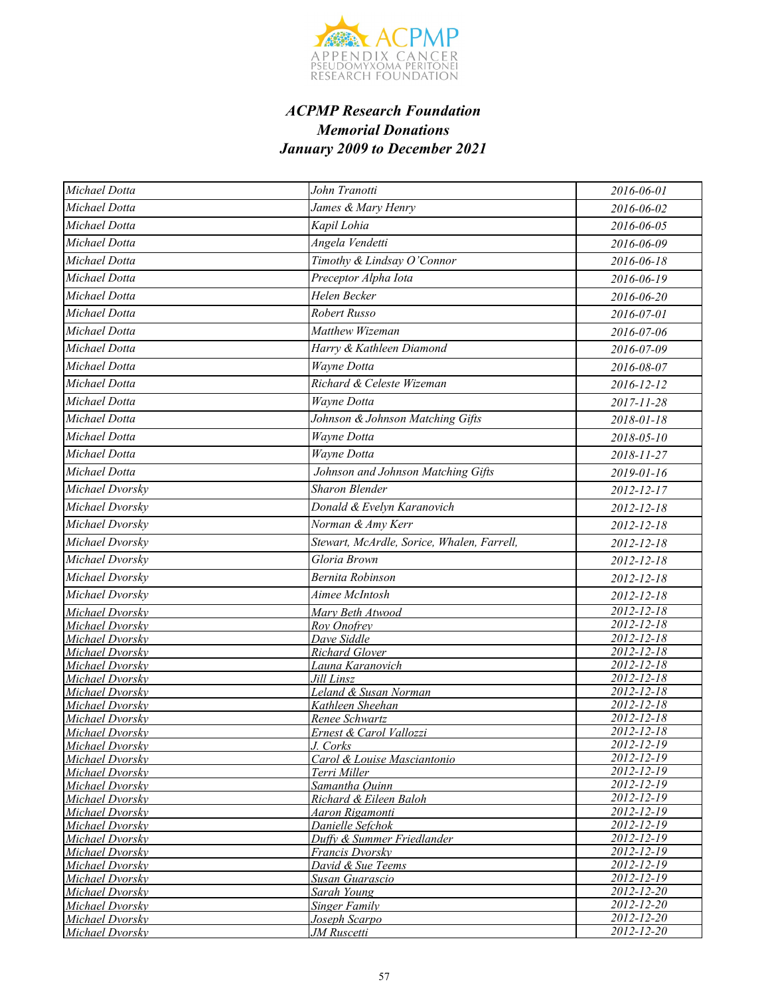

| Michael Dotta                      | John Tranotti                              | 2016-06-01                           |
|------------------------------------|--------------------------------------------|--------------------------------------|
| Michael Dotta                      | James & Mary Henry                         | 2016-06-02                           |
| Michael Dotta                      | Kapil Lohia                                | 2016-06-05                           |
| Michael Dotta                      | Angela Vendetti                            | 2016-06-09                           |
| Michael Dotta                      | Timothy & Lindsay O'Connor                 | 2016-06-18                           |
| Michael Dotta                      | Preceptor Alpha Iota                       | 2016-06-19                           |
| Michael Dotta                      | Helen Becker                               | 2016-06-20                           |
| Michael Dotta                      | Robert Russo                               |                                      |
|                                    |                                            | 2016-07-01                           |
| Michael Dotta                      | Matthew Wizeman                            | 2016-07-06                           |
| Michael Dotta                      | Harry & Kathleen Diamond                   | 2016-07-09                           |
| Michael Dotta                      | Wayne Dotta                                | 2016-08-07                           |
| Michael Dotta                      | Richard & Celeste Wizeman                  | 2016-12-12                           |
| Michael Dotta                      | Wayne Dotta                                | 2017-11-28                           |
| Michael Dotta                      | Johnson & Johnson Matching Gifts           | 2018-01-18                           |
| Michael Dotta                      | Wayne Dotta                                | 2018-05-10                           |
| Michael Dotta                      | Wayne Dotta                                | 2018-11-27                           |
| Michael Dotta                      | Johnson and Johnson Matching Gifts         | 2019-01-16                           |
| Michael Dvorsky                    | <b>Sharon Blender</b>                      | 2012-12-17                           |
| Michael Dvorsky                    | Donald & Evelyn Karanovich                 | 2012-12-18                           |
| Michael Dvorsky                    | Norman & Amy Kerr                          | 2012-12-18                           |
| Michael Dvorsky                    | Stewart, McArdle, Sorice, Whalen, Farrell, | 2012-12-18                           |
| Michael Dvorsky                    | Gloria Brown                               |                                      |
|                                    | <b>Bernita Robinson</b>                    | 2012-12-18                           |
| Michael Dvorsky                    |                                            | 2012-12-18                           |
| Michael Dvorsky                    | Aimee McIntosh                             | 2012-12-18                           |
| Michael Dvorsky                    | Mary Beth Atwood                           | $2012 - 12 - 18$<br>$2012 - 12 - 18$ |
| Michael Dvorsky<br>Michael Dvorsky | Roy Onofrey<br>Dave Siddle                 | $2012 - 12 - 18$                     |
| Michael Dvorsky                    | <b>Richard Glover</b>                      | 2012-12-18                           |
| Michael Dvorsky                    | Launa Karanovich                           | 2012-12-18                           |
| Michael Dvorsky                    | Jill Linsz                                 | $2012 - 12 - 18$                     |
| Michael Dvorsky                    | Leland & Susan Norman                      | $2012 - 12 - 18$                     |
| Michael Dvorsky                    | Kathleen Sheehan                           | 2012-12-18                           |
| Michael Dvorsky                    | Renee Schwartz                             | $2012 - 12 - 18$                     |
| Michael Dvorsky                    | Ernest & Carol Vallozzi                    | $2012 - 12 - 18$                     |
| Michael Dvorsky                    | J. Corks                                   | 2012-12-19                           |
| Michael Dvorsky                    | Carol & Louise Masciantonio                | 2012-12-19                           |
| Michael Dvorskv                    | Terri Miller                               | $2012 - 12 - 19$                     |
| Michael Dvorsky                    | Samantha Quinn                             | 2012-12-19                           |
| Michael Dvorsky                    | Richard & Eileen Baloh                     | $2012 - 12 - 19$                     |
| Michael Dvorsky                    | Aaron Rigamonti                            | 2012-12-19                           |
| Michael Dvorsky                    | Danielle Sefchok                           | $2012 - 12 - 19$                     |
| Michael Dvorsky                    | Duffy & Summer Friedlander                 | $2012 - 12 - 19$                     |
| Michael Dvorsky                    | Francis Dvorsky                            | $2012 - 12 - 19$                     |
| Michael Dvorsky                    | David & Sue Teems                          | $2012 - 12 - 19$                     |
| Michael Dvorsky                    | <b>Susan Guarascio</b>                     | 2012-12-19                           |
| Michael Dvorsky                    | Sarah Young                                | 2012-12-20<br>2012-12-20             |
| Michael Dvorsky<br>Michael Dvorsky | <b>Singer Family</b><br>Joseph Scarpo      | 2012-12-20                           |
| Michael Dvorsky                    | JM Ruscetti                                | 2012-12-20                           |
|                                    |                                            |                                      |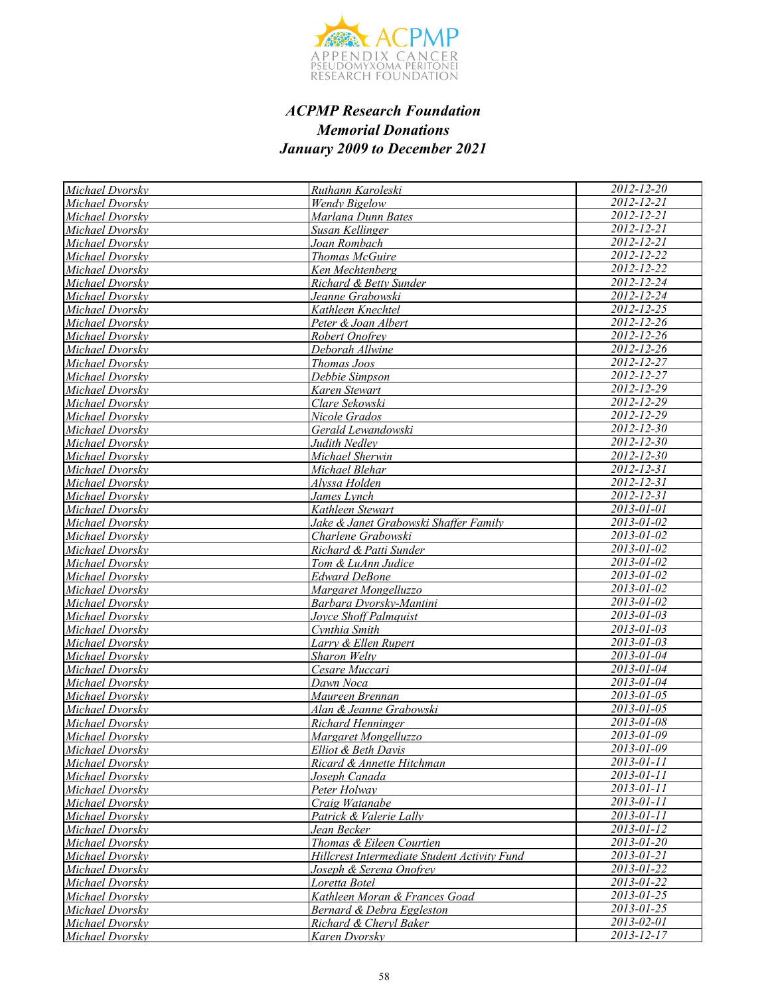

| Michael Dvorsky | Ruthann Karoleski                            | $2012 - 12 - 20$               |
|-----------------|----------------------------------------------|--------------------------------|
| Michael Dvorsky | <b>Wendy Bigelow</b>                         | 2012-12-21                     |
| Michael Dvorsky | Marlana Dunn Bates                           | 2012-12-21                     |
| Michael Dvorskv | Susan Kellinger                              | 2012-12-21                     |
| Michael Dvorsky | Joan Rombach                                 | 2012-12-21                     |
| Michael Dvorsky | <b>Thomas McGuire</b>                        | 2012-12-22                     |
| Michael Dvorsky | Ken Mechtenberg                              | 2012-12-22                     |
| Michael Dvorsky | Richard & Betty Sunder                       | $2012 - 12 - 24$               |
| Michael Dvorskv | Jeanne Grabowski                             | $2012 - 12 - 24$               |
| Michael Dvorsky | Kathleen Knechtel                            | $2012 - 12 - 25$               |
| Michael Dvorskv | Peter & Joan Albert                          | $2012 - 12 - 26$               |
| Michael Dvorskv | Robert Onofrev                               | $2012 - 12 - 26$               |
| Michael Dvorskv | Deborah Allwine                              | 2012-12-26                     |
| Michael Dvorsky | Thomas Joos                                  | 2012-12-27                     |
| Michael Dvorsky | Debbie Simpson                               | $2012 - 12 - 27$               |
| Michael Dvorsky | Karen Stewart                                | 2012-12-29                     |
| Michael Dvorsky | Clare Sekowski                               | 2012-12-29                     |
| Michael Dvorsky | Nicole Grados                                | $2012 - 12 - 29$               |
| Michael Dvorsky | Gerald Lewandowski                           | $2012 - 12 - 30$               |
| Michael Dvorsky | Judith Nedlev                                | 2012-12-30                     |
| Michael Dvorsky | Michael Sherwin                              | 2012-12-30                     |
| Michael Dvorsky | Michael Blehar                               | $2012 - 12 - 31$               |
| Michael Dvorskv | Alvssa Holden                                | $2012 - 12 - 31$               |
| Michael Dvorsky | James Lynch                                  | 2012-12-31                     |
| Michael Dvorsky | Kathleen Stewart                             | $2013 - 01 - 01$               |
| Michael Dvorsky | Jake & Janet Grabowski Shaffer Family        | $2013 - 01 - 02$               |
| Michael Dvorskv | Charlene Grabowski                           | 2013-01-02                     |
| Michael Dvorsky | Richard & Patti Sunder                       | $2013 - 01 - 02$               |
| Michael Dvorsky | Tom & LuAnn Judice                           | $2013 - 01 - 02$               |
| Michael Dvorsky | <b>Edward DeBone</b>                         | $2013 - 01 - 02$               |
| Michael Dvorsky | Margaret Mongelluzzo                         | 2013-01-02                     |
| Michael Dvorsky | Barbara Dvorsky-Mantini                      | 2013-01-02                     |
| Michael Dvorsky | Jovce Shoff Palmquist                        | 2013-01-03                     |
| Michael Dvorsky | Cynthia Smith                                | 2013-01-03                     |
| Michael Dvorsky | Larry & Ellen Rupert                         | 2013-01-03                     |
| Michael Dvorsky | Sharon Welty                                 | $2013 - 01 - 04$               |
| Michael Dvorsky | Cesare Muccari                               | 2013-01-04                     |
| Michael Dvorsky | Dawn Noca                                    | $\frac{2013 - 01 - 04}{h}$     |
| Michael Dvorskv | Maureen Brennan                              | 2013-01-05                     |
| Michael Dvorsky | Alan & Jeanne Grabowski                      | $2013 - 01 - 05$               |
| Michael Dvorsky | Richard Henninger                            | $2013 - 01 - 08$               |
| Michael Dvorsky | Margaret Mongelluzzo                         | $\overline{2013} - 01 - 09$    |
| Michael Dvorsky | Elliot & Beth Davis                          | 2013-01-09                     |
| Michael Dvorsky | Ricard & Annette Hitchman                    | 2013-01-11                     |
| Michael Dvorsky | Joseph Canada                                | 2013-01-11                     |
| Michael Dvorsky | Peter Holway                                 | 2013-01-11                     |
| Michael Dvorsky | Craig Watanabe                               | 2013-01-11                     |
| Michael Dvorsky | Patrick & Valerie Lally                      | 2013-01-11                     |
| Michael Dvorsky | Jean Becker                                  | 2013-01-12                     |
| Michael Dvorsky | Thomas & Eileen Courtien                     | 2013-01-20                     |
| Michael Dvorsky | Hillcrest Intermediate Student Activity Fund | 2013-01-21                     |
| Michael Dvorskv | Joseph & Serena Onofrey                      | 2013-01-22                     |
| Michael Dvorsky | Loretta Botel                                | 2013-01-22                     |
| Michael Dvorsky | Kathleen Moran & Frances Goad                | 2013-01-25<br>$2013 - 01 - 25$ |
| Michael Dvorskv | Bernard & Debra Eggleston                    | 2013-02-01                     |
| Michael Dvorsky | Richard & Cheryl Baker                       | 2013-12-17                     |
| Michael Dvorsky | Karen Dvorsky                                |                                |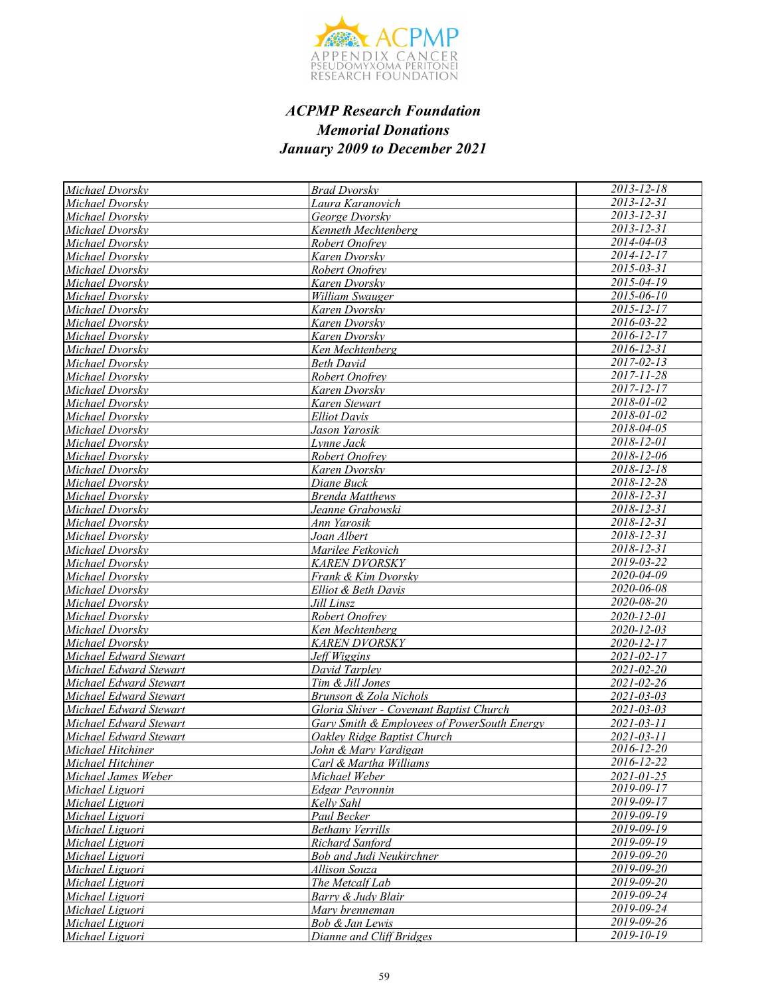

| Michael Dvorsky                                  | <b>Brad Dvorsky</b>                         | $2013 - 12 - 18$         |
|--------------------------------------------------|---------------------------------------------|--------------------------|
| Michael Dvorsky                                  | Laura Karanovich                            | 2013-12-31               |
| Michael Dvorsky                                  | George Dvorskv                              | 2013-12-31               |
| Michael Dvorsky                                  | Kenneth Mechtenberg                         | $2013 - 12 - 31$         |
| Michael Dvorsky                                  | Robert Onofrey                              | $2014 - 04 - 03$         |
| Michael Dvorsky                                  | Karen Dvorskv                               | $2014 - 12 - 17$         |
| Michael Dvorsky                                  | Robert Onofrev                              | 2015-03-31               |
| Michael Dvorsky                                  | Karen Dvorskv                               | $2015 - 04 - 19$         |
| Michael Dvorsky                                  | William Swauger                             | $2015 - 06 - 10$         |
| Michael Dvorsky                                  | Karen Dvorskv                               | $2015 - 12 - 17$         |
| Michael Dvorsky                                  | Karen Dvorskv                               | 2016-03-22               |
| Michael Dvorsky                                  | Karen Dvorskv                               | $2016 - 12 - 17$         |
| Michael Dvorskv                                  | Ken Mechtenberg                             | $2016 - 12 - 31$         |
| Michael Dvorskv                                  | Beth David                                  | $2017 - 02 - 13$         |
| Michael Dvorsky                                  | Robert Onofrey                              | 2017-11-28               |
| Michael Dvorsky                                  | Karen Dvorskv                               | 2017-12-17               |
| Michael Dvorsky                                  | Karen Stewart                               | 2018-01-02               |
| Michael Dvorskv                                  | <b>Elliot Davis</b>                         | 2018-01-02               |
| Michael Dvorsky                                  | Jason Yarosik                               | 2018-04-05               |
| Michael Dvorskv                                  | Lynne Jack                                  | 2018-12-01               |
| Michael Dvorsky                                  | Robert Onofrev                              | 2018-12-06               |
| Michael Dvorsky                                  | Karen Dvorsky                               | $2018 - 12 - 18$         |
| Michael Dvorsky                                  | Diane Buck                                  | 2018-12-28               |
| Michael Dvorsky                                  | <b>Brenda Matthews</b>                      | 2018-12-31               |
| Michael Dvorsky                                  | Jeanne Grabowski                            | $\frac{2018-12-31}{20}$  |
| Michael Dvorskv                                  | Ann Yarosik                                 | 2018-12-31               |
| Michael Dvorsky                                  | Joan Albert                                 | 2018-12-31               |
| Michael Dvorsky                                  | Marilee Fetkovich                           | 2018-12-31               |
| Michael Dvorsky                                  | <b>KAREN DVORSKY</b>                        | 2019-03-22               |
| Michael Dvorsky                                  | Frank & Kim Dvorsky                         | 2020-04-09               |
| Michael Dvorsky                                  | Elliot & Beth Davis                         | 2020-06-08               |
| Michael Dvorsky                                  | Jill Linsz                                  | 2020-08-20               |
| Michael Dvorskv                                  | Robert Onofrey                              | 2020-12-01               |
| Michael Dvorsky                                  | Ken Mechtenberg                             | <u>2020-12-03</u>        |
| Michael Dvorsky                                  | <b>KAREN DVORSKY</b>                        | 2020-12-17               |
| Michael Edward Stewart                           | Jeff Wiggins                                | 2021-02-17<br>2021-02-20 |
| Michael Edward Stewart<br>Michael Edward Stewart | David Tarpley<br>Tim & Jill Jones           | 2021-02-26               |
| Michael Edward Stewart                           | Brunson & Zola Nichols                      | 2021-03-03               |
| Michael Edward Stewart                           | Gloria Shiver - Covenant Baptist Church     | $2021 - 03 - 03$         |
| Michael Edward Stewart                           | Gary Smith & Employees of PowerSouth Energy | $2021 - 03 - 11$         |
| Michael Edward Stewart                           | Oakley Ridge Baptist Church                 | 2021-03-11               |
| Michael Hitchiner                                | <u>John &amp; Mary Vardigan</u>             | $\frac{2016-12}{20}$     |
| Michael Hitchiner                                | Carl & Martha Williams                      | 2016-12-22               |
| Michael James Weber                              | Michael Weber                               | $2021 - 01 - 25$         |
| Michael Liguori                                  | Edgar Peyronnin                             | 2019-09-17               |
| Michael Liguori                                  | Kelly Sahl                                  | 2019-09-17               |
| Michael Liguori                                  | Paul Becker                                 | 2019-09-19               |
| Michael Liguori                                  | <b>Bethany Verrills</b>                     | $2019 - 09 - 19$         |
| Michael Liguori                                  | Richard Sanford                             | $2019 - 09 - 19$         |
| Michael Liguori                                  | Bob and Judi Neukirchner                    | 2019-09-20               |
| Michael Liguori                                  | Allison Souza                               | 2019-09-20               |
| Michael Liguori                                  | The Metcalf Lab                             | 2019-09-20               |
| Michael Liguori                                  | Barry & Judy Blair                          | 2019-09-24               |
| Michael Liguori                                  | Mary brenneman                              | 2019-09-24               |
| Michael Liguori                                  | Bob & Jan Lewis                             | 2019-09-26               |
| Michael Liguori                                  | Dianne and Cliff Bridges                    | 2019-10-19               |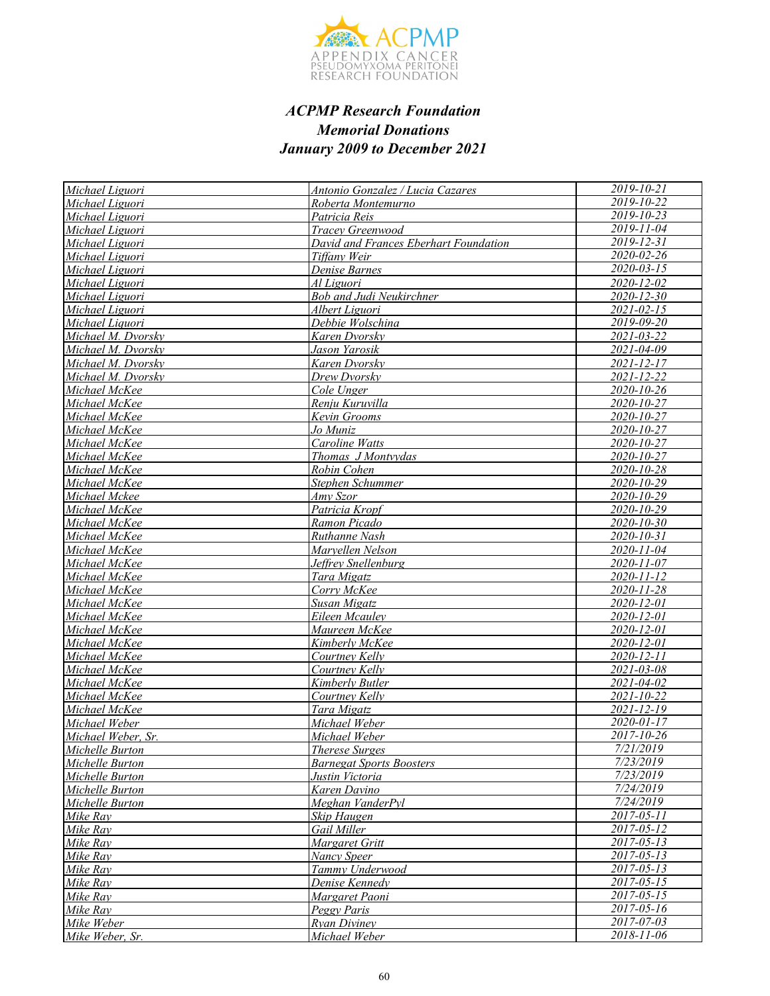

| Michael Liguori        | <b>Antonio Gonzalez / Lucia Cazares</b> | 2019-10-21               |
|------------------------|-----------------------------------------|--------------------------|
| Michael Liguori        | Roberta Montemurno                      | 2019-10-22               |
| Michael Liguori        | Patricia Reis                           | 2019-10-23               |
| Michael Liguori        | Tracey Greenwood                        | $2019 - 11 - 04$         |
| Michael Liguori        | David and Frances Eberhart Foundation   | $2019 - 12 - 31$         |
| Michael Liguori        | Tiffany Weir                            | 2020-02-26               |
| Michael Liguori        | Denise Barnes                           | $2020 - 03 - 15$         |
| Michael Liguori        | Al Liguori                              | 2020-12-02               |
| Michael Liguori        | <b>Bob and Judi Neukirchner</b>         | $2020 - 12 - 30$         |
| Michael Liguori        | Albert Liguori                          | $2021 - 02 - 15$         |
| Michael Liquori        | Debbie Wolschina                        | 2019-09-20               |
| Michael M. Dvorsky     | Karen Dvorsky                           | 2021-03-22               |
| Michael M. Dvorsky     | Jason Yarosik                           | 2021-04-09               |
| Michael M. Dvorsky     | Karen Dvorsky                           | 2021-12-17               |
| Michael M. Dvorsky     | Drew Dvorsky                            | 2021-12-22               |
| Michael McKee          | Cole Unger                              | 2020-10-26               |
| Michael McKee          | Renju Kuruvilla                         | 2020-10-27               |
| Michael McKee          | Kevin Grooms                            | 2020-10-27               |
| Michael McKee          | Jo Muniz                                | 2020-10-27               |
| Michael McKee          | Caroline Watts                          | 2020-10-27               |
| Michael McKee          | Thomas J Montvydas                      | 2020-10-27               |
| Michael McKee          | Robin Cohen                             | 2020-10-28               |
| Michael McKee          | Stephen Schummer                        | 2020-10-29               |
| Michael Mckee          | Amy Szor                                | 2020-10-29               |
| Michael McKee          | Patricia Kropf                          | 2020-10-29               |
| Michael McKee          | Ramon Picado                            | 2020-10-30               |
| Michael McKee          | Ruthanne Nash                           | $2020 - 10 - 31$         |
| Michael McKee          | Maryellen Nelson                        | 2020-11-04               |
| Michael McKee          | Jeffrey Snellenburg                     | 2020-11-07               |
| Michael McKee          | Tara Migatz                             | 2020-11-12               |
| Michael McKee          | Corry McKee                             | $2020 - 11 - 28$         |
| Michael McKee          | Susan Migatz                            | 2020-12-01               |
| Michael McKee          | Eileen Mcauley                          | 2020-12-01               |
| Michael McKee          | Maureen McKee                           | 2020-12-01               |
| Michael McKee          | Kimberly McKee                          | 2020-12-01               |
| Michael McKee          | Courtney Kelly                          | 2020-12-11               |
| Michael McKee          | Courtney Kelly                          | 2021-03-08               |
| Michael McKee          | Kimberly Butler                         | 2021-04-02               |
| Michael McKee          | Courtney Kelly                          | $2021 - 10 - 22$         |
| Michael McKee          | Tara Migatz                             | $2021 - 12 - 19$         |
| Michael Weber          | Michael Weber                           | 2020-01-17               |
| Michael Weber, Sr.     | Michael Weber                           | 2017-10-26               |
| <i>Michelle Burton</i> | <u>Therese Surges</u>                   | 7/21/2019                |
| Michelle Burton        | <b>Barnegat Sports Boosters</b>         | 7/23/2019                |
| Michelle Burton        | Justin Victoria                         | 7/23/2019                |
| Michelle Burton        | Karen Davino                            | 7/24/2019                |
| Michelle Burton        | Meghan VanderPyl                        | 7/24/2019                |
| Mike Ray               | Skip Haugen                             | $2017 - 05 - 11$         |
| Mike Ray               | Gail Miller                             | 2017-05-12               |
| Mike Ray               | Margaret Gritt                          | 2017-05-13               |
| Mike Ray               | Nancy Speer                             | $2017 - 05 - 13$         |
| Mike Ray               | Tammy Underwood                         | $2017 - 05 - 13$         |
| Mike Ray               | Denise Kennedy                          | $2017 - 05 - 15$         |
| Mike Ray               | Margaret Paoni                          | $2017 - 05 - 15$         |
| Mike Ray               | Peggy Paris                             | 2017-05-16<br>2017-07-03 |
| Mike Weber             | <b>Ryan Diviney</b>                     | 2018-11-06               |
| Mike Weber, Sr.        | Michael Weber                           |                          |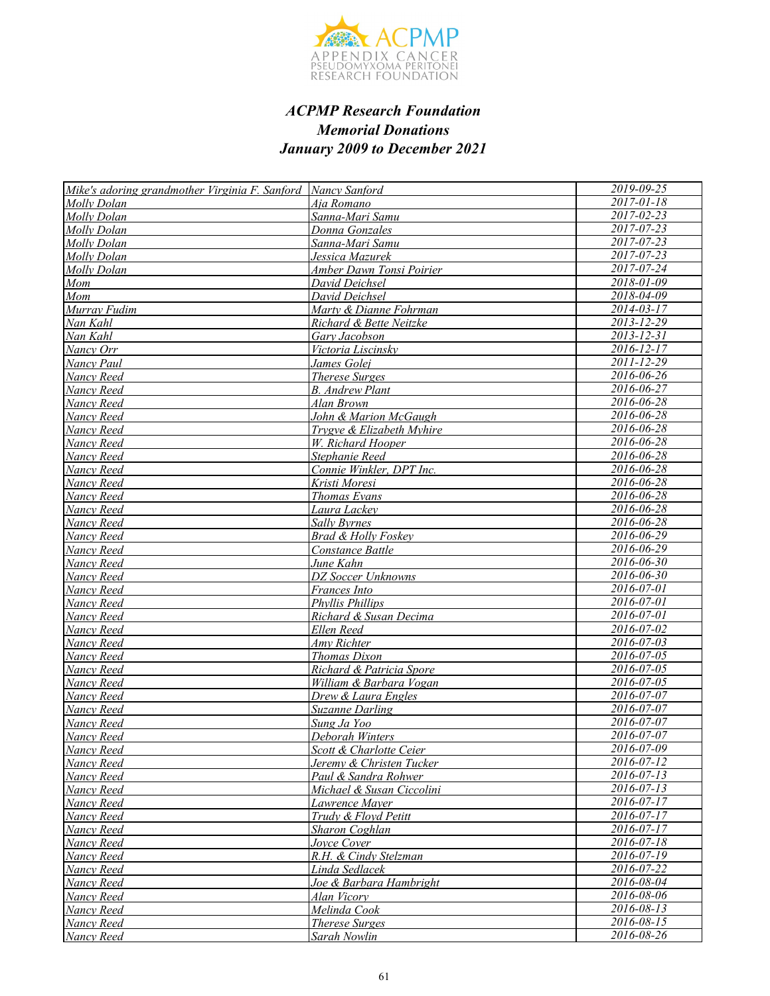

| Mike's adoring grandmother Virginia F. Sanford Nancy Sanford |                                    | 2019-09-25       |
|--------------------------------------------------------------|------------------------------------|------------------|
| Molly Dolan                                                  | Aia Romano                         | $2017 - 01 - 18$ |
| Molly Dolan                                                  | Sanna-Mari Samu                    | 2017-02-23       |
| Molly Dolan                                                  | Donna Gonzales                     | $2017 - 07 - 23$ |
| Molly Dolan                                                  | Sanna-Mari Samu                    | $2017 - 07 - 23$ |
| Molly Dolan                                                  | Jessica Mazurek                    | 2017-07-23       |
| Molly Dolan                                                  | Amber Dawn Tonsi Poirier           | 2017-07-24       |
| Mom                                                          | David Deichsel                     | 2018-01-09       |
| Mom                                                          | David Deichsel                     | 2018-04-09       |
| Murray Fudim                                                 | Marty & Dianne Fohrman             | $2014 - 03 - 17$ |
| Nan Kahl                                                     | Richard & Bette Neitzke            | $2013 - 12 - 29$ |
| Nan Kahl                                                     | Gary Jacobson                      | $2013 - 12 - 31$ |
| Nancy Orr                                                    | Victoria Liscinsky                 | $2016 - 12 - 17$ |
| Nancy Paul                                                   | James Golej                        | 2011-12-29       |
| Nancy Reed                                                   | Therese Surges                     | 2016-06-26       |
| Nancy Reed                                                   | <b>B.</b> Andrew Plant             | 2016-06-27       |
| Nancy Reed                                                   | Alan Brown                         | 2016-06-28       |
| Nancy Reed                                                   | John & Marion McGaugh              | 2016-06-28       |
| Nancy Reed                                                   | Trygve & Elizabeth Myhire          | 2016-06-28       |
| Nancy Reed                                                   | W. Richard Hooper                  | 2016-06-28       |
| Nancy Reed                                                   | Stephanie Reed                     | 2016-06-28       |
| Nancy Reed                                                   | Connie Winkler, DPT Inc.           | 2016-06-28       |
| Nancy Reed                                                   | Kristi Moresi                      | 2016-06-28       |
| Nancy Reed                                                   | Thomas Evans                       | 2016-06-28       |
| Nancy Reed                                                   | Laura Lackey                       | 2016-06-28       |
| Nancy Reed                                                   | Sally Byrnes                       | $2016 - 06 - 28$ |
| Nancy Reed                                                   | <b>Brad &amp; Holly Foskey</b>     | $2016 - 06 - 29$ |
| Nancy Reed                                                   | Constance Battle                   | 2016-06-29       |
| Nancy Reed                                                   | June Kahn                          | 2016-06-30       |
| Nancy Reed                                                   | DZ Soccer Unknowns                 | 2016-06-30       |
| Nancy Reed                                                   | Frances Into                       | 2016-07-01       |
| Nancy Reed                                                   | Phyllis Phillips                   | 2016-07-01       |
| Nancy Reed                                                   | Richard & Susan Decima             | 2016-07-01       |
| Nancy Reed                                                   | Ellen Reed                         | 2016-07-02       |
| Nancy Reed                                                   | Amy Richter                        | $2016 - 07 - 03$ |
| Nancy Reed                                                   | Thomas Dixon                       | 2016-07-05       |
| Nancy Reed                                                   | Richard & Patricia Spore           | $2016 - 07 - 05$ |
| Nancy Reed                                                   | William & Barbara Vogan            | 2016-07-05       |
| Nancy Reed                                                   | Drew & Laura Engles                | 2016-07-07       |
| Nancy Reed                                                   | <b>Suzanne Darling</b>             | 2016-07-07       |
| Nancy Reed                                                   | Sung Ja Yoo                        | 2016-07-07       |
| Nancy Reed                                                   | Deborah Winters                    | 2016-07-07       |
| Nancy Reed                                                   | <u>Scott &amp; Charlotte Ceier</u> | 2016-07-09       |
| Nancy Reed                                                   | Jeremy & Christen Tucker           | 2016-07-12       |
| Nancy Reed                                                   | Paul & Sandra Rohwer               | $2016 - 07 - 13$ |
| Nancy Reed                                                   | Michael & Susan Ciccolini          | $2016 - 07 - 13$ |
| Nancy Reed                                                   | Lawrence Mayer                     | 2016-07-17       |
| Nancy Reed                                                   | Trudy & Floyd Petitt               | 2016-07-17       |
| Nancy Reed                                                   | Sharon Coghlan                     | $2016 - 07 - 17$ |
| Nancy Reed                                                   | Joyce Cover                        | 2016-07-18       |
| Nancy Reed                                                   | R.H. & Cindy Stelzman              | 2016-07-19       |
| Nancy Reed                                                   | Linda Sedlacek                     | 2016-07-22       |
| Nancy Reed                                                   | Joe & Barbara Hambright            | 2016-08-04       |
| Nancy Reed                                                   | Alan Vicory                        | 2016-08-06       |
| Nancy Reed                                                   | Melinda Cook                       | 2016-08-13       |
| Nancy Reed                                                   | <b>Therese Surges</b>              | 2016-08-15       |
| Nancy Reed                                                   | Sarah Nowlin                       | 2016-08-26       |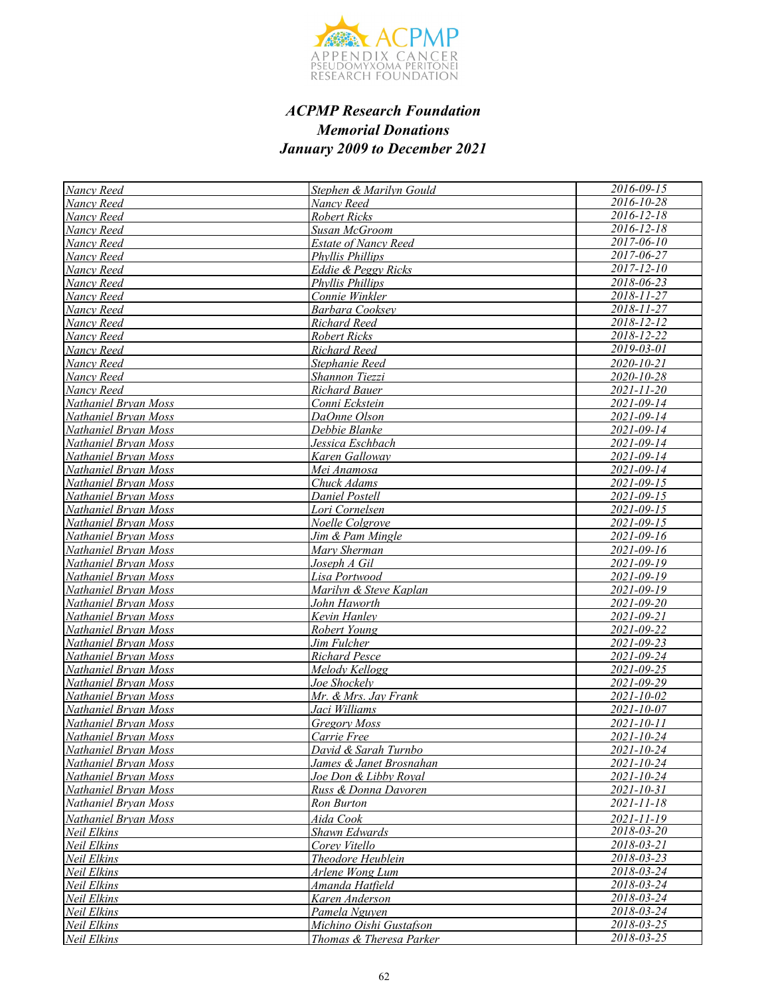

| Nancy Reed           | Stephen & Marilyn Gould     | $2016 - 09 - 15$ |
|----------------------|-----------------------------|------------------|
| Nancy Reed           | Nancy Reed                  | 2016-10-28       |
| Nancy Reed           | <b>Robert Ricks</b>         | 2016-12-18       |
| Nancy Reed           | Susan McGroom               | $2016 - 12 - 18$ |
| Nancy Reed           | <b>Estate of Nancy Reed</b> | $2017 - 06 - 10$ |
| Nancy Reed           | <b>Phyllis Phillips</b>     | $2017 - 06 - 27$ |
| Nancy Reed           | Eddie & Peggy Ricks         | 2017-12-10       |
| Nancy Reed           | <b>Phyllis Phillips</b>     | 2018-06-23       |
| Nancy Reed           | Connie Winkler              | 2018-11-27       |
| Nancy Reed           | Barbara Cooksey             | 2018-11-27       |
| Nancy Reed           | Richard Reed                | 2018-12-12       |
| Nancy Reed           | Robert Ricks                | 2018-12-22       |
| Nancy Reed           | Richard Reed                | 2019-03-01       |
| Nancy Reed           | Stephanie Reed              | 2020-10-21       |
| Nancy Reed           | Shannon Tiezzi              | 2020-10-28       |
| Nancy Reed           | <b>Richard Bauer</b>        | $2021 - 11 - 20$ |
| Nathaniel Bryan Moss | Conni Eckstein              | 2021-09-14       |
| Nathaniel Bryan Moss | DaOnne Olson                | 2021-09-14       |
| Nathaniel Bryan Moss | Debbie Blanke               | 2021-09-14       |
| Nathaniel Bryan Moss | Jessica Eschbach            | 2021-09-14       |
| Nathaniel Bryan Moss | Karen Galloway              | 2021-09-14       |
| Nathaniel Bryan Moss | Mei Anamosa                 | 2021-09-14       |
| Nathaniel Brvan Moss | Chuck Adams                 | $2021 - 09 - 15$ |
| Nathaniel Bryan Moss | Daniel Postell              | 2021-09-15       |
| Nathaniel Bryan Moss | Lori Cornelsen              | 2021-09-15       |
| Nathaniel Bryan Moss | Noelle Colgrove             | 2021-09-15       |
| Nathaniel Bryan Moss | Jim & Pam Mingle            | 2021-09-16       |
| Nathaniel Bryan Moss | Mary Sherman                | 2021-09-16       |
| Nathaniel Bryan Moss | Joseph A Gil                | 2021-09-19       |
| Nathaniel Bryan Moss | Lisa Portwood               | 2021-09-19       |
| Nathaniel Bryan Moss | Marilyn & Steve Kaplan      | 2021-09-19       |
| Nathaniel Bryan Moss | John Haworth                | 2021-09-20       |
| Nathaniel Bryan Moss | Kevin Hanley                | 2021-09-21       |
| Nathaniel Brvan Moss | Robert Young                | 2021-09-22       |
| Nathaniel Bryan Moss | Jim Fulcher                 | 2021-09-23       |
| Nathaniel Bryan Moss | <b>Richard Pesce</b>        | 2021-09-24       |
| Nathaniel Bryan Moss | Melody Kellogg              | 2021-09-25       |
| Nathaniel Bryan Moss | Joe Shockelv                | 2021-09-29       |
| Nathaniel Bryan Moss | Mr. & Mrs. Jay Frank        | 2021-10-02       |
| Nathaniel Bryan Moss | Jaci Williams               | 2021-10-07       |
| Nathaniel Bryan Moss | <b>Gregory Moss</b>         | 2021-10-11       |
| Nathaniel Bryan Moss | Carrie Free                 | 2021-10-24       |
| Nathaniel Bryan Moss | David & Sarah Turnbo        | 2021-10-24       |
| Nathaniel Bryan Moss | James & Janet Brosnahan     | 2021-10-24       |
| Nathaniel Bryan Moss | Joe Don & Libby Royal       | $2021 - 10 - 24$ |
| Nathaniel Bryan Moss | Russ & Donna Davoren        | 2021-10-31       |
| Nathaniel Bryan Moss | Ron Burton                  | 2021-11-18       |
| Nathaniel Bryan Moss | Aida Cook                   | 2021-11-19       |
| Neil Elkins          | Shawn Edwards               | 2018-03-20       |
| Neil Elkins          | Corey Vitello               | $2018 - 03 - 21$ |
| Neil Elkins          | Theodore Heublein           | 2018-03-23       |
| Neil Elkins          | Arlene Wong Lum             | 2018-03-24       |
| Neil Elkins          | Amanda Hatfield             | 2018-03-24       |
| Neil Elkins          | Karen Anderson              | 2018-03-24       |
| Neil Elkins          | Pamela Nguyen               | 2018-03-24       |
| Neil Elkins          | Michino Oishi Gustafson     | $2018 - 03 - 25$ |
| Neil Elkins          | Thomas & Theresa Parker     | 2018-03-25       |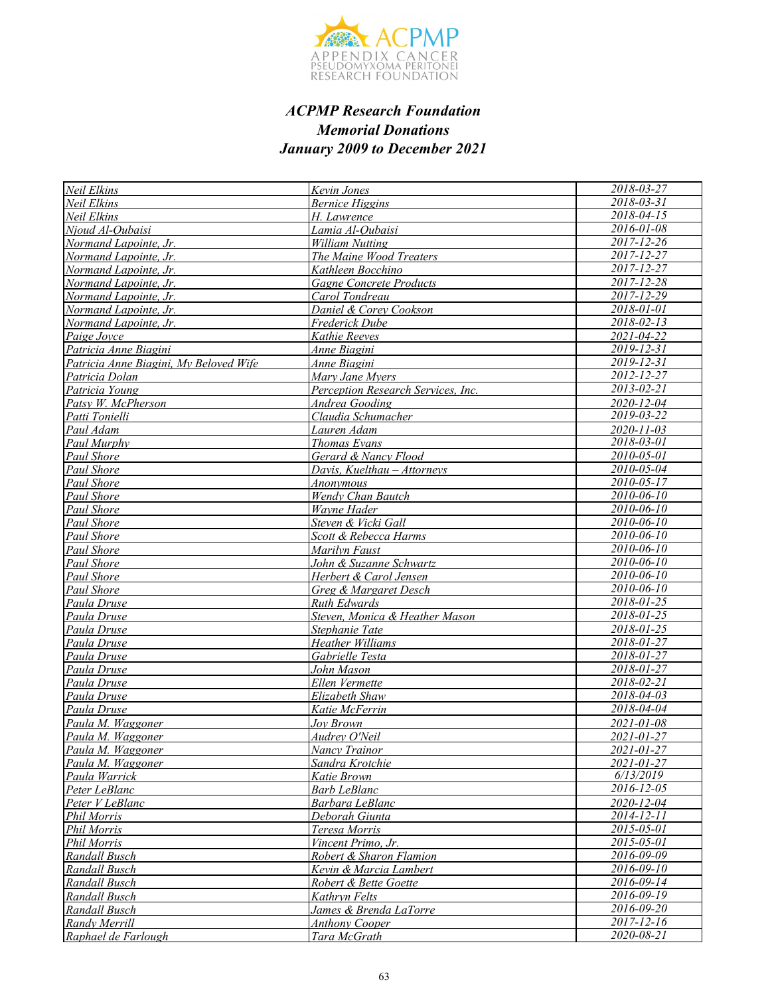

| Neil Elkins                            | Kevin Jones                        | 2018-03-27       |
|----------------------------------------|------------------------------------|------------------|
| Neil Elkins                            | <b>Bernice Higgins</b>             | 2018-03-31       |
| Neil Elkins                            | H. Lawrence                        | 2018-04-15       |
| Nioud Al-Oubaisi                       | Lamia Al-Qubaisi                   | 2016-01-08       |
| Normand Lapointe, Jr.                  | <b>William Nutting</b>             | $2017 - 12 - 26$ |
| Normand Lapointe, Jr.                  | The Maine Wood Treaters            | $2017 - 12 - 27$ |
| Normand Lapointe, Jr.                  | Kathleen Bocchino                  | 2017-12-27       |
| Normand Lapointe, Jr.                  | <b>Gagne Concrete Products</b>     | 2017-12-28       |
| Normand Lapointe, Jr.                  | Carol Tondreau                     | 2017-12-29       |
| Normand Lapointe, Jr.                  | Daniel & Corey Cookson             | 2018-01-01       |
| Normand Lapointe, Jr.                  | Frederick Dube                     | $2018 - 02 - 13$ |
| Paige Joyce                            | Kathie Reeves                      | 2021-04-22       |
| Patricia Anne Biagini                  | Anne Biagini                       | 2019-12-31       |
| Patricia Anne Biagini, My Beloved Wife | Anne Biagini                       | 2019-12-31       |
| Patricia Dolan                         | Mary Jane Myers                    | 2012-12-27       |
| Patricia Young                         | Perception Research Services, Inc. | 2013-02-21       |
| Patsy W. McPherson                     | Andrea Gooding                     | 2020-12-04       |
| Patti Tonielli                         | Claudia Schumacher                 | 2019-03-22       |
| Paul Adam                              | Lauren Adam                        | $2020 - 11 - 03$ |
| Paul Murphy                            | <b>Thomas Evans</b>                | 2018-03-01       |
| <b>Paul Shore</b>                      | Gerard & Nancy Flood               | 2010-05-01       |
| <b>Paul Shore</b>                      | Davis, Kuelthau – Attorneys        | $2010 - 05 - 04$ |
| Paul Shore                             | <b>Anonymous</b>                   | $2010 - 05 - 17$ |
| Paul Shore                             | Wendy Chan Bautch                  | 2010-06-10       |
| <b>Paul Shore</b>                      | Wayne Hader                        | 2010-06-10       |
| Paul Shore                             | Steven & Vicki Gall                | $2010 - 06 - 10$ |
| Paul Shore                             | Scott & Rebecca Harms              | $2010 - 06 - 10$ |
| Paul Shore                             | Marilyn Faust                      | 2010-06-10       |
| <b>Paul Shore</b>                      | John & Suzanne Schwartz            | $2010 - 06 - 10$ |
| Paul Shore                             | Herbert & Carol Jensen             | 2010-06-10       |
| Paul Shore                             | Greg & Margaret Desch              | 2010-06-10       |
| Paula Druse                            | Ruth Edwards                       | 2018-01-25       |
| Paula Druse                            | Steven, Monica & Heather Mason     | 2018-01-25       |
| Paula Druse                            | Stephanie Tate                     | 2018-01-25       |
| Paula Druse                            | Heather Williams                   | $2018 - 01 - 27$ |
| Paula Druse                            | Gabrielle Testa                    | 2018-01-27       |
| Paula Druse                            | John Mason                         | 2018-01-27       |
| Paula Druse                            | Ellen Vermette                     | 2018-02-21       |
| Paula Druse                            | Elizabeth Shaw                     | $2018 - 04 - 03$ |
| Paula Druse                            | Katie McFerrin                     | 2018-04-04       |
| Paula M. Waggoner                      | Joy Brown                          | 2021-01-08       |
| Paula M. Waggoner                      | Audrey O'Neil                      | 2021-01-27       |
| Paula M. Waggoner                      | Nancy Trainor                      | 2021-01-27       |
| Paula M. Waggoner                      | Sandra Krotchie                    | 2021-01-27       |
| Paula Warrick                          | Katie Brown                        | 6/13/2019        |
| Peter LeBlanc                          | <b>Barb LeBlanc</b>                | 2016-12-05       |
| Peter V LeBlanc                        | Barbara LeBlanc                    | 2020-12-04       |
| <b>Phil Morris</b>                     | Deborah Giunta                     | 2014-12-11       |
| <b>Phil Morris</b>                     | Teresa Morris                      | 2015-05-01       |
| <b>Phil Morris</b>                     | Vincent Primo, Jr.                 | 2015-05-01       |
| Randall Busch                          | Robert & Sharon Flamion            | 2016-09-09       |
| Randall Busch                          | Kevin & Marcia Lambert             | 2016-09-10       |
| Randall Busch                          | Robert & Bette Goette              | 2016-09-14       |
| Randall Busch                          | Kathryn Felts                      | $2016 - 09 - 19$ |
| Randall Busch                          | James & Brenda LaTorre             | 2016-09-20       |
| Randy Merrill                          | <b>Anthony Cooper</b>              | 2017-12-16       |
| Raphael de Farlough                    | Tara McGrath                       | 2020-08-21       |
|                                        |                                    |                  |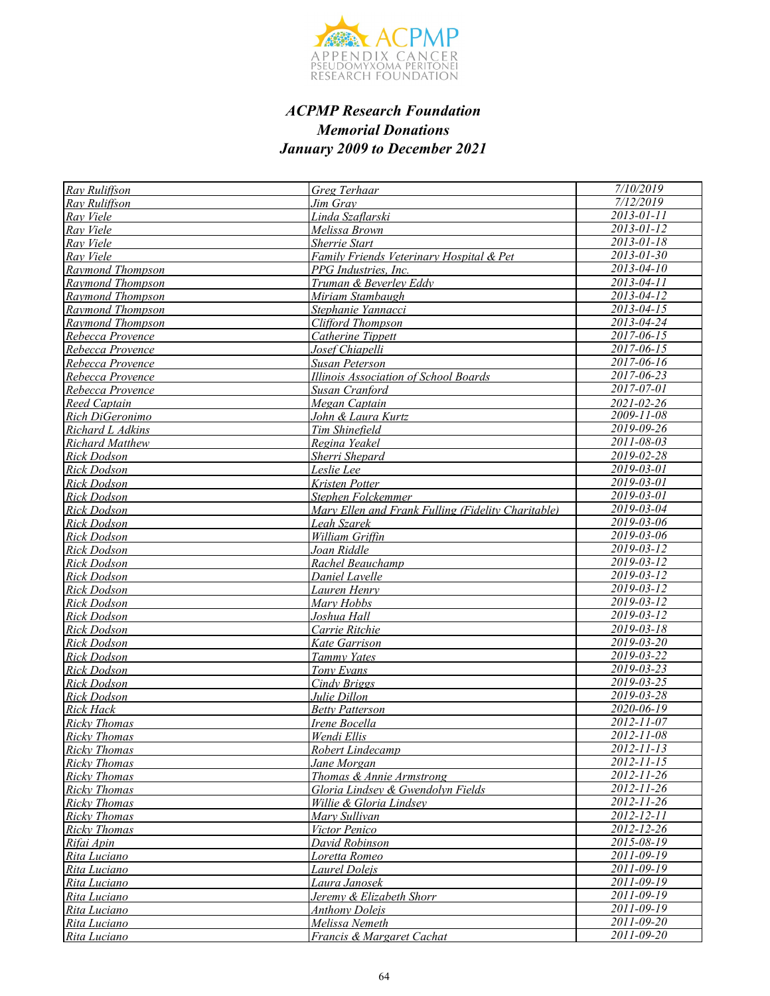

| Ray Ruliffson          | Greg Terhaar                                       | 7/10/2019                   |
|------------------------|----------------------------------------------------|-----------------------------|
| Rav Ruliffson          | Jim Grav                                           | 7/12/2019                   |
| Rav Viele              | Linda Szaflarski                                   | 2013-01-11                  |
| Ray Viele              | Melissa Brown                                      | $2013 - 01 - 12$            |
| Ray Viele              | <b>Sherrie Start</b>                               | $2013 - 01 - 18$            |
| Rav Viele              | Family Friends Veterinary Hospital & Pet           | $2013 - 01 - 30$            |
| Raymond Thompson       | PPG Industries, Inc.                               | $2013 - 04 - 10$            |
| Raymond Thompson       | Truman & Beverley Eddy                             | $2013 - 04 - 11$            |
| Raymond Thompson       | Miriam Stambaugh                                   | $2013 - 04 - 12$            |
| Raymond Thompson       | Stephanie Yannacci                                 | $2013 - 04 - 15$            |
| Raymond Thompson       | Clifford Thompson                                  | $2013 - 04 - 24$            |
| Rebecca Provence       | Catherine Tippett                                  | 2017-06-15                  |
| Rebecca Provence       | Josef Chiapelli                                    | $2017 - 06 - 15$            |
| Rebecca Provence       | Susan Peterson                                     | $2017 - 06 - 16$            |
| Rebecca Provence       | Illinois Association of School Boards              | 2017-06-23                  |
| Rebecca Provence       | Susan Cranford                                     | $2017 - 07 - 01$            |
| <b>Reed Captain</b>    | Megan Captain                                      | 2021-02-26                  |
| Rich DiGeronimo        | John & Laura Kurtz                                 | 2009-11-08                  |
| Richard L Adkins       | Tim Shinefield                                     | 2019-09-26                  |
| <b>Richard Matthew</b> | Regina Yeakel                                      | $2011 - 08 - 03$            |
| <b>Rick Dodson</b>     | Sherri Shepard                                     | 2019-02-28                  |
| <b>Rick Dodson</b>     | Leslie Lee                                         | $2019 - 03 - 01$            |
| <b>Rick Dodson</b>     | Kristen Potter                                     | $2019 - 03 - 01$            |
| Rick Dodson            | Stephen Folckemmer                                 | 2019-03-01                  |
| <b>Rick Dodson</b>     | Mary Ellen and Frank Fulling (Fidelity Charitable) | 2019-03-04                  |
| Rick Dodson            | <u>Leah Szarek</u>                                 | $2019 - 03 - 06$            |
| <b>Rick Dodson</b>     | William Griffin                                    | 2019-03-06                  |
| Rick Dodson            | Joan Riddle                                        | $2019 - 03 - 12$            |
| <b>Rick Dodson</b>     | Rachel Beauchamp                                   | $2019 - 03 - 12$            |
| <b>Rick Dodson</b>     | Daniel Lavelle                                     | $2019 - 03 - 12$            |
| <b>Rick Dodson</b>     | Lauren Henry                                       | $2019 - 03 - 12$            |
| Rick Dodson            | Marv Hobbs                                         | $2019 - 03 - 12$            |
| <b>Rick Dodson</b>     | Joshua Hall                                        | $2019 - 03 - 12$            |
| <b>Rick Dodson</b>     | Carrie Ritchie                                     | $2019 - 03 - 18$            |
| <b>Rick Dodson</b>     | Kate Garrison                                      | 2019-03-20                  |
| Rick Dodson            | Tammy Yates                                        | $2019 - 03 - 22$            |
| <b>Rick Dodson</b>     | Tony Evans                                         | $2019 - 03 - 23$            |
| <b>Rick Dodson</b>     | Cindy Briggs                                       | $\overline{2019} - 03 - 25$ |
| Rick Dodson            | Julie Dillon                                       | $\overline{2019}$ -03-28    |
| Rick Hack              | <b>Betty Patterson</b>                             | $2020 - 06 - 19$            |
| <b>Ricky Thomas</b>    | Irene Bocella                                      | 2012-11-07                  |
| <b>Ricky Thomas</b>    | Wendi Ellis                                        | $2012 - 11 - 08$            |
| <b>Ricky Thomas</b>    | Robert Lindecamp                                   | 2012-11-13                  |
| <b>Ricky Thomas</b>    | Jane Morgan                                        | 2012-11-15                  |
| <b>Ricky Thomas</b>    | Thomas & Annie Armstrong                           | $2012 - 11 - 26$            |
| Ricky Thomas           | Gloria Lindsey & Gwendolyn Fields                  | 2012-11-26                  |
| <b>Ricky Thomas</b>    | Willie & Gloria Lindsey                            | 2012-11-26                  |
| <b>Ricky Thomas</b>    | Mary Sullivan                                      | 2012-12-11                  |
| <b>Ricky Thomas</b>    | Victor Penico                                      | $2012 - 12 - 26$            |
| Rifai Apin             | David Robinson                                     | $2015 - 08 - 19$            |
| Rita Luciano           | Loretta Romeo                                      | 2011-09-19                  |
| Rita Luciano           | Laurel Doleis                                      | 2011-09-19                  |
| Rita Luciano           | Laura Janosek                                      | $2011 - 09 - 19$            |
| Rita Luciano           | Jeremy & Elizabeth Shorr                           | $2011 - 09 - 19$            |
| Rita Luciano           | <b>Anthony Dolejs</b>                              | 2011-09-19                  |
| Rita Luciano           | Melissa Nemeth                                     | 2011-09-20                  |
| Rita Luciano           | Francis & Margaret Cachat                          | $2011 - 09 - 20$            |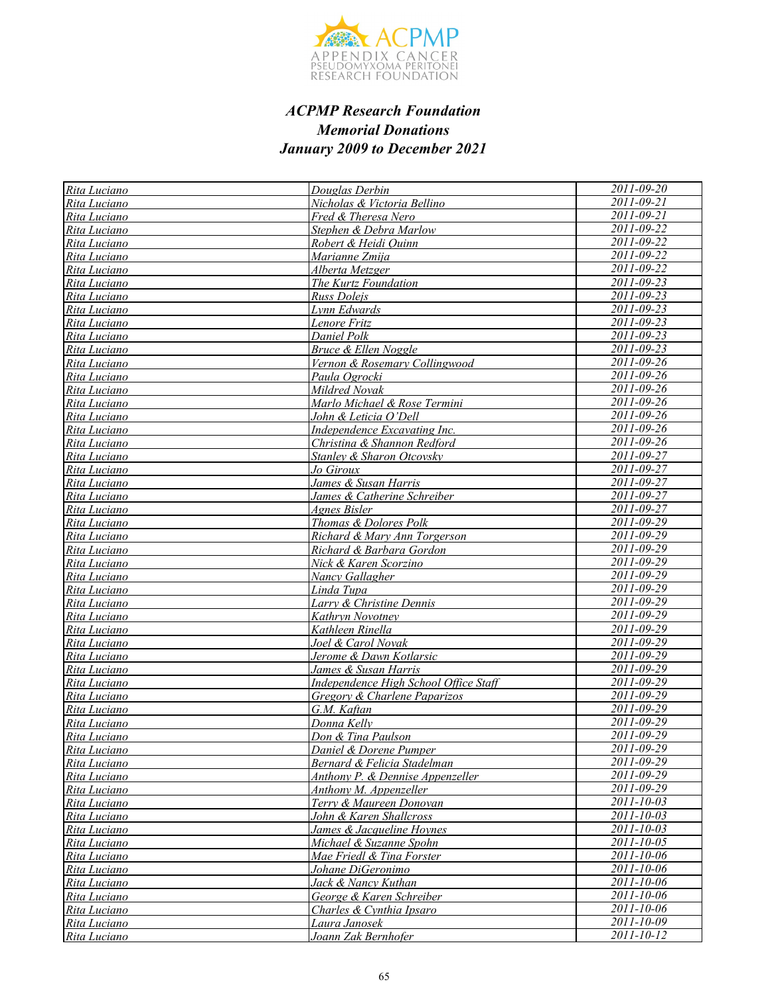

| Rita Luciano | Douglas Derbin                        | 2011-09-20              |
|--------------|---------------------------------------|-------------------------|
| Rita Luciano | Nicholas & Victoria Bellino           | 2011-09-21              |
| Rita Luciano | Fred & Theresa Nero                   | 2011-09-21              |
| Rita Luciano | Stephen & Debra Marlow                | 2011-09-22              |
| Rita Luciano | Robert & Heidi Quinn                  | 2011-09-22              |
| Rita Luciano | Marianne Zmija                        | 2011-09-22              |
| Rita Luciano | Alberta Metzger                       | 2011-09-22              |
| Rita Luciano | The Kurtz Foundation                  | $2011 - 09 - 23$        |
| Rita Luciano | <b>Russ Doleis</b>                    | $2011 - 09 - 23$        |
| Rita Luciano | Lynn Edwards                          | 2011-09-23              |
| Rita Luciano | Lenore Fritz                          | 2011-09-23              |
| Rita Luciano | Daniel Polk                           | $2011 - 09 - 23$        |
| Rita Luciano | <b>Bruce &amp; Ellen Noggle</b>       | $2011 - 09 - 23$        |
| Rita Luciano | Vernon & Rosemary Collingwood         | 2011-09-26              |
| Rita Luciano | Paula Ogrocki                         | $2011 - 09 - 26$        |
| Rita Luciano | Mildred Novak                         | 2011-09-26              |
| Rita Luciano | Marlo Michael & Rose Termini          | 2011-09-26              |
| Rita Luciano | John & Leticia O'Dell                 | $2011 - 09 - 26$        |
| Rita Luciano | Independence Excavating Inc.          | 2011-09-26              |
| Rita Luciano | Christina & Shannon Redford           | 2011-09-26              |
| Rita Luciano | Stanley & Sharon Otcovsky             | 2011-09-27              |
| Rita Luciano | <u>Jo Giroux</u>                      | 2011-09-27              |
| Rita Luciano | James & Susan Harris                  | 2011-09-27              |
| Rita Luciano | James & Catherine Schreiber           | 2011-09-27              |
| Rita Luciano | Agnes Bisler                          | 2011-09-27              |
| Rita Luciano | Thomas & Dolores Polk                 | 2011-09-29              |
| Rita Luciano | Richard & Mary Ann Torgerson          | 2011-09-29              |
| Rita Luciano | Richard & Barbara Gordon              | $2011 - 09 - 29$        |
| Rita Luciano | Nick & Karen Scorzino                 | 2011-09-29              |
| Rita Luciano | Nancy Gallagher                       | 2011-09-29              |
| Rita Luciano | Linda Tupa                            | 2011-09-29              |
| Rita Luciano | Larry & Christine Dennis              | 2011-09-29              |
| Rita Luciano | Kathryn Novotney                      | 2011-09-29              |
| Rita Luciano | Kathleen Rinella                      | 2011-09-29              |
| Rita Luciano | Joel & Carol Novak                    | 2011-09-29              |
| Rita Luciano | Jerome & Dawn Kotlarsic               | 2011-09-29              |
| Rita Luciano | James & Susan Harris                  | 2011-09-29              |
| Rita Luciano | Independence High School Office Staff | 2011-09-29              |
| Rita Luciano | Gregory & Charlene Paparizos          | 2011-09-29              |
| Rita Luciano | G.M. Kaftan                           | 2011-09-29              |
| Rita Luciano | Donna Kelly                           | 2011-09-29              |
| Rita Luciano | Don & Tina Paulson                    | 2011-09-29              |
| Rita Luciano | Daniel & Dorene Pumper                | $2011 - 09 - 29$        |
| Rita Luciano | Bernard & Felicia Stadelman           | 2011-09-29              |
| Rita Luciano | Anthony P. & Dennise Appenzeller      | 2011-09-29              |
| Rita Luciano | Anthony M. Appenzeller                | 2011-09-29              |
| Rita Luciano | Terry & Maureen Donovan               | 2011-10-03              |
| Rita Luciano | John & Karen Shallcross               | 2011-10-03              |
| Rita Luciano | James & Jacqueline Hoynes             | $2011 - 10 - 03$        |
| Rita Luciano | Michael & Suzanne Spohn               | 2011-10-05              |
| Rita Luciano | Mae Friedl & Tina Forster             | 2011-10-06              |
| Rita Luciano | Johane DiGeronimo                     | $\frac{2011-10-06}{20}$ |
| Rita Luciano | Jack & Nancy Kuthan                   | 2011-10-06              |
| Rita Luciano | George & Karen Schreiber              | $2011 - 10 - 06$        |
| Rita Luciano | Charles & Cynthia Ipsaro              | 2011-10-06              |
| Rita Luciano | Laura Janosek                         | 2011-10-09              |
| Rita Luciano | Joann Zak Bernhofer                   | 2011-10-12              |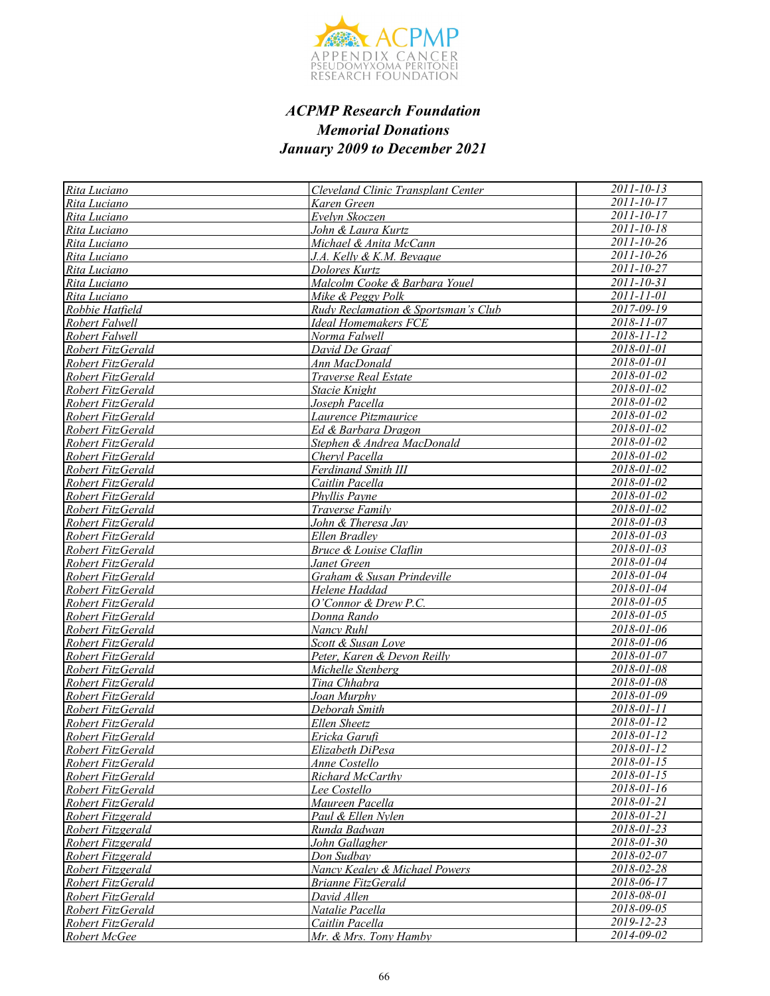

| Rita Luciano      | Cleveland Clinic Transplant Center  | $2011 - 10 - 13$         |
|-------------------|-------------------------------------|--------------------------|
| Rita Luciano      | Karen Green                         | $2011 - 10 - 17$         |
| Rita Luciano      | Evelyn Skoczen                      | 2011-10-17               |
| Rita Luciano      | John & Laura Kurtz                  | $2011 - 10 - 18$         |
| Rita Luciano      | Michael & Anita McCann              | $2011 - 10 - 26$         |
| Rita Luciano      | J.A. Kelly & K.M. Bevague           | $2011 - 10 - 26$         |
| Rita Luciano      | Dolores Kurtz                       | 2011-10-27               |
| Rita Luciano      | Malcolm Cooke & Barbara Youel       | 2011-10-31               |
| Rita Luciano      | Mike & Peggy Polk                   | 2011-11-01               |
| Robbie Hatfield   | Rudy Reclamation & Sportsman's Club | $2017 - 09 - 19$         |
| Robert Falwell    | <b>Ideal Homemakers FCE</b>         | 2018-11-07               |
| Robert Falwell    | Norma Falwell                       | 2018-11-12               |
| Robert FitzGerald | David De Graaf                      | 2018-01-01               |
| Robert FitzGerald | Ann MacDonald                       | 2018-01-01               |
| Robert FitzGerald | Traverse Real Estate                | 2018-01-02               |
| Robert FitzGerald | Stacie Knight                       | 2018-01-02               |
| Robert FitzGerald | Joseph Pacella                      | 2018-01-02               |
| Robert FitzGerald | Laurence Pitzmaurice                | 2018-01-02               |
| Robert FitzGerald | Ed & Barbara Dragon                 | 2018-01-02               |
| Robert FitzGerald | Stephen & Andrea MacDonald          | 2018-01-02               |
| Robert FitzGerald | Cheryl Pacella                      | $\overline{2018}$ -01-02 |
| Robert FitzGerald | Ferdinand Smith III                 | 2018-01-02               |
| Robert FitzGerald | Caitlin Pacella                     | 2018-01-02               |
| Robert FitzGerald | Phyllis Payne                       | 2018-01-02               |
| Robert FitzGerald | Traverse Family                     | 2018-01-02               |
| Robert FitzGerald | John & Theresa Jav                  | $2018 - 01 - 03$         |
| Robert FitzGerald | Ellen Bradley                       | $2018 - 01 - 03$         |
| Robert FitzGerald | <b>Bruce &amp; Louise Claflin</b>   | $2018 - 01 - 03$         |
| Robert FitzGerald | Janet Green                         | 2018-01-04               |
| Robert FitzGerald | Graham & Susan Prindeville          | 2018-01-04               |
| Robert FitzGerald | Helene Haddad                       | 2018-01-04               |
| Robert FitzGerald | O'Connor & Drew P.C.                | 2018-01-05               |
| Robert FitzGerald | Donna Rando                         | $2018 - 01 - 05$         |
| Robert FitzGerald | Nancy Ruhl                          | 2018-01-06               |
| Robert FitzGerald | Scott & Susan Love                  | $2018 - 01 - 06$         |
| Robert FitzGerald | Peter, Karen & Devon Reilly         | 2018-01-07               |
| Robert FitzGerald | Michelle Stenberg                   | 2018-01-08               |
| Robert FitzGerald | Tina Chhabra                        | 2018-01-08               |
| Robert FitzGerald | Joan Murphy                         | $2018 - 01 - 09$         |
| Robert FitzGerald | Deborah Smith                       | $2018 - 01 - 11$         |
| Robert FitzGerald | <b>Ellen Sheetz</b>                 | 2018-01-12               |
| Robert FitzGerald | Ericka Garufi                       | 2018-01-12               |
| Robert FitzGerald | Elizabeth DiPesa                    | 2018-01-12               |
| Robert FitzGerald | <u>Anne Costello</u>                | 2018-01-15               |
| Robert FitzGerald | <b>Richard McCarthy</b>             | 2018-01-15               |
| Robert FitzGerald | Lee Costello                        | 2018-01-16               |
| Robert FitzGerald | Maureen Pacella                     | 2018-01-21               |
| Robert Fitzgerald | Paul & Ellen Nylen                  | 2018-01-21               |
| Robert Fitzgerald | Runda Badwan                        | 2018-01-23               |
| Robert Fitzgerald | John Gallagher                      | $2018 - 01 - 30$         |
| Robert Fitzgerald | Don Sudbay                          | 2018-02-07               |
| Robert Fitzgerald | Nancy Kealey & Michael Powers       | 2018-02-28               |
| Robert FitzGerald | <b>Brianne FitzGerald</b>           | 2018-06-17               |
| Robert FitzGerald | David Allen                         | 2018-08-01               |
| Robert FitzGerald | Natalie Pacella                     | 2018-09-05               |
| Robert FitzGerald | Caitlin Pacella                     | 2019-12-23               |
| Robert McGee      | Mr. & Mrs. Tony Hamby               | 2014-09-02               |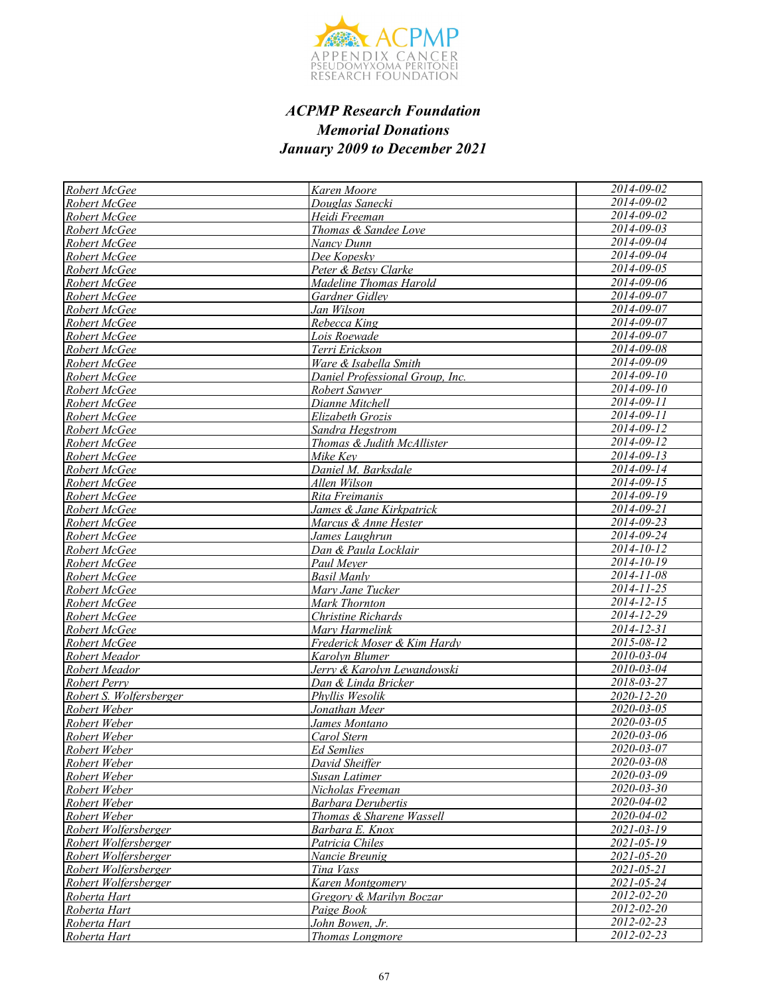

| Robert McGee                            | Karen Moore                     | 2014-09-02                     |
|-----------------------------------------|---------------------------------|--------------------------------|
| Robert McGee                            | Douglas Sanecki                 | 2014-09-02                     |
| Robert McGee                            | Heidi Freeman                   | 2014-09-02                     |
| Robert McGee                            | Thomas & Sandee Love            | $2014 - 09 - 03$               |
| Robert McGee                            | Nancy Dunn                      | 2014-09-04                     |
| Robert McGee                            | Dee Kopesky                     | 2014-09-04                     |
| Robert McGee                            | Peter & Betsy Clarke            | 2014-09-05                     |
| Robert McGee                            | Madeline Thomas Harold          | 2014-09-06                     |
| Robert McGee                            | Gardner Gidley                  | 2014-09-07                     |
| Robert McGee                            | Jan Wilson                      | 2014-09-07                     |
| Robert McGee                            | Rebecca King                    | 2014-09-07                     |
| Robert McGee                            | Lois Roewade                    | 2014-09-07                     |
| Robert McGee                            | Terri Erickson                  | 2014-09-08                     |
| Robert McGee                            | Ware & Isabella Smith           | $2014 - 09 - 09$               |
| Robert McGee                            | Daniel Professional Group, Inc. | $2014 - 09 - 10$               |
| Robert McGee                            | Robert Sawyer                   | $2014 - 09 - 10$               |
| Robert McGee                            | Dianne Mitchell                 | 2014-09-11                     |
| Robert McGee                            | Elizabeth Grozis                | 2014-09-11                     |
| Robert McGee                            | Sandra Hegstrom                 | $2014 - 09 - 12$               |
| Robert McGee                            | Thomas & Judith McAllister      | 2014-09-12                     |
| Robert McGee                            | Mike Key                        | 2014-09-13                     |
| Robert McGee                            | Daniel M. Barksdale             | $2014 - 09 - 14$               |
| Robert McGee                            | Allen Wilson                    | $2014 - 09 - 15$               |
| Robert McGee                            | Rita Freimanis                  | 2014-09-19                     |
| Robert McGee                            | James & Jane Kirkpatrick        | $2014 - 09 - 21$               |
| Robert McGee                            | Marcus & Anne Hester            | 2014-09-23                     |
| Robert McGee                            | James Laughrun                  | $2014 - 09 - 24$               |
| Robert McGee                            | Dan & Paula Locklair            | 2014-10-12                     |
| Robert McGee                            | Paul Meyer                      | $2014 - 10 - 19$               |
| Robert McGee                            | <b>Basil Manly</b>              | $2014 - 11 - 08$               |
| Robert McGee                            | Mary Jane Tucker                | 2014-11-25                     |
| Robert McGee                            | Mark Thornton                   | 2014-12-15                     |
| Robert McGee                            | Christine Richards              | 2014-12-29                     |
| Robert McGee                            | Mary Harmelink                  | $2014 - 12 - 31$               |
| Robert McGee                            | Frederick Moser & Kim Hardy     | 2015-08-12                     |
| Robert Meador                           | Karolyn Blumer                  | 2010-03-04                     |
| Robert Meador                           | Jerry & Karolyn Lewandowski     | 2010-03-04                     |
| Robert Perry                            | Dan & Linda Bricker             | 2018-03-27                     |
| Robert S. Wolfersberger<br>Robert Weber | Phyllis Wesolik                 | 2020-12-20<br>$2020 - 03 - 05$ |
| Robert Weber                            | Jonathan Meer<br>James Montano  | $2020 - 03 - 05$               |
| Robert Weber                            | Carol Stern                     | 2020-03-06                     |
| Robert Weber                            | <b>Ed Semlies</b>               | 2020-03-07                     |
| Robert Weber                            | David Sheiffer                  | 2020-03-08                     |
| Robert Weber                            | Susan Latimer                   | 2020-03-09                     |
| Robert Weber                            | Nicholas Freeman                | 2020-03-30                     |
| Robert Weber                            | <b>Barbara Derubertis</b>       | 2020-04-02                     |
| Robert Weber                            | Thomas & Sharene Wassell        | 2020-04-02                     |
| Robert Wolfersberger                    | Barbara E. Knox                 | 2021-03-19                     |
| Robert Wolfersberger                    | Patricia Chiles                 | 2021-05-19                     |
| Robert Wolfersberger                    | Nancie Breunig                  | 2021-05-20                     |
| Robert Wolfersberger                    | Tina Vass                       | $2021 - 05 - 21$               |
| Robert Wolfersberger                    | Karen Montgomery                | 2021-05-24                     |
| Roberta Hart                            | Gregory & Marilyn Boczar        | 2012-02-20                     |
| Roberta Hart                            | Paige Book                      | $\overline{2012 - 02 -} 20$    |
| Roberta Hart                            | John Bowen, Jr.                 | $\overline{2012 - 02 - 23}$    |
| Roberta Hart                            | <b>Thomas Longmore</b>          | 2012-02-23                     |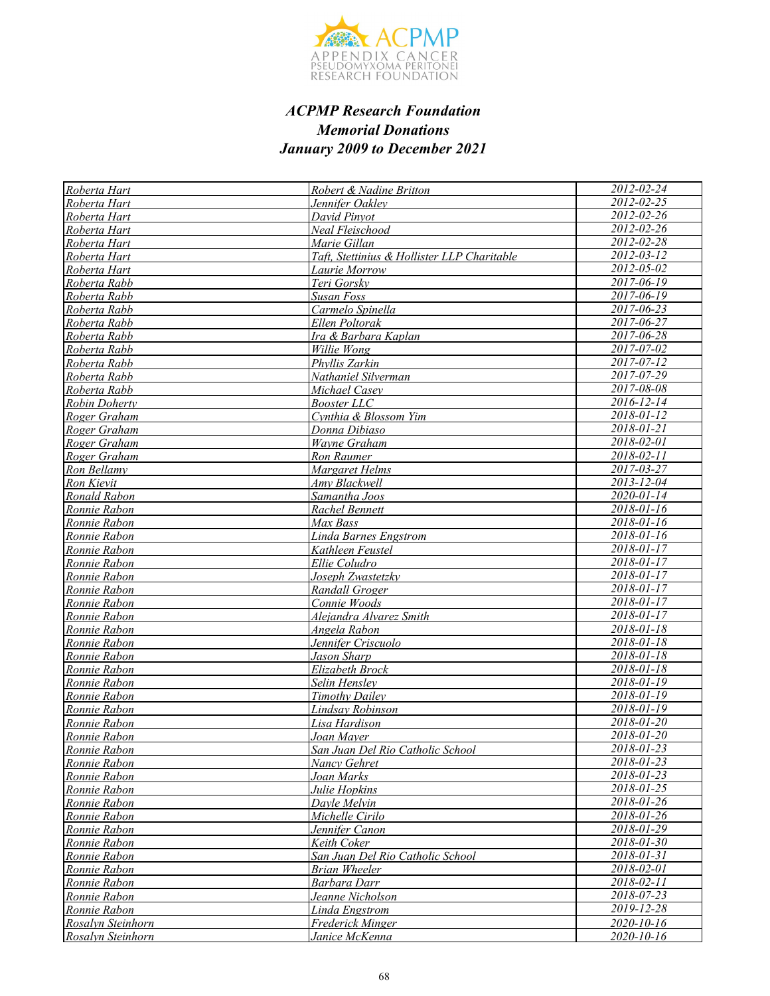

| Roberta Hart                 | Robert & Nadine Britton                     | 2012-02-24                     |
|------------------------------|---------------------------------------------|--------------------------------|
| Roberta Hart                 | Jennifer Oaklev                             | $2012 - 02 - 25$               |
| Roberta Hart                 | David Pinyot                                | 2012-02-26                     |
| Roberta Hart                 | Neal Fleischood                             | $2012 - 02 - 26$               |
| Roberta Hart                 | Marie Gillan                                | 2012-02-28                     |
| Roberta Hart                 | Taft, Stettinius & Hollister LLP Charitable | $2012 - 03 - 12$               |
| Roberta Hart                 | Laurie Morrow                               | 2012-05-02                     |
| Roberta Rabb                 | Teri Gorsky                                 | $2017 - 06 - 19$               |
| Roberta Rabb                 | Susan Foss                                  | $2017 - 06 - 19$               |
| Roberta Rabb                 | Carmelo Spinella                            | $2017 - 06 - 23$               |
| Roberta Rabb                 | Ellen Poltorak                              | 2017-06-27                     |
| Roberta Rabb                 | Ira & Barbara Kaplan                        | 2017-06-28                     |
| Roberta Rabb                 | Willie Wong                                 | 2017-07-02                     |
| Roberta Rabb                 | Phyllis Zarkin                              | $2017 - 07 - 12$               |
| Roberta Rabb                 | Nathaniel Silverman                         | 2017-07-29                     |
| Roberta Rabb                 | Michael Casev                               | 2017-08-08                     |
| Robin Doherty                | <b>Booster LLC</b>                          | 2016-12-14                     |
| Roger Graham                 | Cynthia & Blossom Yim                       | 2018-01-12                     |
| Roger Graham                 | Donna Dibiaso                               | 2018-01-21                     |
| Roger Graham                 | Wayne Graham                                | 2018-02-01                     |
| Roger Graham                 | Ron Raumer                                  | 2018-02-11                     |
| Ron Bellamy                  | Margaret Helms                              | 2017-03-27                     |
| Ron Kievit                   | Amy Blackwell                               | 2013-12-04                     |
| Ronald Rabon                 | Samantha Joos                               | $2020 - 01 - 14$               |
| Ronnie Rabon                 | Rachel Bennett                              | 2018-01-16                     |
| Ronnie Rabon                 | Max Bass                                    | $2018 - 01 - 16$               |
| Ronnie Rabon                 | <b>Linda Barnes Engstrom</b>                | $2018 - 01 - 16$               |
| Ronnie Rabon                 | Kathleen Feustel                            | $2018 - 01 - 17$               |
| Ronnie Rabon                 | Ellie Coludro                               | 2018-01-17                     |
| Ronnie Rabon                 | Joseph Zwastetzky                           | $2018 - 01 - 17$               |
| Ronnie Rabon                 | Randall Groger                              | $2018 - 01 - 17$               |
| Ronnie Rabon                 | Connie Woods                                | 2018-01-17                     |
| Ronnie Rabon                 | Alejandra Alvarez Smith                     | $2018 - 01 - 17$               |
| Ronnie Rabon                 | Angela Rabon                                | $2018 - 01 - 18$               |
| Ronnie Rabon                 | Jennifer Criscuolo                          | 2018-01-18                     |
| Ronnie Rabon                 | Jason Sharp                                 | $2018 - 01 - 18$<br>2018-01-18 |
| Ronnie Rabon                 | Elizabeth Brock                             |                                |
| Ronnie Rabon                 | Selin Hensley                               | 2018-01-19<br>2018-01-19       |
| Ronnie Rabon                 | <b>Timothy Dailey</b>                       | $2018 - 01 - 19$               |
| Ronnie Rabon                 | Lindsay Robinson                            | 2018-01-20                     |
| Ronnie Rabon<br>Ronnie Rabon | Lisa Hardison<br>Joan Mayer                 | 2018-01-20                     |
| Ronnie Rabon                 | San Juan Del Rio Catholic School            | 2018-01-23                     |
| Ronnie Rabon                 | <b>Nancy Gehret</b>                         | 2018-01-23                     |
| Ronnie Rabon                 | Joan Marks                                  | 2018-01-23                     |
| Ronnie Rabon                 | Julie Hopkins                               | 2018-01-25                     |
| Ronnie Rabon                 | Davle Melvin                                | 2018-01-26                     |
| Ronnie Rabon                 | Michelle Cirilo                             | 2018-01-26                     |
| Ronnie Rabon                 | Jennifer Canon                              | 2018-01-29                     |
| Ronnie Rabon                 | Keith Coker                                 | $2018 - 01 - 30$               |
| Ronnie Rabon                 | San Juan Del Rio Catholic School            | 2018-01-31                     |
| Ronnie Rabon                 | <b>Brian Wheeler</b>                        | 2018-02-01                     |
| Ronnie Rabon                 | Barbara Darr                                | 2018-02-11                     |
| Ronnie Rabon                 | Jeanne Nicholson                            | 2018-07-23                     |
| Ronnie Rabon                 | Linda Engstrom                              | 2019-12-28                     |
| Rosalyn Steinhorn            | Frederick Minger                            | 2020-10-16                     |
| Rosalyn Steinhorn            | Janice McKenna                              | 2020-10-16                     |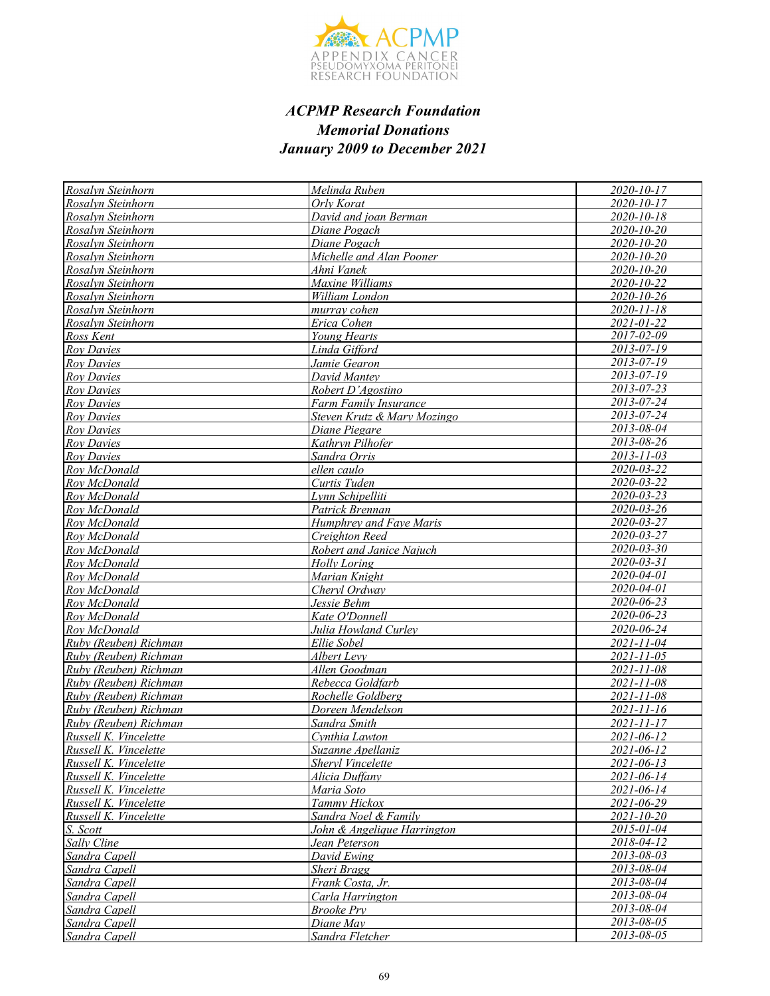

| Rosalvn Steinhorn     | Melinda Ruben               | 2020-10-17       |
|-----------------------|-----------------------------|------------------|
| Rosalvn Steinhorn     | Orly Korat                  | 2020-10-17       |
| Rosalyn Steinhorn     | David and joan Berman       | $2020 - 10 - 18$ |
| Rosalvn Steinhorn     | Diane Pogach                | 2020-10-20       |
| Rosalyn Steinhorn     | Diane Pogach                | 2020-10-20       |
| Rosalyn Steinhorn     | Michelle and Alan Pooner    | 2020-10-20       |
| Rosalyn Steinhorn     | Ahni Vanek                  | $2020 - 10 - 20$ |
| Rosalyn Steinhorn     | Maxine Williams             | 2020-10-22       |
| Rosalvn Steinhorn     | William London              | 2020-10-26       |
| Rosalyn Steinhorn     | murray cohen                | 2020-11-18       |
| Rosalyn Steinhorn     | Erica Cohen                 | 2021-01-22       |
| Ross Kent             | Young Hearts                | 2017-02-09       |
| <b>Roy Davies</b>     | Linda Gifford               | 2013-07-19       |
| <b>Roy Davies</b>     | Jamie Gearon                | $2013 - 07 - 19$ |
| <b>Roy Davies</b>     | David Mantey                | $2013 - 07 - 19$ |
| <b>Roy Davies</b>     | Robert D'Agostino           | $2013 - 07 - 23$ |
| <b>Roy Davies</b>     | Farm Family Insurance       | 2013-07-24       |
| <b>Roy Davies</b>     | Steven Krutz & Mary Mozingo | 2013-07-24       |
| <b>Roy Davies</b>     | Diane Piegare               | 2013-08-04       |
| <b>Roy Davies</b>     | Kathryn Pilhofer            | 2013-08-26       |
| <b>Roy Davies</b>     | Sandra Orris                | 2013-11-03       |
| Rov McDonald          | ellen caulo                 | 2020-03-22       |
| Rov McDonald          | Curtis Tuden                | $2020 - 03 - 22$ |
| Rov McDonald          | Lvnn Schipelliti            | 2020-03-23       |
| Rov McDonald          | Patrick Brennan             | $2020 - 03 - 26$ |
| Roy McDonald          | Humphrey and Faye Maris     | 2020-03-27       |
| Rov McDonald          | Creighton Reed              | 2020-03-27       |
| Roy McDonald          | Robert and Janice Najuch    | 2020-03-30       |
| Roy McDonald          | <b>Holly Loring</b>         | $2020 - 03 - 31$ |
| Roy McDonald          | Marian Knight               | $2020 - 04 - 01$ |
| Rov McDonald          | Chervl Ordway               | 2020-04-01       |
| Roy McDonald          | Jessie Behm                 | 2020-06-23       |
| Roy McDonald          | Kate O'Donnell              | 2020-06-23       |
| Rov McDonald          | Julia Howland Curley        | 2020-06-24       |
| Ruby (Reuben) Richman | Ellie Sobel                 | 2021-11-04       |
| Ruby (Reuben) Richman | Albert Levy                 | 2021-11-05       |
| Ruby (Reuben) Richman | Allen Goodman               | 2021-11-08       |
| Ruby (Reuben) Richman | Rebecca Goldfarb            | $2021 - 11 - 08$ |
| Ruby (Reuben) Richman | Rochelle Goldberg           | 2021-11-08       |
| Ruby (Reuben) Richman | Doreen Mendelson            | $2021 - 11 - 16$ |
| Ruby (Reuben) Richman | Sandra Smith                | $2021 - 11 - 17$ |
| Russell K. Vincelette | Cynthia Lawton              | 2021-06-12       |
| Russell K. Vincelette | Suzanne Apellaniz           | $2021 - 06 - 12$ |
| Russell K. Vincelette | Sheryl Vincelette           | $2021 - 06 - 13$ |
| Russell K. Vincelette | Alicia Duffany              | $2021 - 06 - 14$ |
| Russell K. Vincelette | Maria Soto                  | 2021-06-14       |
| Russell K. Vincelette | Tammy Hickox                | 2021-06-29       |
| Russell K. Vincelette | Sandra Noel & Family        | $2021 - 10 - 20$ |
| S. Scott              | John & Angelique Harrington | 2015-01-04       |
| Sally Cline           | Jean Peterson               | 2018-04-12       |
| Sandra Capell         | David Ewing                 | 2013-08-03       |
| Sandra Capell         | Sheri Bragg                 | 2013-08-04       |
| Sandra Capell         | Frank Costa, Jr.            | 2013-08-04       |
| Sandra Capell         | Carla Harrington            | 2013-08-04       |
| Sandra Capell         | <b>Brooke Pry</b>           | 2013-08-04       |
| Sandra Capell         | Diane May                   | 2013-08-05       |
| Sandra Capell         | Sandra Fletcher             | 2013-08-05       |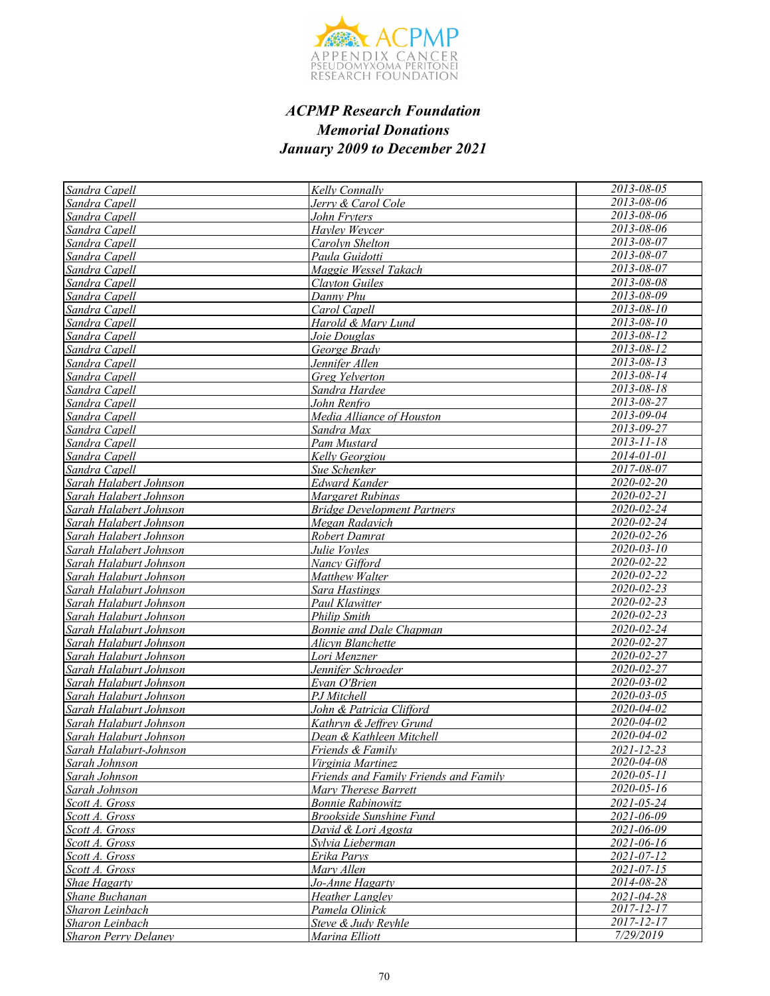

| Sandra Capell               | Kelly Connally                        | 2013-08-05                  |
|-----------------------------|---------------------------------------|-----------------------------|
| Sandra Capell               | Jerry & Carol Cole                    | 2013-08-06                  |
| Sandra Capell               | John Fryters                          | 2013-08-06                  |
| Sandra Capell               | Hayley Weycer                         | 2013-08-06                  |
| Sandra Capell               | Carolyn Shelton                       | 2013-08-07                  |
| Sandra Capell               | Paula Guidotti                        | 2013-08-07                  |
| Sandra Capell               | Maggie Wessel Takach                  | 2013-08-07                  |
| Sandra Capell               | <b>Clayton Guiles</b>                 | 2013-08-08                  |
| Sandra Capell               | Danny Phu                             | 2013-08-09                  |
| Sandra Capell               | Carol Capell                          | $2013 - 08 - 10$            |
| Sandra Capell               | Harold & Mary Lund                    | $2013 - 08 - 10$            |
| Sandra Capell               | Joie Douglas                          | 2013-08-12                  |
| Sandra Capell               | George Brady                          | 2013-08-12                  |
| Sandra Capell               | Jennifer Allen                        | 2013-08-13                  |
| Sandra Capell               | Greg Yelverton                        | $2013 - 08 - 14$            |
| Sandra Capell               | Sandra Hardee                         | 2013-08-18                  |
| Sandra Capell               | John Renfro                           | 2013-08-27                  |
| Sandra Capell               | Media Alliance of Houston             | 2013-09-04                  |
| Sandra Capell               | Sandra Max                            | 2013-09-27                  |
| Sandra Capell               | Pam Mustard                           | 2013-11-18                  |
| Sandra Capell               | Kelly Georgiou                        | 2014-01-01                  |
| Sandra Capell               | Sue Schenker                          | 2017-08-07                  |
| Sarah Halabert Johnson      | <b>Edward Kander</b>                  | 2020-02-20                  |
| Sarah Halabert Johnson      | Margaret Rubinas                      | 2020-02-21                  |
| Sarah Halabert Johnson      | <b>Bridge Development Partners</b>    | 2020-02-24                  |
| Sarah Halabert Johnson      | Megan Radavich                        | 2020-02-24                  |
| Sarah Halabert Johnson      | Robert Damrat                         | 2020-02-26                  |
| Sarah Halabert Johnson      | Julie Voyles                          | $2020 - 03 - 10$            |
| Sarah Halaburt Johnson      | Nancy Gifford                         | 2020-02-22                  |
| Sarah Halaburt Johnson      | Matthew Walter                        | 2020-02-22                  |
| Sarah Halaburt Johnson      | <b>Sara Hastings</b>                  | 2020-02-23                  |
| Sarah Halaburt Johnson      | Paul Klawitter                        | 2020-02-23                  |
| Sarah Halaburt Johnson      | <b>Philip Smith</b>                   | 2020-02-23                  |
| Sarah Halaburt Johnson      | <b>Bonnie and Dale Chapman</b>        | $2020 - 02 - 24$            |
| Sarah Halaburt Johnson      | Alicyn Blanchette                     | 2020-02-27                  |
| Sarah Halaburt Johnson      | Lori Menzner                          | 2020-02-27                  |
| Sarah Halaburt Johnson      | Jennifer Schroeder                    | 2020-02-27                  |
| Sarah Halaburt Johnson      | Evan O'Brien                          | $2020 - 03 - 02$            |
| Sarah Halaburt Johnson      | PJ Mitchell                           | 2020-03-05                  |
| Sarah Halaburt Johnson      | John & Patricia Clifford              | 2020-04-02                  |
| Sarah Halaburt Johnson      | Kathryn & Jeffrey Grund               | 2020-04-02                  |
| Sarah Halaburt Johnson      | Dean & Kathleen Mitchell              | 2020-04-02                  |
| Sarah Halaburt-Johnson      | Friends & Family                      | $2021 - 12 - 23$            |
| Sarah Johnson               | Virginia Martinez                     | 2020-04-08                  |
| Sarah Johnson               | Friends and Family Friends and Family | $2020 - 05 - 11$            |
| Sarah Johnson               | Mary Therese Barrett                  | 2020-05-16                  |
| Scott A. Gross              | <b>Bonnie Rabinowitz</b>              | $\frac{2021 - 05 - 24}{20}$ |
| Scott A. Gross              | <b>Brookside Sunshine Fund</b>        | 2021-06-09                  |
| Scott A. Gross              | David & Lori Agosta                   | 2021-06-09                  |
| Scott A. Gross              | Sylvia Lieberman                      | 2021-06-16                  |
| Scott A. Gross              | Erika Parys                           | 2021-07-12                  |
| Scott A. Gross              | Mary Allen                            | 2021-07-15                  |
| Shae Hagarty                | Jo-Anne Hagarty                       | 2014-08-28                  |
| Shane Buchanan              | <b>Heather Langley</b>                | 2021-04-28                  |
| Sharon Leinbach             | Pamela Olinick                        | $2017 - 12 - 17$            |
| Sharon Leinbach             | Steve & Judy Reyhle                   | $2017 - 12 - 17$            |
| <b>Sharon Perry Delaney</b> | Marina Elliott                        | 7/29/2019                   |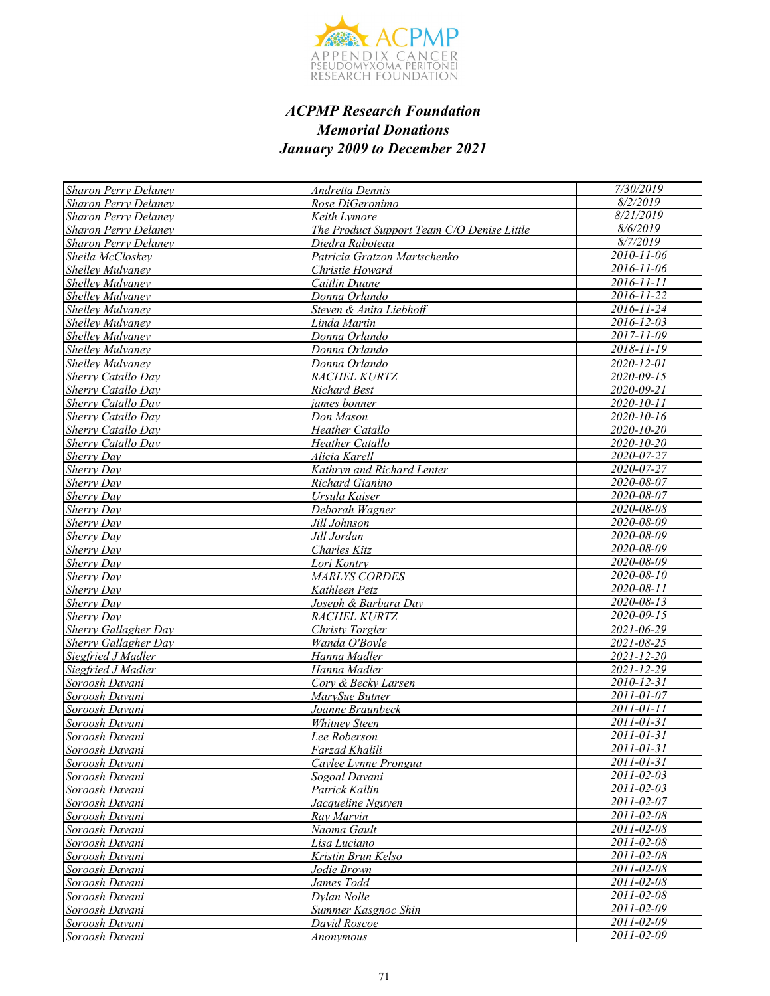

| <b>Sharon Perry Delaney</b>      | <b>Andretta Dennis</b>                     | 7/30/2019                |
|----------------------------------|--------------------------------------------|--------------------------|
| <b>Sharon Perry Delaney</b>      | Rose DiGeronimo                            | 8/2/2019                 |
| <b>Sharon Perry Delaney</b>      | Keith Lymore                               | 8/21/2019                |
| <b>Sharon Perry Delaney</b>      | The Product Support Team C/O Denise Little | 8/6/2019                 |
| <b>Sharon Perry Delaney</b>      | Diedra Raboteau                            | 8/7/2019                 |
| Sheila McCloskey                 | Patricia Gratzon Martschenko               | $2010 - 11 - 06$         |
| <b>Shelley Mulvaney</b>          | Christie Howard                            | 2016-11-06               |
| <b>Shelley Mulvaney</b>          | Caitlin Duane                              | 2016-11-11               |
| Shellev Mulvanev                 | Donna Orlando                              | 2016-11-22               |
| Shelley Mulvaney                 | Steven & Anita Liebhoff                    | $2016 - 11 - 24$         |
| Shelley Mulvaney                 | Linda Martin                               | $2016 - 12 - 03$         |
| <b>Shelley Mulvaney</b>          | Donna Orlando                              | $2017 - 11 - 09$         |
| Shelley Mulvaney                 | Donna Orlando                              | $2018 - 11 - 19$         |
| Shelley Mulvaney                 | Donna Orlando                              | 2020-12-01               |
| Sherry Catallo Day               | RACHEL KURTZ                               | 2020-09-15               |
| <b>Sherry Catallo Day</b>        | <b>Richard Best</b>                        | 2020-09-21               |
| Sherry Catallo Day               | james bonner                               | 2020-10-11               |
| <b>Sherry Catallo Day</b>        | Don Mason                                  | 2020-10-16               |
| Sherry Catallo Day               | <b>Heather Catallo</b>                     | 2020-10-20               |
| <b>Sherry Catallo Day</b>        | Heather Catallo                            | $2020 - 10 - 20$         |
| Sherry Dav                       | Alicia Karell                              | 2020-07-27               |
| Sherry Day                       | Kathryn and Richard Lenter                 | 2020-07-27               |
| <b>Sherry Day</b>                | Richard Gianino                            | 2020-08-07               |
| Sherry Day                       | Ursula Kaiser                              | 2020-08-07               |
| Sherry Day                       | Deborah Wagner                             | 2020-08-08               |
| <b>Sherry Day</b>                | Jill Johnson                               | 2020-08-09               |
| <b>Sherry Day</b>                | Jill Jordan                                | 2020-08-09               |
| Sherry Day                       | Charles Kitz                               | 2020-08-09               |
| Sherry Day                       | Lori Kontry                                | 2020-08-09               |
| Sherry Day                       | <b>MARLYS CORDES</b>                       | $2020 - 08 - 10$         |
| Sherry Day                       | Kathleen Petz                              | 2020-08-11               |
| Sherry Day                       | Joseph & Barbara Day                       | 2020-08-13               |
| Sherry Day                       | RACHEL KURTZ                               | 2020-09-15               |
| <b>Sherry Gallagher Day</b>      | Christy Torgler                            | 2021-06-29               |
| Sherry Gallagher Day             | Wanda O'Bovle                              | 2021-08-25               |
| Siegfried J Madler               | Hanna Madler                               | $2021 - 12 - 20$         |
| Siegfried J Madler               | Hanna Madler                               | 2021-12-29               |
| Soroosh Davani                   | Corv & Becky Larsen                        | 2010-12-31               |
| Soroosh Davani                   | MarySue Butner                             | 2011-01-07               |
| Soroosh Davani                   | Joanne Braunbeck                           | 2011-01-11               |
| Soroosh Davani                   | <b>Whitney Steen</b>                       | $2011 - 01 - 31$         |
| Soroosh Davani                   | Lee Roberson                               | 2011-01-31               |
| Soroosh Davani                   | Farzad Khalili                             | 2011-01-31               |
| Soroosh Davani                   | Caylee Lynne Prongua                       | 2011-01-31               |
| Soroosh Davani                   | Sogoal Davani                              | 2011-02-03               |
| Soroosh Davani                   | Patrick Kallin                             | 2011-02-03               |
| Soroosh Davani                   | Jacqueline Nguyen                          | 2011-02-07               |
| Soroosh Davani                   | Ray Marvin                                 | 2011-02-08               |
| Soroosh Davani                   | Naoma Gault                                | 2011-02-08<br>2011-02-08 |
| Soroosh Davani                   | Lisa Luciano                               | 2011-02-08               |
| Soroosh Davani                   | Kristin Brun Kelso                         | 2011-02-08               |
| Soroosh Davani<br>Soroosh Davani | Jodie Brown<br>James Todd                  | 2011-02-08               |
| Soroosh Davani                   | Dylan Nolle                                | $2011 - 02 - 08$         |
| Soroosh Davani                   | Summer Kasgnoc Shin                        | 2011-02-09               |
| Soroosh Davani                   | David Roscoe                               | 2011-02-09               |
| Soroosh Davani                   | <i>Anonymous</i>                           | 2011-02-09               |
|                                  |                                            |                          |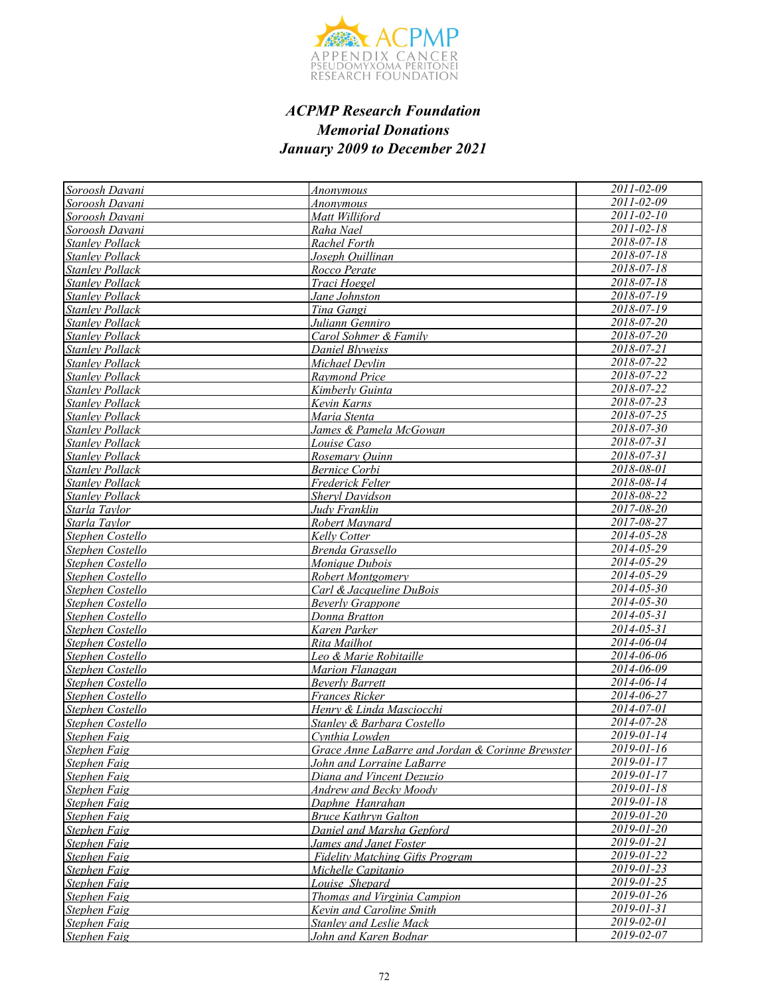

| Soroosh Davani         | Anonymous                                        | 2011-02-09                  |
|------------------------|--------------------------------------------------|-----------------------------|
| Soroosh Davani         | <b>Anonymous</b>                                 | 2011-02-09                  |
| Soroosh Davani         | Matt Williford                                   | 2011-02-10                  |
| Soroosh Davani         | Raha Nael                                        | $2011 - 02 - 18$            |
| <b>Stanley Pollack</b> | Rachel Forth                                     | $2018 - 07 - 18$            |
| <b>Stanley Pollack</b> | Joseph Ouillinan                                 | 2018-07-18                  |
| <b>Stanley Pollack</b> | Rocco Perate                                     | 2018-07-18                  |
| <b>Stanley Pollack</b> | Traci Hoegel                                     | $2018 - 07 - 18$            |
| <b>Stanley Pollack</b> | Jane Johnston                                    | $2018 - 07 - 19$            |
| <b>Stanley Pollack</b> | Tina Gangi                                       | $2018 - 07 - 19$            |
| <b>Stanley Pollack</b> | Juliann Genniro                                  | 2018-07-20                  |
| <b>Stanley Pollack</b> | Carol Sohmer & Family                            | 2018-07-20                  |
| <b>Stanley Pollack</b> | Daniel Blyweiss                                  | $2018 - 07 - 21$            |
| <b>Stanley Pollack</b> | Michael Devlin                                   | 2018-07-22                  |
| <b>Stanley Pollack</b> | <b>Raymond Price</b>                             | 2018-07-22                  |
| <b>Stanley Pollack</b> | Kimberly Guinta                                  | 2018-07-22                  |
| <b>Stanley Pollack</b> | Kevin Karns                                      | 2018-07-23                  |
| Stanley Pollack        | Maria Stenta                                     | 2018-07-25                  |
| <b>Stanley Pollack</b> | James & Pamela McGowan                           | 2018-07-30                  |
| <b>Stanley Pollack</b> | <i>Louise Caso</i>                               | 2018-07-31                  |
| <b>Stanley Pollack</b> | Rosemary Ouinn                                   | $2018 - 07 - 31$            |
| <b>Stanley Pollack</b> | <b>Bernice Corbi</b>                             | 2018-08-01                  |
| <b>Stanley Pollack</b> | Frederick Felter                                 | 2018-08-14                  |
| <b>Stanley Pollack</b> | <b>Sheryl Davidson</b>                           | 2018-08-22                  |
| Starla Taylor          | Judv Franklin                                    | $2017 - 08 - 20$            |
| Starla Taylor          | Robert Maynard                                   | 2017-08-27                  |
| Stephen Costello       | Kelly Cotter                                     | $2014 - 05 - 28$            |
| Stephen Costello       | Brenda Grassello                                 | 2014-05-29                  |
| Stephen Costello       | Monique Dubois                                   | 2014-05-29                  |
| Stephen Costello       | Robert Montgomery                                | $2014 - 05 - 29$            |
| Stephen Costello       | Carl & Jacqueline DuBois                         | 2014-05-30                  |
| Stephen Costello       | <b>Beverly Grappone</b>                          | 2014-05-30                  |
| Stephen Costello       | Donna Bratton                                    | 2014-05-31                  |
| Stephen Costello       | Karen Parker                                     | 2014-05-31                  |
| Stephen Costello       | Rita Mailhot                                     | $2014 - 06 - 04$            |
| Stephen Costello       | Leo & Marie Robitaille                           | 2014-06-06                  |
| Stephen Costello       | Marion Flanagan                                  | $2014 - 06 - 09$            |
| Stephen Costello       | <b>Beverly Barrett</b>                           | 2014-06-14                  |
| Stephen Costello       | Frances Ricker                                   | 2014-06-27                  |
| Stephen Costello       | Henry & Linda Masciocchi                         | $2014 - 07 - 01$            |
| Stephen Costello       | Stanley & Barbara Costello                       | 2014-07-28                  |
| <b>Stephen Faig</b>    | Cynthia Lowden                                   | 2019-01-14                  |
| Stephen Faig           | Grace Anne LaBarre and Jordan & Corinne Brewster | $2019 - 01 - 16$            |
| <b>Stephen Faig</b>    | John and Lorraine LaBarre                        | 2019-01-17                  |
| Stephen Faig           | Diana and Vincent Dezuzio                        | 2019-01-17                  |
| Stephen Faig           | Andrew and Becky Moody                           | 2019-01-18                  |
| Stephen Faig           | Daphne Hanrahan                                  | $2019 - 01 - 18$            |
| <b>Stephen Faig</b>    | <b>Bruce Kathryn Galton</b>                      | $2019 - 01 - 20$            |
| Stephen Faig           | Daniel and Marsha Gepford                        | $2019 - 01 - 20$            |
| Stephen Faig           | James and Janet Foster                           | 2019-01-21                  |
| Stephen Faig           | <b>Fidelity Matching Gifts Program</b>           | 2019-01-22                  |
| Stephen Faig           | Michelle Capitanio                               | $\frac{2019 - 01 - 23}{20}$ |
| Stephen Faig           | Louise Shepard                                   | 2019-01-25                  |
| Stephen Faig           | Thomas and Virginia Campion                      | $2019 - 01 - 26$            |
| Stephen Faig           | Kevin and Caroline Smith                         | $2019 - 01 - 31$            |
| Stephen Faig           | <b>Stanley and Leslie Mack</b>                   | 2019-02-01                  |
| Stephen Faig           | John and Karen Bodnar                            | 2019-02-07                  |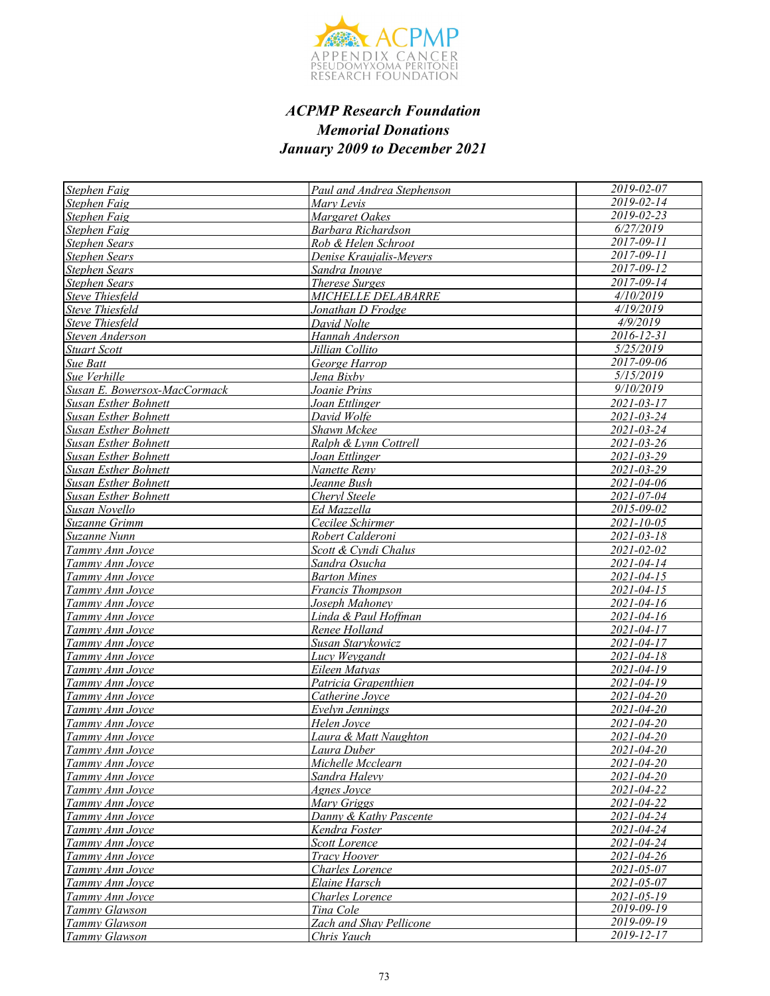

| Stephen Faig                 | Paul and Andrea Stephenson | 2019-02-07        |
|------------------------------|----------------------------|-------------------|
| Stephen Faig                 | Mary Levis                 | 2019-02-14        |
| Stephen Faig                 | Margaret Oakes             | 2019-02-23        |
| Stephen Faig                 | Barbara Richardson         | 6/27/2019         |
| Stephen Sears                | Rob & Helen Schroot        | $2017 - 09 - 11$  |
| <b>Stephen Sears</b>         | Denise Kraujalis-Meyers    | $2017 - 09 - 11$  |
| <b>Stephen Sears</b>         | Sandra Inouve              | 2017-09-12        |
| <b>Stephen Sears</b>         | <b>Therese Surges</b>      | $2017 - 09 - 14$  |
| <b>Steve Thiesfeld</b>       | <b>MICHELLE DELABARRE</b>  | 4/10/2019         |
| <b>Steve Thiesfeld</b>       | Jonathan D Frodge          | 4/19/2019         |
| <b>Steve Thiesfeld</b>       | David Nolte                | 4/9/2019          |
| Steven Anderson              | Hannah Anderson            | $2016 - 12 - 31$  |
| <b>Stuart Scott</b>          | Jillian Collito            | 5/25/2019         |
| Sue Batt                     | George Harrop              | 2017-09-06        |
| Sue Verhille                 | Jena Bixby                 | 5/15/2019         |
| Susan E. Bowersox-MacCormack | Joanie Prins               | 9/10/2019         |
| Susan Esther Bohnett         | Joan Ettlinger             | $2021 - 03 - 17$  |
| <b>Susan Esther Bohnett</b>  | David Wolfe                | 2021-03-24        |
| <b>Susan Esther Bohnett</b>  | Shawn Mckee                | 2021-03-24        |
| <b>Susan Esther Bohnett</b>  | Ralph & Lynn Cottrell      | $2021 - 03 - 26$  |
| <b>Susan Esther Bohnett</b>  | Joan Ettlinger             | 2021-03-29        |
| <b>Susan Esther Bohnett</b>  | Nanette Reny               | 2021-03-29        |
| <b>Susan Esther Bohnett</b>  | Jeanne Bush                | 2021-04-06        |
| <b>Susan Esther Bohnett</b>  | Cheryl Steele              | 2021-07-04        |
| Susan Novello                | Ed Mazzella                | 2015-09-02        |
| Suzanne Grimm                | Cecilee Schirmer           | $2021 - 10 - 05$  |
| Suzanne Nunn                 | Robert Calderoni           | $2021 - 03 - 18$  |
| Tammy Ann Joyce              | Scott & Cyndi Chalus       | 2021-02-02        |
| Tammy Ann Joyce              | Sandra Osucha              | 2021-04-14        |
| Tammy Ann Joyce              | <b>Barton Mines</b>        | $2021 - 04 - 15$  |
| Tammy Ann Joyce              | Francis Thompson           | $2021 - 04 - 15$  |
| Tammy Ann Joyce              | Joseph Mahoney             | 2021-04-16        |
| Tammy Ann Joyce              | Linda & Paul Hoffman       | 2021-04-16        |
| Tammy Ann Joyce              | Renee Holland              | 2021-04-17        |
| Tammy Ann Joyce              | Susan Starykowicz          | 2021-04-17        |
| Tammy Ann Joyce              | Lucy Weygandt              | 2021-04-18        |
| Tammy Ann Joyce              | Eileen Matyas              | 2021-04-19        |
| Tammy Ann Joyce              | Patricia Grapenthien       | $2021 - 04 - 19$  |
| Tammy Ann Joyce              | Catherine Joyce            | $2021 - 04 - 20$  |
| Tammy Ann Joyce              | Evelyn Jennings            | 2021-04-20        |
| Tammy Ann Joyce              | Helen Joyce                | 2021-04-20        |
| Tammy Ann Joyce              | Laura & Matt Naughton      | 2021-04-20        |
| Tammy Ann Joyce              | Laura Duber                | <u>2021-04-20</u> |
| Tammy Ann Joyce              | Michelle Mcclearn          | 2021-04-20        |
| Tammy Ann Joyce              | Sandra Halevy              | $2021 - 04 - 20$  |
| Tammy Ann Joyce              | Agnes Joyce                | 2021-04-22        |
| Tammy Ann Joyce              | Mary Griggs                | 2021-04-22        |
| Tammy Ann Joyce              | Danny & Kathy Pascente     | 2021-04-24        |
| Tammy Ann Joyce              | Kendra Foster              | 2021-04-24        |
| Tammy Ann Joyce              | Scott Lorence              | 2021-04-24        |
| Tammy Ann Joyce              | <b>Tracy Hoover</b>        | 2021-04-26        |
| Tammy Ann Joyce              | Charles Lorence            | 2021-05-07        |
| Tammy Ann Joyce              | Elaine Harsch              | 2021-05-07        |
| Tammy Ann Joyce              | Charles Lorence            | $2021 - 05 - 19$  |
| Tammy Glawson                | Tina Cole                  | $2019 - 09 - 19$  |
| Tammy Glawson                | Zach and Shay Pellicone    | 2019-09-19        |
| Tammy Glawson                | Chris Yauch                | 2019-12-17        |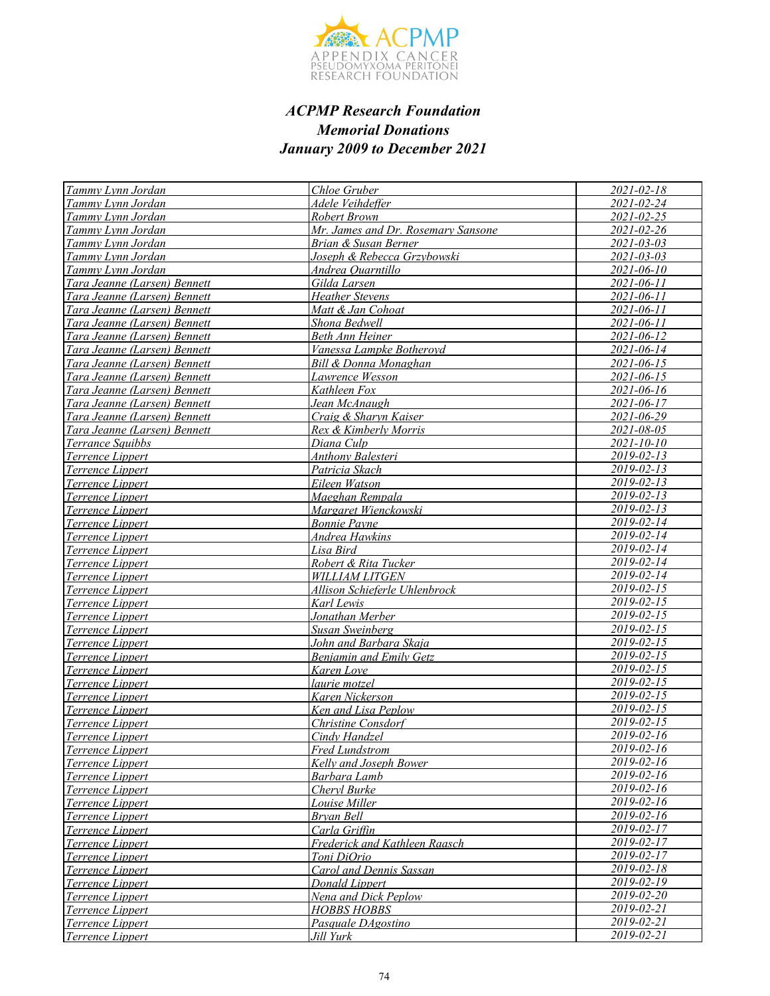

| Tammy Lynn Jordan                    | Chloe Gruber                                   | $2021 - 02 - 18$               |
|--------------------------------------|------------------------------------------------|--------------------------------|
| Tammy Lynn Jordan                    | Adele Veihdeffer                               | $2021 - 02 - 24$               |
| Tammy Lynn Jordan                    | Robert Brown                                   | $2021 - 02 - 25$               |
| Tammy Lynn Jordan                    | Mr. James and Dr. Rosemary Sansone             | 2021-02-26                     |
| Tammy Lynn Jordan                    | Brian & Susan Berner                           | 2021-03-03                     |
| Tammy Lynn Jordan                    | Joseph & Rebecca Grzybowski                    | $2021 - 03 - 03$               |
| Tammy Lynn Jordan                    | Andrea Ouarntillo                              | 2021-06-10                     |
| Tara Jeanne (Larsen) Bennett         | Gilda Larsen                                   | 2021-06-11                     |
| Tara Jeanne (Larsen) Bennett         | <b>Heather Stevens</b>                         | 2021-06-11                     |
| Tara Jeanne (Larsen) Bennett         | Matt & Jan Cohoat                              | 2021-06-11                     |
| Tara Jeanne (Larsen) Bennett         | Shona Bedwell                                  | 2021-06-11                     |
| Tara Jeanne (Larsen) Bennett         | Beth Ann Heiner                                | 2021-06-12                     |
| Tara Jeanne (Larsen) Bennett         | Vanessa Lampke Botheroyd                       | 2021-06-14                     |
| Tara Jeanne (Larsen) Bennett         | Bill & Donna Monaghan                          | 2021-06-15                     |
| Tara Jeanne (Larsen) Bennett         | Lawrence Wesson                                | $2021 - 06 - 15$               |
| Tara Jeanne (Larsen) Bennett         | Kathleen Fox                                   | $2021 - 06 - 16$               |
| Tara Jeanne (Larsen) Bennett         | Jean McAnaugh                                  | 2021-06-17                     |
| Tara Jeanne (Larsen) Bennett         | Craig & Sharyn Kaiser                          | 2021-06-29                     |
| Tara Jeanne (Larsen) Bennett         | Rex & Kimberly Morris                          | 2021-08-05                     |
| <b>Terrance Sauibbs</b>              | Diana Culp                                     | $2021 - 10 - 10$               |
| Terrence Lippert                     | Anthony Balesteri                              | 2019-02-13                     |
| Terrence Lippert                     | Patricia Skach                                 | $2019 - 02 - 13$               |
| Terrence Lippert                     | Eileen Watson                                  | $2019 - 02 - 13$               |
| Terrence Lippert                     | Maeghan Rempala                                | 2019-02-13                     |
| Terrence Lippert                     | Margaret Wienckowski                           | $2019 - 02 - 13$               |
| Terrence Lippert                     | <b>Bonnie Payne</b>                            | $2019 - 02 - 14$               |
| Terrence Lippert                     | Andrea Hawkins                                 | $2019 - 02 - 14$               |
| Terrence Lippert                     | Lisa Bird                                      | 2019-02-14                     |
| Terrence Lippert                     | Robert & Rita Tucker                           | 2019-02-14                     |
| Terrence Lippert                     | <b>WILLIAM LITGEN</b>                          | 2019-02-14                     |
| Terrence Lippert                     | Allison Schieferle Uhlenbrock                  | 2019-02-15                     |
| Terrence Lippert                     | Karl Lewis                                     | 2019-02-15                     |
| Terrence Lippert                     | Jonathan Merber                                | 2019-02-15                     |
| Terrence Lippert                     | Susan Sweinberg                                | 2019-02-15                     |
| Terrence Lippert                     | John and Ba <u>rbara Skaja</u>                 | $2019 - 02 - 15$               |
| Terrence Lippert                     | <b>Benjamin and Emily Getz</b>                 | $2019 - 02 - 15$               |
| Terrence Lippert                     | Karen Love                                     | $2019 - 02 - 15$               |
| Terrence Lippert                     | laurie motzel                                  | 2019-02-15                     |
| Terrence Lippert                     | Karen Nickerson                                | 2019-02-15                     |
| Terrence Lippert                     | Ken and Lisa Peplow                            | $2019 - 02 - 15$               |
| Terrence Lippert                     | <b>Christine Consdorf</b>                      | $2019 - 02 - 15$               |
| Terrence Lippert                     | Cindy Handzel                                  | 2019-02-16<br>$2019 - 02 - 16$ |
| <i>Terrence Lippert</i>              | <b>Fred Lundstrom</b>                          | $2019 - 02 - 16$               |
| <b>Terrence Lippert</b>              | Kelly and Joseph Bower                         | 2019-02-16                     |
| Terrence Lippert                     | Barbara Lamb                                   | 2019-02-16                     |
| Terrence Lippert                     | Cheryl Burke                                   | 2019-02-16                     |
| Terrence Lippert                     | Louise Miller                                  | $2019 - 02 - 16$               |
| Terrence Lippert                     | <b>Bryan Bell</b>                              | $2019 - 02 - 17$               |
| Terrence Lippert<br>Terrence Lippert | Carla Griffin<br>Frederick and Kathleen Raasch | $2019 - 02 - 17$               |
| Terrence Lippert                     | Toni DiOrio                                    | 2019-02-17                     |
| Terrence Lippert                     | <b>Carol and Dennis Sassan</b>                 | 2019-02-18                     |
| Terrence Lippert                     | Donald Lippert                                 | $2019 - 02 - 19$               |
| Terrence Lippert                     | Nena and Dick Peplow                           | 2019-02-20                     |
| Terrence Lippert                     | <b>HOBBS HOBBS</b>                             | 2019-02-21                     |
| Terrence Lippert                     | Pasquale DAgostino                             | 2019-02-21                     |
| Terrence Lippert                     | Jill Yurk                                      | 2019-02-21                     |
|                                      |                                                |                                |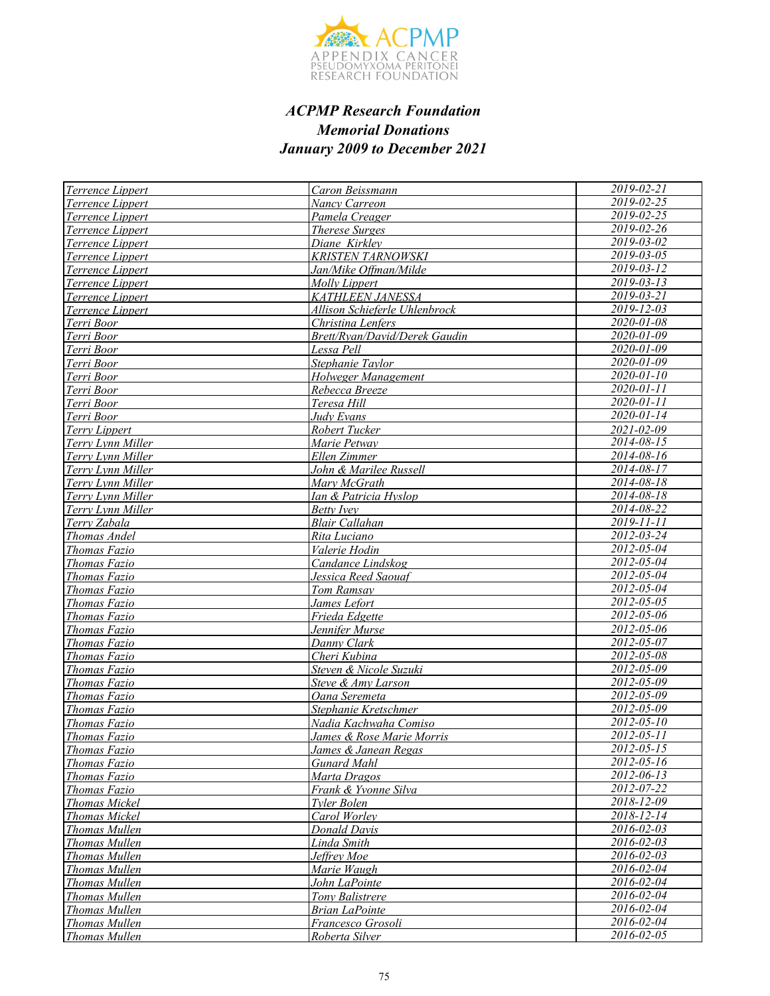

| Terrence Lippert     | Caron Beissmann               | $2019 - 02 - 21$ |
|----------------------|-------------------------------|------------------|
| Terrence Lippert     | Nancy Carreon                 | 2019-02-25       |
| Terrence Lippert     | Pamela Creager                | 2019-02-25       |
| Terrence Lippert     | <b>Therese Surges</b>         | 2019-02-26       |
| Terrence Lippert     | Diane Kirklev                 | $2019 - 03 - 02$ |
| Terrence Lippert     | <b>KRISTEN TARNOWSKI</b>      | 2019-03-05       |
| Terrence Lippert     | Jan/Mike Offman/Milde         | 2019-03-12       |
| Terrence Lippert     | <b>Molly Lippert</b>          | $2019 - 03 - 13$ |
| Terrence Lippert     | KATHLEEN JANESSA              | $2019 - 03 - 21$ |
| Terrence Lippert     | Allison Schieferle Uhlenbrock | 2019-12-03       |
| Terri Boor           | Christina Lenfers             | $2020 - 01 - 08$ |
| Terri Boor           | Brett/Ryan/David/Derek Gaudin | $2020 - 01 - 09$ |
| Terri Boor           | Lessa Pell                    | $2020 - 01 - 09$ |
| Terri Boor           | Stephanie Taylor              | $2020 - 01 - 09$ |
| Terri Boor           | Holweger Management           | 2020-01-10       |
| Terri Boor           | Rebecca Breeze                | 2020-01-11       |
| Terri Boor           | Teresa Hill                   | 2020-01-11       |
| Terri Boor           | Judy Evans                    | $2020 - 01 - 14$ |
| Terry Lippert        | Robert Tucker                 | $2021 - 02 - 09$ |
| Terry Lynn Miller    | Marie Petway                  | 2014-08-15       |
| Terry Lynn Miller    | Ellen Zimmer                  | 2014-08-16       |
| Terry Lynn Miller    | John & Marilee Russell        | $2014 - 08 - 17$ |
| Terry Lynn Miller    | Mary McGrath                  | $2014 - 08 - 18$ |
| Terry Lynn Miller    | Ian & Patricia Hyslop         | $2014 - 08 - 18$ |
| Terry Lynn Miller    | Betty Ivey                    | 2014-08-22       |
| Terry Zabala         | <b>Blair Callahan</b>         | $2019 - 11 - 11$ |
| Thomas Andel         | Rita Luciano                  | $2012 - 03 - 24$ |
| Thomas Fazio         | Valerie Hodin                 | 2012-05-04       |
| Thomas Fazio         | Candance Lindskog             | $2012 - 05 - 04$ |
| Thomas Fazio         | Jessica Reed Saouaf           | $2012 - 05 - 04$ |
| Thomas Fazio         | Tom Ramsay                    | $2012 - 05 - 04$ |
| Thomas Fazio         | James Lefort                  | $2012 - 05 - 05$ |
| Thomas Fazio         | Frieda Edgette                | 2012-05-06       |
| Thomas Fazio         | Jennifer Murse                | $2012 - 05 - 06$ |
| Thomas Fazio         | Danny Clark                   | 2012-05-07       |
| Thomas Fazio         | Cheri Kubina                  | 2012-05-08       |
| Thomas Fazio         | Steven & Nicole Suzuki        | 2012-05-09       |
| Thomas Fazio         | Steve & Amy Larson            | 2012-05-09       |
| Thomas Fazio         | Oana Seremeta                 | 2012-05-09       |
| Thomas Fazio         | Stephanie Kretschmer          | 2012-05-09       |
| Thomas Fazio         | Nadia Kachwaha Comiso         | $2012 - 05 - 10$ |
| Thomas Fazio         | James & Rose Marie Morris     | 2012-05-11       |
| <b>Thomas Fazio</b>  | James & Janean Regas          | $2012 - 05 - 15$ |
| Thomas Fazio         | Gunard Mahl                   | 2012-05-16       |
| Thomas Fazio         | Marta Dragos                  | 2012-06-13       |
| Thomas Fazio         | Frank & Yvonne Silva          | 2012-07-22       |
| Thomas Mickel        | Tyler Bolen                   | 2018-12-09       |
| <b>Thomas Mickel</b> | Carol Worley                  | 2018-12-14       |
| Thomas Mullen        | <b>Donald Davis</b>           | 2016-02-03       |
| Thomas Mullen        | Linda Smith                   | 2016-02-03       |
| Thomas Mullen        | Jeffrey Moe                   | 2016-02-03       |
| Thomas Mullen        | Marie Waugh                   | 2016-02-04       |
| Thomas Mullen        | John LaPointe                 | 2016-02-04       |
| Thomas Mullen        | Tony Balistrere               | 2016-02-04       |
| Thomas Mullen        | <b>Brian LaPointe</b>         | 2016-02-04       |
| Thomas Mullen        | Francesco Grosoli             | 2016-02-04       |
| Thomas Mullen        | Roberta Silver                | 2016-02-05       |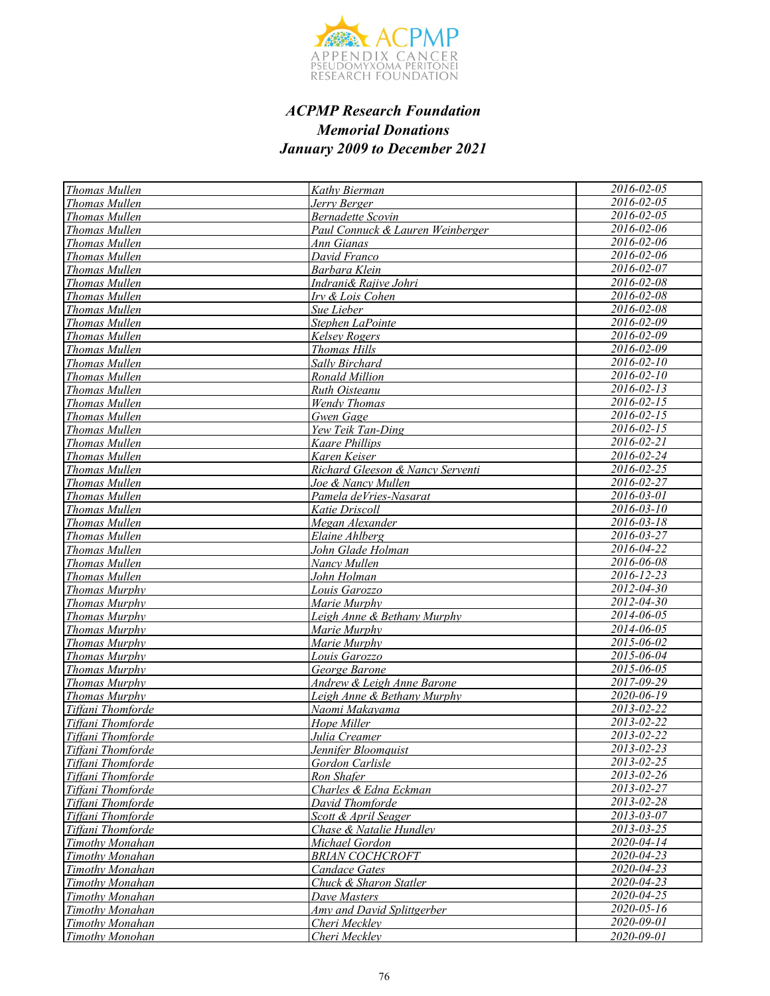

| <b>Thomas Mullen</b> | Kathy Bierman                     | 2016-02-05                  |
|----------------------|-----------------------------------|-----------------------------|
| <b>Thomas Mullen</b> | Jerry Berger                      | 2016-02-05                  |
| Thomas Mullen        | Bernadette Scovin                 | 2016-02-05                  |
| Thomas Mullen        | Paul Connuck & Lauren Weinberger  | 2016-02-06                  |
| Thomas Mullen        | Ann Gianas                        | 2016-02-06                  |
| Thomas Mullen        | David Franco                      | 2016-02-06                  |
| Thomas Mullen        | Barbara Klein                     | 2016-02-07                  |
| Thomas Mullen        | Indrani& Rajive Johri             | 2016-02-08                  |
| <b>Thomas Mullen</b> | Irv & Lois Cohen                  | 2016-02-08                  |
| Thomas Mullen        | Sue Lieber                        | 2016-02-08                  |
| Thomas Mullen        | Stephen LaPointe                  | 2016-02-09                  |
| Thomas Mullen        | <b>Kelsey Rogers</b>              | $2016 - 02 - 09$            |
| Thomas Mullen        | <b>Thomas Hills</b>               | 2016-02-09                  |
| Thomas Mullen        | Sally Birchard                    | 2016-02-10                  |
| Thomas Mullen        | Ronald Million                    | $2016 - 02 - 10$            |
| Thomas Mullen        | Ruth Oisteanu                     | 2016-02-13                  |
| Thomas Mullen        | <b>Wendy Thomas</b>               | 2016-02-15                  |
| Thomas Mullen        | Gwen Gage                         | $2016 - 02 - 15$            |
| <b>Thomas Mullen</b> | Yew Teik Tan-Ding                 | $2016 - 02 - 15$            |
| <b>Thomas Mullen</b> | Kaare Phillips                    | 2016-02-21                  |
| Thomas Mullen        | Karen Keiser                      | 2016-02-24                  |
| <b>Thomas Mullen</b> | Richard Gleeson & Nancy Serventi  | 2016-02-25                  |
| <b>Thomas Mullen</b> | Joe & Nancy Mullen                | 2016-02-27                  |
| Thomas Mullen        | Pamela deVries-Nasarat            | 2016-03-01                  |
| Thomas Mullen        | Katie Driscoll                    | 2016-03-10                  |
| Thomas Mullen        | Megan Alexander                   | $2016 - 03 - 18$            |
| <b>Thomas Mullen</b> | Elaine Ahlberg                    | $2016 - 03 - 27$            |
| Thomas Mullen        | John Glade Holman                 | 2016-04-22                  |
| Thomas Mullen        | Nancy Mullen                      | 2016-06-08                  |
| Thomas Mullen        | John Holman                       | $2016 - 12 - 23$            |
| <b>Thomas Murphy</b> | Louis Garozzo                     | $2012 - 04 - 30$            |
| Thomas Murphy        | Marie Murphy                      | $2012 - 04 - 30$            |
| <b>Thomas Murphy</b> | Leigh Anne & Bethany Murphy       | 2014-06-05                  |
| <b>Thomas Murphy</b> | Marie Murphy                      | 2014-06-05                  |
| Thomas Murphy        | Marie Murphy                      | 2015-06-02                  |
| <b>Thomas Murphy</b> | Louis Garozzo                     | 2015-06-04                  |
| Thomas Murphy        | George Barone                     | 2015-06-05                  |
| <b>Thomas Murphy</b> | Andrew & Leigh Anne Barone        | 2017-09-29                  |
| Thomas Murphy        | Leigh Anne & Bethany Murphy       | 2020-06-19                  |
| Tiffani Thomforde    | Naomi Makayama                    | 2013-02-22                  |
| Tiffani Thomforde    | Hope Miller                       | 2013-02-22                  |
| Tiffani Thomforde    | Julia Creamer                     | 2013-02-22                  |
| Tiffani Thomforde    | Jennifer Bloomquist               | 2013-02-23                  |
| Tiffani Thomforde    | Gordon Carlisle                   | 2013-02-25                  |
| Tiffani Thomforde    | Ron Shafer                        | 2013-02-26                  |
| Tiffani Thomforde    | Charles & Edna Eckman             | 2013-02-27                  |
| Tiffani Thomforde    | David Thomforde                   | $\overline{2013} - 02 - 28$ |
| Tiffani Thomforde    | Scott & April Seager              | 2013-03-07                  |
| Tiffani Thomforde    | Chase & Natalie Hundley           | 2013-03-25                  |
| Timothy Monahan      | Michael Gordon                    | 2020-04-14                  |
| Timothy Monahan      | <b>BRIAN COCHCROFT</b>            | 2020-04-23                  |
| Timothy Monahan      | <b>Candace Gates</b>              | 2020-04-23                  |
| Timothy Monahan      | Chuck & Sharon Statler            | 2020-04-23                  |
| Timothy Monahan      | Dave Masters                      | 2020-04-25                  |
| Timothy Monahan      | <b>Amy and David Splittgerber</b> | 2020-05-16                  |
| Timothy Monahan      | Cheri Meckley                     | 2020-09-01                  |
| Timothy Monohan      | Cheri Meckley                     | 2020-09-01                  |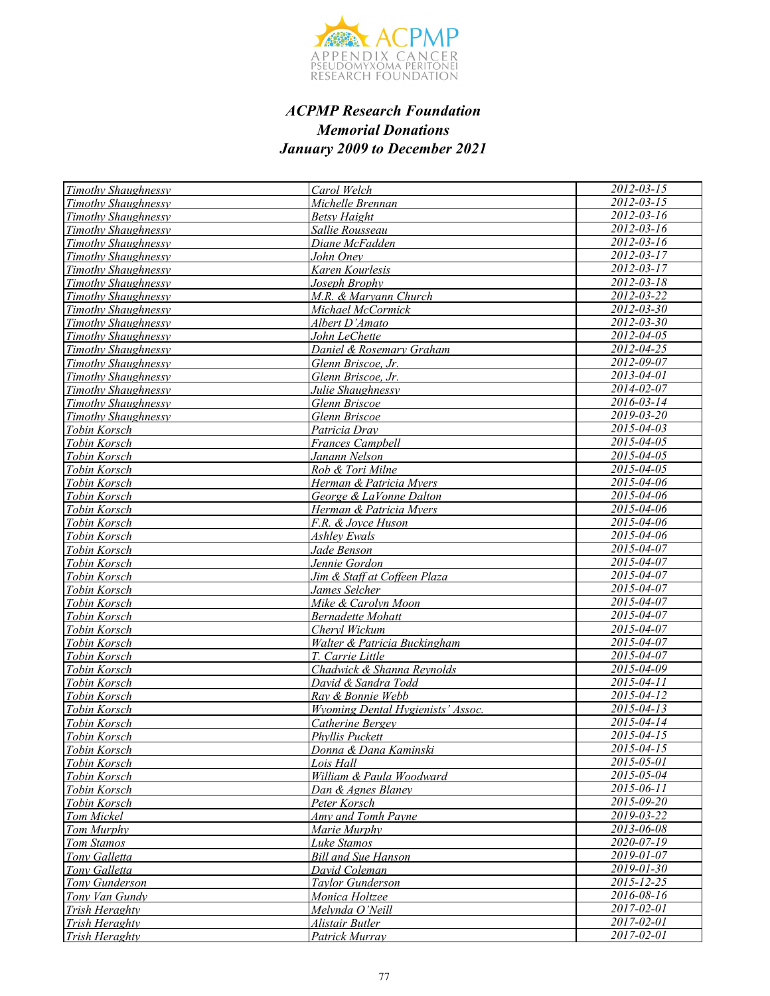

| <b>Timothy Shaughnessy</b> | Carol Welch                       | $2012 - 03 - 15$                     |
|----------------------------|-----------------------------------|--------------------------------------|
| Timothy Shaughnessy        | Michelle Brennan                  | 2012-03-15                           |
| Timothy Shaughnessy        | <b>Betsy Haight</b>               | 2012-03-16                           |
| Timothy Shaughnessy        | Sallie Rousseau                   | $2012 - 03 - 16$                     |
| Timothy Shaughnessy        | Diane McFadden                    | $2012 - 03 - 16$                     |
| <b>Timothy Shaughnessy</b> | John Oney                         | $2012 - 03 - 17$                     |
| Timothy Shaughnessy        | Karen Kourlesis                   | 2012-03-17                           |
| <b>Timothy Shaughnessy</b> | Joseph Brophy                     | $2012 - 03 - 18$                     |
| Timothy Shaughnessy        | M.R. & Maryann Church             | 2012-03-22                           |
| Timothy Shaughnessy        | Michael McCormick                 | $2012 - 03 - 30$                     |
| Timothy Shaughnessy        | Albert D'Amato                    | $2012 - 03 - 30$                     |
| Timothy Shaughnessy        | John LeChette                     | $2012 - 04 - 05$                     |
| Timothy Shaughnessy        | Daniel & Rosemary Graham          | $2012 - 04 - 25$                     |
| Timothy Shaughnessy        | Glenn Briscoe, Jr.                | $2012 - 09 - 07$                     |
| Timothy Shaughnessy        | Glenn Briscoe, Jr.                | $2013 - 04 - 01$                     |
| <b>Timothy Shaughnessy</b> | Julie Shaughnessy                 | 2014-02-07                           |
| Timothy Shaughnessy        | Glenn Briscoe                     | 2016-03-14                           |
| Timothy Shaughnessy        | Glenn Briscoe                     | $2019 - 03 - 20$                     |
| Tobin Korsch               | Patricia Dray                     | $2015 - 04 - 03$                     |
| Tobin Korsch               | Frances Campbell                  | 2015-04-05                           |
| Tobin Korsch               | Janann Nelson                     | 2015-04-05                           |
| Tobin Korsch               | Rob & Tori Milne                  | $2015 - 04 - 05$                     |
| Tobin Korsch               | Herman & Patricia Myers           | 2015-04-06                           |
| Tobin Korsch               | George & LaVonne Dalton           | 2015-04-06                           |
| Tobin Korsch               | Herman & Patricia Mvers           | 2015-04-06                           |
| Tobin Korsch               | F.R. & Jovce Huson                | 2015-04-06                           |
| Tobin Korsch               | Ashlev Ewals                      | $2015 - 04 - 06$                     |
| Tobin Korsch               | Jade Benson                       | 2015-04-07                           |
| Tobin Korsch               | Jennie Gordon                     | $2015 - 04 - 07$                     |
| Tobin Korsch               | Jim & Staff at Coffeen Plaza      | $2015 - 04 - 07$                     |
| Tobin Korsch               | James Selcher                     | 2015-04-07                           |
| Tobin Korsch               | Mike & Carolyn Moon               | $2015 - 04 - 07$                     |
| Tobin Korsch               | Bernadette Mohatt                 | 2015-04-07                           |
| Tobin Korsch               | Chervl Wickum                     | 2015-04-07                           |
| Tobin Korsch               | Walter & Patricia Buckingham      | 2015-04-07                           |
| Tobin Korsch               | T. Carrie Little                  | 2015-04-07                           |
| Tobin Korsch               | Chadwick & Shanna Reynolds        | 2015-04-09                           |
| Tobin Korsch               | David & Sandra Todd               | 2015-04-11                           |
| Tobin Korsch               | Ray & Bonnie Webb                 | $2015 - 04 - 12$<br>$2015 - 04 - 13$ |
| Tobin Korsch               | Wyoming Dental Hygienists' Assoc. |                                      |
| Tobin Korsch               | Catherine Bergey                  | $2015 - 04 - 14$<br>$2015 - 04 - 15$ |
| Tobin Korsch               | Phyllis Puckett                   |                                      |
| Tobin Korsch               | Donna & Dana Kaminski             | $2015 - 04 - 15$                     |
| Tobin Korsch               | Lois Hall                         | 2015-05-01                           |
| Tobin Korsch               | William & Paula Woodward          | 2015-05-04                           |
| Tobin Korsch               | Dan & Agnes Blaney                | 2015-06-11                           |
| Tobin Korsch               | Peter Korsch                      | 2015-09-20<br>2019-03-22             |
| Tom Mickel                 | Amy and Tomh Payne                |                                      |
| Tom Murphy                 | Marie Murphy                      | 2013-06-08<br>2020-07-19             |
| Tom Stamos                 | Luke Stamos                       |                                      |
| Tony Galletta              | <b>Bill and Sue Hanson</b>        | 2019-01-07                           |
| Tony Galletta              | David Coleman                     | 2019-01-30<br>$2015 - 12 - 25$       |
| Tony Gunderson             | Taylor Gunderson                  |                                      |
| Tony Van Gundy             | Monica Holtzee                    | 2016-08-16<br>$2017 - 02 - 01$       |
| Trish Heraghty             | Melynda O'Neill                   | 2017-02-01                           |
| Trish Heraghty             | Alistair Butler                   | $2017 - 02 - 01$                     |
| Trish Heraghty             | Patrick Murray                    |                                      |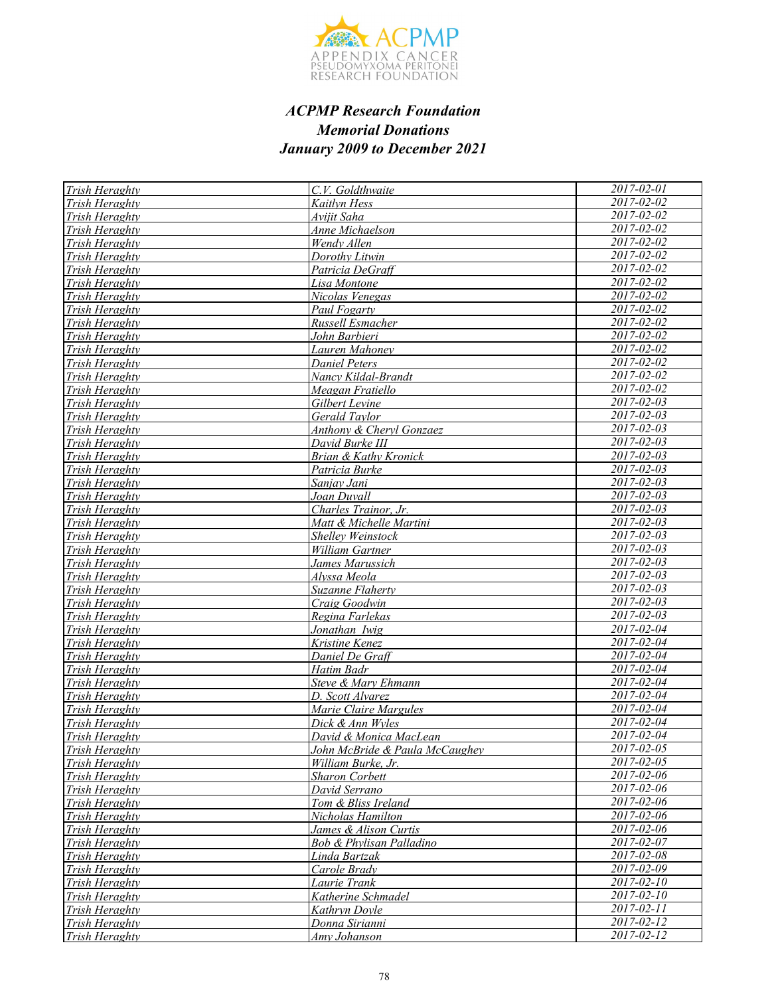

| <b>Trish Heraghty</b>                   | C.V. Goldthwaite                                     | 2017-02-01                  |
|-----------------------------------------|------------------------------------------------------|-----------------------------|
| Trish Heraghty                          | <b>Kaitlyn Hess</b>                                  | $2017 - 02 - 02$            |
| Trish Heraghty                          | Avijit Saha                                          | 2017-02-02                  |
| Trish Heraghty                          | Anne Michaelson                                      | 2017-02-02                  |
| Trish Heraghty                          | Wendy Allen                                          | 2017-02-02                  |
| Trish Heraghty                          | Dorothy Litwin                                       | 2017-02-02                  |
| Trish Heraghty                          | Patricia DeGraff                                     | 2017-02-02                  |
| Trish Heraghty                          | Lisa Montone                                         | 2017-02-02                  |
| Trish Heraghty                          | Nicolas Venegas                                      | 2017-02-02                  |
| Trish Heraghty                          | Paul Fogarty                                         | 2017-02-02                  |
| Trish Heraghty                          | Russell Esmacher                                     | 2017-02-02                  |
| Trish Heraghty                          | John Barbieri                                        | 2017-02-02                  |
| Trish Heraghty                          | Lauren Mahonev                                       | 2017-02-02                  |
| Trish Heraghty                          | <b>Daniel Peters</b>                                 | 2017-02-02                  |
| Trish Heraghty                          | Nancy Kildal-Brandt                                  | $2017 - 02 - 02$            |
| Trish Heraghty                          | Meagan Fratiello                                     | 2017-02-02                  |
| Trish Heraghty                          | Gilbert Levine                                       | 2017-02-03                  |
| Trish Heraghty                          | Gerald Taylor                                        | 2017-02-03                  |
| Trish Heraghty                          | Anthony & Cheryl Gonzaez                             | 2017-02-03                  |
| Trish Heraghty                          | David Burke III                                      | 2017-02-03                  |
| Trish Heraghty                          | Brian & Kathy Kronick                                | 2017-02-03                  |
| Trish Heraghty                          | Patricia Burke                                       | $2017 - 02 - 03$            |
| Trish Heraghty                          | Sanjay Jani                                          | 2017-02-03                  |
| Trish Heraghty                          | Joan Duvall                                          | $2017 - 02 - 03$            |
| Trish Heraghty                          | Charles Trainor, Jr.                                 | 2017-02-03                  |
| Trish Heraghty                          | Matt & Michelle Martini                              | $2017 - 02 - 03$            |
| Trish Heraghty                          | <b>Shellev Weinstock</b>                             | $2017 - 02 - 03$            |
| Trish Heraghty                          | William Gartner                                      | $2017 - 02 - 03$            |
| <b>Trish Heraghty</b>                   | James Marussich                                      | 2017-02-03                  |
| Trish Heraghty                          | Alyssa Meola                                         | $2017 - 02 - 03$            |
| Trish Heraghty                          | Suzanne Flaherty                                     | $2017 - 02 - 03$            |
| Trish Heraghty                          | Craig Goodwin                                        | $2017 - 02 - 03$            |
| Trish Heraghty                          | Regina Farlekas                                      | $2017 - 02 - 03$            |
| <b>Trish Heraghty</b>                   | Jonathan Iwig                                        | 2017-02-04                  |
| Trish Heraghty                          | Kristine Kenez                                       | 2017-02-04                  |
| Trish Heraghty                          | Daniel De Graff                                      | 2017-02-04                  |
| Trish Heraghty                          | Hatim Badr                                           | $2017 - 02 - 04$            |
| Trish Heraghty                          | Steve & Mary Ehmann                                  | $\overline{2017}$ -02-04    |
| Trish Heraghty                          | D. Scott Alvarez                                     | 2017-02-04<br>2017-02-04    |
| Trish Heraghty                          | Marie Claire Margules                                | $2017 - 02 - 04$            |
| Trish Heraghty                          | Dick & Ann Wyles                                     | 2017-02-04                  |
| <b>Trish Heraghty</b>                   | David & Monica MacLean                               | $\overline{2017 - 02 - 05}$ |
| <i>Trish Heraghty</i><br>Trish Heraghty | John McBride & Paula McCaughey<br>William Burke, Jr. | 2017-02-05                  |
| Trish Heraghty                          |                                                      | 2017-02-06                  |
| Trish Heraghty                          | <b>Sharon Corbett</b><br>David Serrano               | 2017-02-06                  |
| Trish Heraghty                          | Tom & Bliss Ireland                                  | 2017-02-06                  |
| Trish Heraghty                          | Nicholas Hamilton                                    | $2017 - 02 - 06$            |
| Trish Heraghty                          | James & Alison Curtis                                | 2017-02-06                  |
| Trish Heraghty                          | Bob & Phylisan Palladino                             | $2017 - 02 - 07$            |
| Trish Heraghty                          | Linda Bartzak                                        | 2017-02-08                  |
| Trish Heraghty                          | Carole Brady                                         | 2017-02-09                  |
| Trish Heraghty                          | Laurie Trank                                         | 2017-02-10                  |
| Trish Heraghty                          | Katherine Schmadel                                   | $2017 - 02 - 10$            |
| Trish Heraghty                          | Kathryn Doyle                                        | 2017-02-11                  |
| Trish Heraghty                          | Donna Sirianni                                       | 2017-02-12                  |
| Trish Heraghty                          | Amy Johanson                                         | $2017 - 02 - 12$            |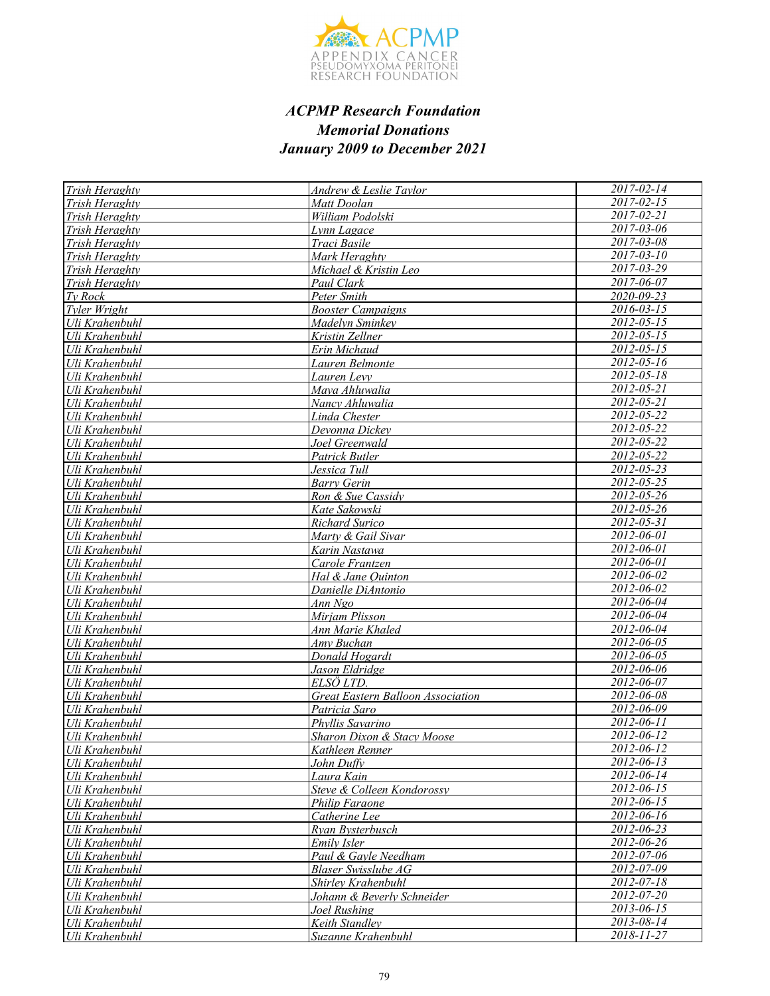

| Trish Heraghty        | <b>Andrew &amp; Leslie Taylor</b>        | 2017-02-14                  |
|-----------------------|------------------------------------------|-----------------------------|
| <b>Trish Heraghty</b> | Matt Doolan                              | $2017 - 02 - 15$            |
| Trish Heraghty        | William Podolski                         | 2017-02-21                  |
| Trish Heraghty        | Lynn Lagace                              | $2017 - 03 - 06$            |
| Trish Heraghty        | Traci Basile                             | $2017 - 03 - 08$            |
| Trish Heraghty        | Mark Heraghty                            | $2017 - 03 - 10$            |
| Trish Heraghty        | Michael & Kristin Leo                    | $2017 - 03 - 29$            |
| Trish Heraghty        | Paul Clark                               | 2017-06-07                  |
| Tv Rock               | Peter Smith                              | $\frac{2020 - 09 - 23}{20}$ |
| Tyler Wright          | <b>Booster Campaigns</b>                 | $2016 - 03 - 15$            |
| Uli Krahenbuhl        | Madelyn Sminkey                          | $2012 - 05 - 15$            |
| Uli Krahenbuhl        | Kristin Zellner                          | $2012 - 05 - 15$            |
| Uli Krahenbuhl        | Erin Michaud                             | $2012 - 05 - 15$            |
| Uli Krahenbuhl        | Lauren Belmonte                          | 2012-05-16                  |
| Uli Krahenbuhl        | Lauren Levy                              | $2012 - 05 - 18$            |
| Uli Krahenbuhl        | Mava Ahluwalia                           | 2012-05-21                  |
| Uli Krahenbuhl        | Nancy Ahluwalia                          | 2012-05-21                  |
| Uli Krahenbuhl        | Linda Chester                            | 2012-05-22                  |
| Uli Krahenbuhl        | Devonna Dickey                           | 2012-05-22                  |
| Uli Krahenbuhl        | Joel Greenwald                           | 2012-05-22                  |
| Uli Krahenbuhl        | Patrick Butler                           | 2012-05-22                  |
| Uli Krahenbuhl        | Jessica Tull                             | $2012 - 05 - 23$            |
| Uli Krahenbuhl        | <b>Barry Gerin</b>                       | 2012-05-25                  |
| Uli Krahenbuhl        | Ron & Sue Cassidy                        | 2012-05-26                  |
| Uli Krahenbuhl        | Kate Sakowski                            | $2012 - 05 - 26$            |
| Uli Krahenbuhl        | Richard Surico                           | $2012 - 05 - 31$            |
| Uli Krahenbuhl        | Marty & Gail Sivar                       | $2012 - 06 - 01$            |
| Uli Krahenbuhl        | Karin Nastawa                            | $2012 - 06 - 01$            |
| Uli Krahenbuhl        | Carole Frantzen                          | 2012-06-01                  |
| Uli Krahenbuhl        | Hal & Jane Quinton                       | 2012-06-02                  |
| Uli Krahenbuhl        | Danielle DiAntonio                       | 2012-06-02                  |
| Uli Krahenbuhl        | Ann Ngo                                  | 2012-06-04                  |
| Uli Krahenbuhl        | Mirjam Plisson                           | 2012-06-04                  |
| Uli Krahenbuhl        | Ann Marie Khaled                         | 2012-06-04                  |
| Uli Krahenbuhl        | Amy Buchan                               | $2012 - 06 - 05$            |
| Uli Krahenbuhl        | Donald Hogardt                           | 2012-06-05                  |
| Uli Krahenbuhl        | Jason Eldridge                           | 2012-06-06                  |
| Uli Krahenbuhl        | ELSÖ LTD.                                | 2012-06-07                  |
| Uli Krahenbuhl        | <b>Great Eastern Balloon Association</b> | $2012 - 06 - 08$            |
| Uli Krahenbuhl        | Patricia Saro                            | 2012-06-09                  |
| Uli Krahenbuhl        | Phyllis Savarino                         | $2012 - 06 - 11$            |
| Uli Krahenbuhl        | Sharon Dixon & Stacy Moose               | 2012-06-12                  |
| Uli Krahenbuhl        | <u>Kathleen Renner</u>                   | 2012-06-12                  |
| Uli Krahenbuhl        | John Duffy                               | 2012-06-13                  |
| Uli Krahenbuhl        | Laura Kain                               | 2012-06-14                  |
| Uli Krahenbuhl        | Steve & Colleen Kondorossy               | 2012-06-15                  |
| Uli Krahenbuhl        | Philip Faraone                           | 2012-06-15                  |
| Uli Krahenbuhl        | Catherine Lee                            | 2012-06-16                  |
| Uli Krahenbuhl        | Ryan Bysterbusch                         | 2012-06-23                  |
| Uli Krahenbuhl        | Emily Isler                              | 2012-06-26                  |
| Uli Krahenbuhl        | Paul & Gavle Needham                     | 2012-07-06                  |
| Uli Krahenbuhl        | Blaser Swisslube AG                      | 2012-07-09                  |
| Uli Krahenbuhl        | Shirley Krahenbuhl                       | 2012-07-18                  |
| Uli Krahenbuhl        | Johann & Beverly Schneider               | $2012 - 07 - 20$            |
| Uli Krahenbuhl        | Joel Rushing                             | 2013-06-15                  |
| Uli Krahenbuhl        | Keith Standley                           | 2013-08-14<br>2018-11-27    |
| Uli Krahenbuhl        | Suzanne Krahenbuhl                       |                             |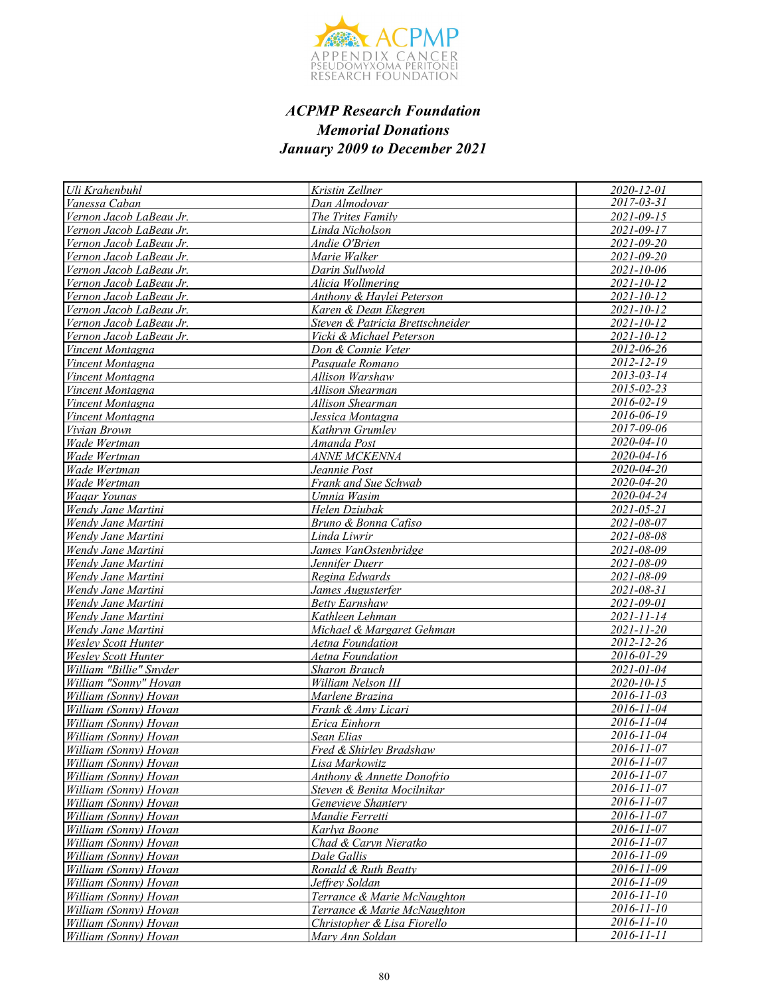

| Uli Krahenbuhl                                 | Kristin Zellner                       | 2020-12-01                     |
|------------------------------------------------|---------------------------------------|--------------------------------|
| Vanessa Caban                                  | Dan Almodovar                         | 2017-03-31                     |
| Vernon Jacob LaBeau Jr.                        | The Trites Family                     | $2021 - 09 - 15$               |
| Vernon Jacob LaBeau Jr.                        | Linda Nicholson                       | 2021-09-17                     |
| Vernon Jacob LaBeau Jr.                        | Andie O'Brien                         | $2021 - 09 - 20$               |
| Vernon Jacob LaBeau Jr.                        | Marie Walker                          | 2021-09-20                     |
| Vernon Jacob LaBeau Jr.                        | Darin Sullwold                        | $2021 - 10 - 06$               |
| Vernon Jacob LaBeau Jr.                        | Alicia Wollmering                     | 2021-10-12                     |
| Vernon Jacob LaBeau Jr.                        | Anthony & Haylei Peterson             | 2021-10-12                     |
| Vernon Jacob LaBeau Jr.                        | Karen & Dean Ekegren                  | $2021 - 10 - 12$               |
| Vernon Jacob LaBeau Jr.                        | Steven & Patricia Brettschneider      | $2021 - 10 - 12$               |
| Vernon Jacob LaBeau Jr.                        | Vicki & Michael Peterson              | 2021-10-12                     |
| Vincent Montagna                               | Don & Connie Veter                    | 2012-06-26                     |
| Vincent Montagna                               | Pasquale Romano                       | 2012-12-19                     |
| Vincent Montagna                               | Allison Warshaw                       | $2013 - 03 - 14$               |
| Vincent Montagna                               | Allison Shearman                      | 2015-02-23                     |
| Vincent Montagna                               | Allison Shearman                      | 2016-02-19                     |
| Vincent Montagna                               | Jessica Montagna                      | 2016-06-19                     |
| Vivian Brown                                   | Kathryn Grumley                       | 2017-09-06                     |
| Wade Wertman                                   | Amanda Post                           | 2020-04-10                     |
| Wade Wertman                                   | <i>ANNE MCKENNA</i>                   | 2020-04-16                     |
| Wade Wertman                                   | Jeannie Post                          | $2020 - 04 - 20$               |
| Wade Wertman                                   | Frank and Sue Schwab                  | $2020 - 04 - 20$               |
| Wagar Younas                                   | Umnia Wasim                           | 2020-04-24                     |
| Wendy Jane Martini                             | Helen Dziubak                         | $2021 - 05 - 21$               |
| Wendy Jane Martini                             | Bruno & Bonna Cafiso                  | $\frac{2021 - 08 - 07}{h}$     |
| Wendy Jane Martini                             | Linda Liwrir                          | 2021-08-08                     |
| Wendy Jane Martini                             | James VanOstenbridge                  | 2021-08-09                     |
| Wendy Jane Martini                             | Jennifer Duerr                        | 2021-08-09                     |
| Wendy Jane Martini                             | Regina Edwards                        | 2021-08-09                     |
| Wendy Jane Martini                             | James Augusterfer                     | 2021-08-31                     |
| Wendy Jane Martini                             | <b>Betty Earnshaw</b>                 | 2021-09-01                     |
| Wendy Jane Martini                             | Kathleen Lehman                       | $2021 - 11 - 14$               |
| Wendy Jane Martini                             | Michael & Margaret Gehman             | $2021 - 11 - 20$               |
| <b>Wesley Scott Hunter</b>                     | Aetna Foundation                      | 2012-12-26                     |
| <b>Wesley Scott Hunter</b>                     | Aetna Foundation                      | $2016 - 01 - 29$               |
| William "Billie" Snyder                        | <b>Sharon Brauch</b>                  | $\overline{2021}$ -01-04       |
| William "Sonny" Hovan                          | William Nelson III                    | $2020 - 10 - 15$               |
| William (Sonny) Hovan                          | Marlene Brazina                       | 2016-11-03                     |
| William (Sonny) Hovan                          | Frank & Amy Licari                    | $2016 - 11 - 04$               |
| William (Sonny) Hovan                          | Erica Einhorn                         | 2016-11-04                     |
| William (Sonny) Hovan                          | Sean Elias                            | 2016-11-04                     |
| <i>William (Sonny) Hovan</i>                   | Fred & Shirley Bradshaw               | $2016 - 11 - 07$<br>2016-11-07 |
| William (Sonny) Hovan                          | Lisa Markowitz                        |                                |
| William (Sonny) Hovan                          | <b>Anthony &amp; Annette Donofrio</b> | 2016-11-07                     |
| William (Sonny) Hovan                          | Steven & Benita Mocilnikar            | 2016-11-07                     |
| William (Sonny) Hovan                          | Genevieve Shantery                    | 2016-11-07<br>2016-11-07       |
| William (Sonny) Hovan                          | Mandie Ferretti                       | 2016-11-07                     |
| William (Sonny) Hovan                          | Karlya Boone                          | 2016-11-07                     |
| William (Sonny) Hovan<br>William (Sonny) Hovan | Chad & Caryn Nieratko<br>Dale Gallis  | 2016-11-09                     |
| William (Sonny) Hovan                          | Ronald & Ruth Beatty                  | 2016-11-09                     |
| William (Sonny) Hovan                          | Jeffrey Soldan                        | 2016-11-09                     |
| William (Sonny) Hovan                          | Terrance & Marie McNaughton           | $2016 - 11 - 10$               |
| William (Sonny) Hovan                          | Terrance & Marie McNaughton           | 2016-11-10                     |
| William (Sonny) Hovan                          | Christopher & Lisa Fiorello           | 2016-11-10                     |
| William (Sonny) Hovan                          | Mary Ann Soldan                       | 2016-11-11                     |
|                                                |                                       |                                |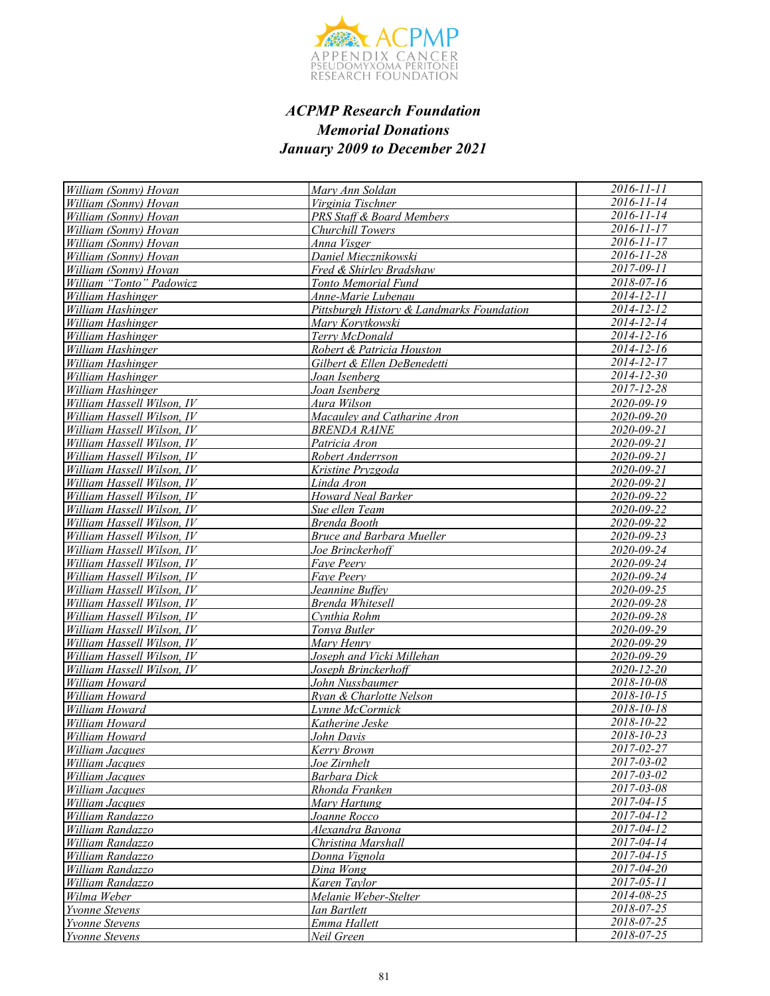

| William (Sonny) Hovan               | Mary Ann Soldan                           | $2016 - 11 - 11$         |
|-------------------------------------|-------------------------------------------|--------------------------|
| William (Sonny) Hovan               | Virginia Tischner                         | $\overline{2016}$ -11-14 |
| William (Sonny) Hovan               | PRS Staff & Board Members                 | 2016-11-14               |
| William (Sonny) Hovan               | Churchill Towers                          | 2016-11-17               |
| William (Sonny) Hovan               | Anna Visger                               | $2016 - 11 - 17$         |
| William (Sonny) Hovan               | Daniel Miecznikowski                      | $2016 - 11 - 28$         |
| William (Sonny) Hovan               | Fred & Shirley Bradshaw                   | 2017-09-11               |
| William "Tonto" Padowicz            | Tonto Memorial Fund                       | $2018 - 07 - 16$         |
| William Hashinger                   | Anne-Marie Lubenau                        | 2014-12-11               |
| William Hashinger                   | Pittsburgh History & Landmarks Foundation | $2014 - 12 - 12$         |
| William Hashinger                   | Mary Korytkowski                          | $2014 - 12 - 14$         |
| William Hashinger                   | Terry McDonald                            | $2014 - 12 - 16$         |
| William Hashinger                   | Robert & Patricia Houston                 | 2014-12-16               |
| William Hashinger                   | Gilbert & Ellen DeBenedetti               | $2014 - 12 - 17$         |
| William Hashinger                   | Joan Isenberg                             | $2014 - 12 - 30$         |
| William Hashinger                   | Joan Isenberg                             | 2017-12-28               |
| William Hassell Wilson, IV          | Aura Wilson                               | 2020-09-19               |
| William Hassell Wilson, IV          | Macauley and Catharine Aron               | 2020-09-20               |
| William Hassell Wilson, IV          | <b>BRENDA RAINE</b>                       | 2020-09-21               |
| William Hassell Wilson, IV          | Patricia Aron                             | $2020 - 09 - 21$         |
| William Hassell Wilson, IV          | Robert Anderrson                          | 2020-09-21               |
| William Hassell Wilson, IV          | Kristine Pryzgoda                         | 2020-09-21               |
| William Hassell Wilson, IV          | Linda Aron                                | 2020-09-21               |
| William Hassell Wilson, IV          | Howard Neal Barker                        | 2020-09-22               |
| William Hassell Wilson, IV          | Sue ellen Team                            | 2020-09-22               |
| William Hassell Wilson, IV          | Brenda Booth                              | 2020-09-22               |
| William Hassell Wilson, IV          | <b>Bruce and Barbara Mueller</b>          | 2020-09-23               |
| William Hassell Wilson, IV          | Joe Brinckerhoff                          | 2020-09-24               |
| William Hassell Wilson, IV          | Faye Peery                                | 2020-09-24               |
| William Hassell Wilson, IV          | Faye Peery                                | 2020-09-24               |
| William Hassell Wilson, IV          | Jeannine Buffev                           | 2020-09-25               |
| William Hassell Wilson, IV          | Brenda Whitesell                          | 2020-09-28               |
| William Hassell Wilson, IV          | Cynthia Rohm                              | 2020-09-28               |
| William Hassell Wilson, IV          | Tonya Butler                              | 2020-09-29               |
| William Hassell Wilson, IV          | Mary Henry                                | 2020-09-29               |
| William Hassell Wilson, IV          | Joseph and Vicki Millehan                 | 2020-09-29               |
| William Hassell Wilson, IV          | Joseph Brinckerhoff                       | 2020-12-20               |
| William Howard                      | John Nussbaumer                           | 2018-10-08               |
| William Howard                      | Ryan & Charlotte Nelson                   | 2018-10-15               |
| William Howard                      | Lynne McCormick                           | 2018-10-18               |
| William Howard                      | Katherine Jeske                           | 2018-10-22               |
| William Howard                      | John Davis                                | 2018-10-23<br>2017-02-27 |
| <b>William Jacques</b>              | Kerry Brown                               | 2017-03-02               |
| William Jacques                     | <u>Joe Zirnhelt</u>                       | 2017-03-02               |
| William Jacques                     | Barbara Dick                              |                          |
| William Jacques                     | Rhonda Franken                            | 2017-03-08<br>2017-04-15 |
| William Jacques<br>William Randazzo | Mary Hartung<br>Joanne Rocco              | 2017-04-12               |
| William Randazzo                    |                                           | 2017-04-12               |
| William Randazzo                    | Alexandra Bayona<br>Christina Marshall    | 2017-04-14               |
| William Randazzo                    | Donna Vignola                             | 2017-04-15               |
| William Randazzo                    | Dina Wong                                 | 2017-04-20               |
| William Randazzo                    | Karen Taylor                              | $2017 - 05 - 11$         |
| Wilma Weber                         | Melanie Weber-Stelter                     | 2014-08-25               |
| <i>Yvonne Stevens</i>               | Ian Bartlett                              | 2018-07-25               |
| <b>Yvonne Stevens</b>               | Emma Hallett                              | 2018-07-25               |
| <b>Yvonne Stevens</b>               | Neil Green                                | 2018-07-25               |